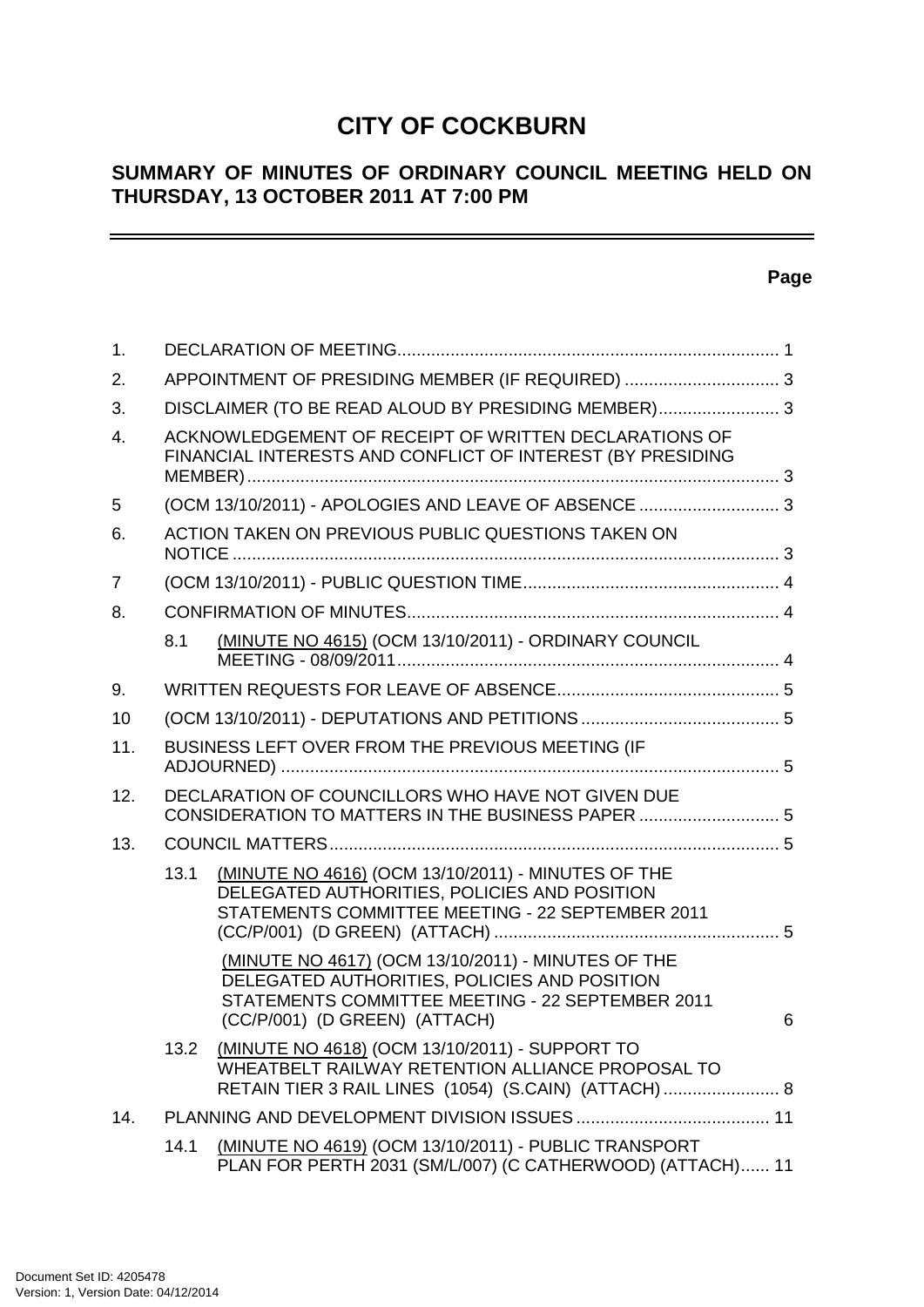# **CITY OF COCKBURN**

# **SUMMARY OF MINUTES OF ORDINARY COUNCIL MEETING HELD ON THURSDAY, 13 OCTOBER 2011 AT 7:00 PM**

# **Page**

 $\overline{\phantom{0}}$ 

| $\mathbf{1}$ .   |                                                     |                                                                                                                                                                                         |   |
|------------------|-----------------------------------------------------|-----------------------------------------------------------------------------------------------------------------------------------------------------------------------------------------|---|
| 2.               | APPOINTMENT OF PRESIDING MEMBER (IF REQUIRED)  3    |                                                                                                                                                                                         |   |
| 3.               | DISCLAIMER (TO BE READ ALOUD BY PRESIDING MEMBER) 3 |                                                                                                                                                                                         |   |
| $\overline{4}$ . |                                                     | ACKNOWLEDGEMENT OF RECEIPT OF WRITTEN DECLARATIONS OF<br>FINANCIAL INTERESTS AND CONFLICT OF INTEREST (BY PRESIDING                                                                     |   |
| 5                |                                                     | (OCM 13/10/2011) - APOLOGIES AND LEAVE OF ABSENCE  3                                                                                                                                    |   |
| 6.               |                                                     | ACTION TAKEN ON PREVIOUS PUBLIC QUESTIONS TAKEN ON                                                                                                                                      |   |
| 7                |                                                     |                                                                                                                                                                                         |   |
| 8.               |                                                     |                                                                                                                                                                                         |   |
|                  | 8.1                                                 | (MINUTE NO 4615) (OCM 13/10/2011) - ORDINARY COUNCIL                                                                                                                                    |   |
| 9.               |                                                     |                                                                                                                                                                                         |   |
| 10               |                                                     |                                                                                                                                                                                         |   |
| 11.              |                                                     | BUSINESS LEFT OVER FROM THE PREVIOUS MEETING (IF                                                                                                                                        |   |
| 12.              |                                                     | DECLARATION OF COUNCILLORS WHO HAVE NOT GIVEN DUE<br>CONSIDERATION TO MATTERS IN THE BUSINESS PAPER  5                                                                                  |   |
| 13.              |                                                     |                                                                                                                                                                                         |   |
|                  | 13.1                                                | (MINUTE NO 4616) (OCM 13/10/2011) - MINUTES OF THE<br>DELEGATED AUTHORITIES, POLICIES AND POSITION<br>STATEMENTS COMMITTEE MEETING - 22 SEPTEMBER 2011                                  |   |
|                  |                                                     | (MINUTE NO 4617) (OCM 13/10/2011) - MINUTES OF THE<br>DELEGATED AUTHORITIES, POLICIES AND POSITION<br>STATEMENTS COMMITTEE MEETING - 22 SEPTEMBER 2011<br>(CC/P/001) (D GREEN) (ATTACH) | 6 |
|                  | 13.2                                                | (MINUTE NO 4618) (OCM 13/10/2011) - SUPPORT TO<br>WHEATBELT RAILWAY RETENTION ALLIANCE PROPOSAL TO<br>RETAIN TIER 3 RAIL LINES (1054) (S.CAIN) (ATTACH)  8                              |   |
| 14.              |                                                     |                                                                                                                                                                                         |   |
|                  | 14.1                                                | (MINUTE NO 4619) (OCM 13/10/2011) - PUBLIC TRANSPORT<br>PLAN FOR PERTH 2031 (SM/L/007) (C CATHERWOOD) (ATTACH) 11                                                                       |   |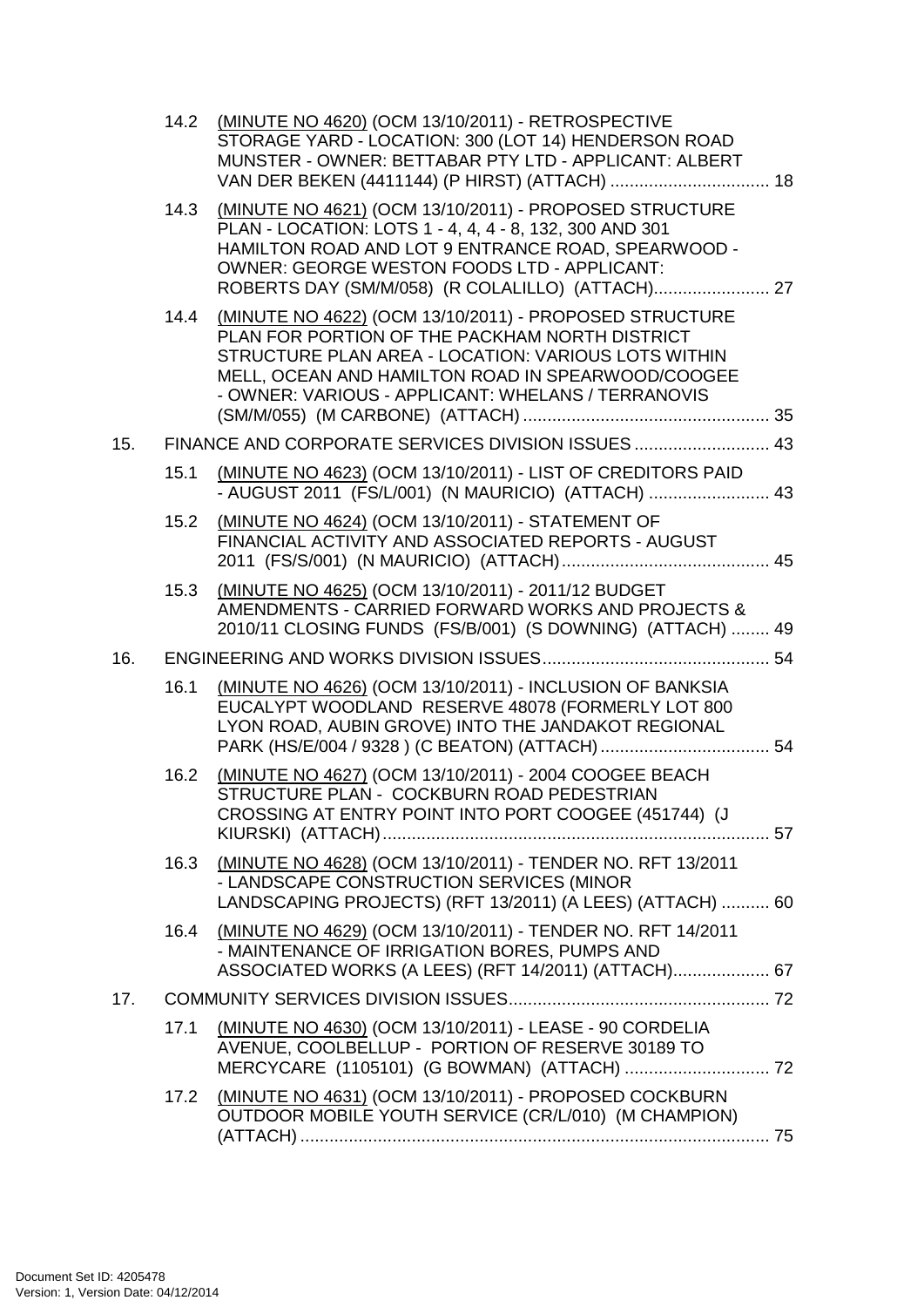|     |      | 14.2 (MINUTE NO 4620) (OCM 13/10/2011) - RETROSPECTIVE<br>STORAGE YARD - LOCATION: 300 (LOT 14) HENDERSON ROAD<br>MUNSTER - OWNER: BETTABAR PTY LTD - APPLICANT: ALBERT                                                                                                         |  |
|-----|------|---------------------------------------------------------------------------------------------------------------------------------------------------------------------------------------------------------------------------------------------------------------------------------|--|
|     |      | 14.3 (MINUTE NO 4621) (OCM 13/10/2011) - PROPOSED STRUCTURE<br>PLAN - LOCATION: LOTS 1 - 4, 4, 4 - 8, 132, 300 AND 301<br>HAMILTON ROAD AND LOT 9 ENTRANCE ROAD, SPEARWOOD -<br>OWNER: GEORGE WESTON FOODS LTD - APPLICANT:<br>ROBERTS DAY (SM/M/058) (R COLALILLO) (ATTACH) 27 |  |
|     |      | 14.4 (MINUTE NO 4622) (OCM 13/10/2011) - PROPOSED STRUCTURE<br>PLAN FOR PORTION OF THE PACKHAM NORTH DISTRICT<br>STRUCTURE PLAN AREA - LOCATION: VARIOUS LOTS WITHIN<br>MELL, OCEAN AND HAMILTON ROAD IN SPEARWOOD/COOGEE<br>- OWNER: VARIOUS - APPLICANT: WHELANS / TERRANOVIS |  |
| 15. |      | FINANCE AND CORPORATE SERVICES DIVISION ISSUES  43                                                                                                                                                                                                                              |  |
|     | 15.1 | (MINUTE NO 4623) (OCM 13/10/2011) - LIST OF CREDITORS PAID<br>- AUGUST 2011 (FS/L/001) (N MAURICIO) (ATTACH)  43                                                                                                                                                                |  |
|     |      | 15.2 (MINUTE NO 4624) (OCM 13/10/2011) - STATEMENT OF<br>FINANCIAL ACTIVITY AND ASSOCIATED REPORTS - AUGUST                                                                                                                                                                     |  |
|     | 15.3 | (MINUTE NO 4625) (OCM 13/10/2011) - 2011/12 BUDGET<br>AMENDMENTS - CARRIED FORWARD WORKS AND PROJECTS &<br>2010/11 CLOSING FUNDS (FS/B/001) (S DOWNING) (ATTACH)  49                                                                                                            |  |
| 16. |      |                                                                                                                                                                                                                                                                                 |  |
|     | 16.1 | (MINUTE NO 4626) (OCM 13/10/2011) - INCLUSION OF BANKSIA<br>EUCALYPT WOODLAND RESERVE 48078 (FORMERLY LOT 800<br>LYON ROAD, AUBIN GROVE) INTO THE JANDAKOT REGIONAL                                                                                                             |  |
|     | 16.2 | (MINUTE NO 4627) (OCM 13/10/2011) - 2004 COOGEE BEACH<br>STRUCTURE PLAN - COCKBURN ROAD PEDESTRIAN<br>CROSSING AT ENTRY POINT INTO PORT COOGEE (451744) (J                                                                                                                      |  |
|     | 16.3 | (MINUTE NO 4628) (OCM 13/10/2011) - TENDER NO. RFT 13/2011<br>- LANDSCAPE CONSTRUCTION SERVICES (MINOR<br>LANDSCAPING PROJECTS) (RFT 13/2011) (A LEES) (ATTACH)  60                                                                                                             |  |
|     | 16.4 | (MINUTE NO 4629) (OCM 13/10/2011) - TENDER NO. RFT 14/2011<br>- MAINTENANCE OF IRRIGATION BORES, PUMPS AND<br>ASSOCIATED WORKS (A LEES) (RFT 14/2011) (ATTACH) 67                                                                                                               |  |
| 17. |      |                                                                                                                                                                                                                                                                                 |  |
|     | 17.1 | (MINUTE NO 4630) (OCM 13/10/2011) - LEASE - 90 CORDELIA<br>AVENUE, COOLBELLUP - PORTION OF RESERVE 30189 TO                                                                                                                                                                     |  |
|     | 17.2 | (MINUTE NO 4631) (OCM 13/10/2011) - PROPOSED COCKBURN<br>OUTDOOR MOBILE YOUTH SERVICE (CR/L/010) (M CHAMPION)                                                                                                                                                                   |  |
|     |      |                                                                                                                                                                                                                                                                                 |  |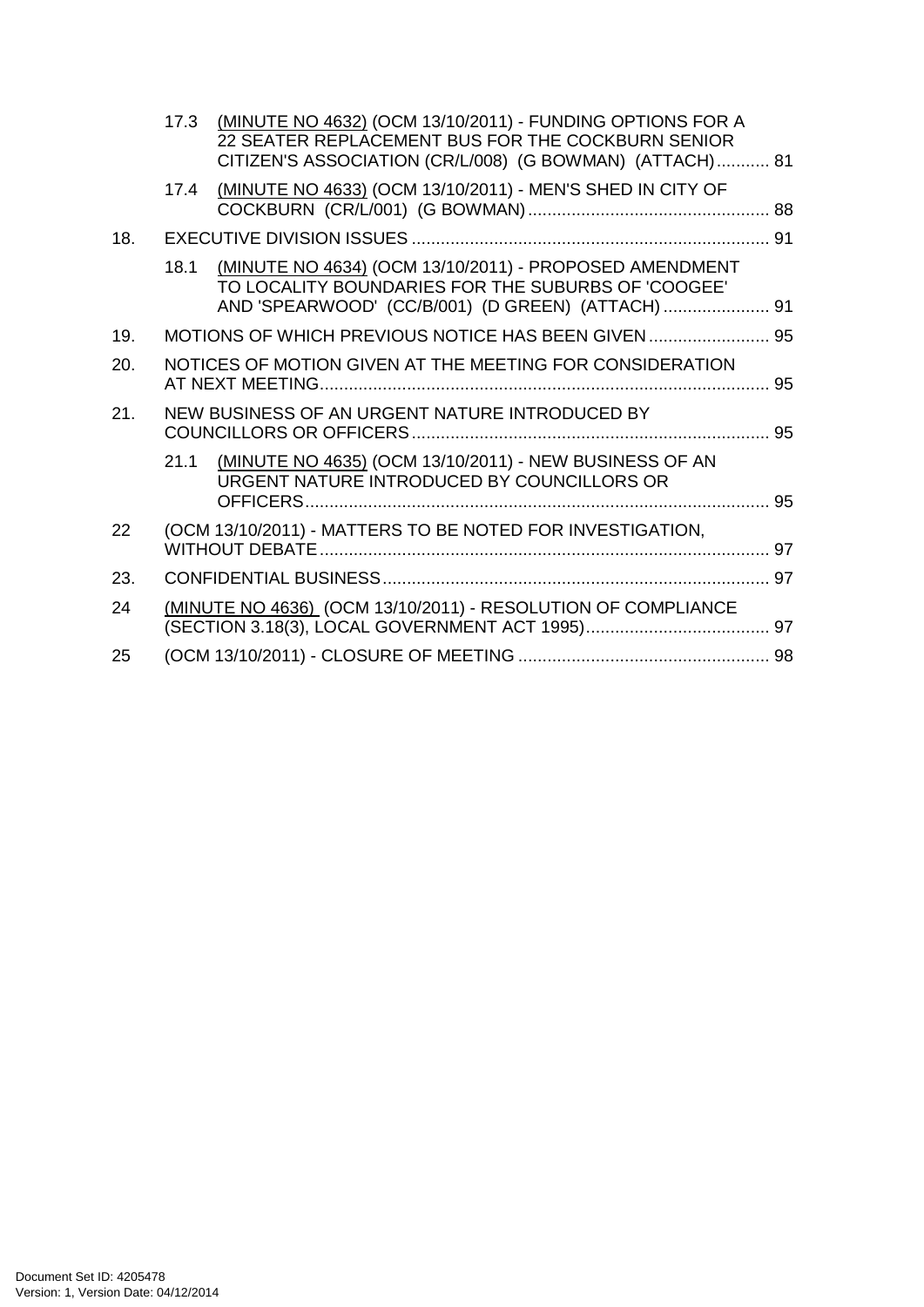|     | 17.3 | (MINUTE NO 4632) (OCM 13/10/2011) - FUNDING OPTIONS FOR A<br>22 SEATER REPLACEMENT BUS FOR THE COCKBURN SENIOR<br>CITIZEN'S ASSOCIATION (CR/L/008) (G BOWMAN) (ATTACH) 81 |  |
|-----|------|---------------------------------------------------------------------------------------------------------------------------------------------------------------------------|--|
|     | 17.4 | (MINUTE NO 4633) (OCM 13/10/2011) - MEN'S SHED IN CITY OF                                                                                                                 |  |
| 18. |      |                                                                                                                                                                           |  |
|     | 18.1 | (MINUTE NO 4634) (OCM 13/10/2011) - PROPOSED AMENDMENT<br>TO LOCALITY BOUNDARIES FOR THE SUBURBS OF 'COOGEE'<br>AND 'SPEARWOOD' (CC/B/001) (D GREEN) (ATTACH)  91         |  |
| 19. |      | MOTIONS OF WHICH PREVIOUS NOTICE HAS BEEN GIVEN  95                                                                                                                       |  |
| 20. |      | NOTICES OF MOTION GIVEN AT THE MEETING FOR CONSIDERATION                                                                                                                  |  |
| 21. |      | NEW BUSINESS OF AN URGENT NATURE INTRODUCED BY                                                                                                                            |  |
|     | 21.1 | (MINUTE NO 4635) (OCM 13/10/2011) - NEW BUSINESS OF AN<br>URGENT NATURE INTRODUCED BY COUNCILLORS OR                                                                      |  |
| 22  |      | (OCM 13/10/2011) - MATTERS TO BE NOTED FOR INVESTIGATION,                                                                                                                 |  |
| 23. |      |                                                                                                                                                                           |  |
| 24  |      | (MINUTE NO 4636) (OCM 13/10/2011) - RESOLUTION OF COMPLIANCE                                                                                                              |  |
| 25  |      |                                                                                                                                                                           |  |
|     |      |                                                                                                                                                                           |  |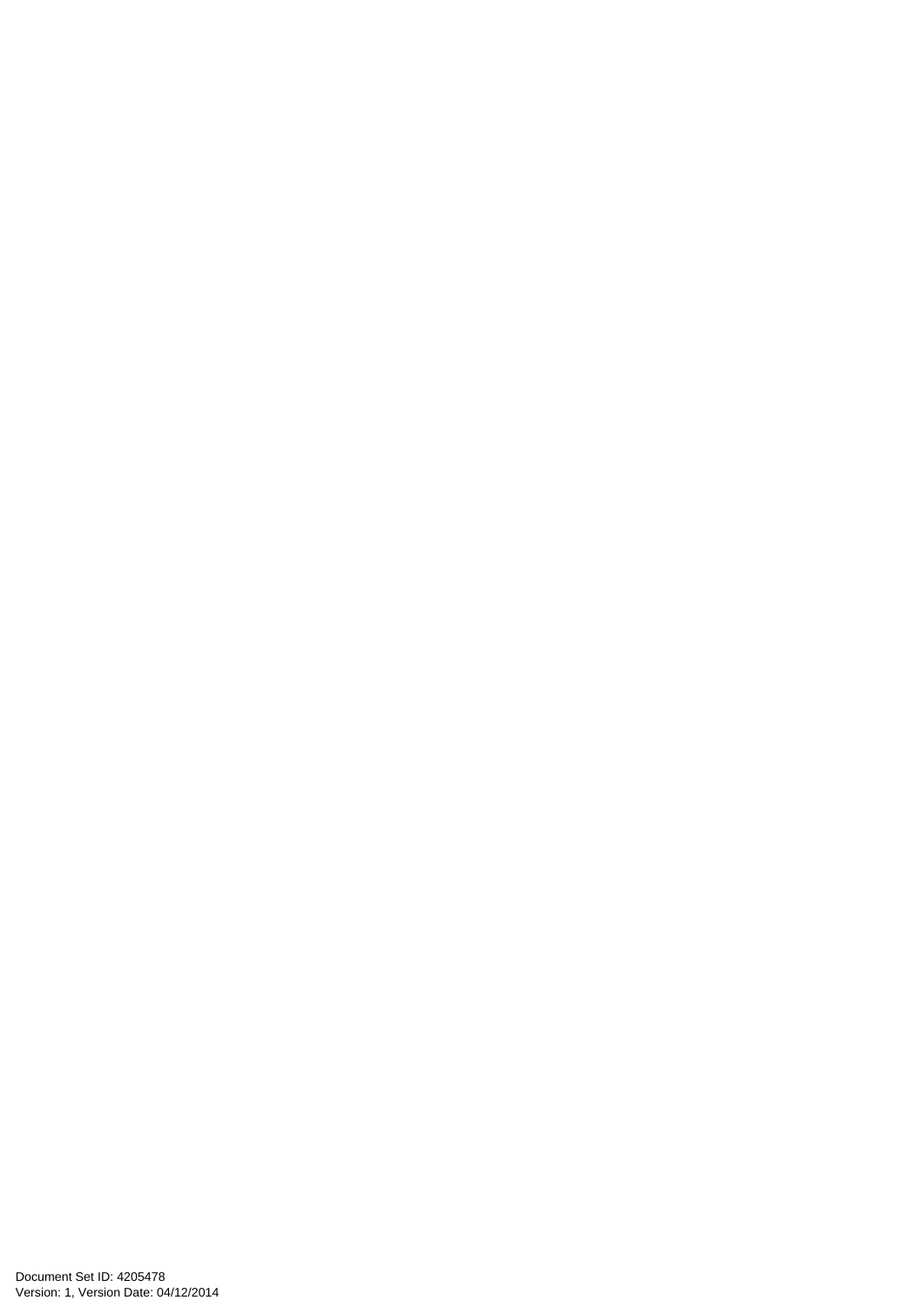Document Set ID: 4205478<br>Version: 1, Version Date: 04/12/2014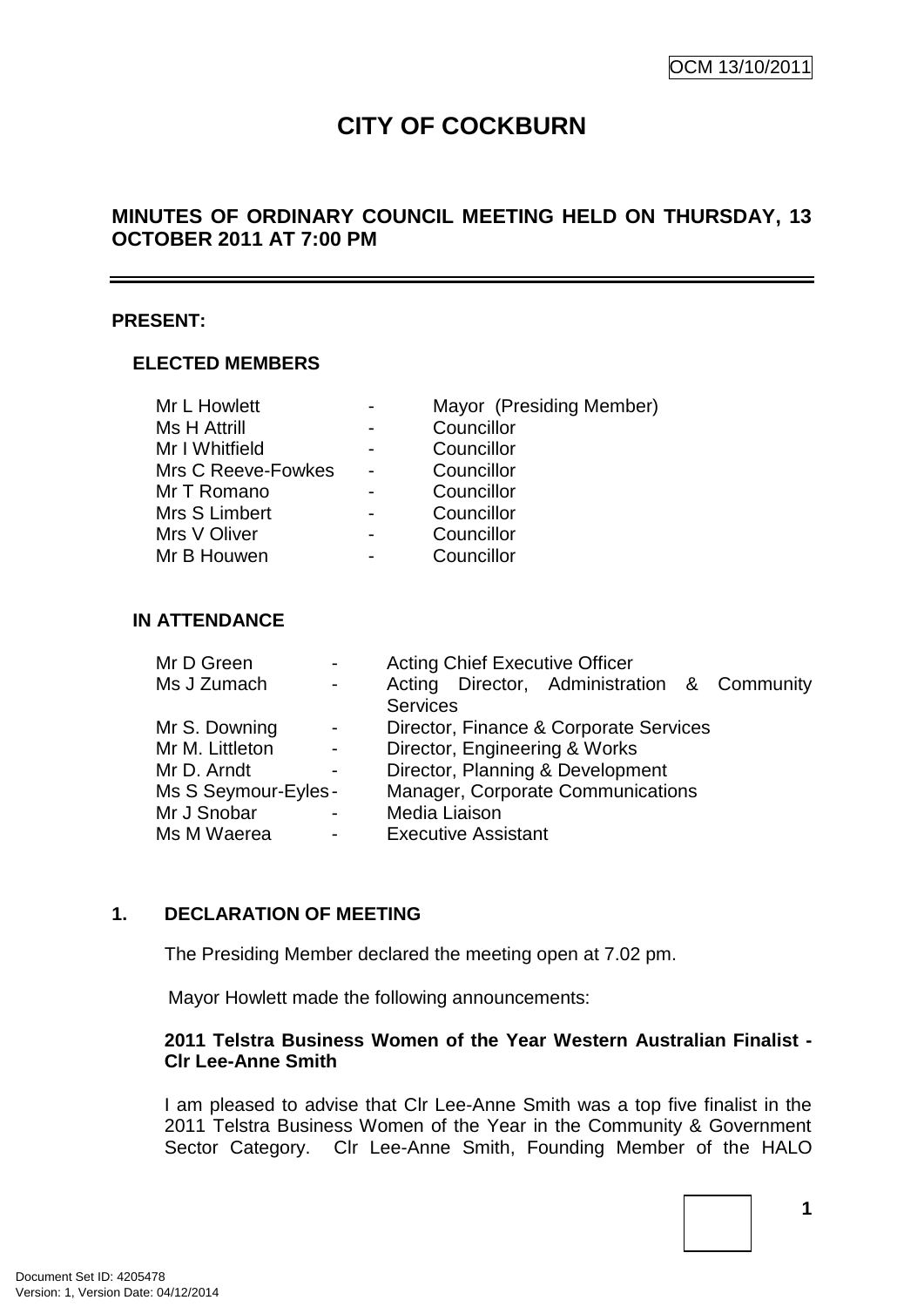# **CITY OF COCKBURN**

# **MINUTES OF ORDINARY COUNCIL MEETING HELD ON THURSDAY, 13 OCTOBER 2011 AT 7:00 PM**

### **PRESENT:**

### **ELECTED MEMBERS**

| Mr L Howlett        | Mayor (Presiding Member) |
|---------------------|--------------------------|
| <b>Ms H Attrill</b> | Councillor               |
| Mr I Whitfield      | Councillor               |
| Mrs C Reeve-Fowkes  | Councillor               |
| Mr T Romano         | Councillor               |
| Mrs S Limbert       | Councillor               |
| Mrs V Oliver        | Councillor               |
| Mr B Houwen         | Councillor               |

### **IN ATTENDANCE**

|  | <b>Services</b><br>Media Liaison | <b>Acting Chief Executive Officer</b><br>Director, Engineering & Works<br>Director, Planning & Development<br><b>Executive Assistant</b> | Acting Director, Administration & Community<br>Director, Finance & Corporate Services<br>Manager, Corporate Communications |
|--|----------------------------------|------------------------------------------------------------------------------------------------------------------------------------------|----------------------------------------------------------------------------------------------------------------------------|

# **1. DECLARATION OF MEETING**

The Presiding Member declared the meeting open at 7.02 pm.

Mayor Howlett made the following announcements:

### **2011 Telstra Business Women of the Year Western Australian Finalist - Clr Lee-Anne Smith**

I am pleased to advise that Clr Lee-Anne Smith was a top five finalist in the 2011 Telstra Business Women of the Year in the Community & Government Sector Category. Clr Lee-Anne Smith, Founding Member of the HALO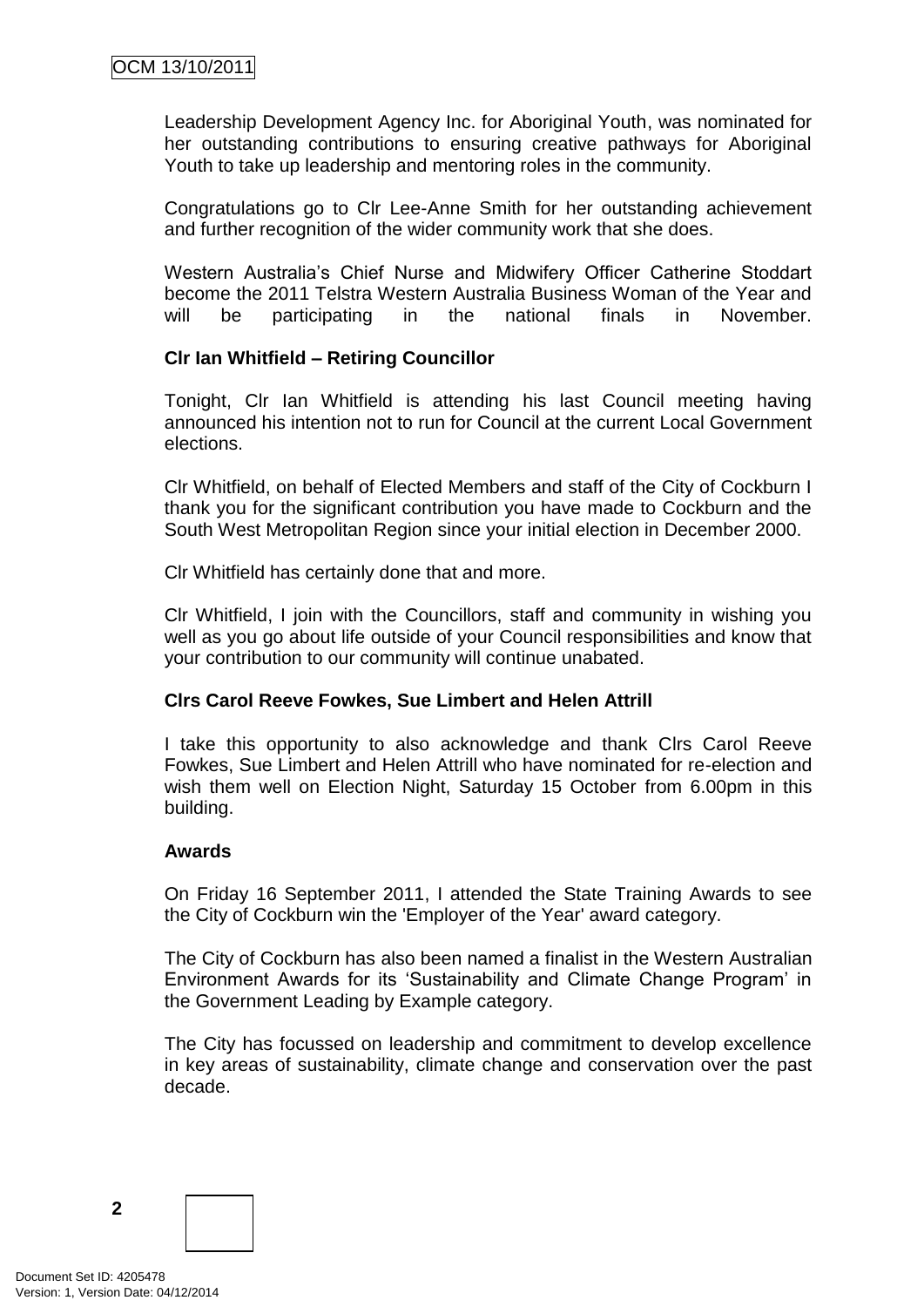Leadership Development Agency Inc. for Aboriginal Youth, was nominated for her outstanding contributions to ensuring creative pathways for Aboriginal Youth to take up leadership and mentoring roles in the community.

Congratulations go to Clr Lee-Anne Smith for her outstanding achievement and further recognition of the wider community work that she does.

Western Australia"s Chief Nurse and Midwifery Officer Catherine Stoddart become the 2011 Telstra Western Australia Business Woman of the Year and will be participating in the national finals in November.

### **Clr Ian Whitfield – Retiring Councillor**

Tonight, Clr Ian Whitfield is attending his last Council meeting having announced his intention not to run for Council at the current Local Government elections.

Clr Whitfield, on behalf of Elected Members and staff of the City of Cockburn I thank you for the significant contribution you have made to Cockburn and the South West Metropolitan Region since your initial election in December 2000.

Clr Whitfield has certainly done that and more.

Clr Whitfield, I join with the Councillors, staff and community in wishing you well as you go about life outside of your Council responsibilities and know that your contribution to our community will continue unabated.

### **Clrs Carol Reeve Fowkes, Sue Limbert and Helen Attrill**

I take this opportunity to also acknowledge and thank Clrs Carol Reeve Fowkes, Sue Limbert and Helen Attrill who have nominated for re-election and wish them well on Election Night, Saturday 15 October from 6.00pm in this building.

### **Awards**

On Friday 16 September 2011, I attended the State Training Awards to see the City of Cockburn win the 'Employer of the Year' award category.

The City of Cockburn has also been named a finalist in the Western Australian Environment Awards for its "Sustainability and Climate Change Program" in the Government Leading by Example category.

The City has focussed on leadership and commitment to develop excellence in key areas of sustainability, climate change and conservation over the past decade.

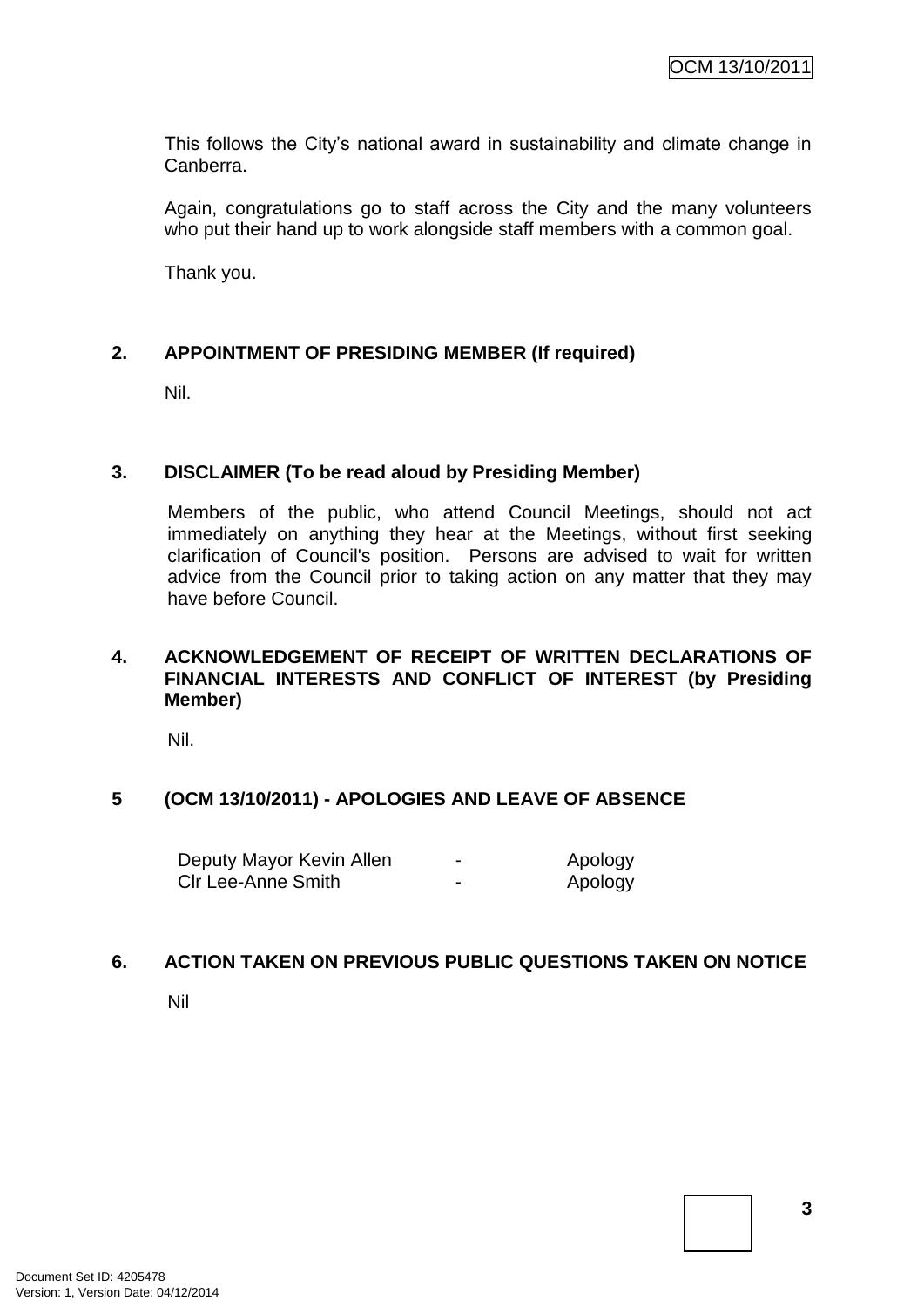This follows the City"s national award in sustainability and climate change in Canberra.

Again, congratulations go to staff across the City and the many volunteers who put their hand up to work alongside staff members with a common goal.

Thank you.

# **2. APPOINTMENT OF PRESIDING MEMBER (If required)**

Nil.

### **3. DISCLAIMER (To be read aloud by Presiding Member)**

Members of the public, who attend Council Meetings, should not act immediately on anything they hear at the Meetings, without first seeking clarification of Council's position. Persons are advised to wait for written advice from the Council prior to taking action on any matter that they may have before Council.

# **4. ACKNOWLEDGEMENT OF RECEIPT OF WRITTEN DECLARATIONS OF FINANCIAL INTERESTS AND CONFLICT OF INTEREST (by Presiding Member)**

Nil.

### **5 (OCM 13/10/2011) - APOLOGIES AND LEAVE OF ABSENCE**

| Deputy Mayor Kevin Allen | - | Apology |
|--------------------------|---|---------|
| Clr Lee-Anne Smith       | - | Apology |

# **6. ACTION TAKEN ON PREVIOUS PUBLIC QUESTIONS TAKEN ON NOTICE**

Nil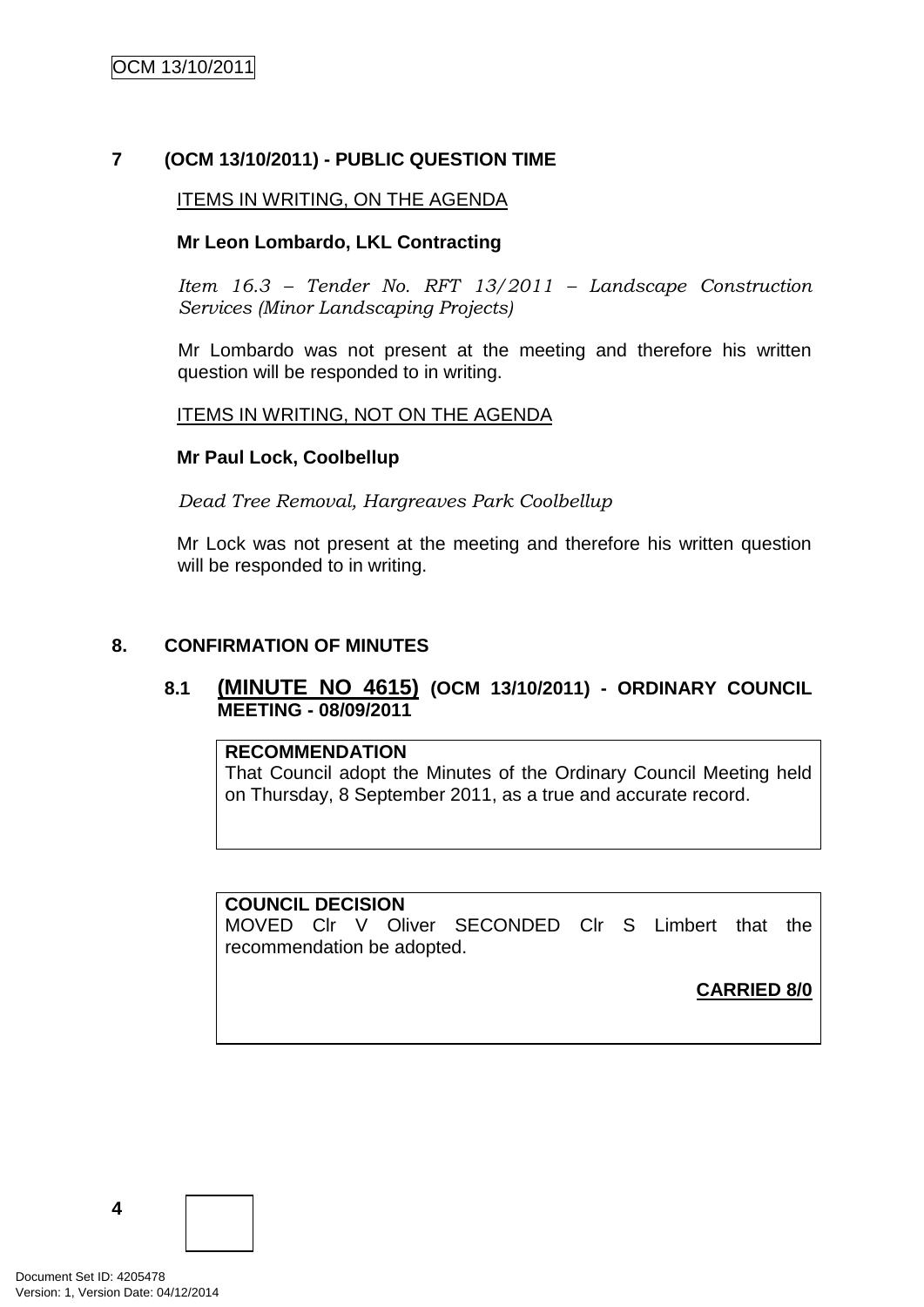# **7 (OCM 13/10/2011) - PUBLIC QUESTION TIME**

### ITEMS IN WRITING, ON THE AGENDA

### **Mr Leon Lombardo, LKL Contracting**

*Item 16.3 – Tender No. RFT 13/2011 – Landscape Construction Services (Minor Landscaping Projects)* 

Mr Lombardo was not present at the meeting and therefore his written question will be responded to in writing.

### ITEMS IN WRITING, NOT ON THE AGENDA

### **Mr Paul Lock, Coolbellup**

*Dead Tree Removal, Hargreaves Park Coolbellup* 

Mr Lock was not present at the meeting and therefore his written question will be responded to in writing.

### **8. CONFIRMATION OF MINUTES**

# **8.1 (MINUTE NO 4615) (OCM 13/10/2011) - ORDINARY COUNCIL MEETING - 08/09/2011**

### **RECOMMENDATION**

That Council adopt the Minutes of the Ordinary Council Meeting held on Thursday, 8 September 2011, as a true and accurate record.

### **COUNCIL DECISION**

MOVED Clr V Oliver SECONDED Clr S Limbert that the recommendation be adopted.

**CARRIED 8/0**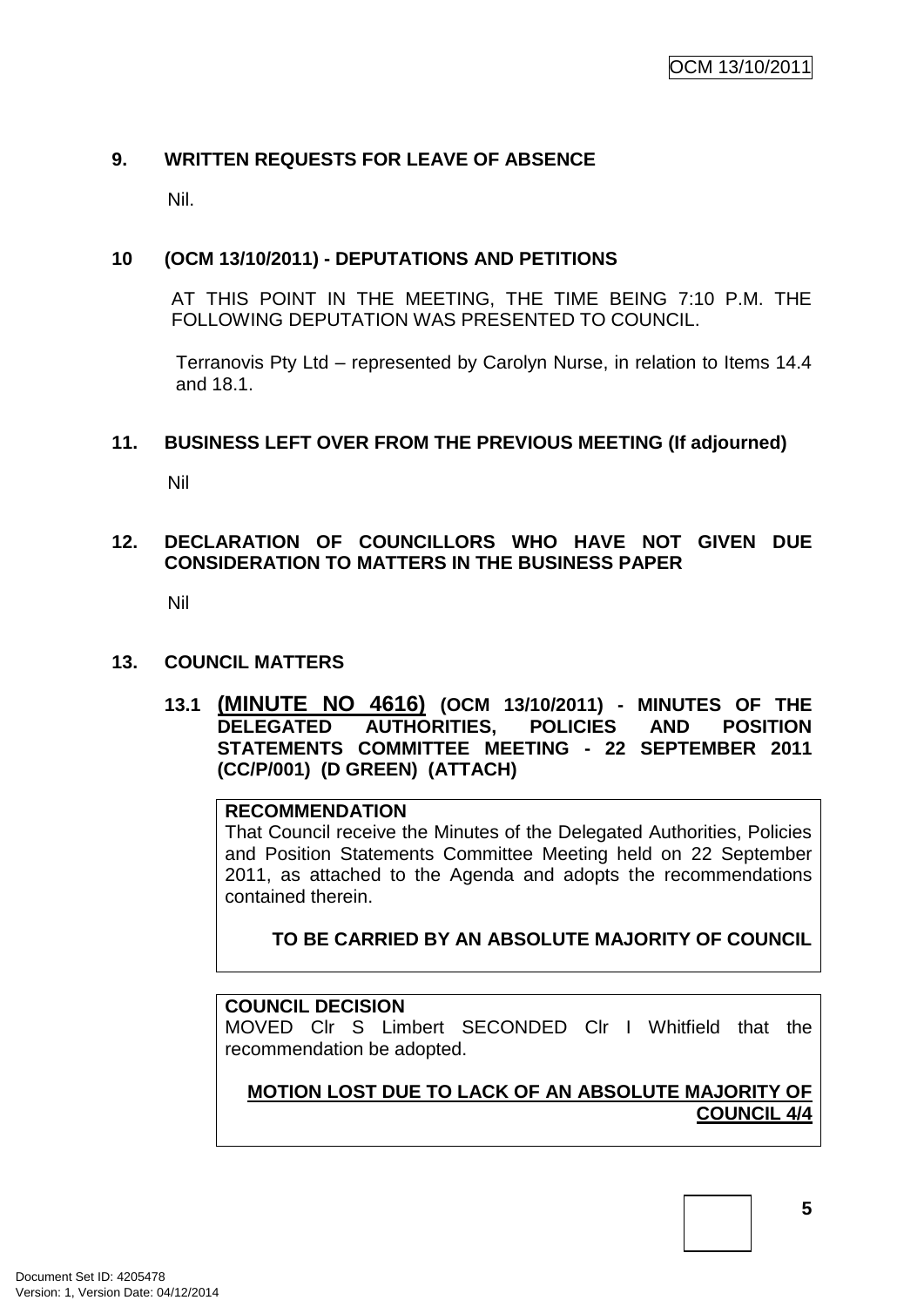# **9. WRITTEN REQUESTS FOR LEAVE OF ABSENCE**

Nil.

### **10 (OCM 13/10/2011) - DEPUTATIONS AND PETITIONS**

AT THIS POINT IN THE MEETING, THE TIME BEING 7:10 P.M. THE FOLLOWING DEPUTATION WAS PRESENTED TO COUNCIL.

Terranovis Pty Ltd – represented by Carolyn Nurse, in relation to Items 14.4 and 18.1.

### **11. BUSINESS LEFT OVER FROM THE PREVIOUS MEETING (If adjourned)**

Nil

### **12. DECLARATION OF COUNCILLORS WHO HAVE NOT GIVEN DUE CONSIDERATION TO MATTERS IN THE BUSINESS PAPER**

Nil

### **13. COUNCIL MATTERS**

**13.1 (MINUTE NO 4616) (OCM 13/10/2011) - MINUTES OF THE DELEGATED AUTHORITIES, POLICIES AND POSITION STATEMENTS COMMITTEE MEETING - 22 SEPTEMBER 2011 (CC/P/001) (D GREEN) (ATTACH)**

### **RECOMMENDATION**

That Council receive the Minutes of the Delegated Authorities, Policies and Position Statements Committee Meeting held on 22 September 2011, as attached to the Agenda and adopts the recommendations contained therein.

**TO BE CARRIED BY AN ABSOLUTE MAJORITY OF COUNCIL**

### **COUNCIL DECISION**

MOVED Clr S Limbert SECONDED Clr I Whitfield that the recommendation be adopted.

# **MOTION LOST DUE TO LACK OF AN ABSOLUTE MAJORITY OF COUNCIL 4/4**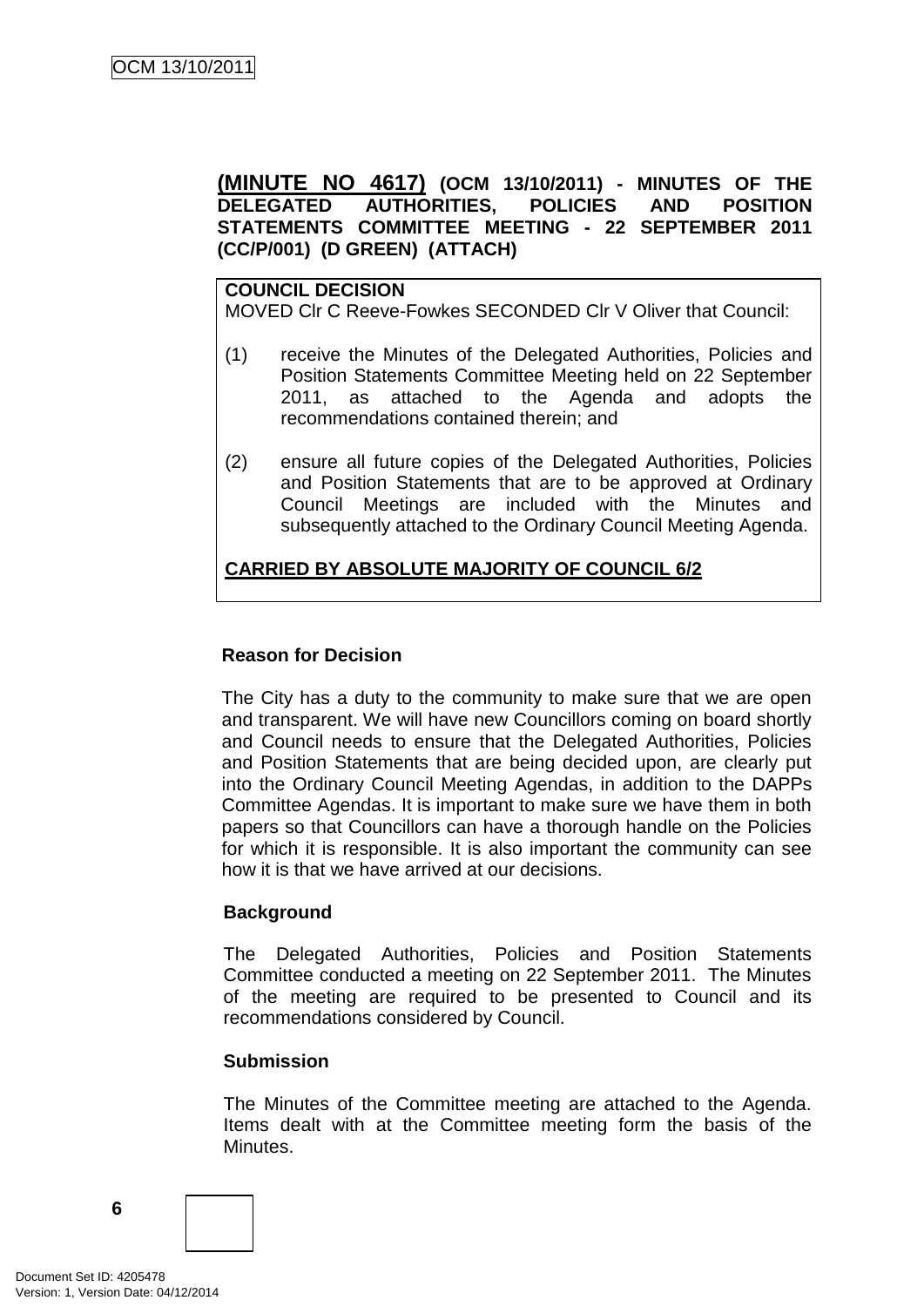### **(MINUTE NO 4617) (OCM 13/10/2011) - MINUTES OF THE DELEGATED AUTHORITIES, POLICIES AND POSITION STATEMENTS COMMITTEE MEETING - 22 SEPTEMBER 2011 (CC/P/001) (D GREEN) (ATTACH)**

### **COUNCIL DECISION**

MOVED Clr C Reeve-Fowkes SECONDED Clr V Oliver that Council:

- (1) receive the Minutes of the Delegated Authorities, Policies and Position Statements Committee Meeting held on 22 September 2011, as attached to the Agenda and adopts the recommendations contained therein; and
- (2) ensure all future copies of the Delegated Authorities, Policies and Position Statements that are to be approved at Ordinary Council Meetings are included with the Minutes and subsequently attached to the Ordinary Council Meeting Agenda.

# **CARRIED BY ABSOLUTE MAJORITY OF COUNCIL 6/2**

### **Reason for Decision**

The City has a duty to the community to make sure that we are open and transparent. We will have new Councillors coming on board shortly and Council needs to ensure that the Delegated Authorities, Policies and Position Statements that are being decided upon, are clearly put into the Ordinary Council Meeting Agendas, in addition to the DAPPs Committee Agendas. It is important to make sure we have them in both papers so that Councillors can have a thorough handle on the Policies for which it is responsible. It is also important the community can see how it is that we have arrived at our decisions.

### **Background**

The Delegated Authorities, Policies and Position Statements Committee conducted a meeting on 22 September 2011. The Minutes of the meeting are required to be presented to Council and its recommendations considered by Council.

### **Submission**

The Minutes of the Committee meeting are attached to the Agenda. Items dealt with at the Committee meeting form the basis of the Minutes.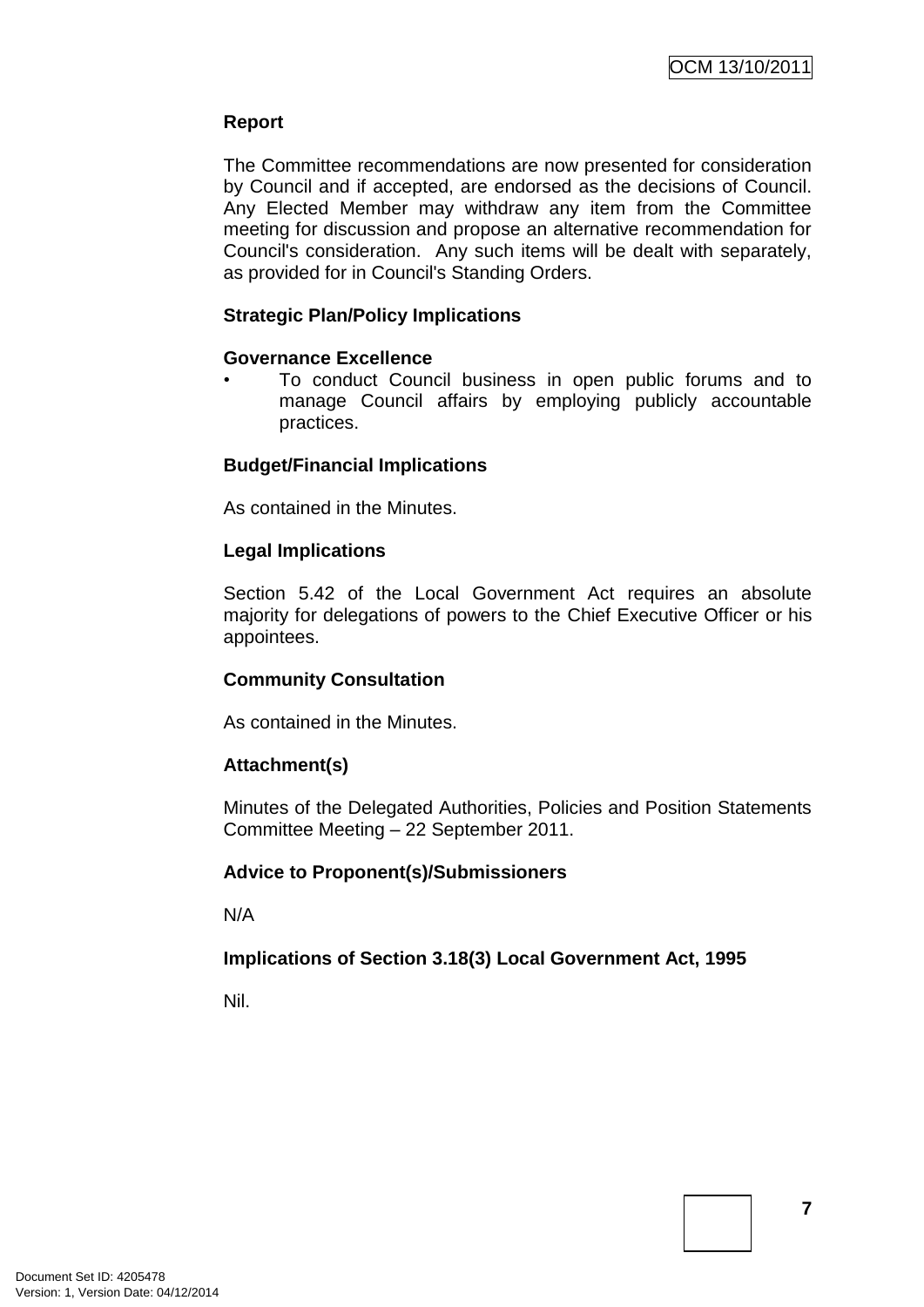# **Report**

The Committee recommendations are now presented for consideration by Council and if accepted, are endorsed as the decisions of Council. Any Elected Member may withdraw any item from the Committee meeting for discussion and propose an alternative recommendation for Council's consideration. Any such items will be dealt with separately, as provided for in Council's Standing Orders.

# **Strategic Plan/Policy Implications**

### **Governance Excellence**

• To conduct Council business in open public forums and to manage Council affairs by employing publicly accountable practices.

### **Budget/Financial Implications**

As contained in the Minutes.

# **Legal Implications**

Section 5.42 of the Local Government Act requires an absolute majority for delegations of powers to the Chief Executive Officer or his appointees.

### **Community Consultation**

As contained in the Minutes.

### **Attachment(s)**

Minutes of the Delegated Authorities, Policies and Position Statements Committee Meeting – 22 September 2011.

### **Advice to Proponent(s)/Submissioners**

N/A

# **Implications of Section 3.18(3) Local Government Act, 1995**

Nil.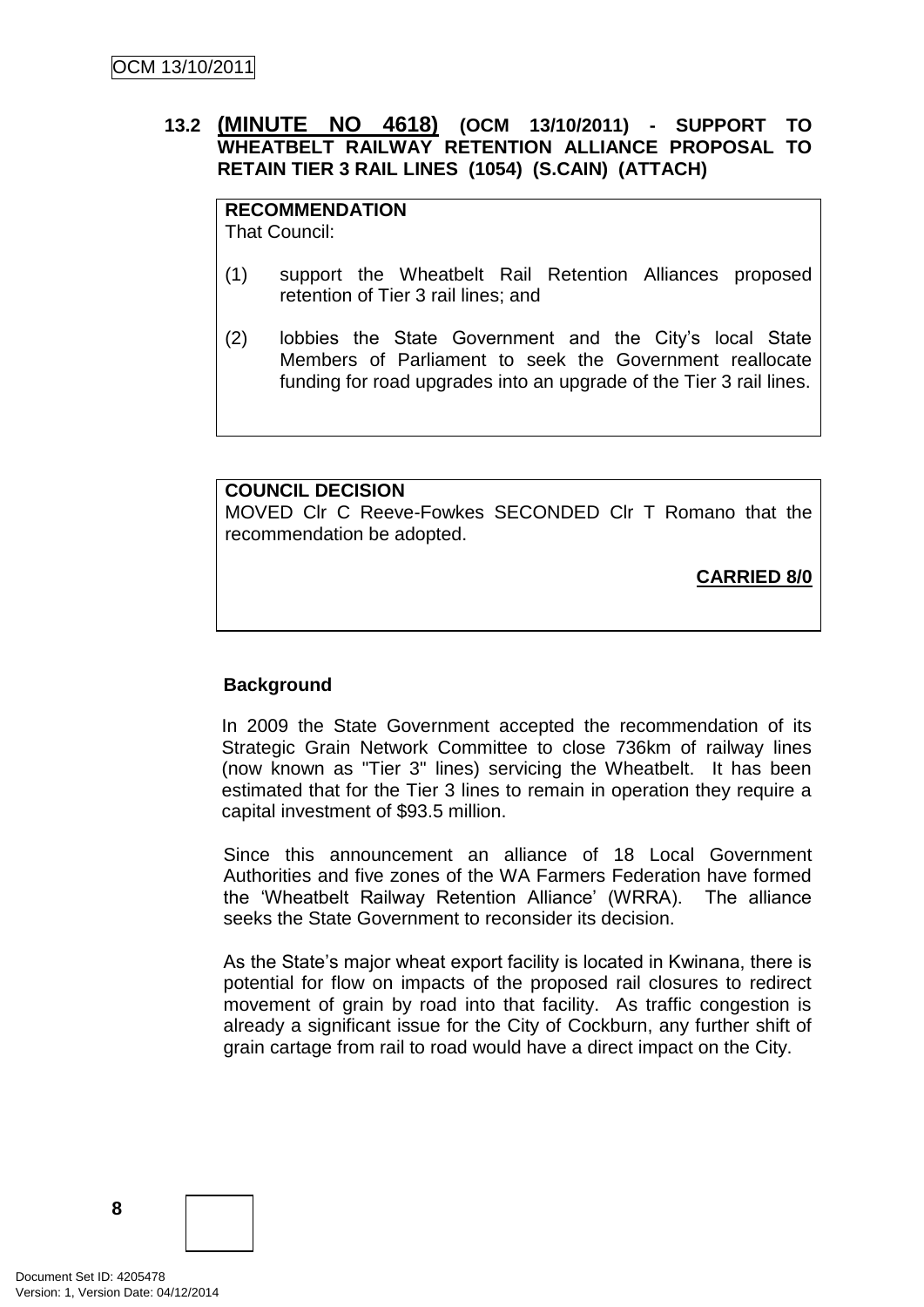# **13.2 (MINUTE NO 4618) (OCM 13/10/2011) - SUPPORT TO WHEATBELT RAILWAY RETENTION ALLIANCE PROPOSAL TO RETAIN TIER 3 RAIL LINES (1054) (S.CAIN) (ATTACH)**

**RECOMMENDATION** That Council:

- (1) support the Wheatbelt Rail Retention Alliances proposed retention of Tier 3 rail lines; and
- (2) lobbies the State Government and the City"s local State Members of Parliament to seek the Government reallocate funding for road upgrades into an upgrade of the Tier 3 rail lines.

### **COUNCIL DECISION**

MOVED Clr C Reeve-Fowkes SECONDED Clr T Romano that the recommendation be adopted.

**CARRIED 8/0**

# **Background**

In 2009 the State Government accepted the recommendation of its Strategic Grain Network Committee to close 736km of railway lines (now known as "Tier 3" lines) servicing the Wheatbelt. It has been estimated that for the Tier 3 lines to remain in operation they require a capital investment of \$93.5 million.

Since this announcement an alliance of 18 Local Government Authorities and five zones of the WA Farmers Federation have formed the "Wheatbelt Railway Retention Alliance" (WRRA). The alliance seeks the State Government to reconsider its decision.

As the State"s major wheat export facility is located in Kwinana, there is potential for flow on impacts of the proposed rail closures to redirect movement of grain by road into that facility. As traffic congestion is already a significant issue for the City of Cockburn, any further shift of grain cartage from rail to road would have a direct impact on the City.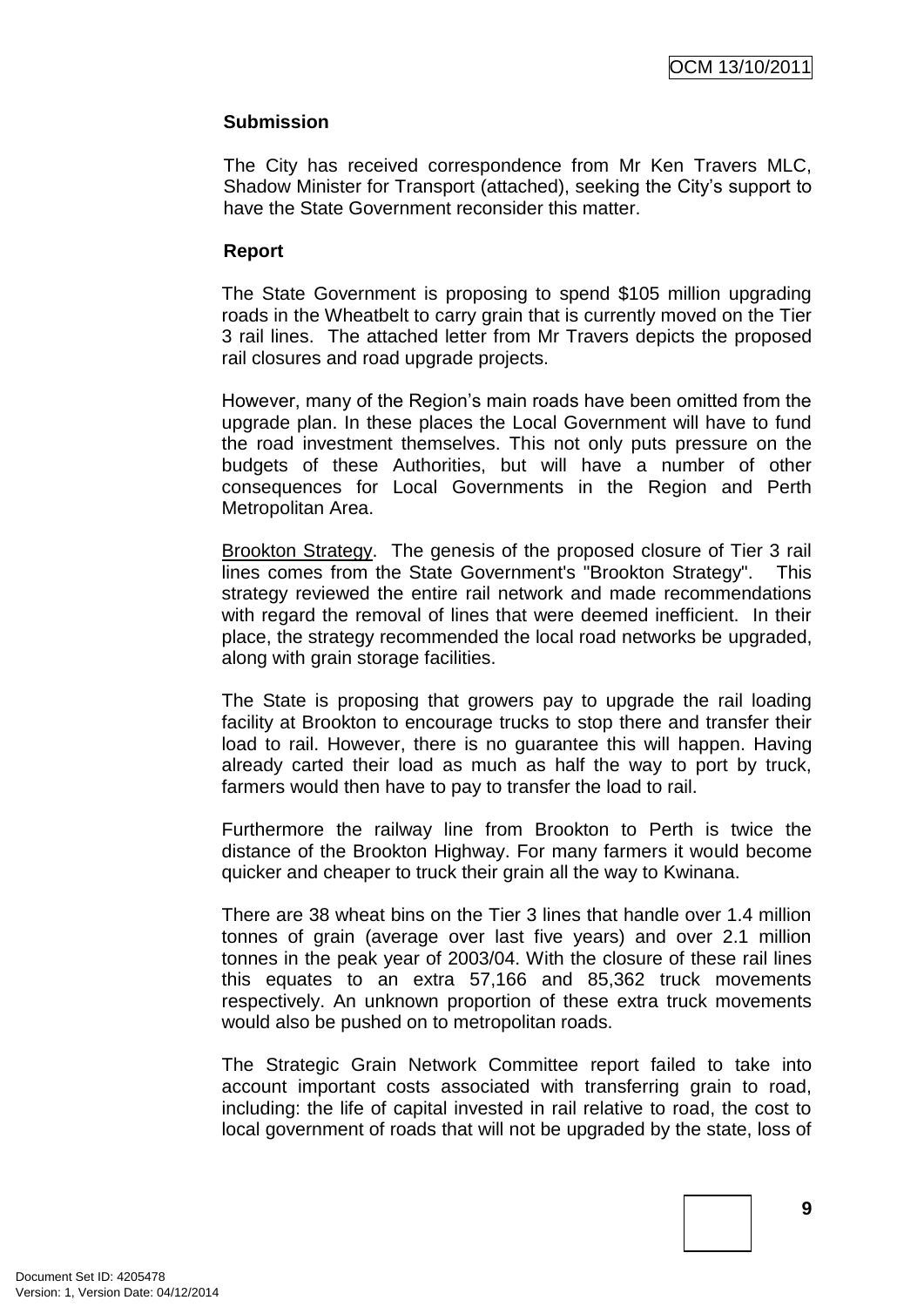### **Submission**

The City has received correspondence from Mr Ken Travers MLC, Shadow Minister for Transport (attached), seeking the City's support to have the State Government reconsider this matter.

### **Report**

The State Government is proposing to spend \$105 million upgrading roads in the Wheatbelt to carry grain that is currently moved on the Tier 3 rail lines. The attached letter from Mr Travers depicts the proposed rail closures and road upgrade projects.

However, many of the Region"s main roads have been omitted from the upgrade plan. In these places the Local Government will have to fund the road investment themselves. This not only puts pressure on the budgets of these Authorities, but will have a number of other consequences for Local Governments in the Region and Perth Metropolitan Area.

Brookton Strategy. The genesis of the proposed closure of Tier 3 rail lines comes from the State Government's "Brookton Strategy". This strategy reviewed the entire rail network and made recommendations with regard the removal of lines that were deemed inefficient. In their place, the strategy recommended the local road networks be upgraded, along with grain storage facilities.

The State is proposing that growers pay to upgrade the rail loading facility at Brookton to encourage trucks to stop there and transfer their load to rail. However, there is no guarantee this will happen. Having already carted their load as much as half the way to port by truck, farmers would then have to pay to transfer the load to rail.

Furthermore the railway line from Brookton to Perth is twice the distance of the Brookton Highway. For many farmers it would become quicker and cheaper to truck their grain all the way to Kwinana.

There are 38 wheat bins on the Tier 3 lines that handle over 1.4 million tonnes of grain (average over last five years) and over 2.1 million tonnes in the peak year of 2003/04. With the closure of these rail lines this equates to an extra 57,166 and 85,362 truck movements respectively. An unknown proportion of these extra truck movements would also be pushed on to metropolitan roads.

The Strategic Grain Network Committee report failed to take into account important costs associated with transferring grain to road, including: the life of capital invested in rail relative to road, the cost to local government of roads that will not be upgraded by the state, loss of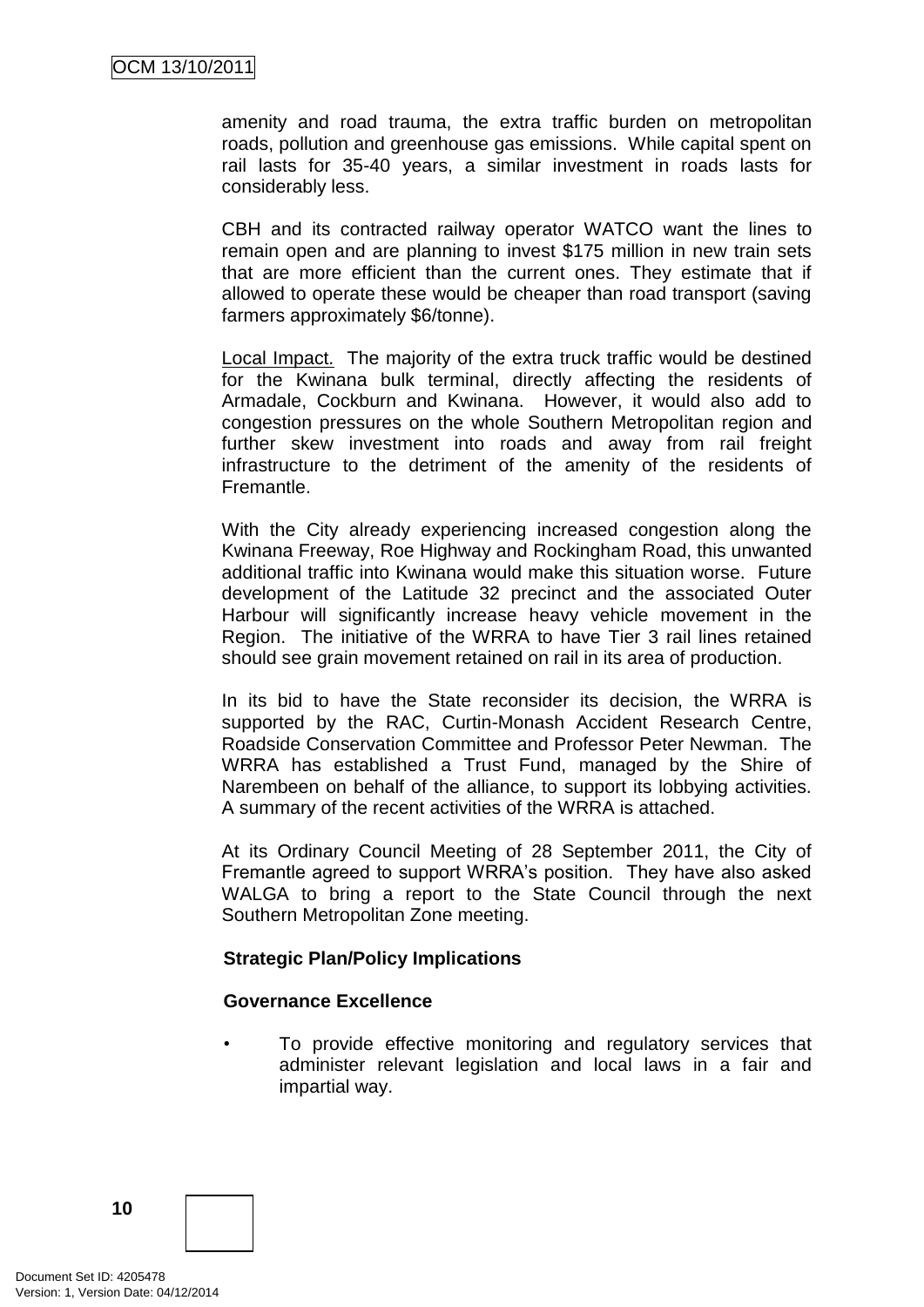amenity and road trauma, the extra traffic burden on metropolitan roads, pollution and greenhouse gas emissions. While capital spent on rail lasts for 35-40 years, a similar investment in roads lasts for considerably less.

CBH and its contracted railway operator WATCO want the lines to remain open and are planning to invest \$175 million in new train sets that are more efficient than the current ones. They estimate that if allowed to operate these would be cheaper than road transport (saving farmers approximately \$6/tonne).

Local Impact. The majority of the extra truck traffic would be destined for the Kwinana bulk terminal, directly affecting the residents of Armadale, Cockburn and Kwinana. However, it would also add to congestion pressures on the whole Southern Metropolitan region and further skew investment into roads and away from rail freight infrastructure to the detriment of the amenity of the residents of Fremantle.

With the City already experiencing increased congestion along the Kwinana Freeway, Roe Highway and Rockingham Road, this unwanted additional traffic into Kwinana would make this situation worse. Future development of the Latitude 32 precinct and the associated Outer Harbour will significantly increase heavy vehicle movement in the Region. The initiative of the WRRA to have Tier 3 rail lines retained should see grain movement retained on rail in its area of production.

In its bid to have the State reconsider its decision, the WRRA is supported by the RAC, Curtin-Monash Accident Research Centre, Roadside Conservation Committee and Professor Peter Newman. The WRRA has established a Trust Fund, managed by the Shire of Narembeen on behalf of the alliance, to support its lobbying activities. A summary of the recent activities of the WRRA is attached.

At its Ordinary Council Meeting of 28 September 2011, the City of Fremantle agreed to support WRRA"s position. They have also asked WALGA to bring a report to the State Council through the next Southern Metropolitan Zone meeting.

### **Strategic Plan/Policy Implications**

### **Governance Excellence**

*•* To provide effective monitoring and regulatory services that administer relevant legislation and local laws in a fair and impartial way.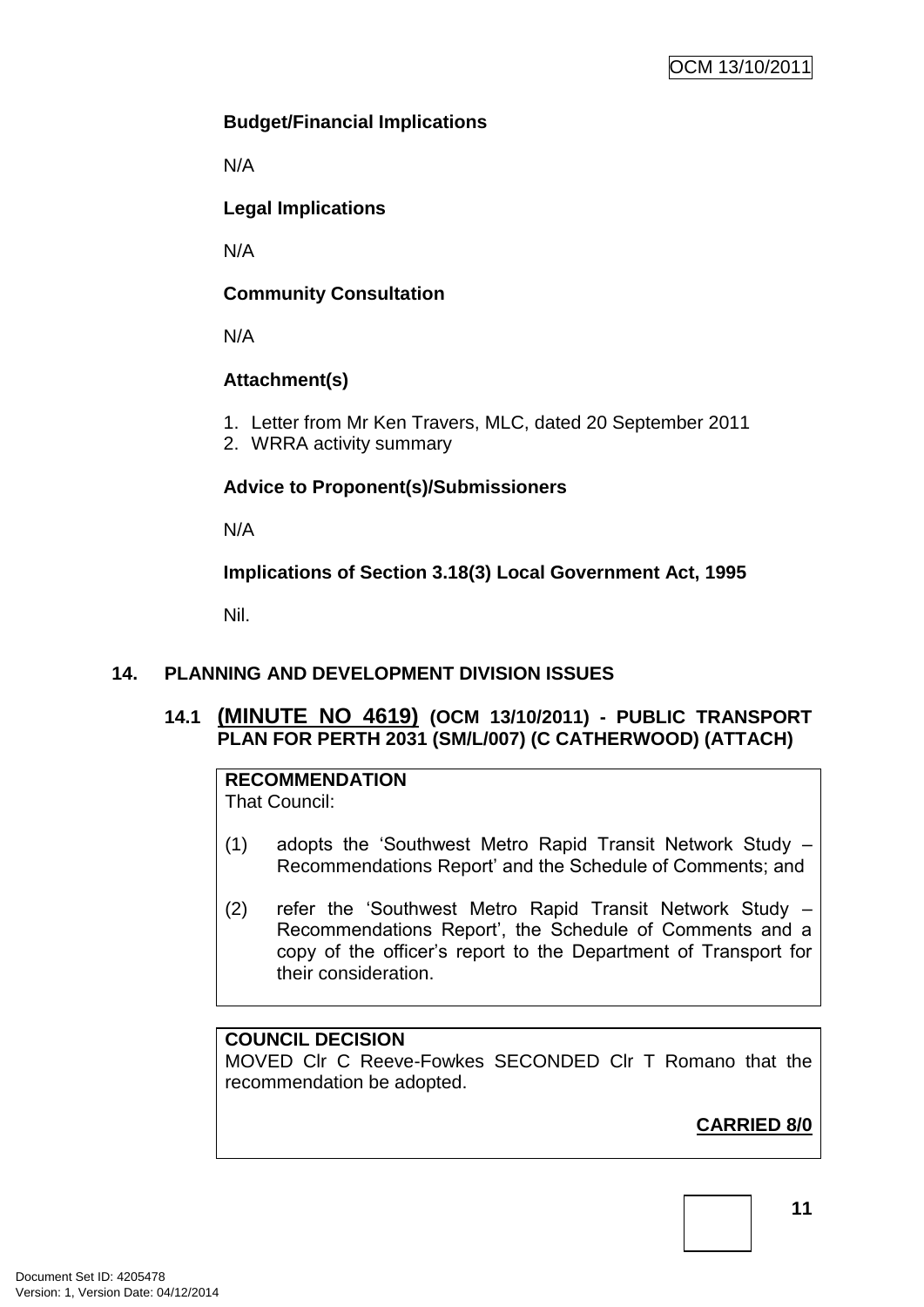# **Budget/Financial Implications**

N/A

# **Legal Implications**

N/A

# **Community Consultation**

N/A

# **Attachment(s)**

- 1. Letter from Mr Ken Travers, MLC, dated 20 September 2011
- 2. WRRA activity summary

# **Advice to Proponent(s)/Submissioners**

N/A

**Implications of Section 3.18(3) Local Government Act, 1995**

Nil.

# **14. PLANNING AND DEVELOPMENT DIVISION ISSUES**

# **14.1 (MINUTE NO 4619) (OCM 13/10/2011) - PUBLIC TRANSPORT PLAN FOR PERTH 2031 (SM/L/007) (C CATHERWOOD) (ATTACH)**

# **RECOMMENDATION**

That Council:

- (1) adopts the "Southwest Metro Rapid Transit Network Study Recommendations Report" and the Schedule of Comments; and
- (2) refer the "Southwest Metro Rapid Transit Network Study Recommendations Report", the Schedule of Comments and a copy of the officer"s report to the Department of Transport for their consideration.

### **COUNCIL DECISION**

MOVED Clr C Reeve-Fowkes SECONDED Clr T Romano that the recommendation be adopted.

# **CARRIED 8/0**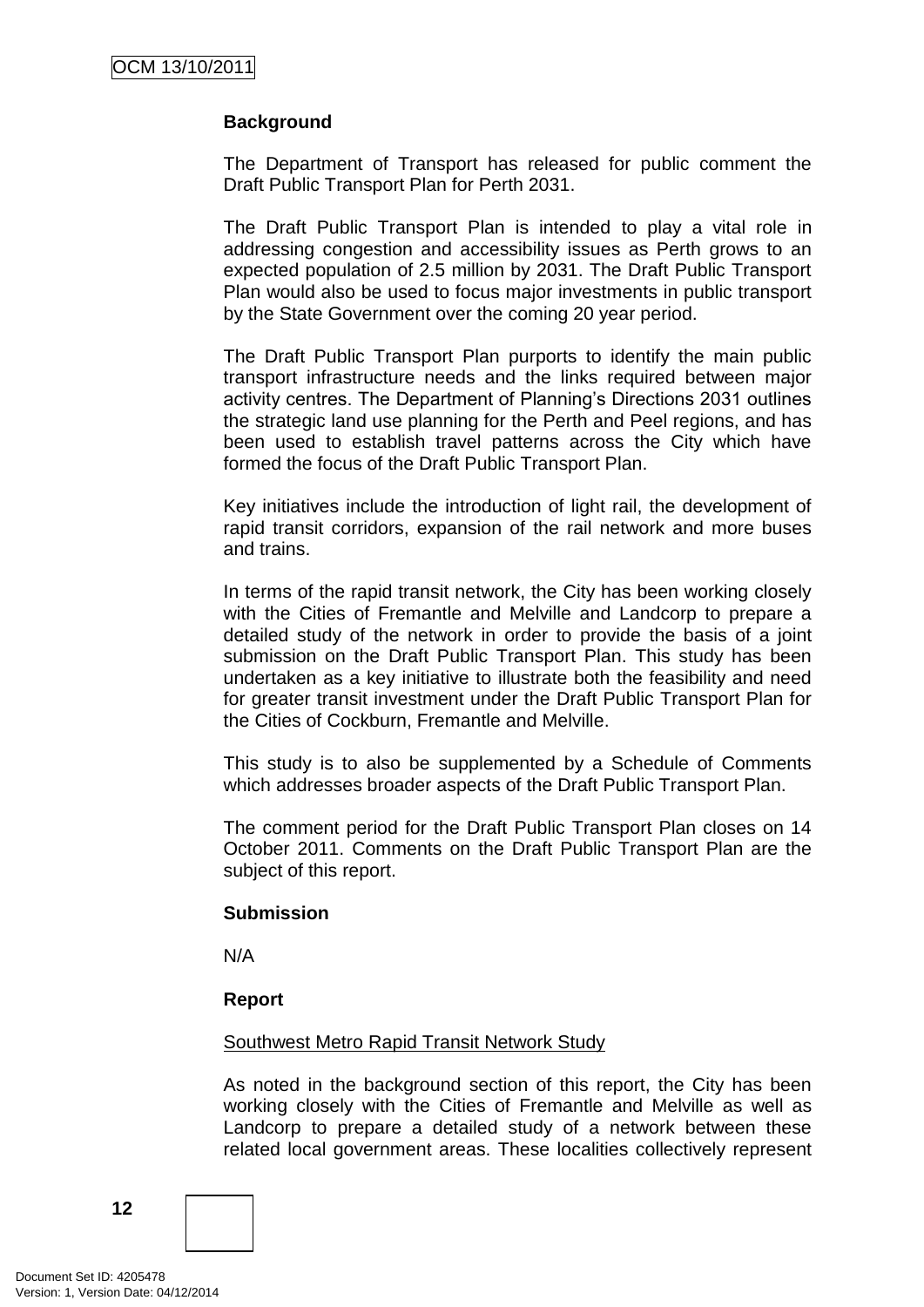# **Background**

The Department of Transport has released for public comment the Draft Public Transport Plan for Perth 2031.

The Draft Public Transport Plan is intended to play a vital role in addressing congestion and accessibility issues as Perth grows to an expected population of 2.5 million by 2031. The Draft Public Transport Plan would also be used to focus major investments in public transport by the State Government over the coming 20 year period.

The Draft Public Transport Plan purports to identify the main public transport infrastructure needs and the links required between major activity centres. The Department of Planning"s Directions 2031 outlines the strategic land use planning for the Perth and Peel regions, and has been used to establish travel patterns across the City which have formed the focus of the Draft Public Transport Plan.

Key initiatives include the introduction of light rail, the development of rapid transit corridors, expansion of the rail network and more buses and trains.

In terms of the rapid transit network, the City has been working closely with the Cities of Fremantle and Melville and Landcorp to prepare a detailed study of the network in order to provide the basis of a joint submission on the Draft Public Transport Plan. This study has been undertaken as a key initiative to illustrate both the feasibility and need for greater transit investment under the Draft Public Transport Plan for the Cities of Cockburn, Fremantle and Melville.

This study is to also be supplemented by a Schedule of Comments which addresses broader aspects of the Draft Public Transport Plan.

The comment period for the Draft Public Transport Plan closes on 14 October 2011. Comments on the Draft Public Transport Plan are the subject of this report.

### **Submission**

N/A

**Report**

### Southwest Metro Rapid Transit Network Study

As noted in the background section of this report, the City has been working closely with the Cities of Fremantle and Melville as well as Landcorp to prepare a detailed study of a network between these related local government areas. These localities collectively represent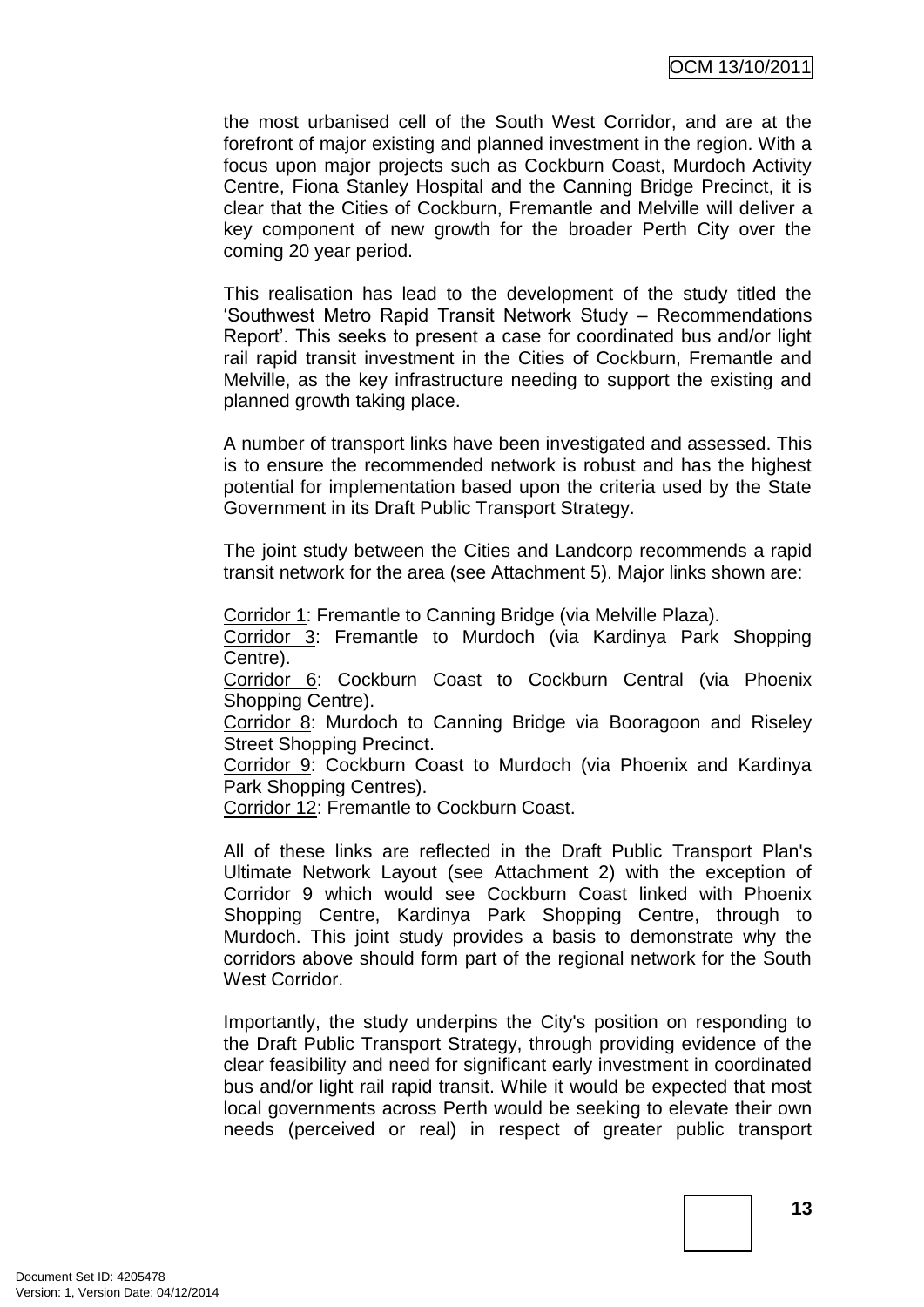the most urbanised cell of the South West Corridor, and are at the forefront of major existing and planned investment in the region. With a focus upon major projects such as Cockburn Coast, Murdoch Activity Centre, Fiona Stanley Hospital and the Canning Bridge Precinct, it is clear that the Cities of Cockburn, Fremantle and Melville will deliver a key component of new growth for the broader Perth City over the coming 20 year period.

This realisation has lead to the development of the study titled the "Southwest Metro Rapid Transit Network Study – Recommendations Report". This seeks to present a case for coordinated bus and/or light rail rapid transit investment in the Cities of Cockburn, Fremantle and Melville, as the key infrastructure needing to support the existing and planned growth taking place.

A number of transport links have been investigated and assessed. This is to ensure the recommended network is robust and has the highest potential for implementation based upon the criteria used by the State Government in its Draft Public Transport Strategy.

The joint study between the Cities and Landcorp recommends a rapid transit network for the area (see Attachment 5). Major links shown are:

Corridor 1: Fremantle to Canning Bridge (via Melville Plaza).

Corridor 3: Fremantle to Murdoch (via Kardinya Park Shopping Centre).

Corridor 6: Cockburn Coast to Cockburn Central (via Phoenix Shopping Centre).

Corridor 8: Murdoch to Canning Bridge via Booragoon and Riseley Street Shopping Precinct.

Corridor 9: Cockburn Coast to Murdoch (via Phoenix and Kardinya Park Shopping Centres).

Corridor 12: Fremantle to Cockburn Coast.

All of these links are reflected in the Draft Public Transport Plan's Ultimate Network Layout (see Attachment 2) with the exception of Corridor 9 which would see Cockburn Coast linked with Phoenix Shopping Centre, Kardinya Park Shopping Centre, through to Murdoch. This joint study provides a basis to demonstrate why the corridors above should form part of the regional network for the South West Corridor.

Importantly, the study underpins the City's position on responding to the Draft Public Transport Strategy, through providing evidence of the clear feasibility and need for significant early investment in coordinated bus and/or light rail rapid transit. While it would be expected that most local governments across Perth would be seeking to elevate their own needs (perceived or real) in respect of greater public transport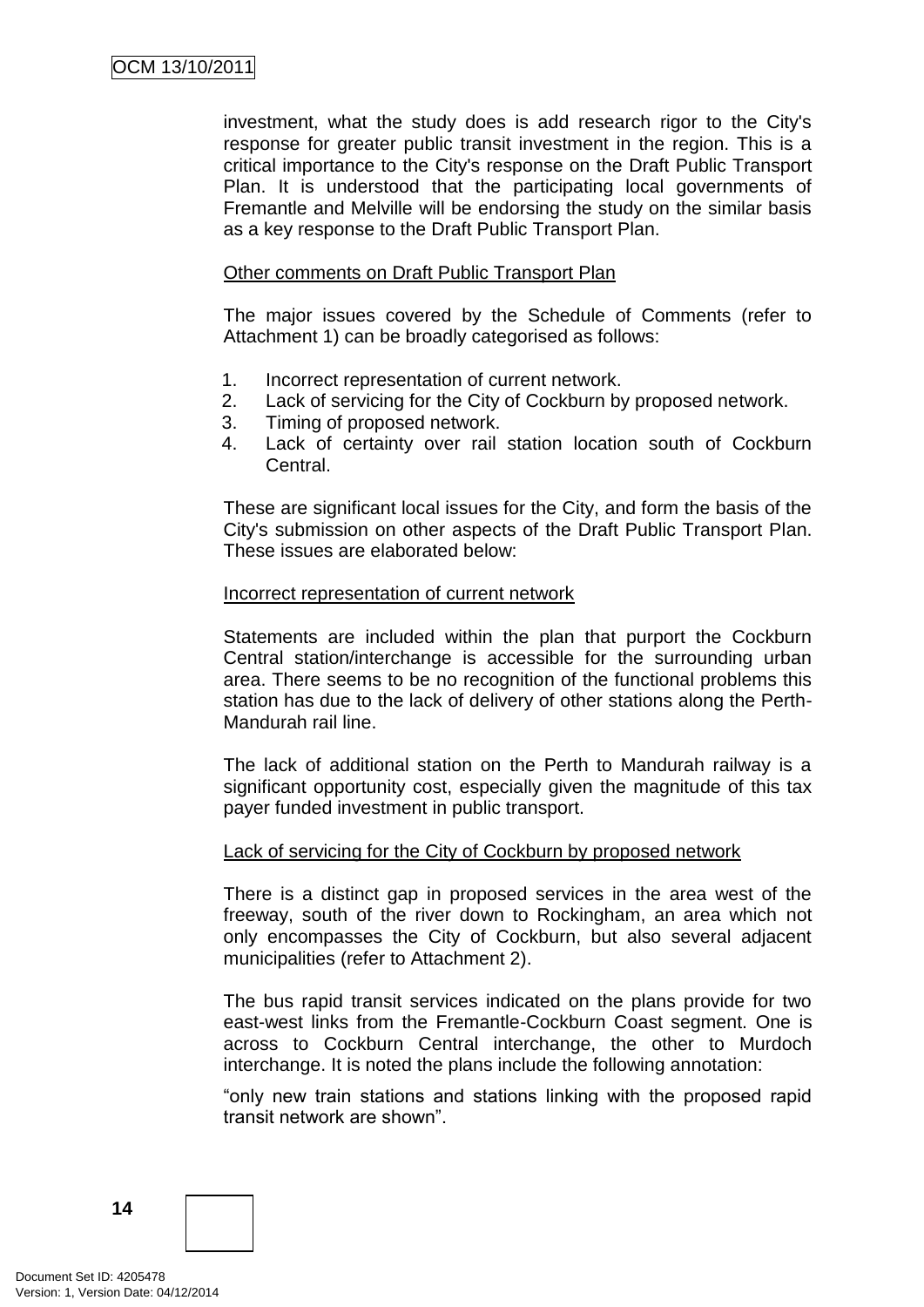investment, what the study does is add research rigor to the City's response for greater public transit investment in the region. This is a critical importance to the City's response on the Draft Public Transport Plan. It is understood that the participating local governments of Fremantle and Melville will be endorsing the study on the similar basis as a key response to the Draft Public Transport Plan.

### Other comments on Draft Public Transport Plan

The major issues covered by the Schedule of Comments (refer to Attachment 1) can be broadly categorised as follows:

- 1. Incorrect representation of current network.
- 2. Lack of servicing for the City of Cockburn by proposed network.
- 3. Timing of proposed network.
- 4. Lack of certainty over rail station location south of Cockburn Central.

These are significant local issues for the City, and form the basis of the City's submission on other aspects of the Draft Public Transport Plan. These issues are elaborated below:

### Incorrect representation of current network

Statements are included within the plan that purport the Cockburn Central station/interchange is accessible for the surrounding urban area. There seems to be no recognition of the functional problems this station has due to the lack of delivery of other stations along the Perth-Mandurah rail line.

The lack of additional station on the Perth to Mandurah railway is a significant opportunity cost, especially given the magnitude of this tax payer funded investment in public transport.

### Lack of servicing for the City of Cockburn by proposed network

There is a distinct gap in proposed services in the area west of the freeway, south of the river down to Rockingham, an area which not only encompasses the City of Cockburn, but also several adjacent municipalities (refer to Attachment 2).

The bus rapid transit services indicated on the plans provide for two east-west links from the Fremantle-Cockburn Coast segment. One is across to Cockburn Central interchange, the other to Murdoch interchange. It is noted the plans include the following annotation:

"only new train stations and stations linking with the proposed rapid transit network are shown".

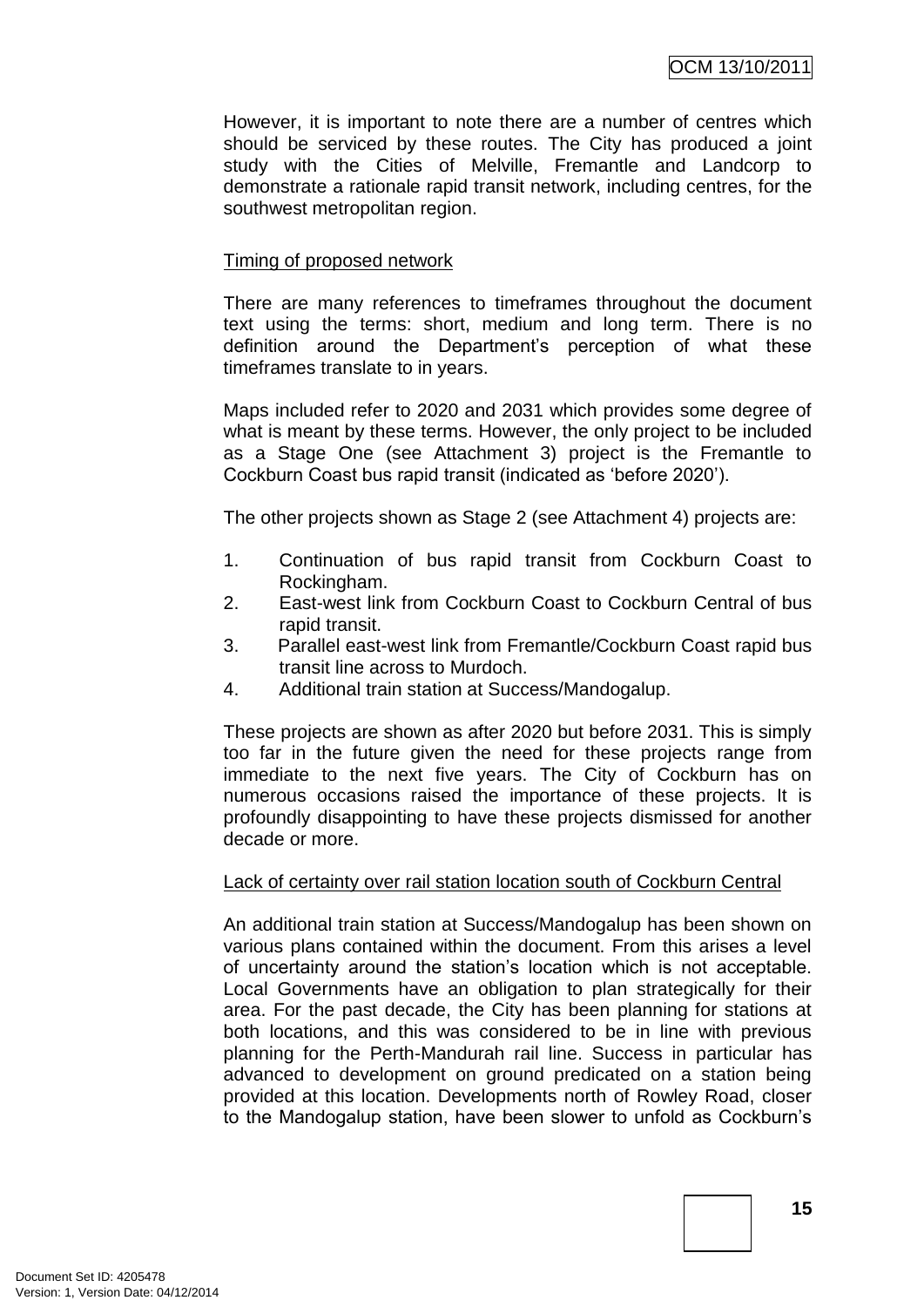However, it is important to note there are a number of centres which should be serviced by these routes. The City has produced a joint study with the Cities of Melville, Fremantle and Landcorp to demonstrate a rationale rapid transit network, including centres, for the southwest metropolitan region.

### Timing of proposed network

There are many references to timeframes throughout the document text using the terms: short, medium and long term. There is no definition around the Department"s perception of what these timeframes translate to in years.

Maps included refer to 2020 and 2031 which provides some degree of what is meant by these terms. However, the only project to be included as a Stage One (see Attachment 3) project is the Fremantle to Cockburn Coast bus rapid transit (indicated as "before 2020").

The other projects shown as Stage 2 (see Attachment 4) projects are:

- 1. Continuation of bus rapid transit from Cockburn Coast to Rockingham.
- 2. East-west link from Cockburn Coast to Cockburn Central of bus rapid transit.
- 3. Parallel east-west link from Fremantle/Cockburn Coast rapid bus transit line across to Murdoch.
- 4. Additional train station at Success/Mandogalup.

These projects are shown as after 2020 but before 2031. This is simply too far in the future given the need for these projects range from immediate to the next five years. The City of Cockburn has on numerous occasions raised the importance of these projects. It is profoundly disappointing to have these projects dismissed for another decade or more.

### Lack of certainty over rail station location south of Cockburn Central

An additional train station at Success/Mandogalup has been shown on various plans contained within the document. From this arises a level of uncertainty around the station"s location which is not acceptable. Local Governments have an obligation to plan strategically for their area. For the past decade, the City has been planning for stations at both locations, and this was considered to be in line with previous planning for the Perth-Mandurah rail line. Success in particular has advanced to development on ground predicated on a station being provided at this location. Developments north of Rowley Road, closer to the Mandogalup station, have been slower to unfold as Cockburn"s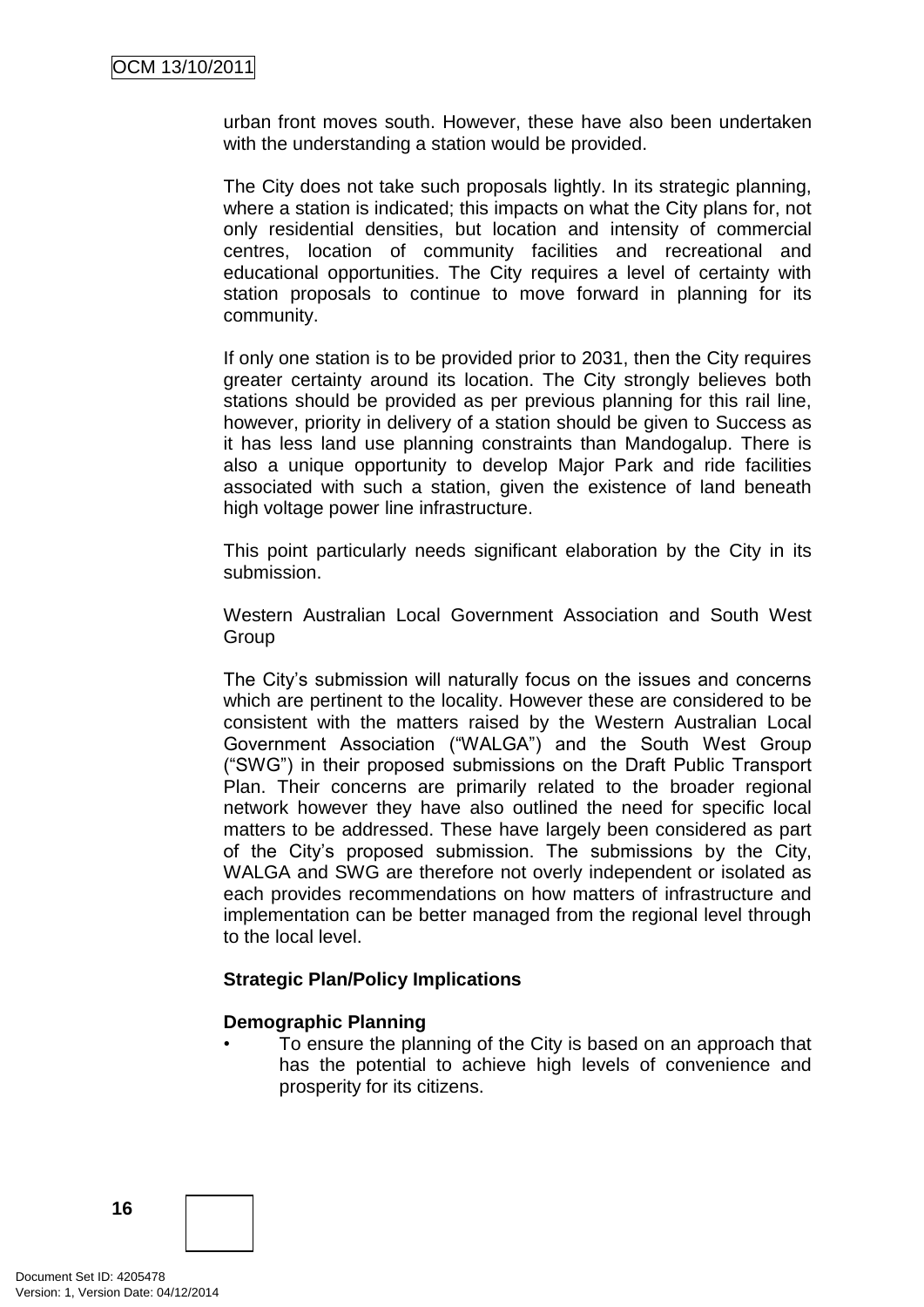urban front moves south. However, these have also been undertaken with the understanding a station would be provided.

The City does not take such proposals lightly. In its strategic planning, where a station is indicated; this impacts on what the City plans for, not only residential densities, but location and intensity of commercial centres, location of community facilities and recreational and educational opportunities. The City requires a level of certainty with station proposals to continue to move forward in planning for its community.

If only one station is to be provided prior to 2031, then the City requires greater certainty around its location. The City strongly believes both stations should be provided as per previous planning for this rail line, however, priority in delivery of a station should be given to Success as it has less land use planning constraints than Mandogalup. There is also a unique opportunity to develop Major Park and ride facilities associated with such a station, given the existence of land beneath high voltage power line infrastructure.

This point particularly needs significant elaboration by the City in its submission.

Western Australian Local Government Association and South West Group

The City"s submission will naturally focus on the issues and concerns which are pertinent to the locality. However these are considered to be consistent with the matters raised by the Western Australian Local Government Association ("WALGA") and the South West Group ("SWG") in their proposed submissions on the Draft Public Transport Plan. Their concerns are primarily related to the broader regional network however they have also outlined the need for specific local matters to be addressed. These have largely been considered as part of the City"s proposed submission. The submissions by the City, WALGA and SWG are therefore not overly independent or isolated as each provides recommendations on how matters of infrastructure and implementation can be better managed from the regional level through to the local level.

### **Strategic Plan/Policy Implications**

### **Demographic Planning**

• To ensure the planning of the City is based on an approach that has the potential to achieve high levels of convenience and prosperity for its citizens.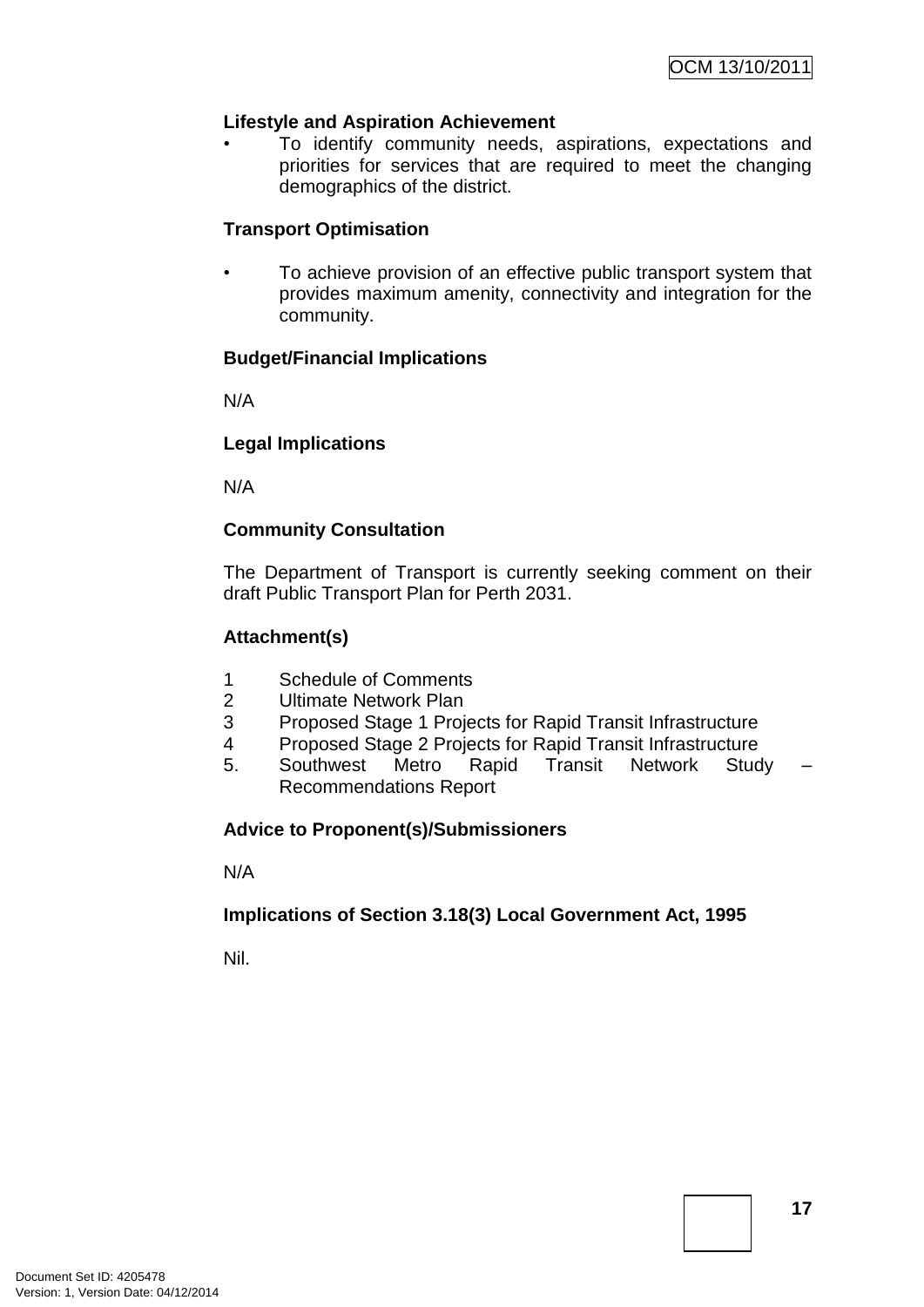# **Lifestyle and Aspiration Achievement**

• To identify community needs, aspirations, expectations and priorities for services that are required to meet the changing demographics of the district.

### **Transport Optimisation**

• To achieve provision of an effective public transport system that provides maximum amenity, connectivity and integration for the community.

# **Budget/Financial Implications**

N/A

# **Legal Implications**

N/A

# **Community Consultation**

The Department of Transport is currently seeking comment on their draft Public Transport Plan for Perth 2031.

### **Attachment(s)**

- 1 Schedule of Comments
- 2 Ultimate Network Plan
- 3 Proposed Stage 1 Projects for Rapid Transit Infrastructure
- 4 Proposed Stage 2 Projects for Rapid Transit Infrastructure
- 5. Southwest Metro Rapid Transit Network Study Recommendations Report

### **Advice to Proponent(s)/Submissioners**

N/A

### **Implications of Section 3.18(3) Local Government Act, 1995**

Nil.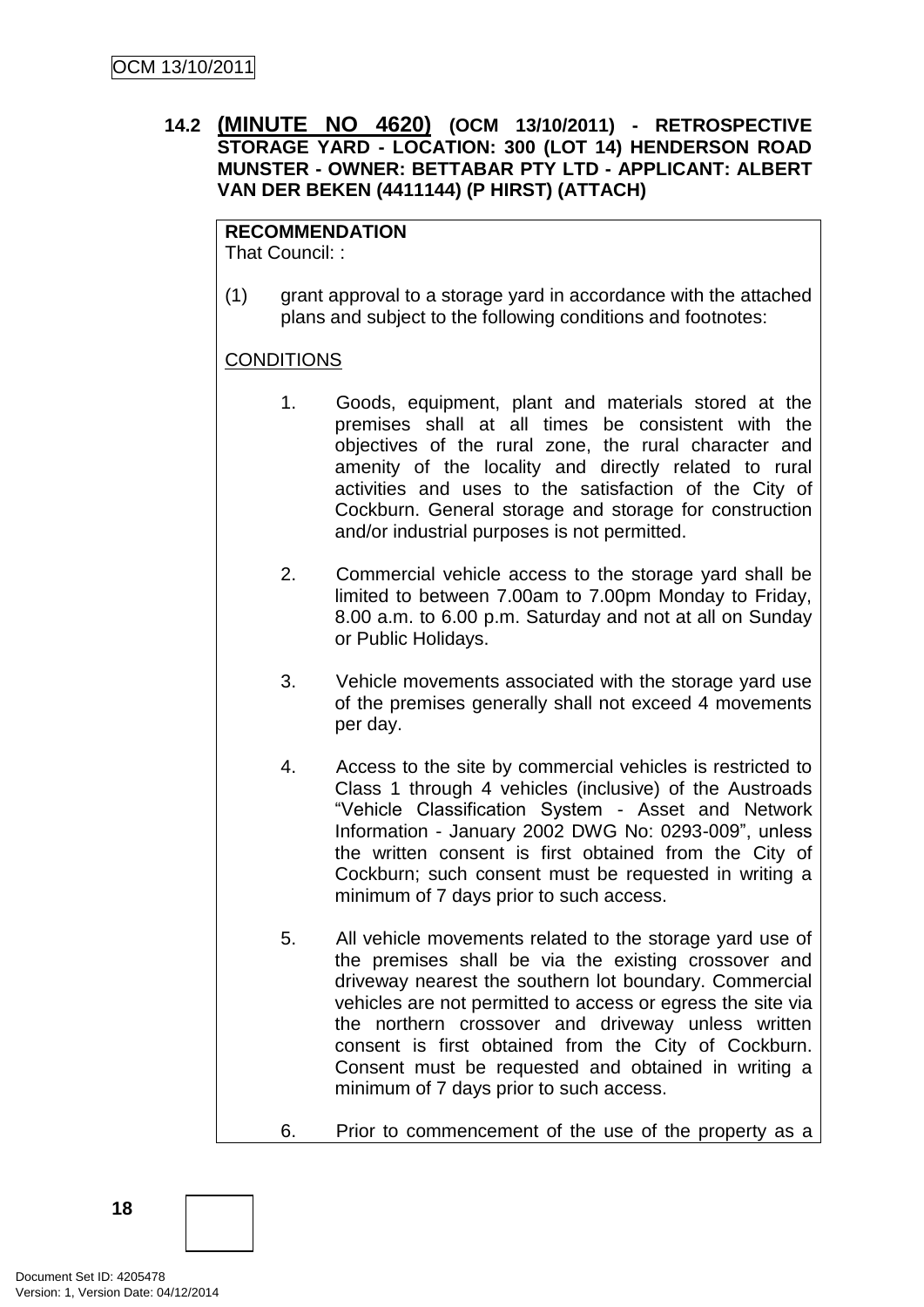# **14.2 (MINUTE NO 4620) (OCM 13/10/2011) - RETROSPECTIVE STORAGE YARD - LOCATION: 300 (LOT 14) HENDERSON ROAD MUNSTER - OWNER: BETTABAR PTY LTD - APPLICANT: ALBERT VAN DER BEKEN (4411144) (P HIRST) (ATTACH)**

# **RECOMMENDATION**

That Council: :

(1) grant approval to a storage yard in accordance with the attached plans and subject to the following conditions and footnotes:

# **CONDITIONS**

- 1. Goods, equipment, plant and materials stored at the premises shall at all times be consistent with the objectives of the rural zone, the rural character and amenity of the locality and directly related to rural activities and uses to the satisfaction of the City of Cockburn. General storage and storage for construction and/or industrial purposes is not permitted.
- 2. Commercial vehicle access to the storage yard shall be limited to between 7.00am to 7.00pm Monday to Friday, 8.00 a.m. to 6.00 p.m. Saturday and not at all on Sunday or Public Holidays.
- 3. Vehicle movements associated with the storage yard use of the premises generally shall not exceed 4 movements per day.
- 4. Access to the site by commercial vehicles is restricted to Class 1 through 4 vehicles (inclusive) of the Austroads "Vehicle Classification System - Asset and Network Information - January 2002 DWG No: 0293-009", unless the written consent is first obtained from the City of Cockburn; such consent must be requested in writing a minimum of 7 days prior to such access.
- 5. All vehicle movements related to the storage yard use of the premises shall be via the existing crossover and driveway nearest the southern lot boundary. Commercial vehicles are not permitted to access or egress the site via the northern crossover and driveway unless written consent is first obtained from the City of Cockburn. Consent must be requested and obtained in writing a minimum of 7 days prior to such access.
- 6. Prior to commencement of the use of the property as a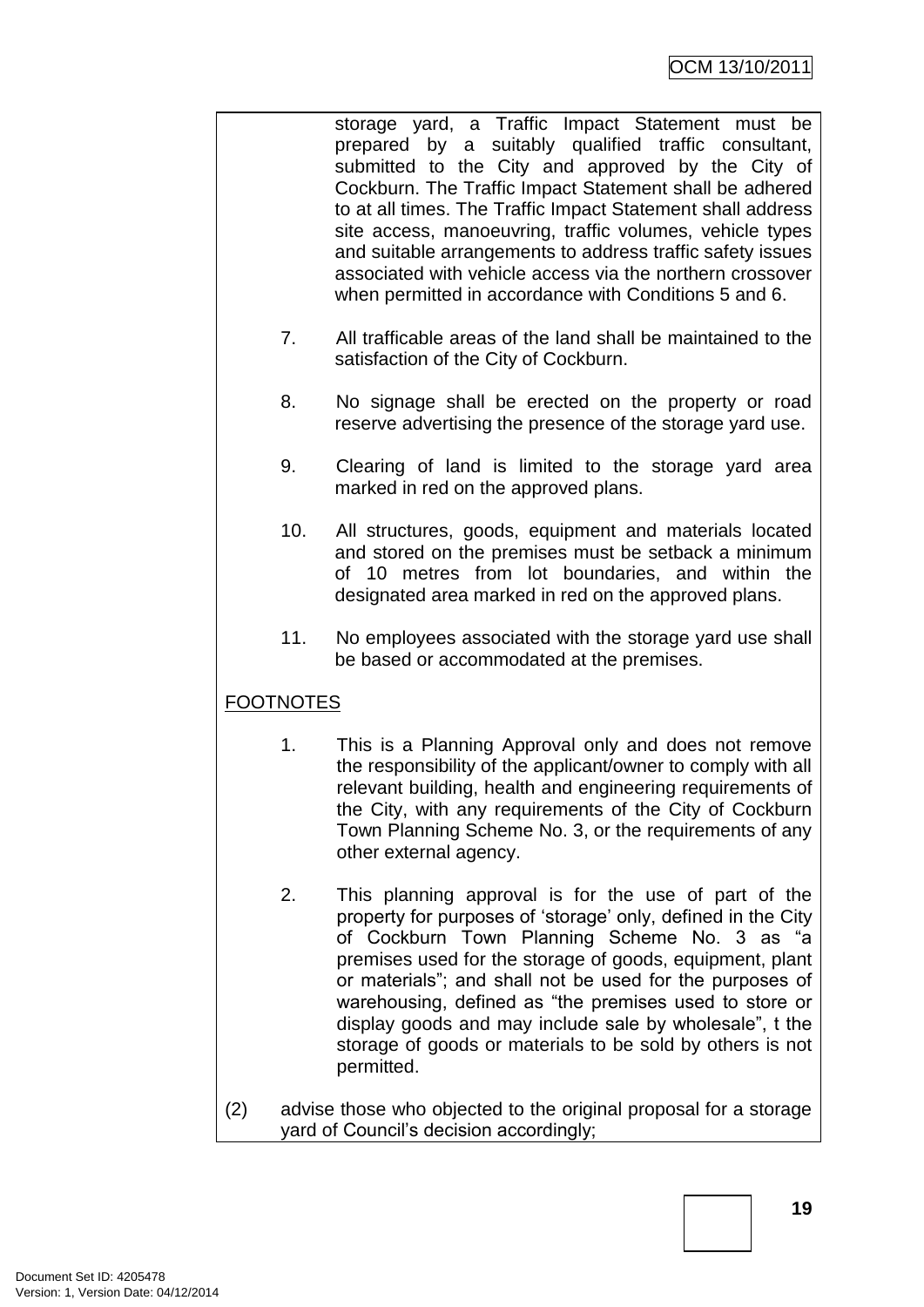storage yard, a Traffic Impact Statement must be prepared by a suitably qualified traffic consultant, submitted to the City and approved by the City of Cockburn. The Traffic Impact Statement shall be adhered to at all times. The Traffic Impact Statement shall address site access, manoeuvring, traffic volumes, vehicle types and suitable arrangements to address traffic safety issues associated with vehicle access via the northern crossover when permitted in accordance with Conditions 5 and 6.

- 7. All trafficable areas of the land shall be maintained to the satisfaction of the City of Cockburn.
- 8. No signage shall be erected on the property or road reserve advertising the presence of the storage yard use.
- 9. Clearing of land is limited to the storage yard area marked in red on the approved plans.
- 10. All structures, goods, equipment and materials located and stored on the premises must be setback a minimum of 10 metres from lot boundaries, and within the designated area marked in red on the approved plans.
- 11. No employees associated with the storage yard use shall be based or accommodated at the premises.

# FOOTNOTES

- 1. This is a Planning Approval only and does not remove the responsibility of the applicant/owner to comply with all relevant building, health and engineering requirements of the City, with any requirements of the City of Cockburn Town Planning Scheme No. 3, or the requirements of any other external agency.
- 2. This planning approval is for the use of part of the property for purposes of "storage" only, defined in the City of Cockburn Town Planning Scheme No. 3 as "a premises used for the storage of goods, equipment, plant or materials"; and shall not be used for the purposes of warehousing, defined as "the premises used to store or display goods and may include sale by wholesale", t the storage of goods or materials to be sold by others is not permitted.
- (2) advise those who objected to the original proposal for a storage yard of Council"s decision accordingly;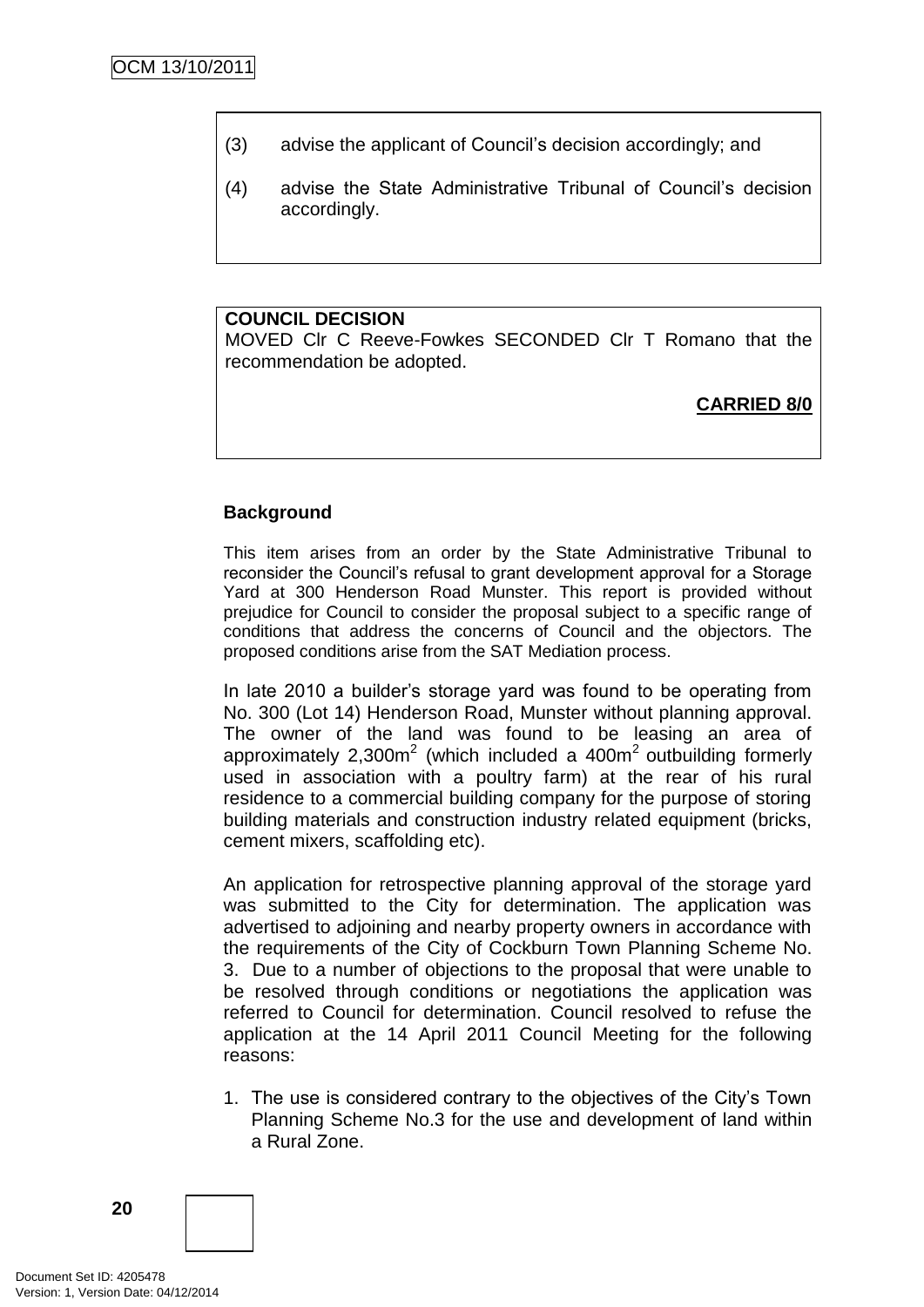- (3) advise the applicant of Council"s decision accordingly; and
- (4) advise the State Administrative Tribunal of Council"s decision accordingly.

### **COUNCIL DECISION**

MOVED Clr C Reeve-Fowkes SECONDED Clr T Romano that the recommendation be adopted.

# **CARRIED 8/0**

### **Background**

This item arises from an order by the State Administrative Tribunal to reconsider the Council"s refusal to grant development approval for a Storage Yard at 300 Henderson Road Munster. This report is provided without prejudice for Council to consider the proposal subject to a specific range of conditions that address the concerns of Council and the objectors. The proposed conditions arise from the SAT Mediation process.

In late 2010 a builder"s storage yard was found to be operating from No. 300 (Lot 14) Henderson Road, Munster without planning approval. The owner of the land was found to be leasing an area of approximately  $2,300m^2$  (which included a 400 $m^2$  outbuilding formerly used in association with a poultry farm) at the rear of his rural residence to a commercial building company for the purpose of storing building materials and construction industry related equipment (bricks, cement mixers, scaffolding etc).

An application for retrospective planning approval of the storage yard was submitted to the City for determination. The application was advertised to adjoining and nearby property owners in accordance with the requirements of the City of Cockburn Town Planning Scheme No. 3. Due to a number of objections to the proposal that were unable to be resolved through conditions or negotiations the application was referred to Council for determination. Council resolved to refuse the application at the 14 April 2011 Council Meeting for the following reasons:

1. The use is considered contrary to the objectives of the City"s Town Planning Scheme No.3 for the use and development of land within a Rural Zone.

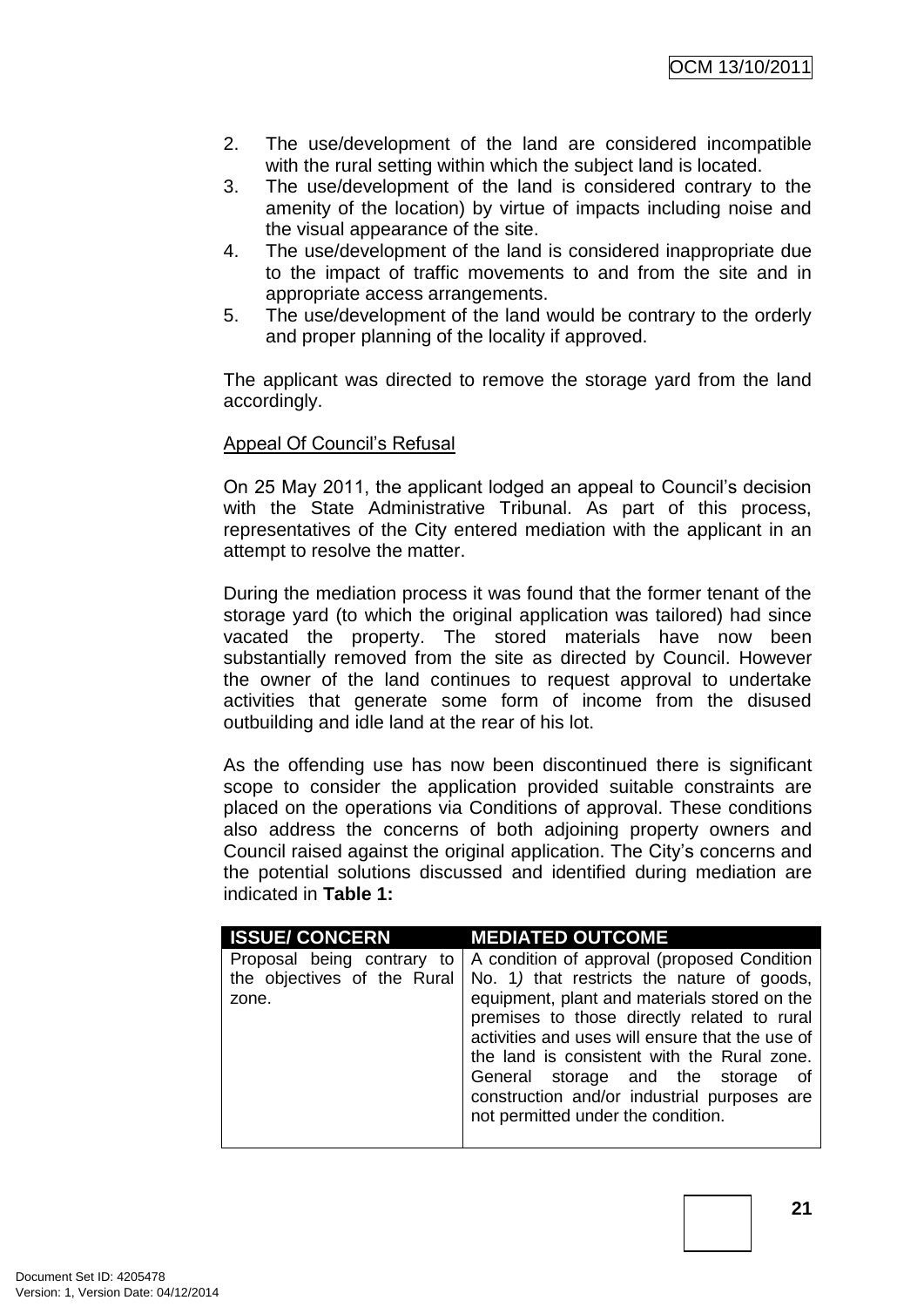- 2. The use/development of the land are considered incompatible with the rural setting within which the subject land is located.
- 3. The use/development of the land is considered contrary to the amenity of the location) by virtue of impacts including noise and the visual appearance of the site.
- 4. The use/development of the land is considered inappropriate due to the impact of traffic movements to and from the site and in appropriate access arrangements.
- 5. The use/development of the land would be contrary to the orderly and proper planning of the locality if approved.

The applicant was directed to remove the storage yard from the land accordingly.

### Appeal Of Council"s Refusal

On 25 May 2011, the applicant lodged an appeal to Council"s decision with the State Administrative Tribunal. As part of this process, representatives of the City entered mediation with the applicant in an attempt to resolve the matter.

During the mediation process it was found that the former tenant of the storage yard (to which the original application was tailored) had since vacated the property. The stored materials have now been substantially removed from the site as directed by Council. However the owner of the land continues to request approval to undertake activities that generate some form of income from the disused outbuilding and idle land at the rear of his lot.

As the offending use has now been discontinued there is significant scope to consider the application provided suitable constraints are placed on the operations via Conditions of approval. These conditions also address the concerns of both adjoining property owners and Council raised against the original application. The City"s concerns and the potential solutions discussed and identified during mediation are indicated in **Table 1:**

| <b>ISSUE/ CONCERN MEDIATED OUTCOME</b> |                                                                                                                                                                                                                                                                                                                                                                                                                                                       |
|----------------------------------------|-------------------------------------------------------------------------------------------------------------------------------------------------------------------------------------------------------------------------------------------------------------------------------------------------------------------------------------------------------------------------------------------------------------------------------------------------------|
| the objectives of the Rural<br>zone.   | Proposal being contrary to   A condition of approval (proposed Condition<br>No. 1) that restricts the nature of goods,<br>equipment, plant and materials stored on the<br>premises to those directly related to rural<br>activities and uses will ensure that the use of<br>the land is consistent with the Rural zone.<br>General storage and the storage<br>of<br>construction and/or industrial purposes are<br>not permitted under the condition. |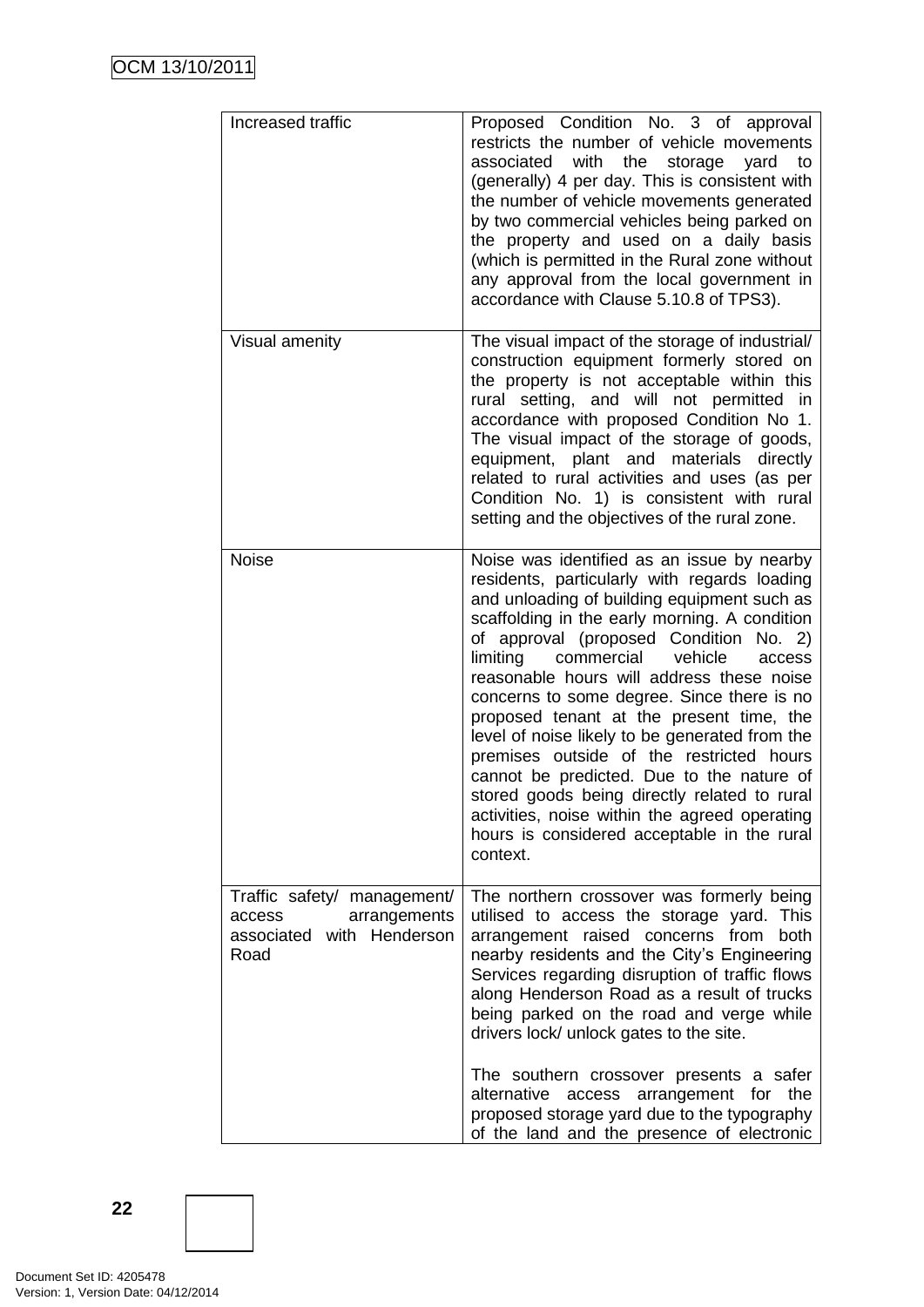| Increased traffic                                                                          | Proposed Condition No. 3 of approval<br>restricts the number of vehicle movements<br>associated<br>with<br>the<br>storage<br>yard<br>to<br>(generally) 4 per day. This is consistent with<br>the number of vehicle movements generated<br>by two commercial vehicles being parked on<br>the property and used on a daily basis<br>(which is permitted in the Rural zone without<br>any approval from the local government in<br>accordance with Clause 5.10.8 of TPS3).                                                                                                                                                                                                                                                              |
|--------------------------------------------------------------------------------------------|--------------------------------------------------------------------------------------------------------------------------------------------------------------------------------------------------------------------------------------------------------------------------------------------------------------------------------------------------------------------------------------------------------------------------------------------------------------------------------------------------------------------------------------------------------------------------------------------------------------------------------------------------------------------------------------------------------------------------------------|
| Visual amenity                                                                             | The visual impact of the storage of industrial/<br>construction equipment formerly stored on<br>the property is not acceptable within this<br>rural setting, and will not permitted in<br>accordance with proposed Condition No 1.<br>The visual impact of the storage of goods,<br>equipment, plant and materials<br>directly<br>related to rural activities and uses (as per<br>Condition No. 1) is consistent with rural<br>setting and the objectives of the rural zone.                                                                                                                                                                                                                                                         |
| <b>Noise</b>                                                                               | Noise was identified as an issue by nearby<br>residents, particularly with regards loading<br>and unloading of building equipment such as<br>scaffolding in the early morning. A condition<br>of approval (proposed Condition<br>No. 2)<br>limiting<br>vehicle<br>commercial<br>access<br>reasonable hours will address these noise<br>concerns to some degree. Since there is no<br>proposed tenant at the present time, the<br>level of noise likely to be generated from the<br>premises outside of the restricted hours<br>cannot be predicted. Due to the nature of<br>stored goods being directly related to rural<br>activities, noise within the agreed operating<br>hours is considered acceptable in the rural<br>context. |
| Traffic safety/ management/<br>arrangements<br>access<br>associated with Henderson<br>Road | The northern crossover was formerly being<br>utilised to access the storage yard. This<br>arrangement raised concerns from<br>both<br>nearby residents and the City's Engineering<br>Services regarding disruption of traffic flows<br>along Henderson Road as a result of trucks<br>being parked on the road and verge while<br>drivers lock/ unlock gates to the site.<br>The southern crossover presents a safer                                                                                                                                                                                                                                                                                                                  |
|                                                                                            | alternative access arrangement for<br>the<br>proposed storage yard due to the typography<br>of the land and the presence of electronic                                                                                                                                                                                                                                                                                                                                                                                                                                                                                                                                                                                               |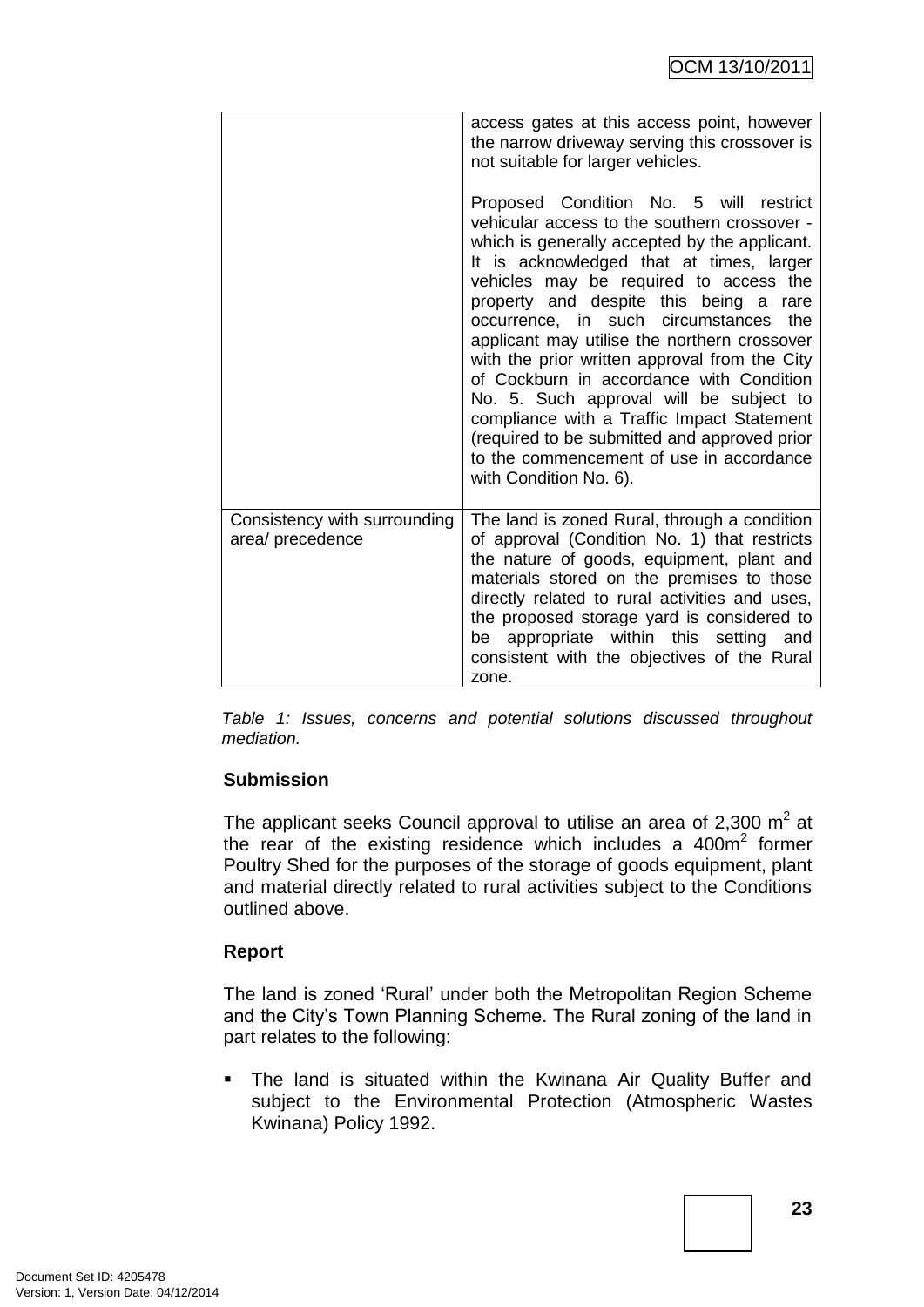|                                                  | access gates at this access point, however<br>the narrow driveway serving this crossover is<br>not suitable for larger vehicles.                                                                                                                                                                                                                                                                                                                                                                                                                                                                                                                                                |
|--------------------------------------------------|---------------------------------------------------------------------------------------------------------------------------------------------------------------------------------------------------------------------------------------------------------------------------------------------------------------------------------------------------------------------------------------------------------------------------------------------------------------------------------------------------------------------------------------------------------------------------------------------------------------------------------------------------------------------------------|
|                                                  | Proposed Condition No. 5 will restrict<br>vehicular access to the southern crossover -<br>which is generally accepted by the applicant.<br>It is acknowledged that at times, larger<br>vehicles may be required to access the<br>property and despite this being a rare<br>the<br>occurrence, in such circumstances<br>applicant may utilise the northern crossover<br>with the prior written approval from the City<br>of Cockburn in accordance with Condition<br>No. 5. Such approval will be subject to<br>compliance with a Traffic Impact Statement<br>(required to be submitted and approved prior<br>to the commencement of use in accordance<br>with Condition No. 6). |
| Consistency with surrounding<br>area/ precedence | The land is zoned Rural, through a condition<br>of approval (Condition No. 1) that restricts<br>the nature of goods, equipment, plant and<br>materials stored on the premises to those<br>directly related to rural activities and uses,<br>the proposed storage yard is considered to<br>appropriate within this setting and<br>be<br>consistent with the objectives of the Rural<br>zone.                                                                                                                                                                                                                                                                                     |

*Table 1: Issues, concerns and potential solutions discussed throughout mediation.*

# **Submission**

The applicant seeks Council approval to utilise an area of 2,300  $m^2$  at the rear of the existing residence which includes a  $400m^2$  former Poultry Shed for the purposes of the storage of goods equipment, plant and material directly related to rural activities subject to the Conditions outlined above.

# **Report**

The land is zoned "Rural" under both the Metropolitan Region Scheme and the City"s Town Planning Scheme. The Rural zoning of the land in part relates to the following:

 The land is situated within the Kwinana Air Quality Buffer and subject to the Environmental Protection (Atmospheric Wastes Kwinana) Policy 1992.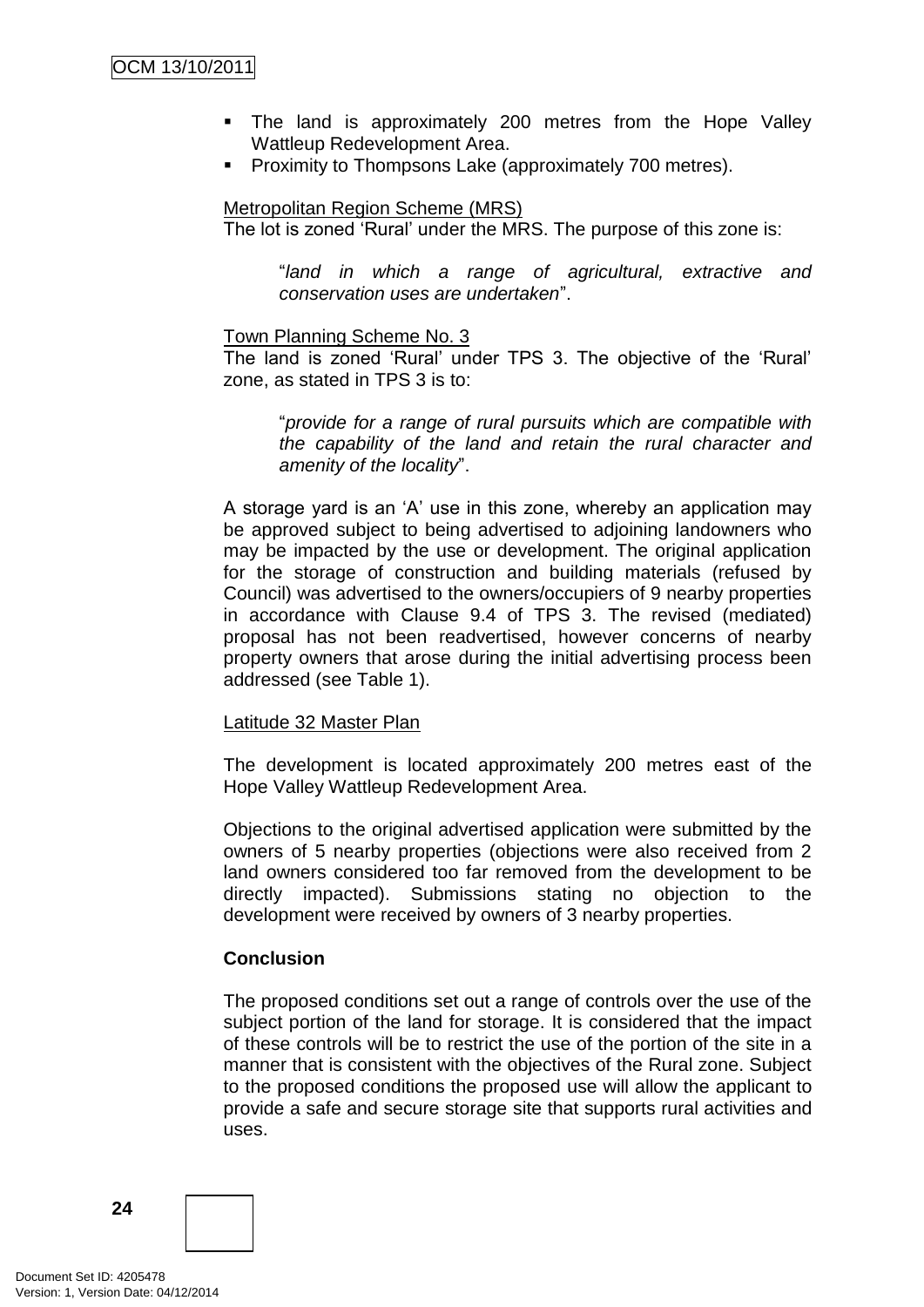- The land is approximately 200 metres from the Hope Valley Wattleup Redevelopment Area.
- **Proximity to Thompsons Lake (approximately 700 metres).**

### Metropolitan Region Scheme (MRS)

The lot is zoned "Rural" under the MRS. The purpose of this zone is:

"*land in which a range of agricultural, extractive and conservation uses are undertaken*".

### Town Planning Scheme No. 3

The land is zoned "Rural" under TPS 3. The objective of the "Rural" zone, as stated in TPS 3 is to:

"*provide for a range of rural pursuits which are compatible with the capability of the land and retain the rural character and amenity of the locality*".

A storage yard is an "A" use in this zone, whereby an application may be approved subject to being advertised to adjoining landowners who may be impacted by the use or development. The original application for the storage of construction and building materials (refused by Council) was advertised to the owners/occupiers of 9 nearby properties in accordance with Clause 9.4 of TPS 3. The revised (mediated) proposal has not been readvertised, however concerns of nearby property owners that arose during the initial advertising process been addressed (see Table 1).

### Latitude 32 Master Plan

The development is located approximately 200 metres east of the Hope Valley Wattleup Redevelopment Area.

Objections to the original advertised application were submitted by the owners of 5 nearby properties (objections were also received from 2 land owners considered too far removed from the development to be directly impacted). Submissions stating no objection to the development were received by owners of 3 nearby properties.

### **Conclusion**

The proposed conditions set out a range of controls over the use of the subject portion of the land for storage. It is considered that the impact of these controls will be to restrict the use of the portion of the site in a manner that is consistent with the objectives of the Rural zone. Subject to the proposed conditions the proposed use will allow the applicant to provide a safe and secure storage site that supports rural activities and uses.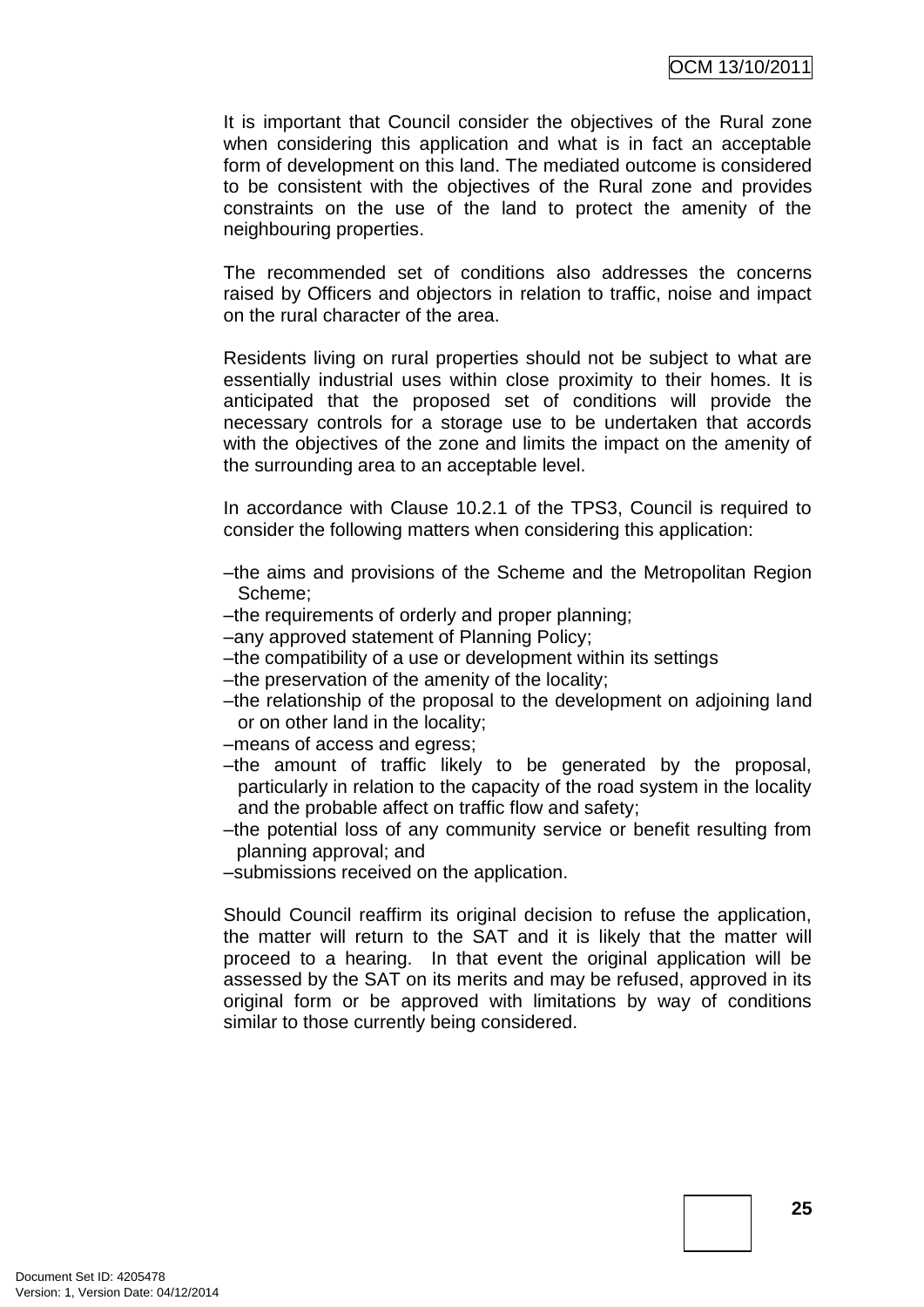It is important that Council consider the objectives of the Rural zone when considering this application and what is in fact an acceptable form of development on this land. The mediated outcome is considered to be consistent with the objectives of the Rural zone and provides constraints on the use of the land to protect the amenity of the neighbouring properties.

The recommended set of conditions also addresses the concerns raised by Officers and objectors in relation to traffic, noise and impact on the rural character of the area.

Residents living on rural properties should not be subject to what are essentially industrial uses within close proximity to their homes. It is anticipated that the proposed set of conditions will provide the necessary controls for a storage use to be undertaken that accords with the objectives of the zone and limits the impact on the amenity of the surrounding area to an acceptable level.

In accordance with Clause 10.2.1 of the TPS3, Council is required to consider the following matters when considering this application:

- –the aims and provisions of the Scheme and the Metropolitan Region Scheme;
- –the requirements of orderly and proper planning;
- –any approved statement of Planning Policy;
- –the compatibility of a use or development within its settings
- –the preservation of the amenity of the locality;
- –the relationship of the proposal to the development on adjoining land or on other land in the locality;
- –means of access and egress;
- –the amount of traffic likely to be generated by the proposal, particularly in relation to the capacity of the road system in the locality and the probable affect on traffic flow and safety;
- –the potential loss of any community service or benefit resulting from planning approval; and
- –submissions received on the application.

Should Council reaffirm its original decision to refuse the application, the matter will return to the SAT and it is likely that the matter will proceed to a hearing. In that event the original application will be assessed by the SAT on its merits and may be refused, approved in its original form or be approved with limitations by way of conditions similar to those currently being considered.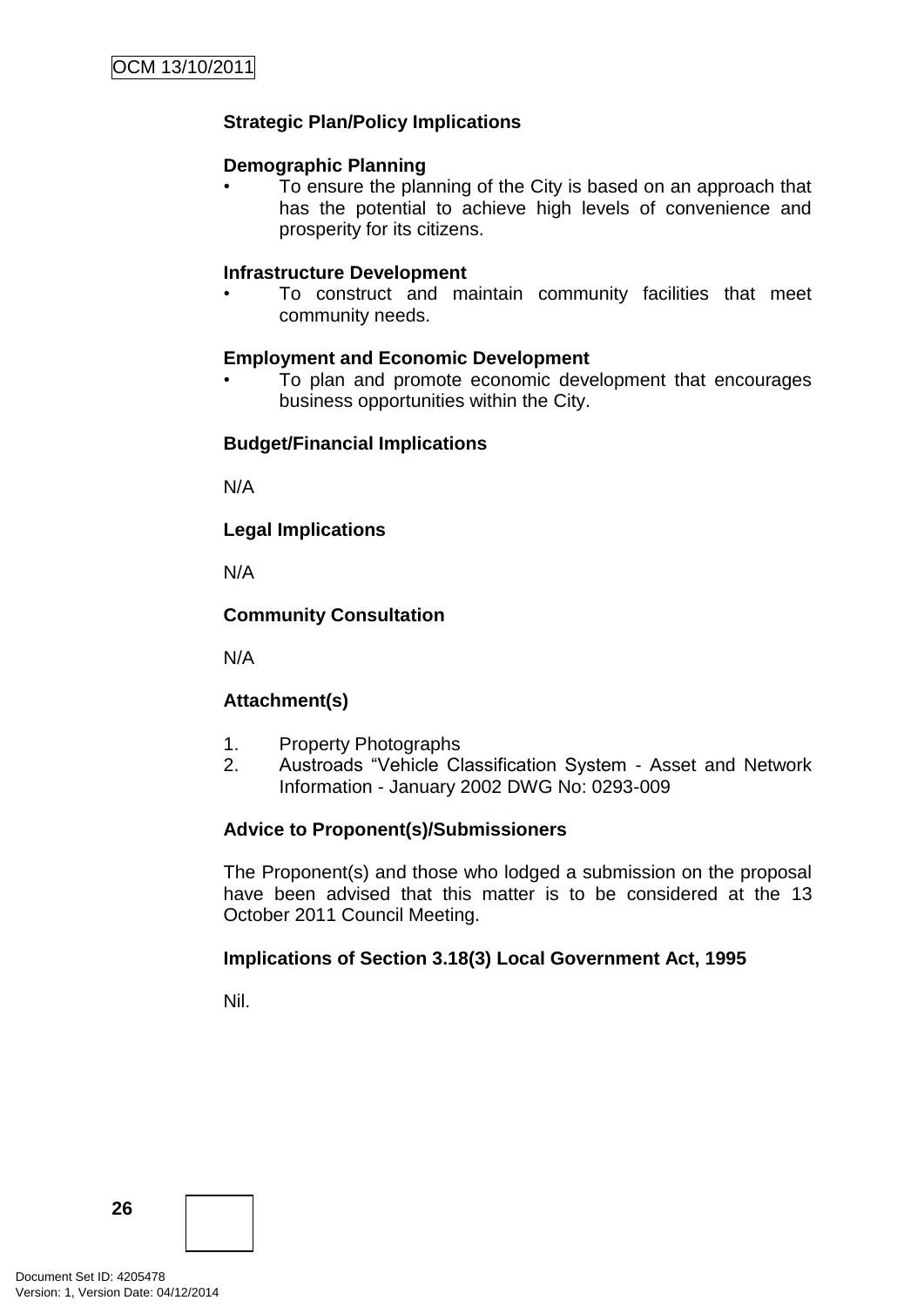# **Strategic Plan/Policy Implications**

### **Demographic Planning**

• To ensure the planning of the City is based on an approach that has the potential to achieve high levels of convenience and prosperity for its citizens.

### **Infrastructure Development**

• To construct and maintain community facilities that meet community needs.

### **Employment and Economic Development**

• To plan and promote economic development that encourages business opportunities within the City.

### **Budget/Financial Implications**

N/A

**Legal Implications**

N/A

### **Community Consultation**

N/A

# **Attachment(s)**

- 1. Property Photographs
- 2. Austroads "Vehicle Classification System Asset and Network Information - January 2002 DWG No: 0293-009

### **Advice to Proponent(s)/Submissioners**

The Proponent(s) and those who lodged a submission on the proposal have been advised that this matter is to be considered at the 13 October 2011 Council Meeting.

### **Implications of Section 3.18(3) Local Government Act, 1995**

Nil.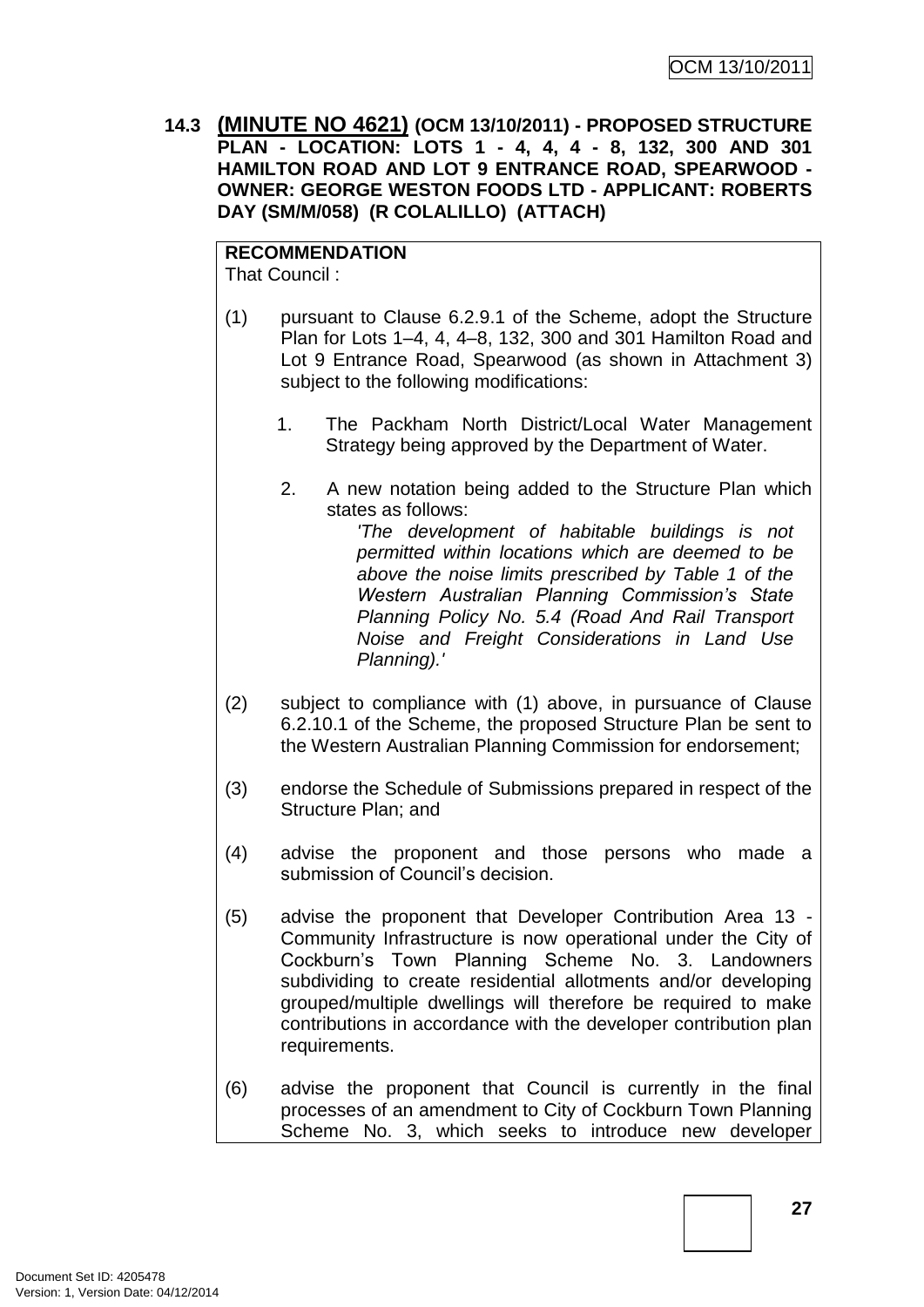**14.3 (MINUTE NO 4621) (OCM 13/10/2011) - PROPOSED STRUCTURE PLAN - LOCATION: LOTS 1 - 4, 4, 4 - 8, 132, 300 AND 301 HAMILTON ROAD AND LOT 9 ENTRANCE ROAD, SPEARWOOD - OWNER: GEORGE WESTON FOODS LTD - APPLICANT: ROBERTS DAY (SM/M/058) (R COLALILLO) (ATTACH)**

**RECOMMENDATION** That Council :

- (1) pursuant to Clause 6.2.9.1 of the Scheme, adopt the Structure Plan for Lots 1–4, 4, 4–8, 132, 300 and 301 Hamilton Road and Lot 9 Entrance Road, Spearwood (as shown in Attachment 3) subject to the following modifications:
	- 1. The Packham North District/Local Water Management Strategy being approved by the Department of Water.
	- 2. A new notation being added to the Structure Plan which states as follows:

*'The development of habitable buildings is not permitted within locations which are deemed to be above the noise limits prescribed by Table 1 of the Western Australian Planning Commission's State Planning Policy No. 5.4 (Road And Rail Transport Noise and Freight Considerations in Land Use Planning).'*

- (2) subject to compliance with (1) above, in pursuance of Clause 6.2.10.1 of the Scheme, the proposed Structure Plan be sent to the Western Australian Planning Commission for endorsement;
- (3) endorse the Schedule of Submissions prepared in respect of the Structure Plan; and
- (4) advise the proponent and those persons who made a submission of Council's decision.
- (5) advise the proponent that Developer Contribution Area 13 Community Infrastructure is now operational under the City of Cockburn"s Town Planning Scheme No. 3. Landowners subdividing to create residential allotments and/or developing grouped/multiple dwellings will therefore be required to make contributions in accordance with the developer contribution plan requirements.
- (6) advise the proponent that Council is currently in the final processes of an amendment to City of Cockburn Town Planning Scheme No. 3, which seeks to introduce new developer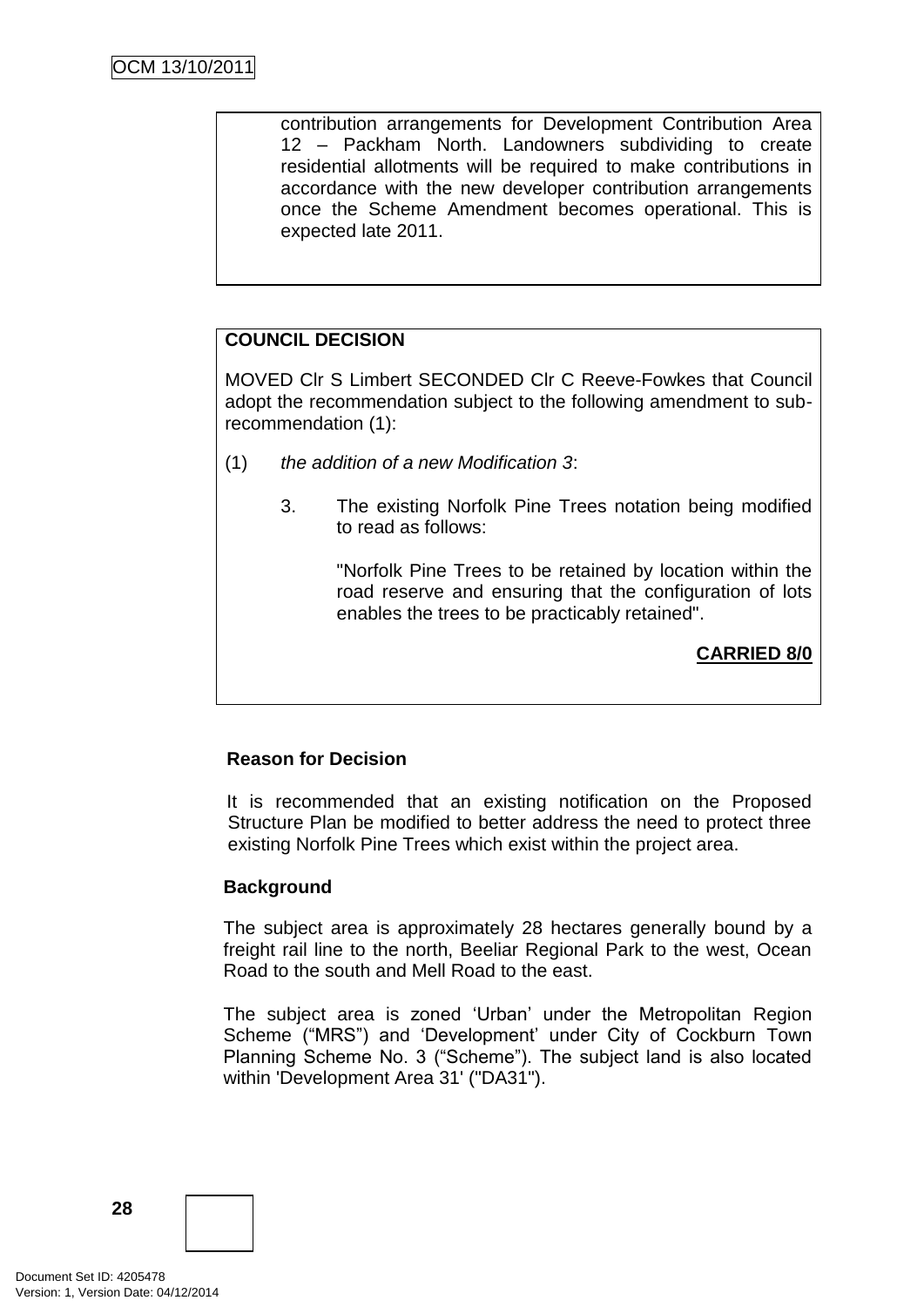contribution arrangements for Development Contribution Area 12 – Packham North. Landowners subdividing to create residential allotments will be required to make contributions in accordance with the new developer contribution arrangements once the Scheme Amendment becomes operational. This is expected late 2011.

# **COUNCIL DECISION**

MOVED Clr S Limbert SECONDED Clr C Reeve-Fowkes that Council adopt the recommendation subject to the following amendment to subrecommendation (1):

- (1) *the addition of a new Modification 3*:
	- 3. The existing Norfolk Pine Trees notation being modified to read as follows:

"Norfolk Pine Trees to be retained by location within the road reserve and ensuring that the configuration of lots enables the trees to be practicably retained".

**CARRIED 8/0**

# **Reason for Decision**

It is recommended that an existing notification on the Proposed Structure Plan be modified to better address the need to protect three existing Norfolk Pine Trees which exist within the project area.

### **Background**

The subject area is approximately 28 hectares generally bound by a freight rail line to the north, Beeliar Regional Park to the west, Ocean Road to the south and Mell Road to the east.

The subject area is zoned "Urban" under the Metropolitan Region Scheme ("MRS") and "Development" under City of Cockburn Town Planning Scheme No. 3 ("Scheme"). The subject land is also located within 'Development Area 31' ("DA31").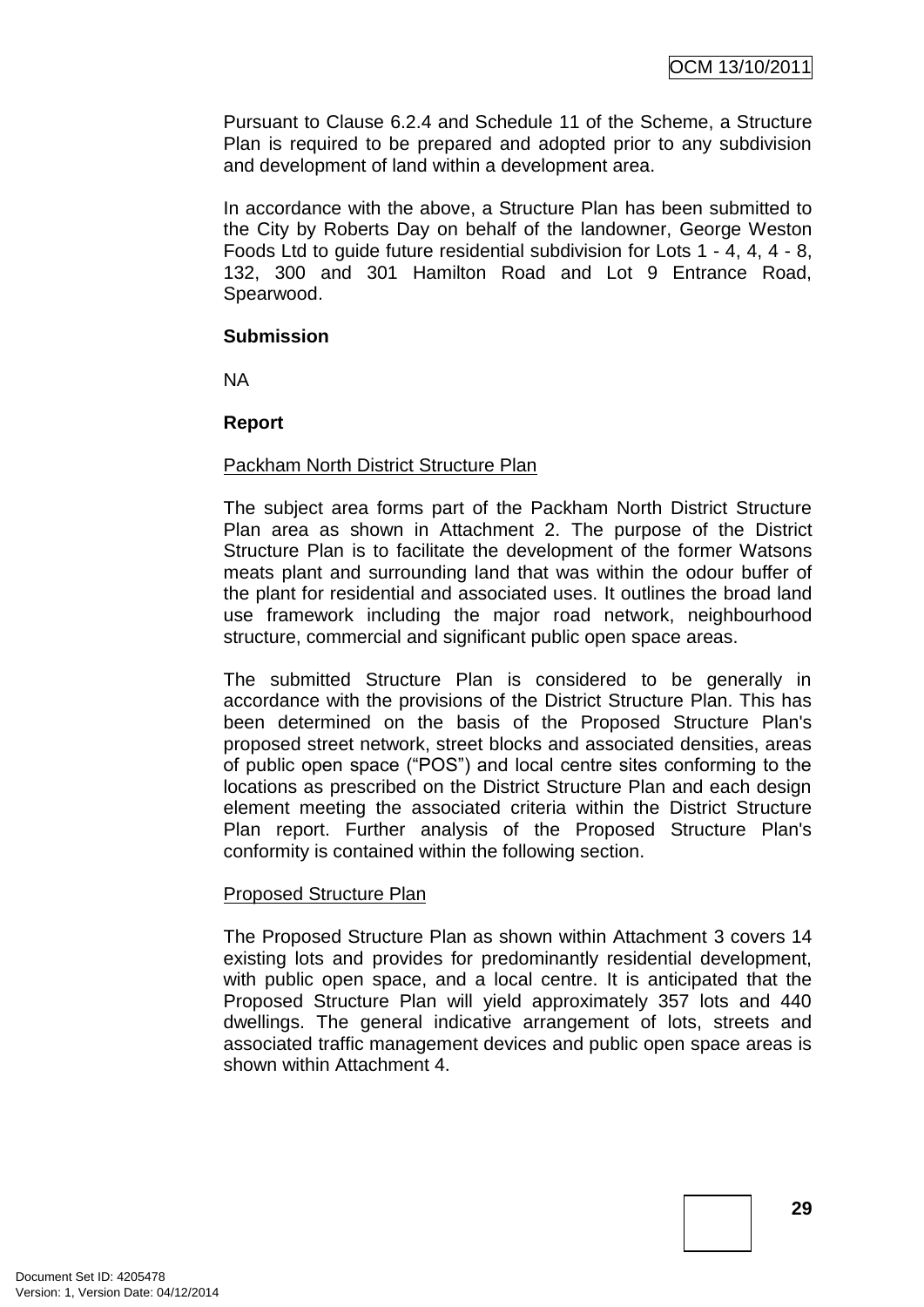Pursuant to Clause 6.2.4 and Schedule 11 of the Scheme, a Structure Plan is required to be prepared and adopted prior to any subdivision and development of land within a development area.

In accordance with the above, a Structure Plan has been submitted to the City by Roberts Day on behalf of the landowner, George Weston Foods Ltd to guide future residential subdivision for Lots 1 - 4, 4, 4 - 8, 132, 300 and 301 Hamilton Road and Lot 9 Entrance Road, Spearwood.

### **Submission**

NA

### **Report**

### Packham North District Structure Plan

The subject area forms part of the Packham North District Structure Plan area as shown in Attachment 2. The purpose of the District Structure Plan is to facilitate the development of the former Watsons meats plant and surrounding land that was within the odour buffer of the plant for residential and associated uses. It outlines the broad land use framework including the major road network, neighbourhood structure, commercial and significant public open space areas.

The submitted Structure Plan is considered to be generally in accordance with the provisions of the District Structure Plan. This has been determined on the basis of the Proposed Structure Plan's proposed street network, street blocks and associated densities, areas of public open space ("POS") and local centre sites conforming to the locations as prescribed on the District Structure Plan and each design element meeting the associated criteria within the District Structure Plan report. Further analysis of the Proposed Structure Plan's conformity is contained within the following section.

### Proposed Structure Plan

The Proposed Structure Plan as shown within Attachment 3 covers 14 existing lots and provides for predominantly residential development, with public open space, and a local centre. It is anticipated that the Proposed Structure Plan will yield approximately 357 lots and 440 dwellings. The general indicative arrangement of lots, streets and associated traffic management devices and public open space areas is shown within Attachment 4.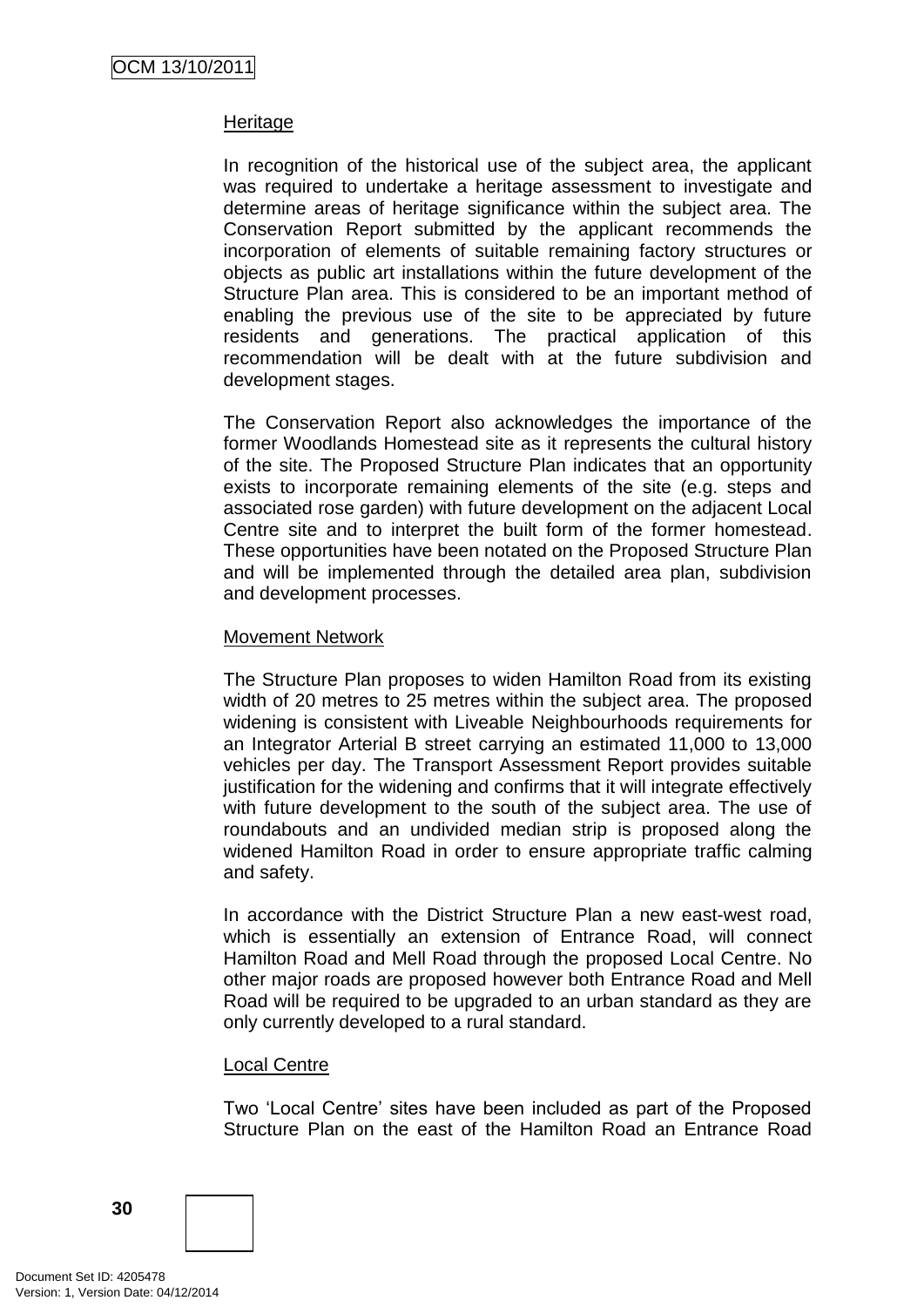### **Heritage**

In recognition of the historical use of the subject area, the applicant was required to undertake a heritage assessment to investigate and determine areas of heritage significance within the subject area. The Conservation Report submitted by the applicant recommends the incorporation of elements of suitable remaining factory structures or objects as public art installations within the future development of the Structure Plan area. This is considered to be an important method of enabling the previous use of the site to be appreciated by future residents and generations. The practical application of this recommendation will be dealt with at the future subdivision and development stages.

The Conservation Report also acknowledges the importance of the former Woodlands Homestead site as it represents the cultural history of the site. The Proposed Structure Plan indicates that an opportunity exists to incorporate remaining elements of the site (e.g. steps and associated rose garden) with future development on the adjacent Local Centre site and to interpret the built form of the former homestead. These opportunities have been notated on the Proposed Structure Plan and will be implemented through the detailed area plan, subdivision and development processes.

### Movement Network

The Structure Plan proposes to widen Hamilton Road from its existing width of 20 metres to 25 metres within the subject area. The proposed widening is consistent with Liveable Neighbourhoods requirements for an Integrator Arterial B street carrying an estimated 11,000 to 13,000 vehicles per day. The Transport Assessment Report provides suitable justification for the widening and confirms that it will integrate effectively with future development to the south of the subject area. The use of roundabouts and an undivided median strip is proposed along the widened Hamilton Road in order to ensure appropriate traffic calming and safety.

In accordance with the District Structure Plan a new east-west road, which is essentially an extension of Entrance Road, will connect Hamilton Road and Mell Road through the proposed Local Centre. No other major roads are proposed however both Entrance Road and Mell Road will be required to be upgraded to an urban standard as they are only currently developed to a rural standard.

### Local Centre

Two "Local Centre" sites have been included as part of the Proposed Structure Plan on the east of the Hamilton Road an Entrance Road

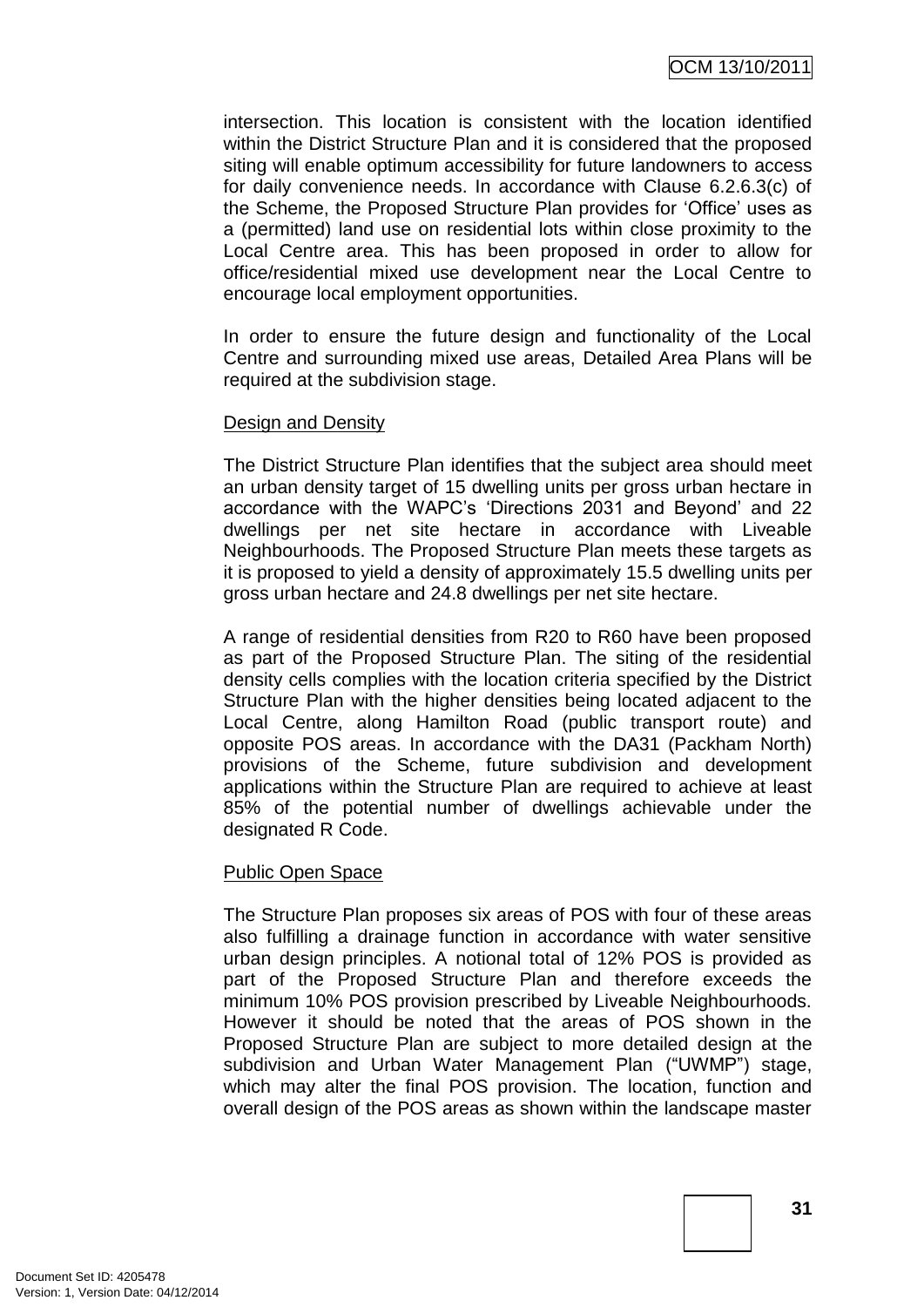intersection. This location is consistent with the location identified within the District Structure Plan and it is considered that the proposed siting will enable optimum accessibility for future landowners to access for daily convenience needs. In accordance with Clause 6.2.6.3(c) of the Scheme, the Proposed Structure Plan provides for "Office" uses as a (permitted) land use on residential lots within close proximity to the Local Centre area. This has been proposed in order to allow for office/residential mixed use development near the Local Centre to encourage local employment opportunities.

In order to ensure the future design and functionality of the Local Centre and surrounding mixed use areas, Detailed Area Plans will be required at the subdivision stage.

### Design and Density

The District Structure Plan identifies that the subject area should meet an urban density target of 15 dwelling units per gross urban hectare in accordance with the WAPC"s "Directions 2031 and Beyond" and 22 dwellings per net site hectare in accordance with Liveable Neighbourhoods. The Proposed Structure Plan meets these targets as it is proposed to yield a density of approximately 15.5 dwelling units per gross urban hectare and 24.8 dwellings per net site hectare.

A range of residential densities from R20 to R60 have been proposed as part of the Proposed Structure Plan. The siting of the residential density cells complies with the location criteria specified by the District Structure Plan with the higher densities being located adjacent to the Local Centre, along Hamilton Road (public transport route) and opposite POS areas. In accordance with the DA31 (Packham North) provisions of the Scheme, future subdivision and development applications within the Structure Plan are required to achieve at least 85% of the potential number of dwellings achievable under the designated R Code.

### Public Open Space

The Structure Plan proposes six areas of POS with four of these areas also fulfilling a drainage function in accordance with water sensitive urban design principles. A notional total of 12% POS is provided as part of the Proposed Structure Plan and therefore exceeds the minimum 10% POS provision prescribed by Liveable Neighbourhoods. However it should be noted that the areas of POS shown in the Proposed Structure Plan are subject to more detailed design at the subdivision and Urban Water Management Plan ("UWMP") stage, which may alter the final POS provision. The location, function and overall design of the POS areas as shown within the landscape master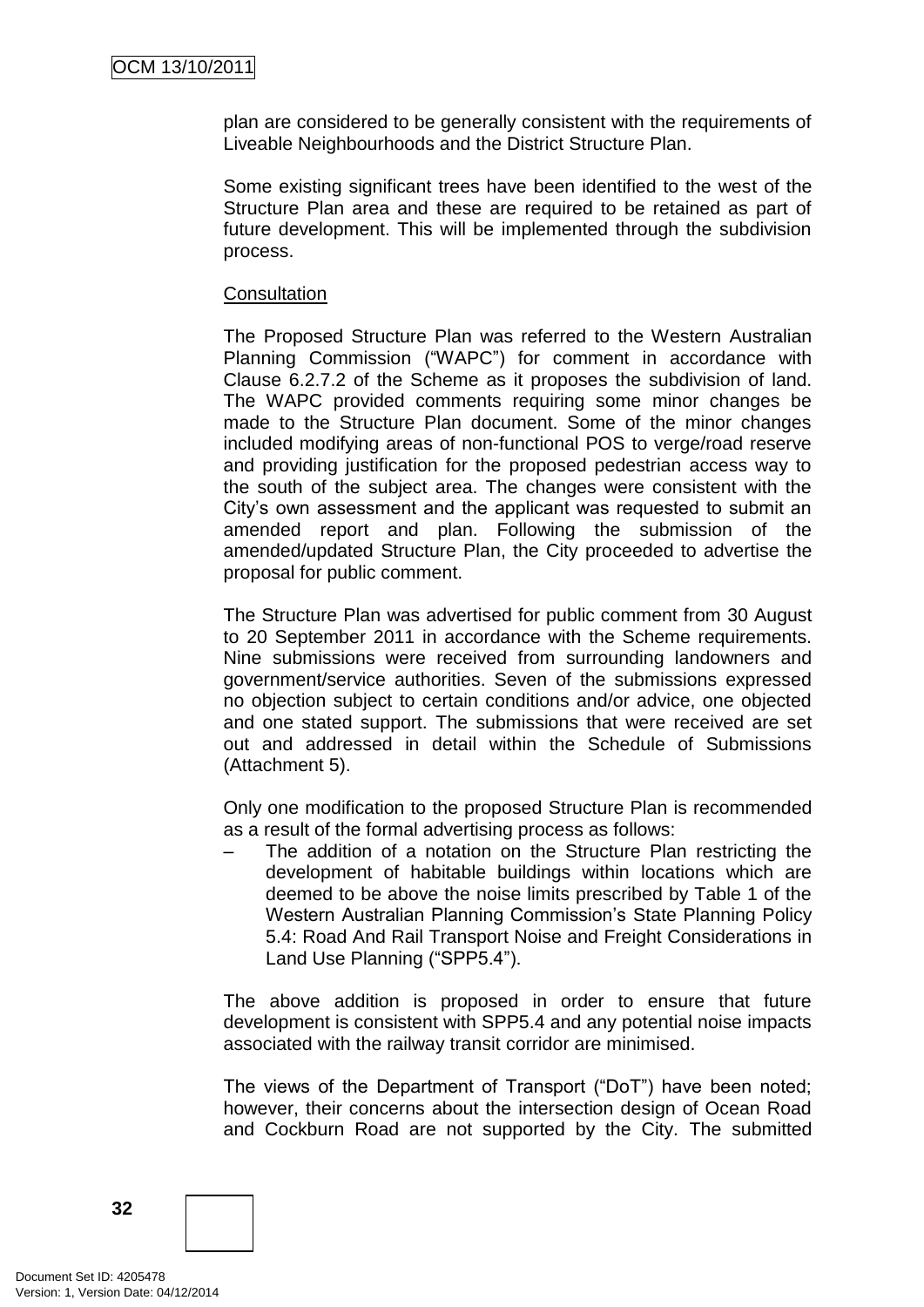plan are considered to be generally consistent with the requirements of Liveable Neighbourhoods and the District Structure Plan.

Some existing significant trees have been identified to the west of the Structure Plan area and these are required to be retained as part of future development. This will be implemented through the subdivision process.

### **Consultation**

The Proposed Structure Plan was referred to the Western Australian Planning Commission ("WAPC") for comment in accordance with Clause 6.2.7.2 of the Scheme as it proposes the subdivision of land. The WAPC provided comments requiring some minor changes be made to the Structure Plan document. Some of the minor changes included modifying areas of non-functional POS to verge/road reserve and providing justification for the proposed pedestrian access way to the south of the subject area. The changes were consistent with the City"s own assessment and the applicant was requested to submit an amended report and plan. Following the submission of the amended/updated Structure Plan, the City proceeded to advertise the proposal for public comment.

The Structure Plan was advertised for public comment from 30 August to 20 September 2011 in accordance with the Scheme requirements. Nine submissions were received from surrounding landowners and government/service authorities. Seven of the submissions expressed no objection subject to certain conditions and/or advice, one objected and one stated support. The submissions that were received are set out and addressed in detail within the Schedule of Submissions (Attachment 5).

Only one modification to the proposed Structure Plan is recommended as a result of the formal advertising process as follows:

The addition of a notation on the Structure Plan restricting the development of habitable buildings within locations which are deemed to be above the noise limits prescribed by Table 1 of the Western Australian Planning Commission's State Planning Policy 5.4: Road And Rail Transport Noise and Freight Considerations in Land Use Planning ("SPP5.4").

The above addition is proposed in order to ensure that future development is consistent with SPP5.4 and any potential noise impacts associated with the railway transit corridor are minimised.

The views of the Department of Transport ("DoT") have been noted; however, their concerns about the intersection design of Ocean Road and Cockburn Road are not supported by the City. The submitted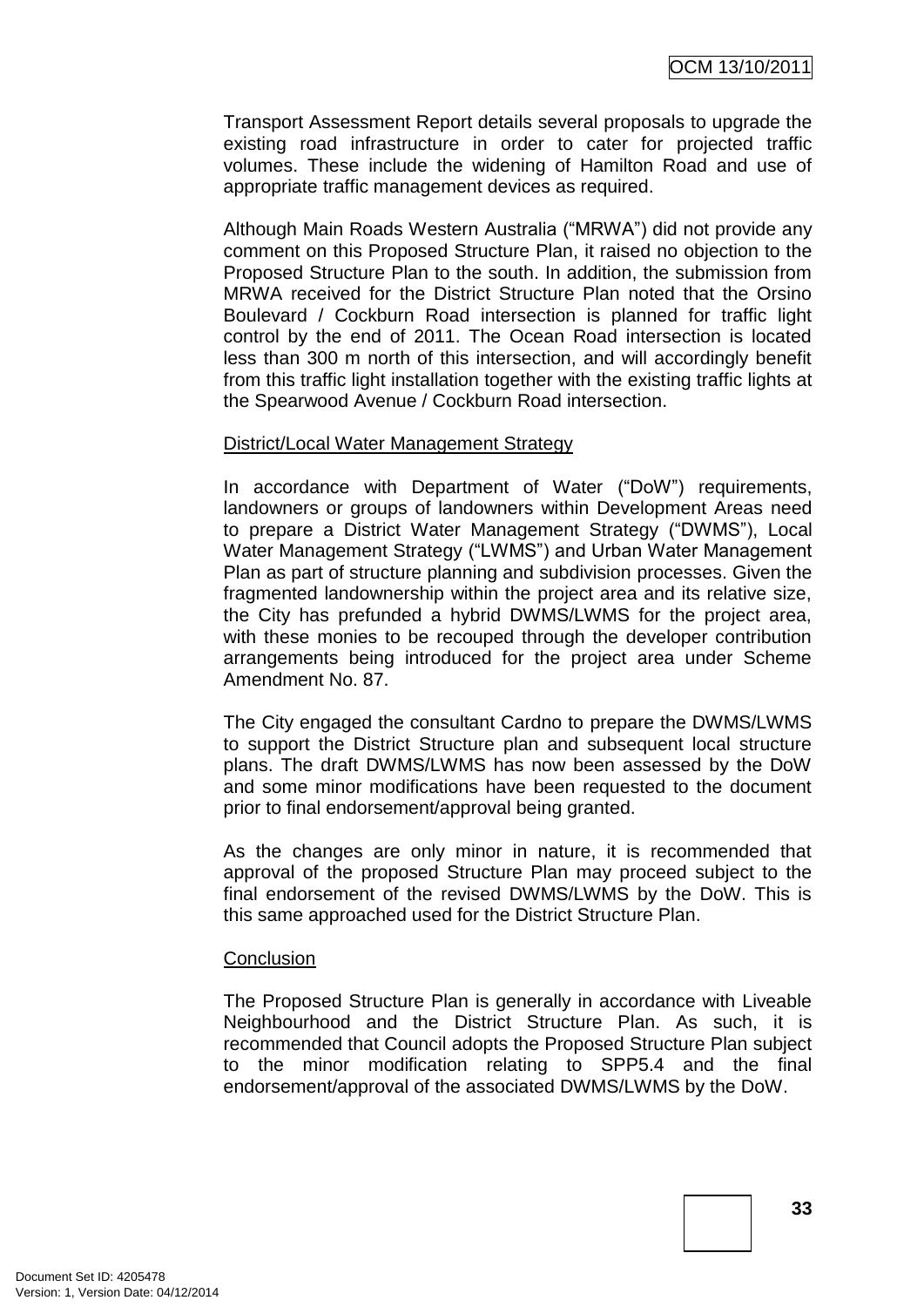Transport Assessment Report details several proposals to upgrade the existing road infrastructure in order to cater for projected traffic volumes. These include the widening of Hamilton Road and use of appropriate traffic management devices as required.

Although Main Roads Western Australia ("MRWA") did not provide any comment on this Proposed Structure Plan, it raised no objection to the Proposed Structure Plan to the south. In addition, the submission from MRWA received for the District Structure Plan noted that the Orsino Boulevard / Cockburn Road intersection is planned for traffic light control by the end of 2011. The Ocean Road intersection is located less than 300 m north of this intersection, and will accordingly benefit from this traffic light installation together with the existing traffic lights at the Spearwood Avenue / Cockburn Road intersection.

#### District/Local Water Management Strategy

In accordance with Department of Water ("DoW") requirements, landowners or groups of landowners within Development Areas need to prepare a District Water Management Strategy ("DWMS"), Local Water Management Strategy ("LWMS") and Urban Water Management Plan as part of structure planning and subdivision processes. Given the fragmented landownership within the project area and its relative size, the City has prefunded a hybrid DWMS/LWMS for the project area, with these monies to be recouped through the developer contribution arrangements being introduced for the project area under Scheme Amendment No. 87.

The City engaged the consultant Cardno to prepare the DWMS/LWMS to support the District Structure plan and subsequent local structure plans. The draft DWMS/LWMS has now been assessed by the DoW and some minor modifications have been requested to the document prior to final endorsement/approval being granted.

As the changes are only minor in nature, it is recommended that approval of the proposed Structure Plan may proceed subject to the final endorsement of the revised DWMS/LWMS by the DoW. This is this same approached used for the District Structure Plan.

#### **Conclusion**

The Proposed Structure Plan is generally in accordance with Liveable Neighbourhood and the District Structure Plan. As such, it is recommended that Council adopts the Proposed Structure Plan subject to the minor modification relating to SPP5.4 and the final endorsement/approval of the associated DWMS/LWMS by the DoW.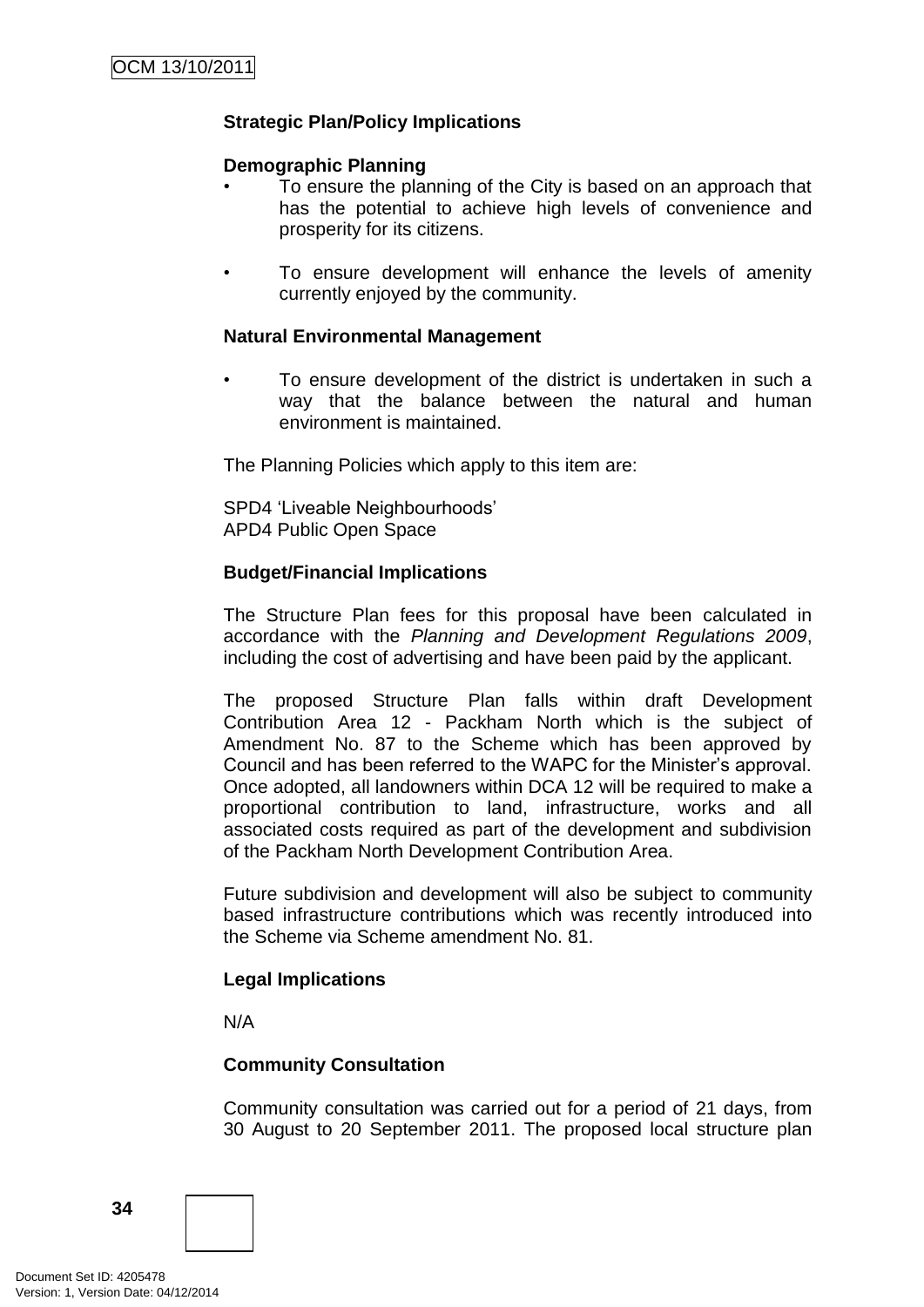# **Strategic Plan/Policy Implications**

#### **Demographic Planning**

- To ensure the planning of the City is based on an approach that has the potential to achieve high levels of convenience and prosperity for its citizens.
- To ensure development will enhance the levels of amenity currently enjoyed by the community.

#### **Natural Environmental Management**

To ensure development of the district is undertaken in such a way that the balance between the natural and human environment is maintained.

The Planning Policies which apply to this item are:

SPD4 "Liveable Neighbourhoods" APD4 Public Open Space

#### **Budget/Financial Implications**

The Structure Plan fees for this proposal have been calculated in accordance with the *Planning and Development Regulations 2009*, including the cost of advertising and have been paid by the applicant.

The proposed Structure Plan falls within draft Development Contribution Area 12 - Packham North which is the subject of Amendment No. 87 to the Scheme which has been approved by Council and has been referred to the WAPC for the Minister"s approval. Once adopted, all landowners within DCA 12 will be required to make a proportional contribution to land, infrastructure, works and all associated costs required as part of the development and subdivision of the Packham North Development Contribution Area.

Future subdivision and development will also be subject to community based infrastructure contributions which was recently introduced into the Scheme via Scheme amendment No. 81.

#### **Legal Implications**

N/A

#### **Community Consultation**

Community consultation was carried out for a period of 21 days, from 30 August to 20 September 2011. The proposed local structure plan

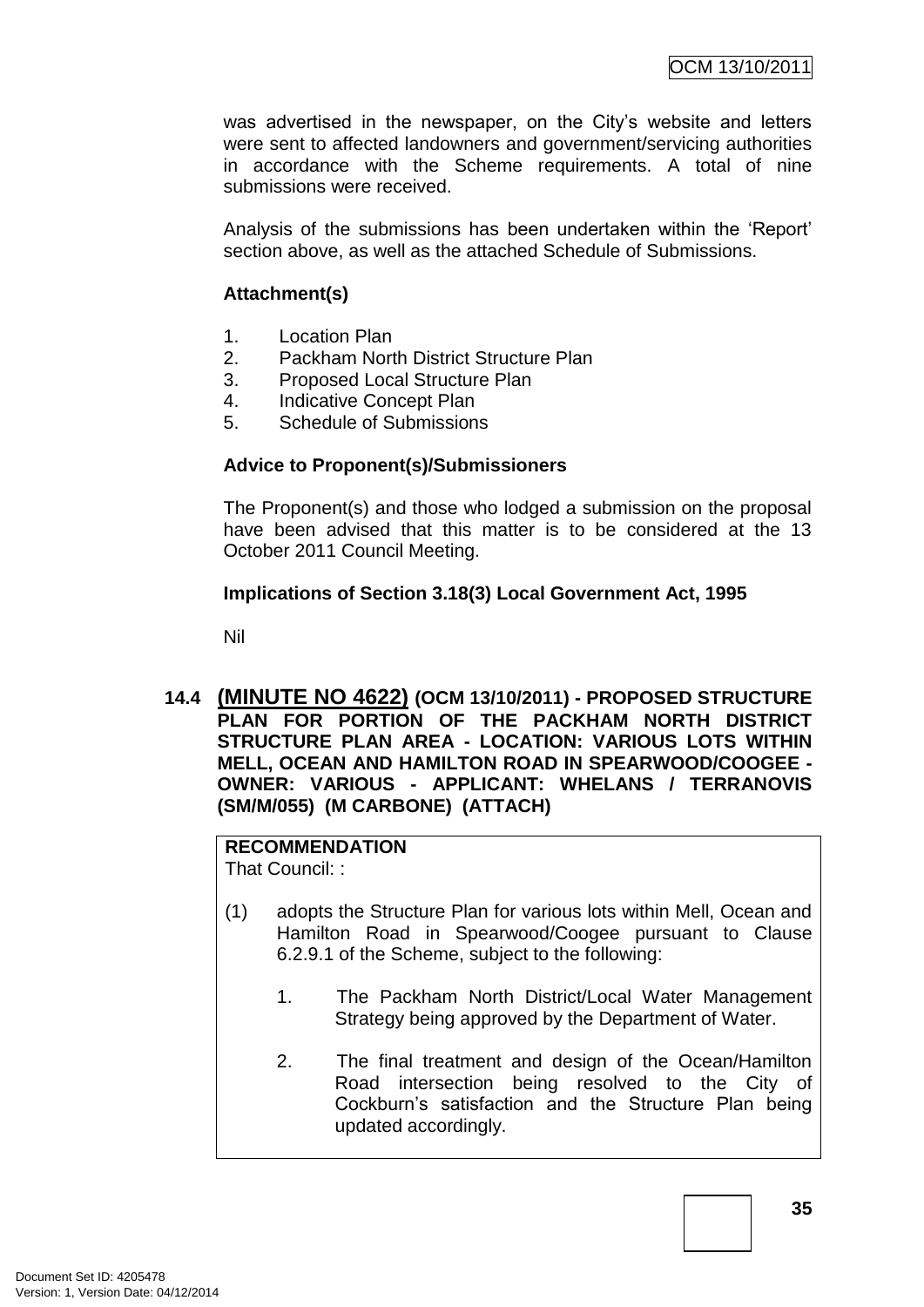was advertised in the newspaper, on the City's website and letters were sent to affected landowners and government/servicing authorities in accordance with the Scheme requirements. A total of nine submissions were received.

Analysis of the submissions has been undertaken within the "Report" section above, as well as the attached Schedule of Submissions.

# **Attachment(s)**

- 1. Location Plan
- 2. Packham North District Structure Plan
- 3. Proposed Local Structure Plan
- 4. Indicative Concept Plan
- 5. Schedule of Submissions

### **Advice to Proponent(s)/Submissioners**

The Proponent(s) and those who lodged a submission on the proposal have been advised that this matter is to be considered at the 13 October 2011 Council Meeting.

### **Implications of Section 3.18(3) Local Government Act, 1995**

Nil

**14.4 (MINUTE NO 4622) (OCM 13/10/2011) - PROPOSED STRUCTURE PLAN FOR PORTION OF THE PACKHAM NORTH DISTRICT STRUCTURE PLAN AREA - LOCATION: VARIOUS LOTS WITHIN MELL, OCEAN AND HAMILTON ROAD IN SPEARWOOD/COOGEE - OWNER: VARIOUS - APPLICANT: WHELANS / TERRANOVIS (SM/M/055) (M CARBONE) (ATTACH)**

# **RECOMMENDATION**

That Council: :

- (1) adopts the Structure Plan for various lots within Mell, Ocean and Hamilton Road in Spearwood/Coogee pursuant to Clause 6.2.9.1 of the Scheme, subject to the following:
	- 1. The Packham North District/Local Water Management Strategy being approved by the Department of Water.
	- 2. The final treatment and design of the Ocean/Hamilton Road intersection being resolved to the City of Cockburn"s satisfaction and the Structure Plan being updated accordingly.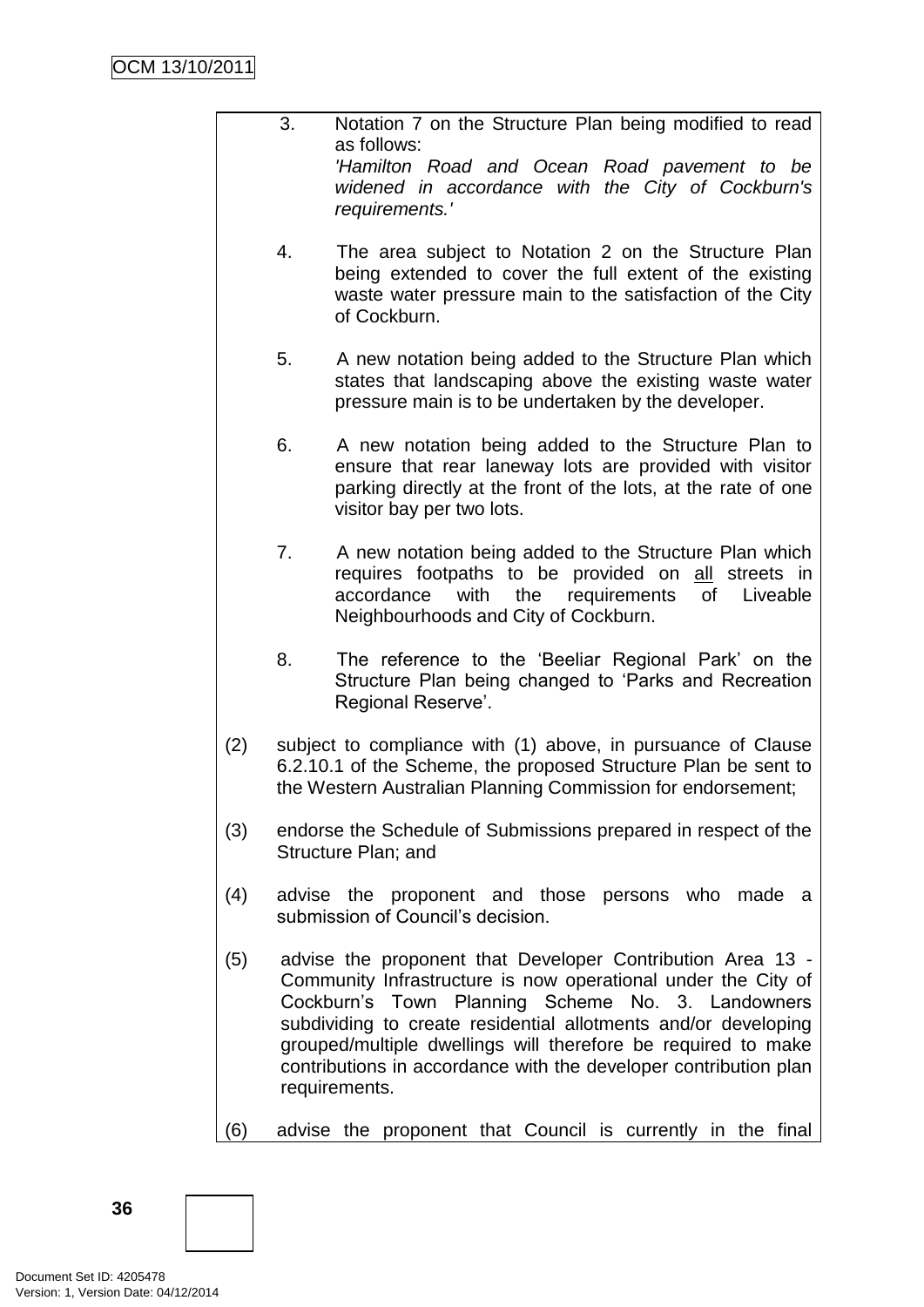| 3. | Notation 7 on the Structure Plan being modified to read<br>as follows:                                              |
|----|---------------------------------------------------------------------------------------------------------------------|
|    | 'Hamilton Road and Ocean Road pavement to be<br>widened in accordance with the City of Cockburn's<br>requirements.' |

- 4. The area subject to Notation 2 on the Structure Plan being extended to cover the full extent of the existing waste water pressure main to the satisfaction of the City of Cockburn.
- 5. A new notation being added to the Structure Plan which states that landscaping above the existing waste water pressure main is to be undertaken by the developer.
- 6. A new notation being added to the Structure Plan to ensure that rear laneway lots are provided with visitor parking directly at the front of the lots, at the rate of one visitor bay per two lots.
- 7. A new notation being added to the Structure Plan which requires footpaths to be provided on all streets in accordance with the requirements of Liveable Neighbourhoods and City of Cockburn.
- 8. The reference to the "Beeliar Regional Park" on the Structure Plan being changed to "Parks and Recreation Regional Reserve'.
- (2) subject to compliance with (1) above, in pursuance of Clause 6.2.10.1 of the Scheme, the proposed Structure Plan be sent to the Western Australian Planning Commission for endorsement;
- (3) endorse the Schedule of Submissions prepared in respect of the Structure Plan; and
- (4) advise the proponent and those persons who made a submission of Council's decision.
- (5) advise the proponent that Developer Contribution Area 13 Community Infrastructure is now operational under the City of Cockburn"s Town Planning Scheme No. 3. Landowners subdividing to create residential allotments and/or developing grouped/multiple dwellings will therefore be required to make contributions in accordance with the developer contribution plan requirements.
- (6) advise the proponent that Council is currently in the final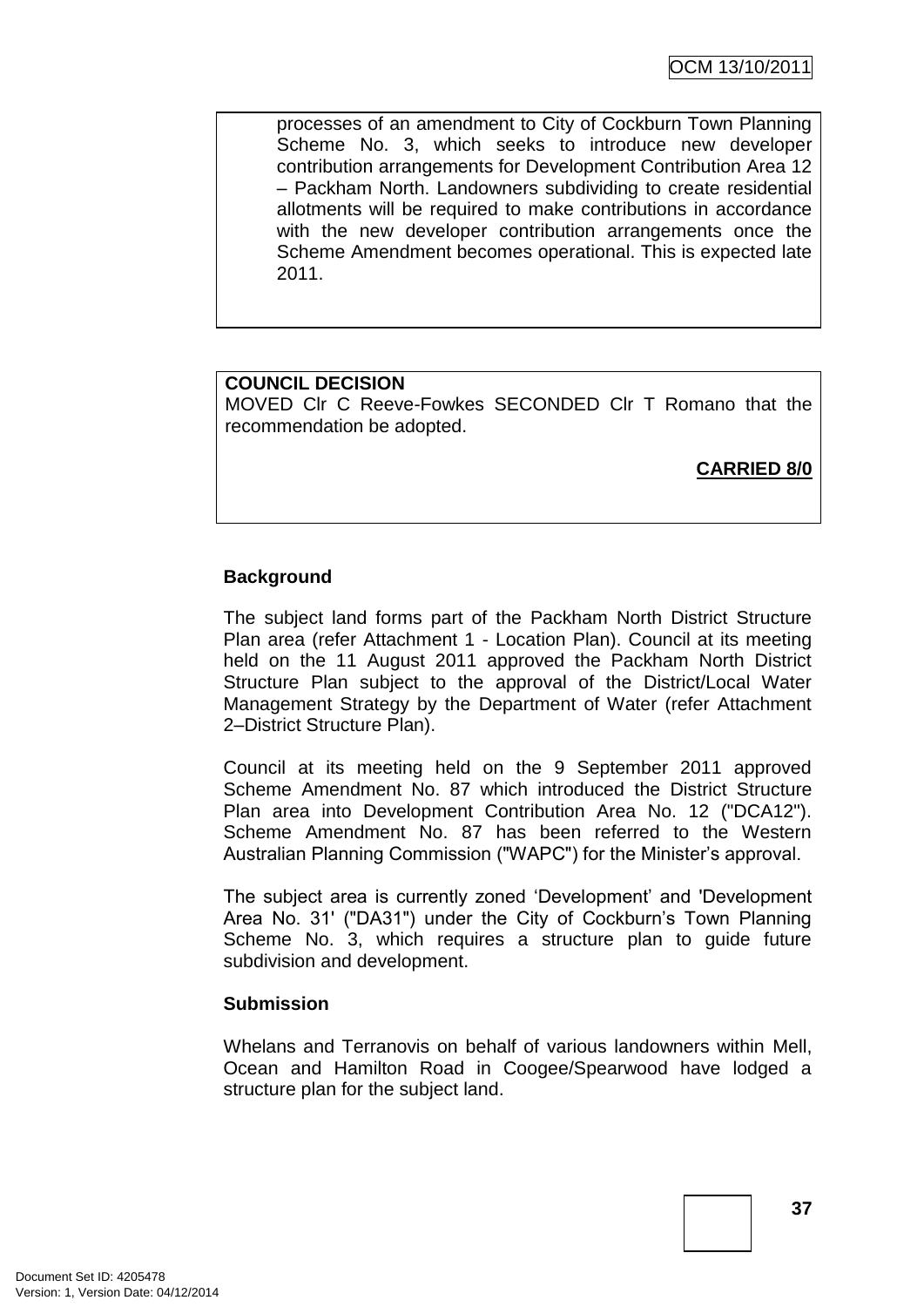processes of an amendment to City of Cockburn Town Planning Scheme No. 3, which seeks to introduce new developer contribution arrangements for Development Contribution Area 12 – Packham North. Landowners subdividing to create residential allotments will be required to make contributions in accordance with the new developer contribution arrangements once the Scheme Amendment becomes operational. This is expected late 2011.

#### **COUNCIL DECISION**

MOVED Clr C Reeve-Fowkes SECONDED Clr T Romano that the recommendation be adopted.

**CARRIED 8/0**

# **Background**

The subject land forms part of the Packham North District Structure Plan area (refer Attachment 1 - Location Plan). Council at its meeting held on the 11 August 2011 approved the Packham North District Structure Plan subject to the approval of the District/Local Water Management Strategy by the Department of Water (refer Attachment 2–District Structure Plan).

Council at its meeting held on the 9 September 2011 approved Scheme Amendment No. 87 which introduced the District Structure Plan area into Development Contribution Area No. 12 ("DCA12"). Scheme Amendment No. 87 has been referred to the Western Australian Planning Commission ("WAPC") for the Minister's approval.

The subject area is currently zoned "Development" and 'Development Area No. 31' ("DA31") under the City of Cockburn's Town Planning Scheme No. 3, which requires a structure plan to guide future subdivision and development.

#### **Submission**

Whelans and Terranovis on behalf of various landowners within Mell, Ocean and Hamilton Road in Coogee/Spearwood have lodged a structure plan for the subject land.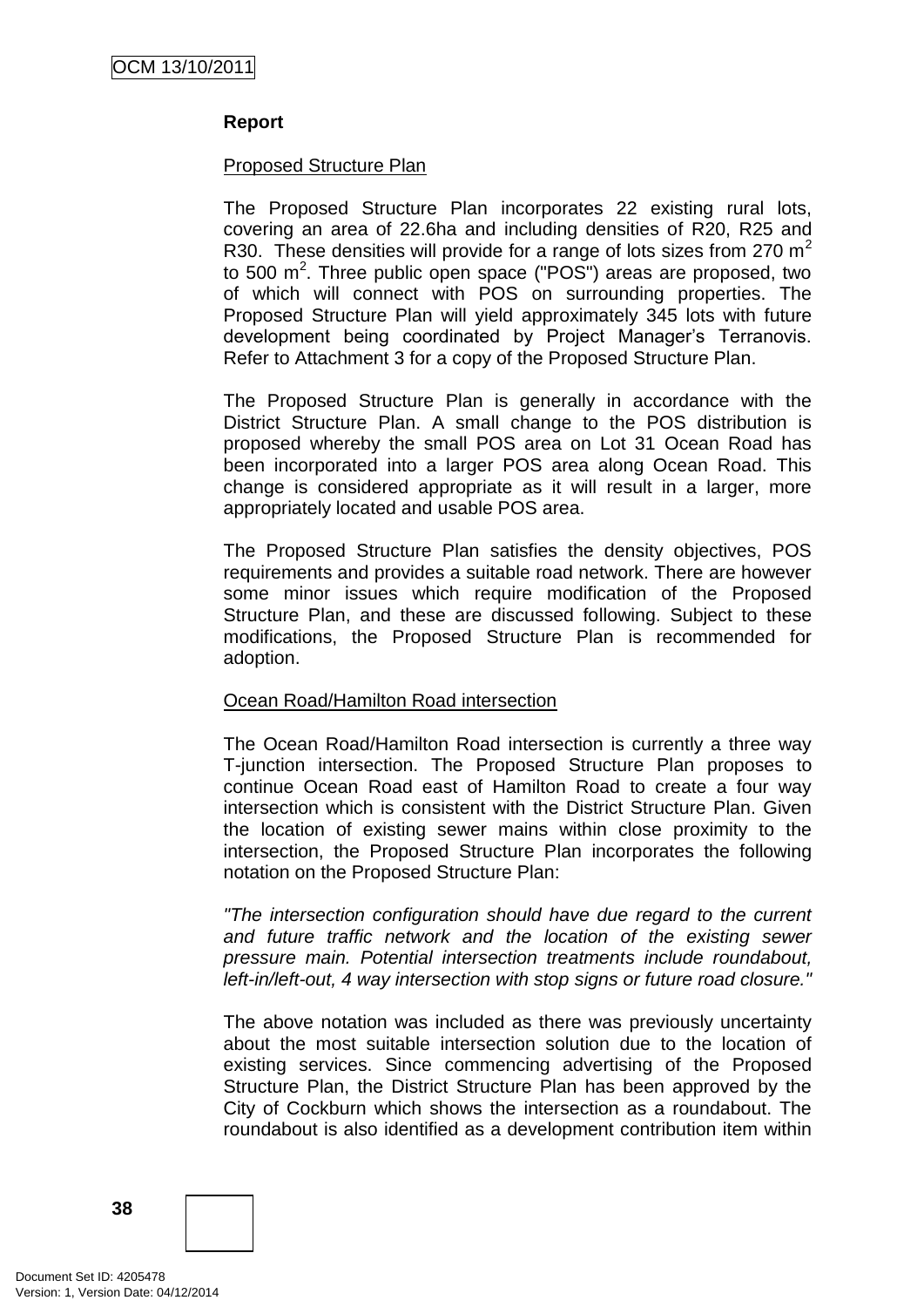# **Report**

#### Proposed Structure Plan

The Proposed Structure Plan incorporates 22 existing rural lots, covering an area of 22.6ha and including densities of R20, R25 and R30. These densities will provide for a range of lots sizes from 270  $m<sup>2</sup>$ to 500  $\text{m}^2$ . Three public open space ("POS") areas are proposed, two of which will connect with POS on surrounding properties. The Proposed Structure Plan will yield approximately 345 lots with future development being coordinated by Project Manager's Terranovis. Refer to Attachment 3 for a copy of the Proposed Structure Plan.

The Proposed Structure Plan is generally in accordance with the District Structure Plan. A small change to the POS distribution is proposed whereby the small POS area on Lot 31 Ocean Road has been incorporated into a larger POS area along Ocean Road. This change is considered appropriate as it will result in a larger, more appropriately located and usable POS area.

The Proposed Structure Plan satisfies the density objectives, POS requirements and provides a suitable road network. There are however some minor issues which require modification of the Proposed Structure Plan, and these are discussed following. Subject to these modifications, the Proposed Structure Plan is recommended for adoption.

#### Ocean Road/Hamilton Road intersection

The Ocean Road/Hamilton Road intersection is currently a three way T-junction intersection. The Proposed Structure Plan proposes to continue Ocean Road east of Hamilton Road to create a four way intersection which is consistent with the District Structure Plan. Given the location of existing sewer mains within close proximity to the intersection, the Proposed Structure Plan incorporates the following notation on the Proposed Structure Plan:

*"The intersection configuration should have due regard to the current and future traffic network and the location of the existing sewer pressure main. Potential intersection treatments include roundabout, left-in/left-out, 4 way intersection with stop signs or future road closure."*

The above notation was included as there was previously uncertainty about the most suitable intersection solution due to the location of existing services. Since commencing advertising of the Proposed Structure Plan, the District Structure Plan has been approved by the City of Cockburn which shows the intersection as a roundabout. The roundabout is also identified as a development contribution item within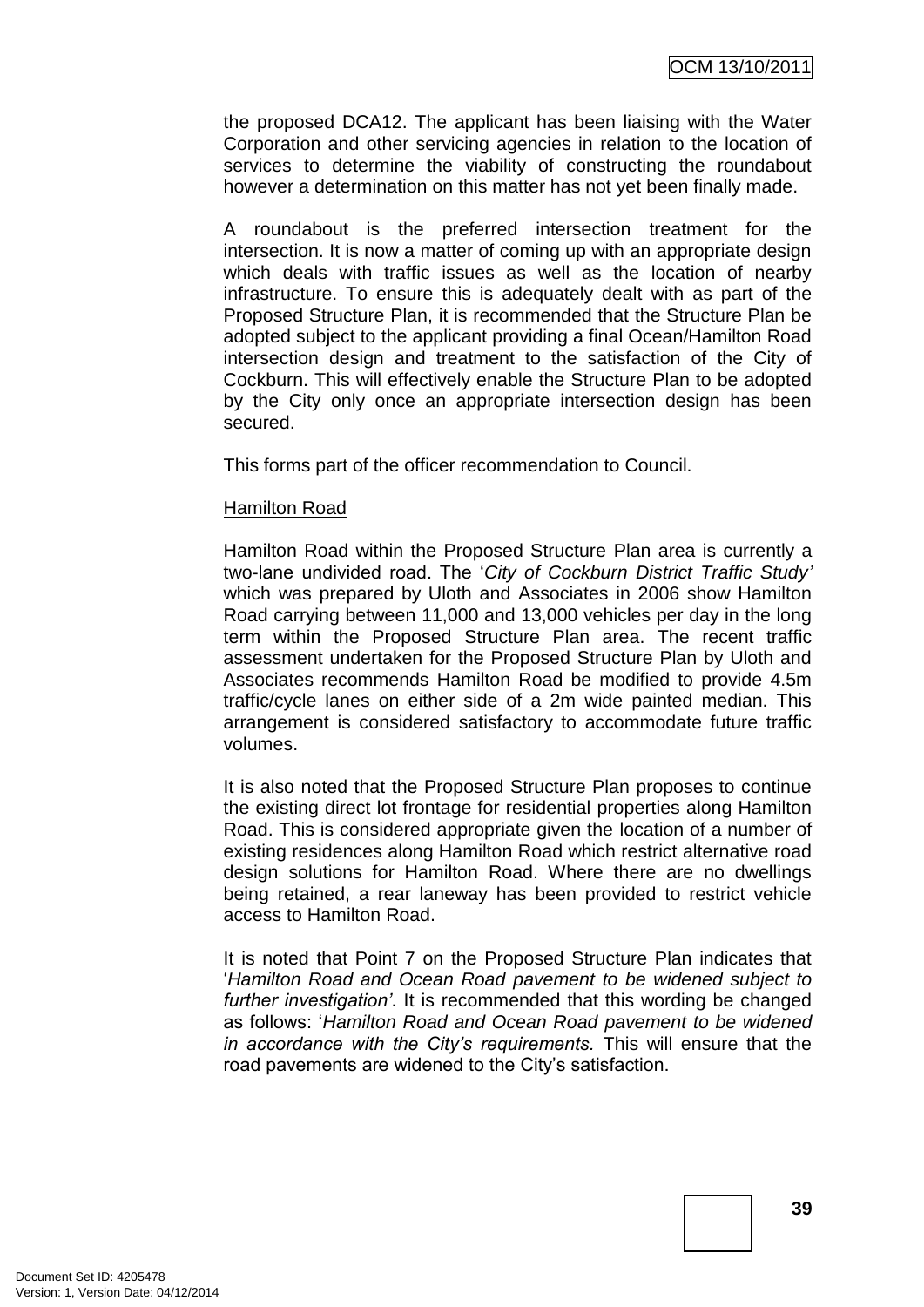the proposed DCA12. The applicant has been liaising with the Water Corporation and other servicing agencies in relation to the location of services to determine the viability of constructing the roundabout however a determination on this matter has not yet been finally made.

A roundabout is the preferred intersection treatment for the intersection. It is now a matter of coming up with an appropriate design which deals with traffic issues as well as the location of nearby infrastructure. To ensure this is adequately dealt with as part of the Proposed Structure Plan, it is recommended that the Structure Plan be adopted subject to the applicant providing a final Ocean/Hamilton Road intersection design and treatment to the satisfaction of the City of Cockburn. This will effectively enable the Structure Plan to be adopted by the City only once an appropriate intersection design has been secured.

This forms part of the officer recommendation to Council.

#### Hamilton Road

Hamilton Road within the Proposed Structure Plan area is currently a two-lane undivided road. The "*City of Cockburn District Traffic Study'* which was prepared by Uloth and Associates in 2006 show Hamilton Road carrying between 11,000 and 13,000 vehicles per day in the long term within the Proposed Structure Plan area. The recent traffic assessment undertaken for the Proposed Structure Plan by Uloth and Associates recommends Hamilton Road be modified to provide 4.5m traffic/cycle lanes on either side of a 2m wide painted median. This arrangement is considered satisfactory to accommodate future traffic volumes.

It is also noted that the Proposed Structure Plan proposes to continue the existing direct lot frontage for residential properties along Hamilton Road. This is considered appropriate given the location of a number of existing residences along Hamilton Road which restrict alternative road design solutions for Hamilton Road. Where there are no dwellings being retained, a rear laneway has been provided to restrict vehicle access to Hamilton Road.

It is noted that Point 7 on the Proposed Structure Plan indicates that "*Hamilton Road and Ocean Road pavement to be widened subject to further investigation'*. It is recommended that this wording be changed as follows: "*Hamilton Road and Ocean Road pavement to be widened in accordance with the City's requirements.* This will ensure that the road pavements are widened to the City"s satisfaction.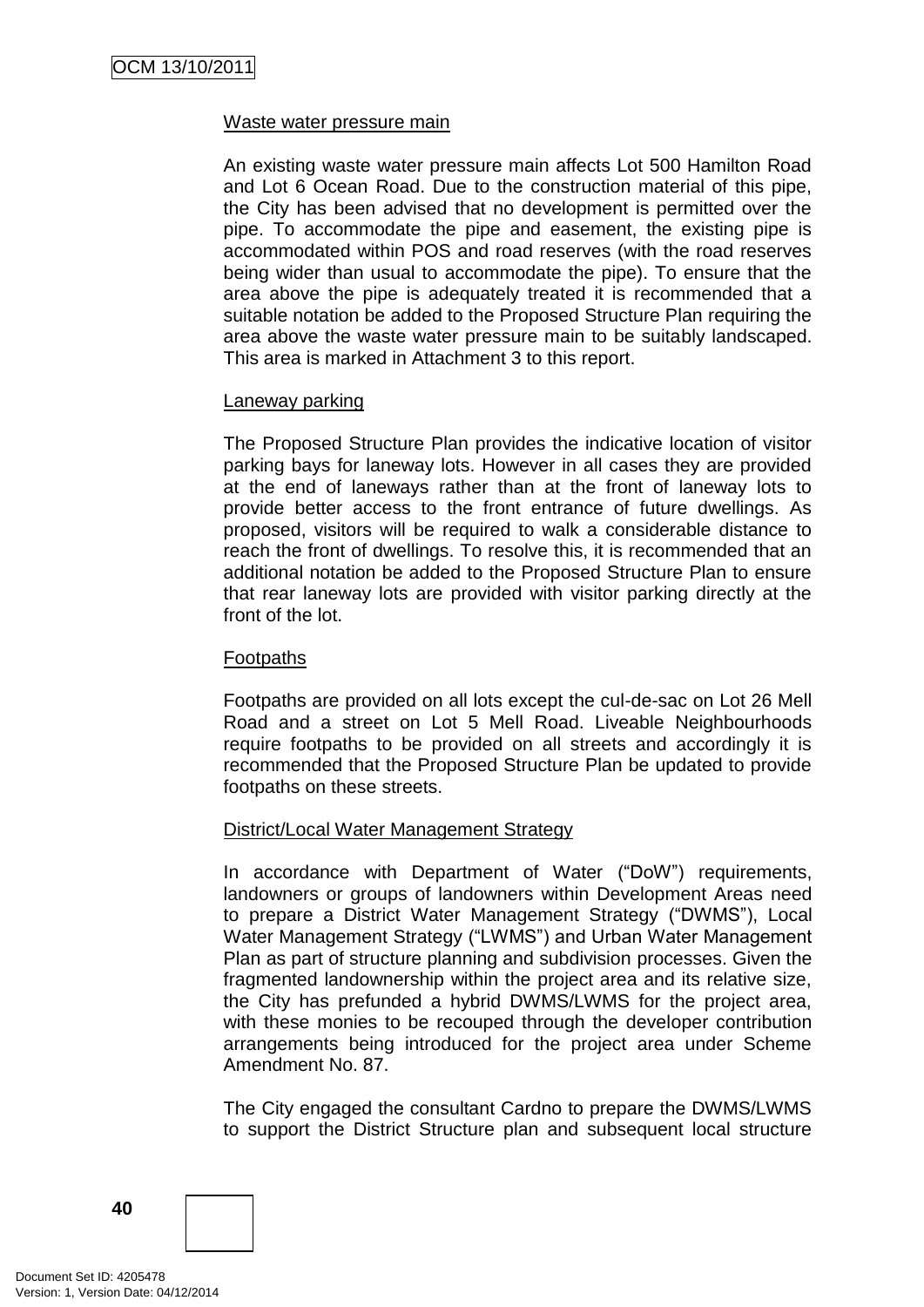#### Waste water pressure main

An existing waste water pressure main affects Lot 500 Hamilton Road and Lot 6 Ocean Road. Due to the construction material of this pipe, the City has been advised that no development is permitted over the pipe. To accommodate the pipe and easement, the existing pipe is accommodated within POS and road reserves (with the road reserves being wider than usual to accommodate the pipe). To ensure that the area above the pipe is adequately treated it is recommended that a suitable notation be added to the Proposed Structure Plan requiring the area above the waste water pressure main to be suitably landscaped. This area is marked in Attachment 3 to this report.

#### Laneway parking

The Proposed Structure Plan provides the indicative location of visitor parking bays for laneway lots. However in all cases they are provided at the end of laneways rather than at the front of laneway lots to provide better access to the front entrance of future dwellings. As proposed, visitors will be required to walk a considerable distance to reach the front of dwellings. To resolve this, it is recommended that an additional notation be added to the Proposed Structure Plan to ensure that rear laneway lots are provided with visitor parking directly at the front of the lot.

#### Footpaths

Footpaths are provided on all lots except the cul-de-sac on Lot 26 Mell Road and a street on Lot 5 Mell Road. Liveable Neighbourhoods require footpaths to be provided on all streets and accordingly it is recommended that the Proposed Structure Plan be updated to provide footpaths on these streets.

#### District/Local Water Management Strategy

In accordance with Department of Water ("DoW") requirements, landowners or groups of landowners within Development Areas need to prepare a District Water Management Strategy ("DWMS"), Local Water Management Strategy ("LWMS") and Urban Water Management Plan as part of structure planning and subdivision processes. Given the fragmented landownership within the project area and its relative size, the City has prefunded a hybrid DWMS/LWMS for the project area, with these monies to be recouped through the developer contribution arrangements being introduced for the project area under Scheme Amendment No. 87.

The City engaged the consultant Cardno to prepare the DWMS/LWMS to support the District Structure plan and subsequent local structure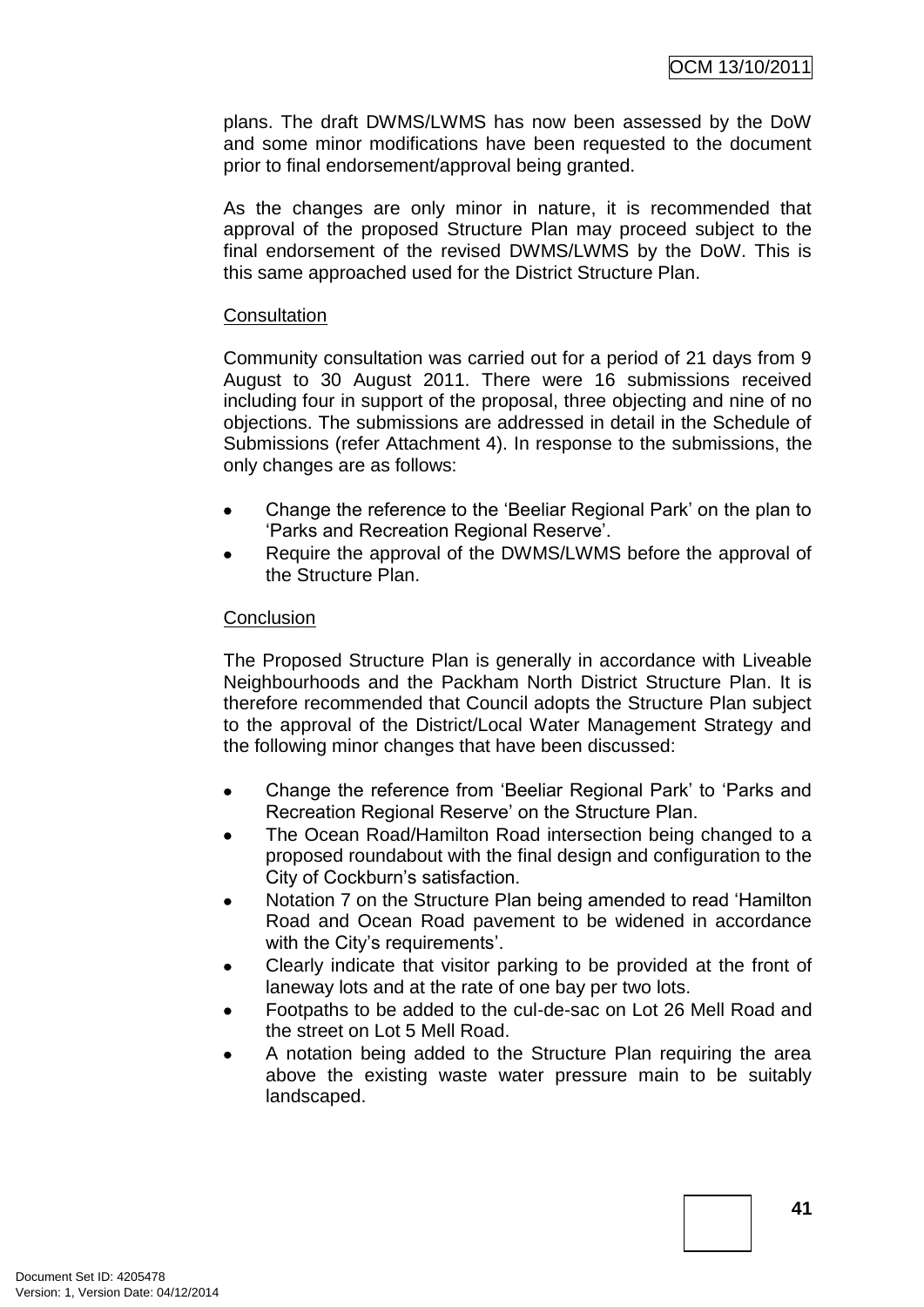plans. The draft DWMS/LWMS has now been assessed by the DoW and some minor modifications have been requested to the document prior to final endorsement/approval being granted.

As the changes are only minor in nature, it is recommended that approval of the proposed Structure Plan may proceed subject to the final endorsement of the revised DWMS/LWMS by the DoW. This is this same approached used for the District Structure Plan.

#### **Consultation**

Community consultation was carried out for a period of 21 days from 9 August to 30 August 2011. There were 16 submissions received including four in support of the proposal, three objecting and nine of no objections. The submissions are addressed in detail in the Schedule of Submissions (refer Attachment 4). In response to the submissions, the only changes are as follows:

- Change the reference to the "Beeliar Regional Park" on the plan to "Parks and Recreation Regional Reserve".
- Require the approval of the DWMS/LWMS before the approval of the Structure Plan.

#### **Conclusion**

The Proposed Structure Plan is generally in accordance with Liveable Neighbourhoods and the Packham North District Structure Plan. It is therefore recommended that Council adopts the Structure Plan subject to the approval of the District/Local Water Management Strategy and the following minor changes that have been discussed:

- Change the reference from "Beeliar Regional Park" to "Parks and Recreation Regional Reserve' on the Structure Plan.
- The Ocean Road/Hamilton Road intersection being changed to a  $\bullet$ proposed roundabout with the final design and configuration to the City of Cockburn"s satisfaction.
- Notation 7 on the Structure Plan being amended to read "Hamilton  $\bullet$ Road and Ocean Road pavement to be widened in accordance with the City's requirements'.
- Clearly indicate that visitor parking to be provided at the front of laneway lots and at the rate of one bay per two lots.
- Footpaths to be added to the cul-de-sac on Lot 26 Mell Road and the street on Lot 5 Mell Road.
- A notation being added to the Structure Plan requiring the area above the existing waste water pressure main to be suitably landscaped.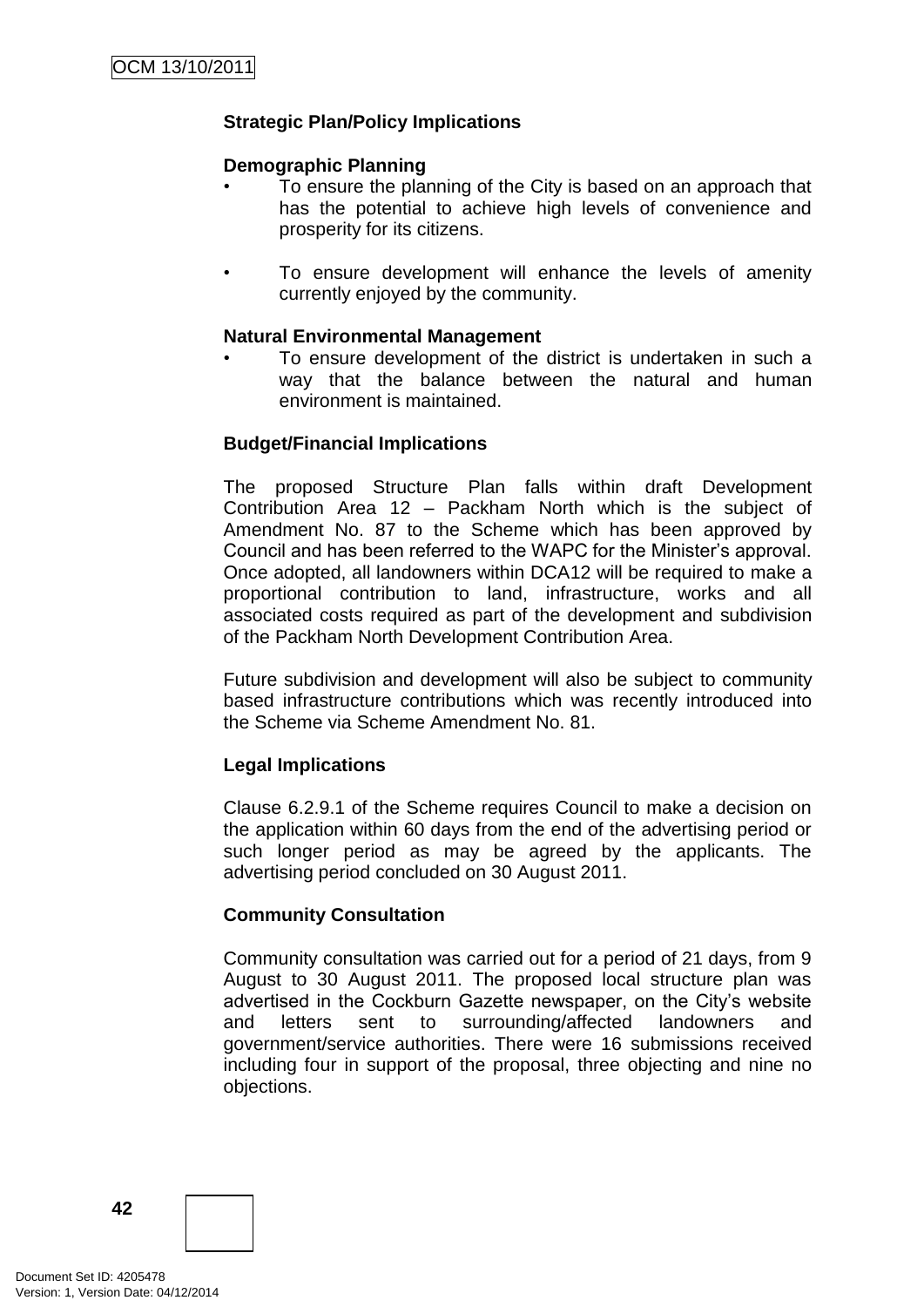# **Strategic Plan/Policy Implications**

#### **Demographic Planning**

- To ensure the planning of the City is based on an approach that has the potential to achieve high levels of convenience and prosperity for its citizens.
- To ensure development will enhance the levels of amenity currently enjoyed by the community.

#### **Natural Environmental Management**

To ensure development of the district is undertaken in such a way that the balance between the natural and human environment is maintained.

#### **Budget/Financial Implications**

The proposed Structure Plan falls within draft Development Contribution Area 12 – Packham North which is the subject of Amendment No. 87 to the Scheme which has been approved by Council and has been referred to the WAPC for the Minister"s approval. Once adopted, all landowners within DCA12 will be required to make a proportional contribution to land, infrastructure, works and all associated costs required as part of the development and subdivision of the Packham North Development Contribution Area.

Future subdivision and development will also be subject to community based infrastructure contributions which was recently introduced into the Scheme via Scheme Amendment No. 81.

#### **Legal Implications**

Clause 6.2.9.1 of the Scheme requires Council to make a decision on the application within 60 days from the end of the advertising period or such longer period as may be agreed by the applicants. The advertising period concluded on 30 August 2011.

#### **Community Consultation**

Community consultation was carried out for a period of 21 days, from 9 August to 30 August 2011. The proposed local structure plan was advertised in the Cockburn Gazette newspaper, on the City"s website and letters sent to surrounding/affected landowners and government/service authorities. There were 16 submissions received including four in support of the proposal, three objecting and nine no objections.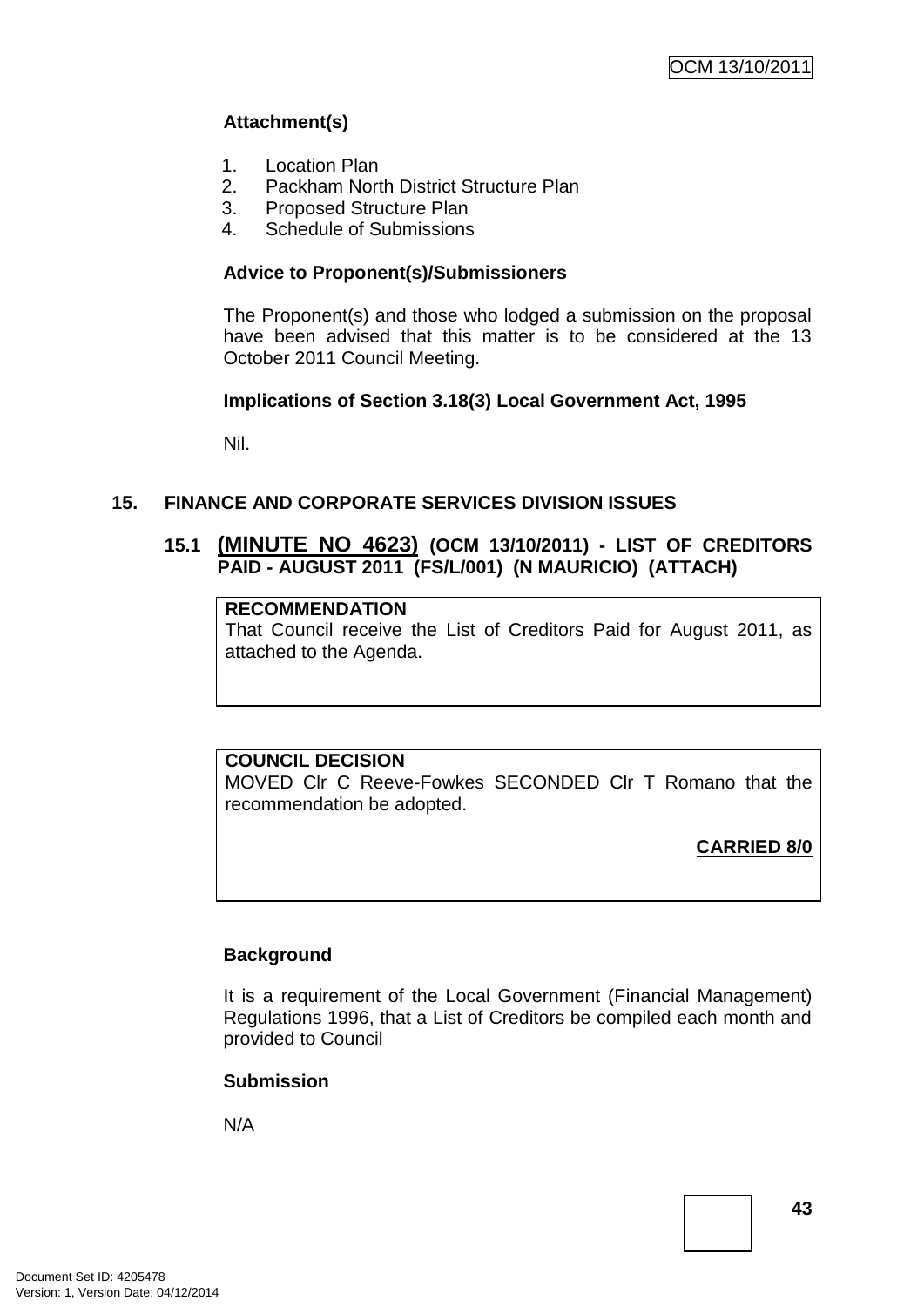# **Attachment(s)**

- 1. Location Plan
- 2. Packham North District Structure Plan
- 3. Proposed Structure Plan
- 4. Schedule of Submissions

### **Advice to Proponent(s)/Submissioners**

The Proponent(s) and those who lodged a submission on the proposal have been advised that this matter is to be considered at the 13 October 2011 Council Meeting.

### **Implications of Section 3.18(3) Local Government Act, 1995**

Nil.

# **15. FINANCE AND CORPORATE SERVICES DIVISION ISSUES**

### **15.1 (MINUTE NO 4623) (OCM 13/10/2011) - LIST OF CREDITORS PAID - AUGUST 2011 (FS/L/001) (N MAURICIO) (ATTACH)**

# **RECOMMENDATION**

That Council receive the List of Creditors Paid for August 2011, as attached to the Agenda.

# **COUNCIL DECISION**

MOVED Clr C Reeve-Fowkes SECONDED Clr T Romano that the recommendation be adopted.

**CARRIED 8/0**

# **Background**

It is a requirement of the Local Government (Financial Management) Regulations 1996, that a List of Creditors be compiled each month and provided to Council

#### **Submission**

N/A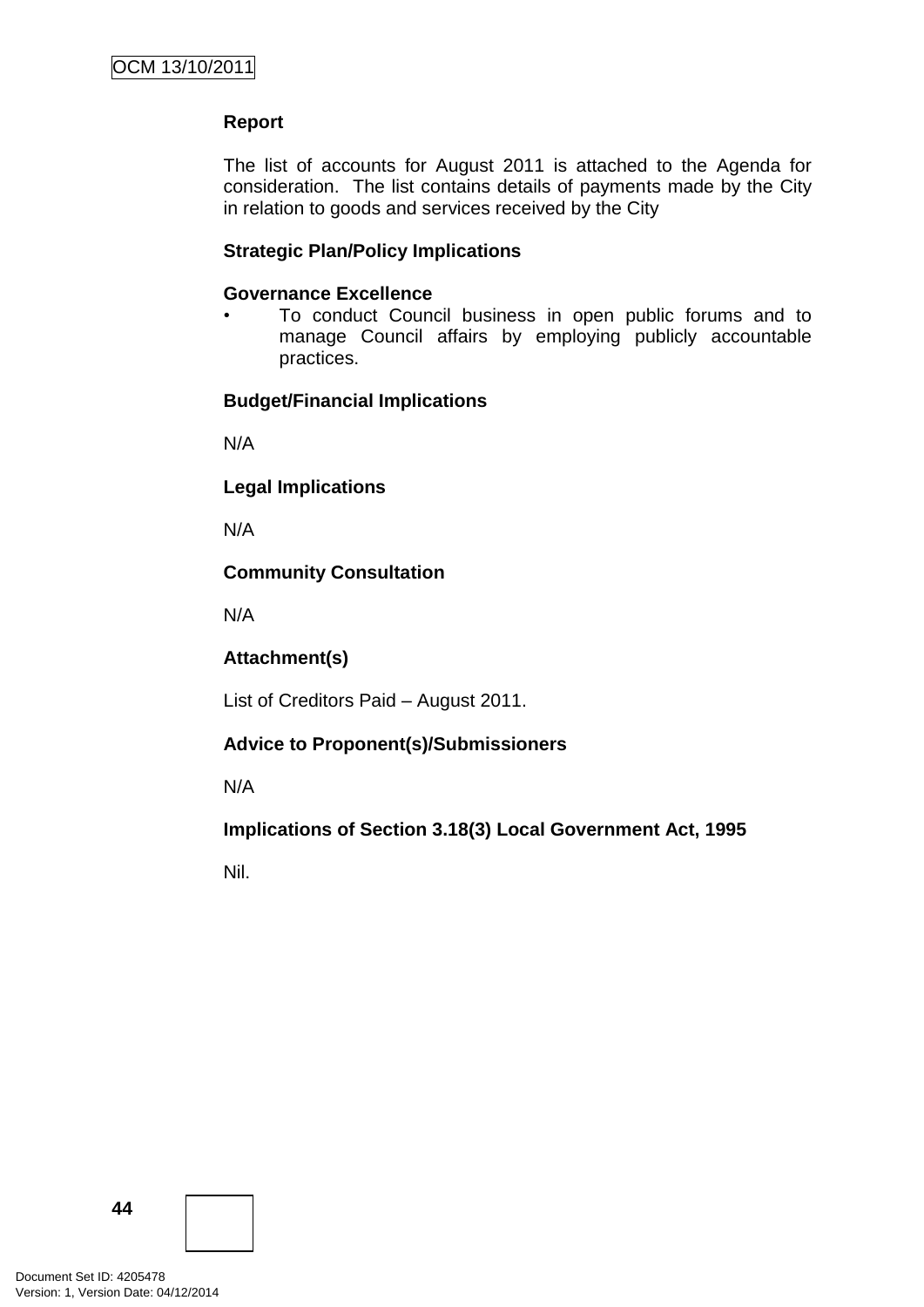# **Report**

The list of accounts for August 2011 is attached to the Agenda for consideration. The list contains details of payments made by the City in relation to goods and services received by the City

### **Strategic Plan/Policy Implications**

#### **Governance Excellence**

• To conduct Council business in open public forums and to manage Council affairs by employing publicly accountable practices.

### **Budget/Financial Implications**

N/A

**Legal Implications**

N/A

# **Community Consultation**

N/A

**Attachment(s)**

List of Creditors Paid – August 2011.

# **Advice to Proponent(s)/Submissioners**

N/A

**Implications of Section 3.18(3) Local Government Act, 1995**

Nil.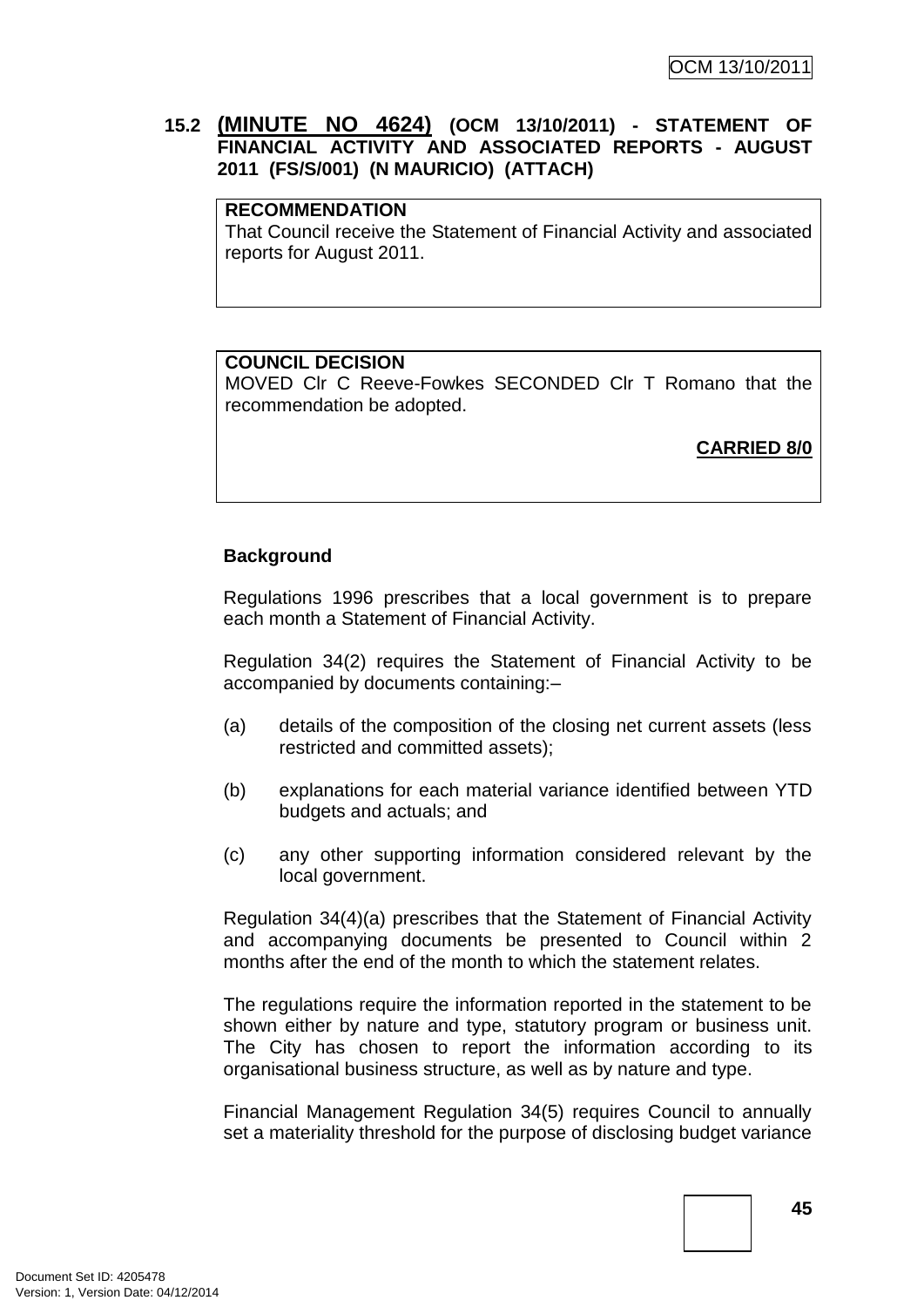# **15.2 (MINUTE NO 4624) (OCM 13/10/2011) - STATEMENT OF FINANCIAL ACTIVITY AND ASSOCIATED REPORTS - AUGUST 2011 (FS/S/001) (N MAURICIO) (ATTACH)**

#### **RECOMMENDATION**

That Council receive the Statement of Financial Activity and associated reports for August 2011.

### **COUNCIL DECISION**

MOVED Clr C Reeve-Fowkes SECONDED Clr T Romano that the recommendation be adopted.

**CARRIED 8/0**

### **Background**

Regulations 1996 prescribes that a local government is to prepare each month a Statement of Financial Activity.

Regulation 34(2) requires the Statement of Financial Activity to be accompanied by documents containing:–

- (a) details of the composition of the closing net current assets (less restricted and committed assets);
- (b) explanations for each material variance identified between YTD budgets and actuals; and
- (c) any other supporting information considered relevant by the local government.

Regulation 34(4)(a) prescribes that the Statement of Financial Activity and accompanying documents be presented to Council within 2 months after the end of the month to which the statement relates.

The regulations require the information reported in the statement to be shown either by nature and type, statutory program or business unit. The City has chosen to report the information according to its organisational business structure, as well as by nature and type.

Financial Management Regulation 34(5) requires Council to annually set a materiality threshold for the purpose of disclosing budget variance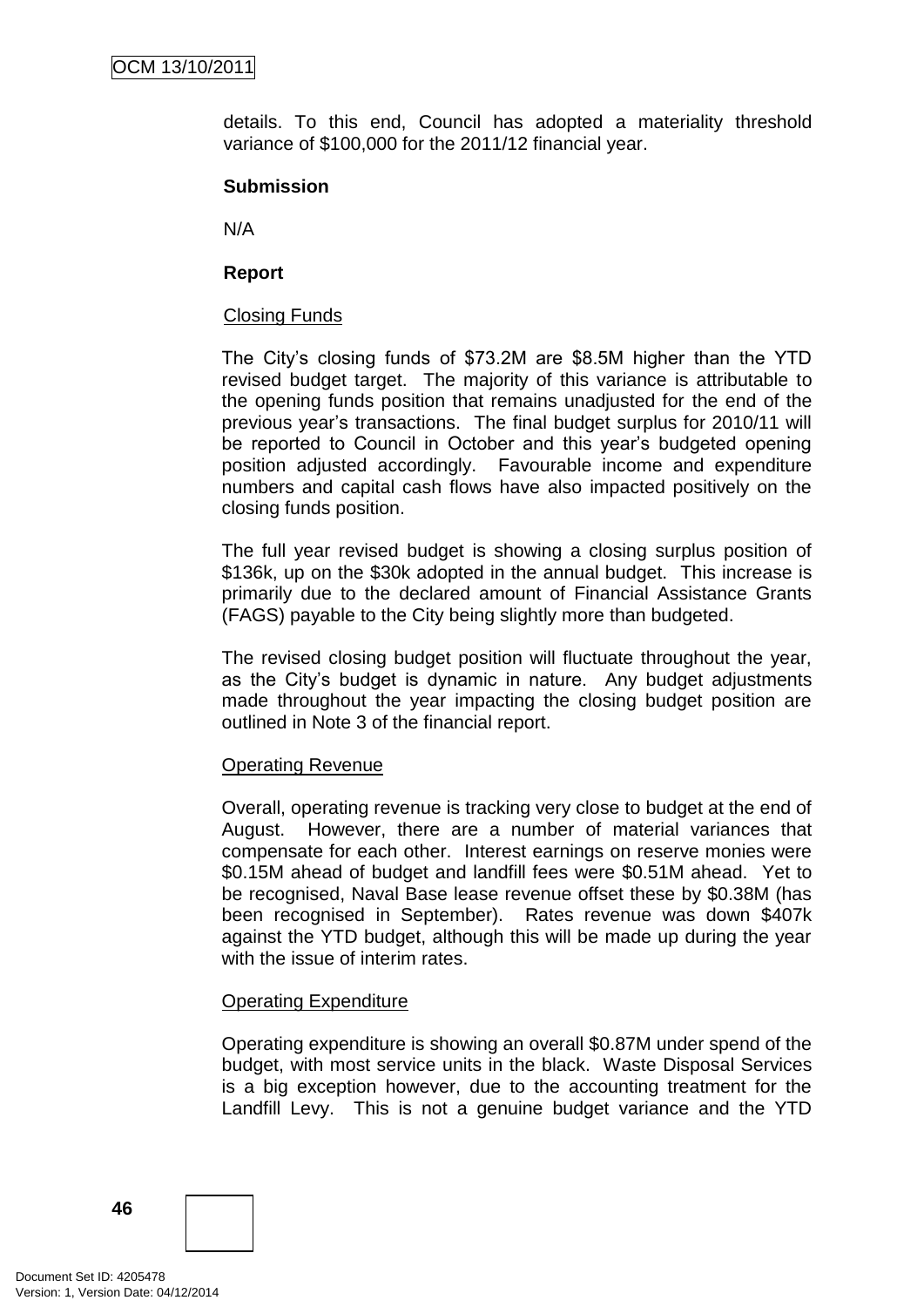details. To this end, Council has adopted a materiality threshold variance of \$100,000 for the 2011/12 financial year.

### **Submission**

N/A

### **Report**

### Closing Funds

The City"s closing funds of \$73.2M are \$8.5M higher than the YTD revised budget target. The majority of this variance is attributable to the opening funds position that remains unadjusted for the end of the previous year"s transactions. The final budget surplus for 2010/11 will be reported to Council in October and this year's budgeted opening position adjusted accordingly. Favourable income and expenditure numbers and capital cash flows have also impacted positively on the closing funds position.

The full year revised budget is showing a closing surplus position of \$136k, up on the \$30k adopted in the annual budget. This increase is primarily due to the declared amount of Financial Assistance Grants (FAGS) payable to the City being slightly more than budgeted.

The revised closing budget position will fluctuate throughout the year, as the City"s budget is dynamic in nature. Any budget adjustments made throughout the year impacting the closing budget position are outlined in Note 3 of the financial report.

#### Operating Revenue

Overall, operating revenue is tracking very close to budget at the end of August. However, there are a number of material variances that compensate for each other. Interest earnings on reserve monies were \$0.15M ahead of budget and landfill fees were \$0.51M ahead. Yet to be recognised, Naval Base lease revenue offset these by \$0.38M (has been recognised in September). Rates revenue was down \$407k against the YTD budget, although this will be made up during the year with the issue of interim rates.

#### Operating Expenditure

Operating expenditure is showing an overall \$0.87M under spend of the budget, with most service units in the black. Waste Disposal Services is a big exception however, due to the accounting treatment for the Landfill Levy. This is not a genuine budget variance and the YTD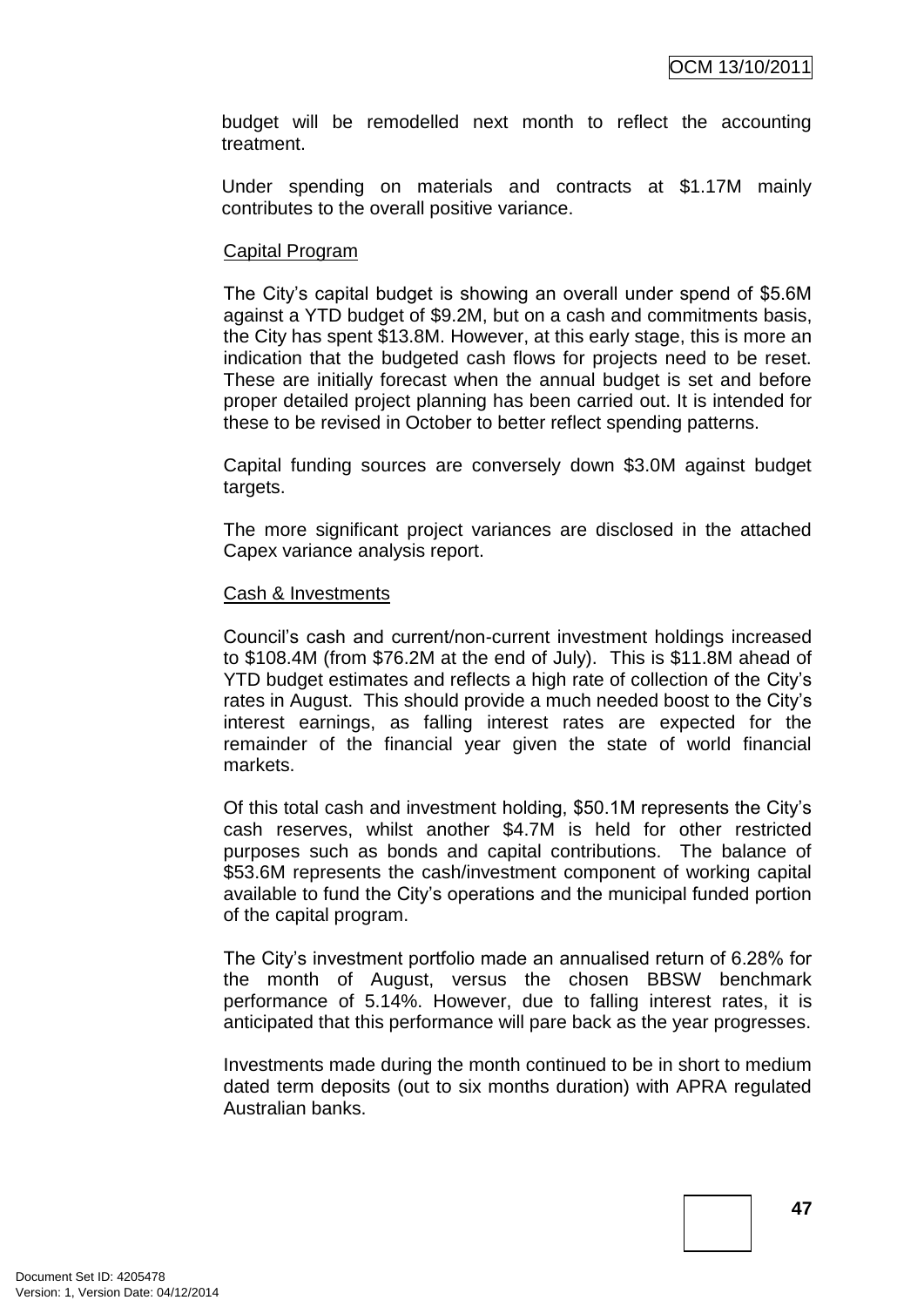budget will be remodelled next month to reflect the accounting treatment.

Under spending on materials and contracts at \$1.17M mainly contributes to the overall positive variance.

#### Capital Program

The City"s capital budget is showing an overall under spend of \$5.6M against a YTD budget of \$9.2M, but on a cash and commitments basis, the City has spent \$13.8M. However, at this early stage, this is more an indication that the budgeted cash flows for projects need to be reset. These are initially forecast when the annual budget is set and before proper detailed project planning has been carried out. It is intended for these to be revised in October to better reflect spending patterns.

Capital funding sources are conversely down \$3.0M against budget targets.

The more significant project variances are disclosed in the attached Capex variance analysis report.

#### Cash & Investments

Council"s cash and current/non-current investment holdings increased to \$108.4M (from \$76.2M at the end of July). This is \$11.8M ahead of YTD budget estimates and reflects a high rate of collection of the City"s rates in August. This should provide a much needed boost to the City"s interest earnings, as falling interest rates are expected for the remainder of the financial year given the state of world financial markets.

Of this total cash and investment holding, \$50.1M represents the City"s cash reserves, whilst another \$4.7M is held for other restricted purposes such as bonds and capital contributions. The balance of \$53.6M represents the cash/investment component of working capital available to fund the City"s operations and the municipal funded portion of the capital program.

The City"s investment portfolio made an annualised return of 6.28% for the month of August, versus the chosen BBSW benchmark performance of 5.14%. However, due to falling interest rates, it is anticipated that this performance will pare back as the year progresses.

Investments made during the month continued to be in short to medium dated term deposits (out to six months duration) with APRA regulated Australian banks.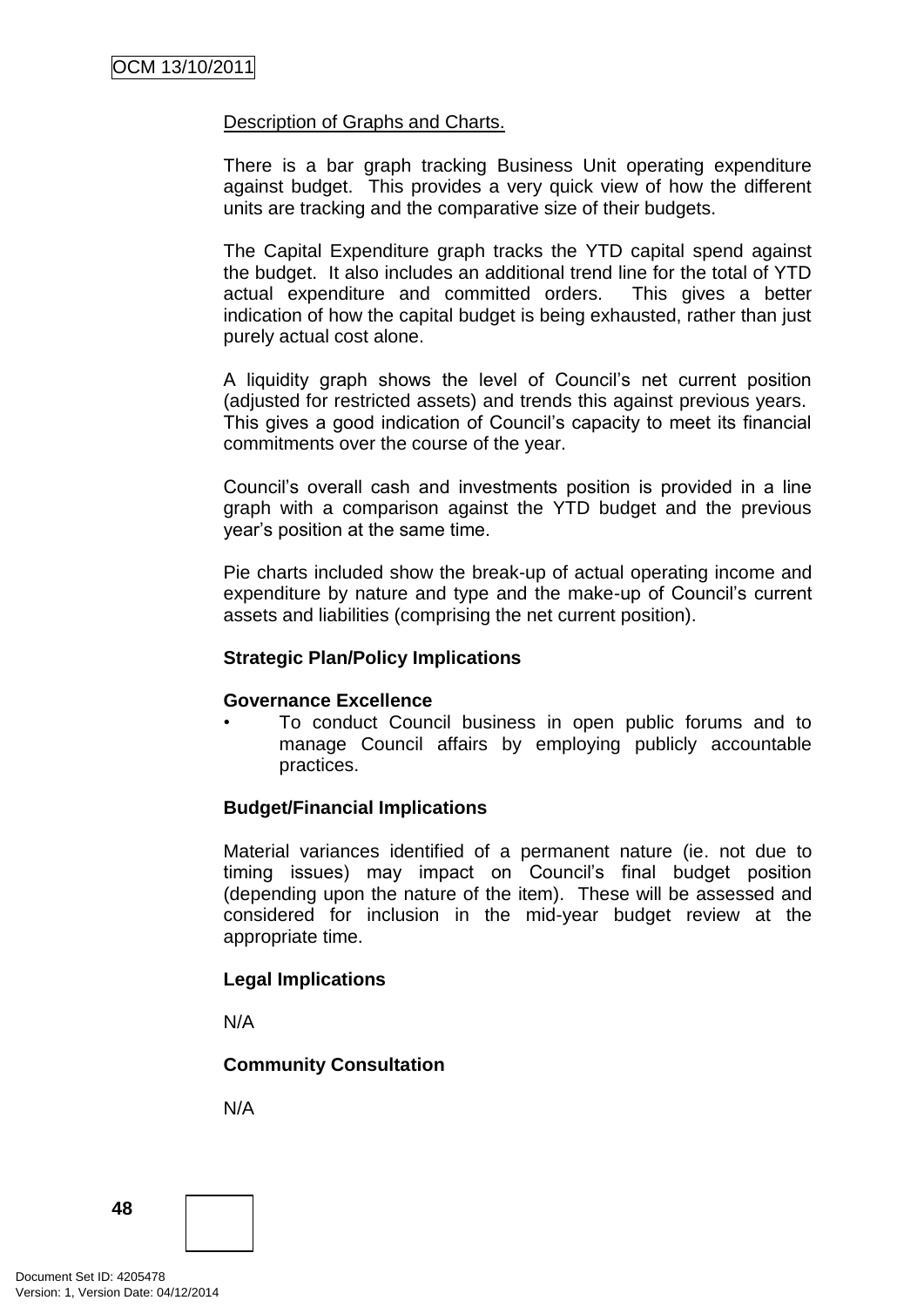### Description of Graphs and Charts.

There is a bar graph tracking Business Unit operating expenditure against budget. This provides a very quick view of how the different units are tracking and the comparative size of their budgets.

The Capital Expenditure graph tracks the YTD capital spend against the budget. It also includes an additional trend line for the total of YTD actual expenditure and committed orders. This gives a better indication of how the capital budget is being exhausted, rather than just purely actual cost alone.

A liquidity graph shows the level of Council"s net current position (adjusted for restricted assets) and trends this against previous years. This gives a good indication of Council"s capacity to meet its financial commitments over the course of the year.

Council"s overall cash and investments position is provided in a line graph with a comparison against the YTD budget and the previous year"s position at the same time.

Pie charts included show the break-up of actual operating income and expenditure by nature and type and the make-up of Council"s current assets and liabilities (comprising the net current position).

#### **Strategic Plan/Policy Implications**

#### **Governance Excellence**

• To conduct Council business in open public forums and to manage Council affairs by employing publicly accountable practices.

#### **Budget/Financial Implications**

Material variances identified of a permanent nature (ie. not due to timing issues) may impact on Council"s final budget position (depending upon the nature of the item). These will be assessed and considered for inclusion in the mid-year budget review at the appropriate time.

#### **Legal Implications**

N/A

# **Community Consultation**

N/A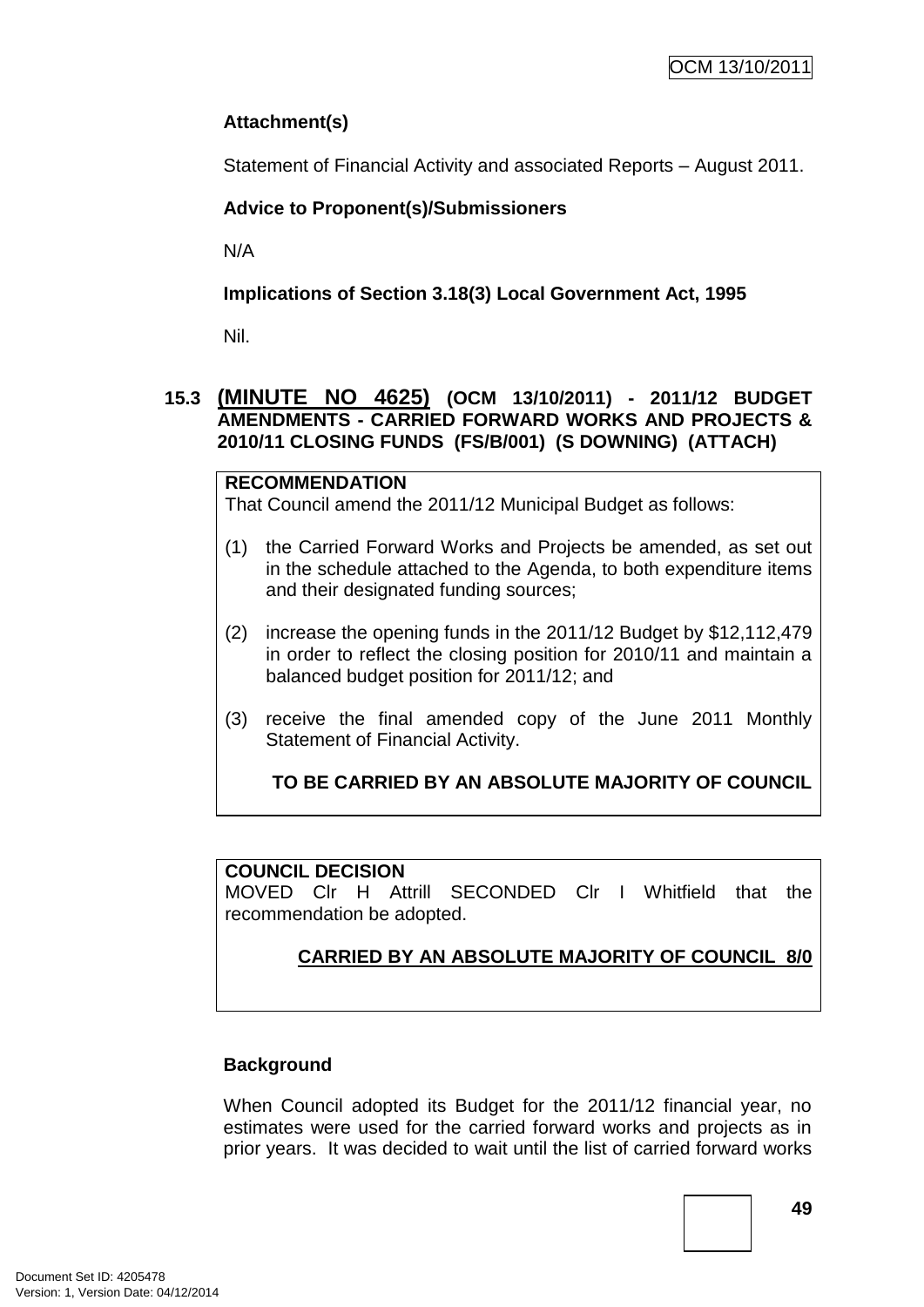# **Attachment(s)**

Statement of Financial Activity and associated Reports – August 2011.

# **Advice to Proponent(s)/Submissioners**

N/A

# **Implications of Section 3.18(3) Local Government Act, 1995**

Nil.

# **15.3 (MINUTE NO 4625) (OCM 13/10/2011) - 2011/12 BUDGET AMENDMENTS - CARRIED FORWARD WORKS AND PROJECTS & 2010/11 CLOSING FUNDS (FS/B/001) (S DOWNING) (ATTACH)**

# **RECOMMENDATION**

That Council amend the 2011/12 Municipal Budget as follows:

- (1) the Carried Forward Works and Projects be amended, as set out in the schedule attached to the Agenda, to both expenditure items and their designated funding sources;
- (2) increase the opening funds in the 2011/12 Budget by \$12,112,479 in order to reflect the closing position for 2010/11 and maintain a balanced budget position for 2011/12; and
- (3) receive the final amended copy of the June 2011 Monthly Statement of Financial Activity.

**TO BE CARRIED BY AN ABSOLUTE MAJORITY OF COUNCIL**

# **COUNCIL DECISION**

MOVED Clr H Attrill SECONDED Clr I Whitfield that the recommendation be adopted.

# **CARRIED BY AN ABSOLUTE MAJORITY OF COUNCIL 8/0**

# **Background**

When Council adopted its Budget for the 2011/12 financial year, no estimates were used for the carried forward works and projects as in prior years. It was decided to wait until the list of carried forward works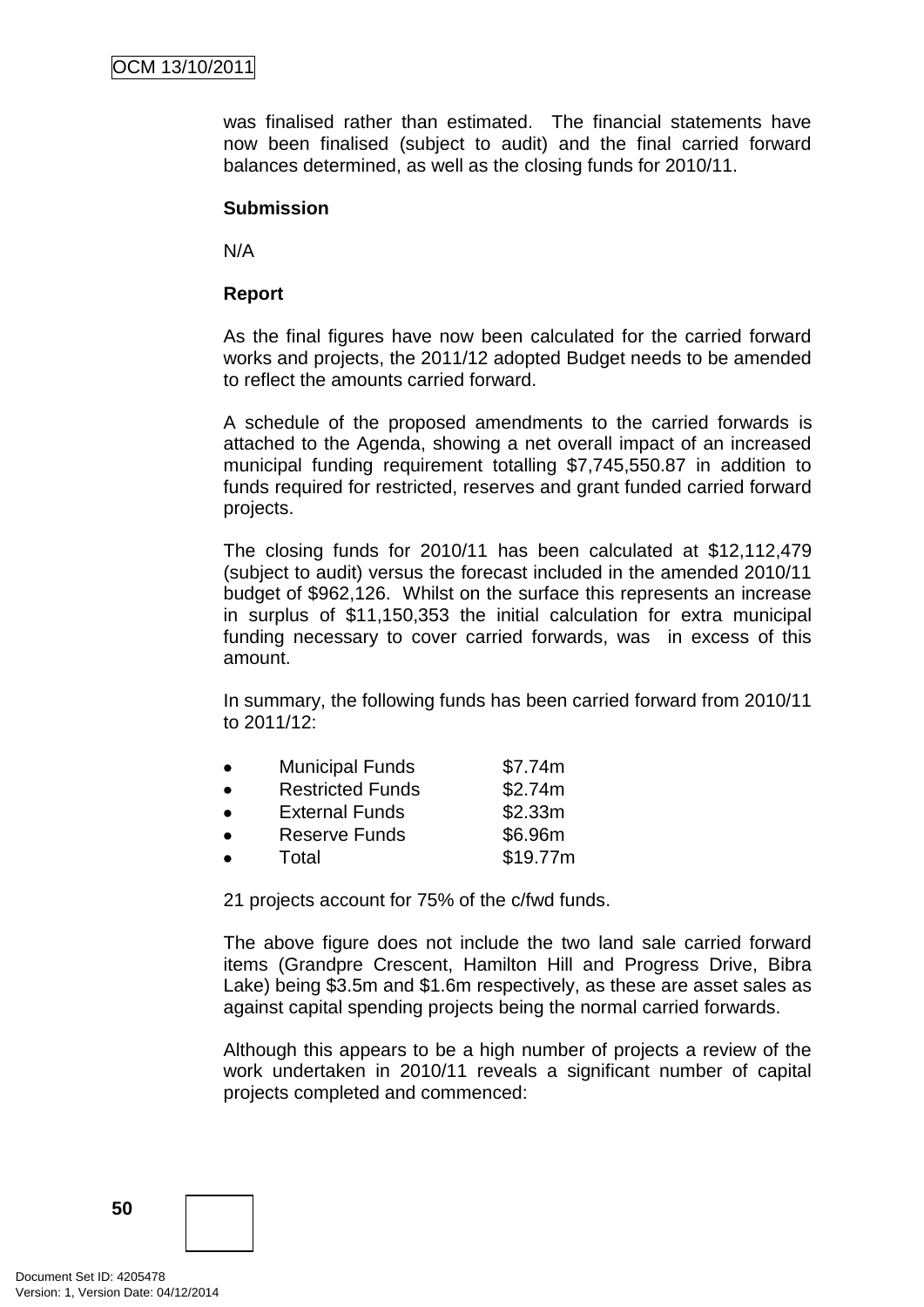was finalised rather than estimated. The financial statements have now been finalised (subject to audit) and the final carried forward balances determined, as well as the closing funds for 2010/11.

#### **Submission**

N/A

#### **Report**

As the final figures have now been calculated for the carried forward works and projects, the 2011/12 adopted Budget needs to be amended to reflect the amounts carried forward.

A schedule of the proposed amendments to the carried forwards is attached to the Agenda, showing a net overall impact of an increased municipal funding requirement totalling \$7,745,550.87 in addition to funds required for restricted, reserves and grant funded carried forward projects.

The closing funds for 2010/11 has been calculated at \$12,112,479 (subject to audit) versus the forecast included in the amended 2010/11 budget of \$962,126. Whilst on the surface this represents an increase in surplus of \$11,150,353 the initial calculation for extra municipal funding necessary to cover carried forwards, was in excess of this amount.

In summary, the following funds has been carried forward from 2010/11 to 2011/12:

|           | <b>Municipal Funds</b>  | \$7.74m |
|-----------|-------------------------|---------|
|           | <b>Restricted Funds</b> | \$2.74m |
| $\bullet$ | <b>External Funds</b>   | \$2.33m |
|           | <b>Reserve Funds</b>    | \$6.96m |

Total \$19.77m

21 projects account for 75% of the c/fwd funds.

The above figure does not include the two land sale carried forward items (Grandpre Crescent, Hamilton Hill and Progress Drive, Bibra Lake) being \$3.5m and \$1.6m respectively, as these are asset sales as against capital spending projects being the normal carried forwards.

Although this appears to be a high number of projects a review of the work undertaken in 2010/11 reveals a significant number of capital projects completed and commenced: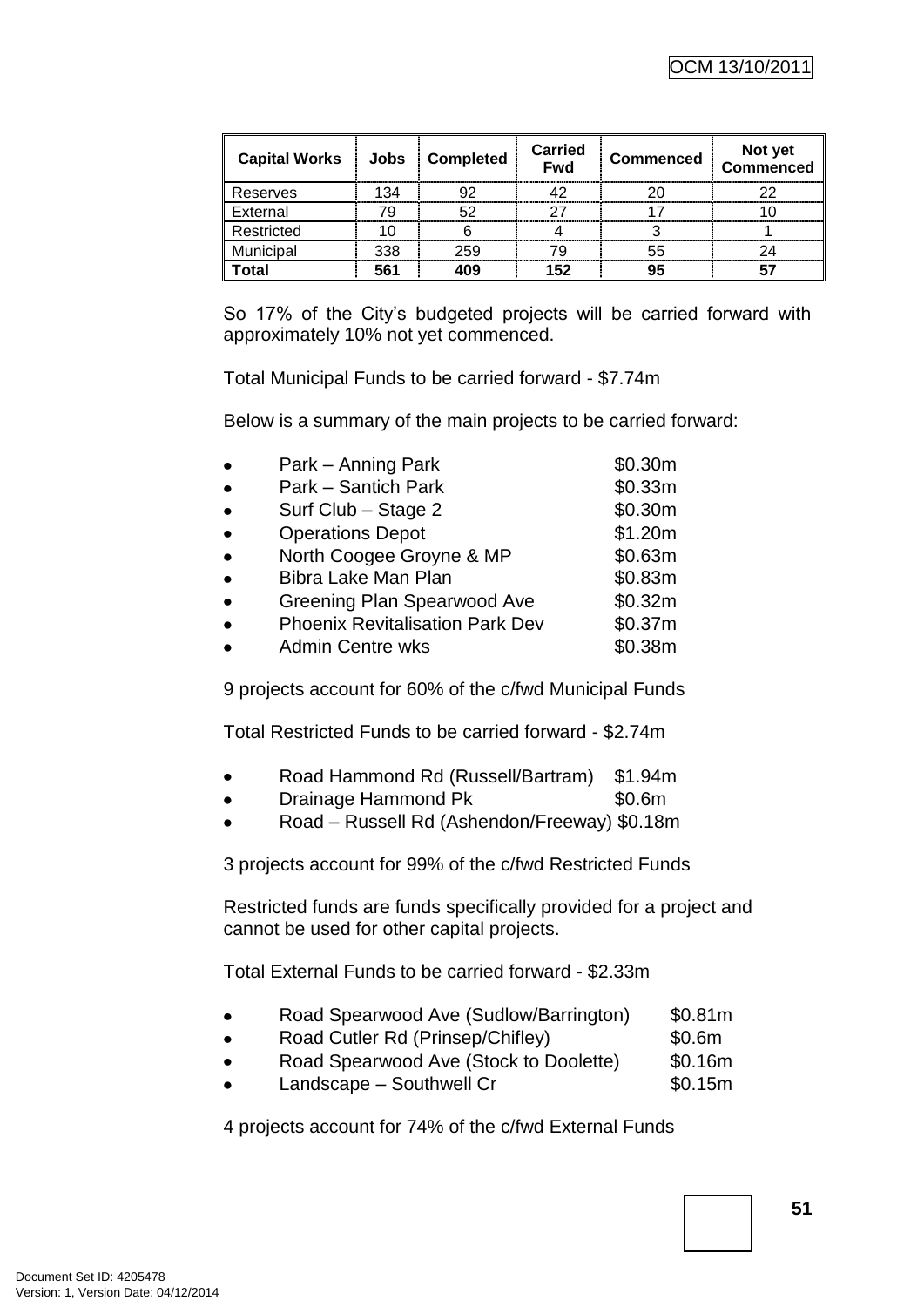| <b>Capital Works</b> | Jobs | <b>Completed</b> | <b>Carried</b><br><b>Fwd</b> | Commenced | Not yet<br>Commenced |
|----------------------|------|------------------|------------------------------|-----------|----------------------|
| Reserves             | 134  |                  |                              |           |                      |
| External             |      |                  |                              |           |                      |
| Restricted           |      |                  |                              |           |                      |
| Municipal            | 338  | 259              |                              | 55        |                      |
| ⊺otal                | 561  | .ng              | 152                          |           |                      |

So 17% of the City"s budgeted projects will be carried forward with approximately 10% not yet commenced.

Total Municipal Funds to be carried forward - \$7.74m

Below is a summary of the main projects to be carried forward:

| $\bullet$ | Park - Anning Park                     | \$0.30m |
|-----------|----------------------------------------|---------|
| $\bullet$ | Park - Santich Park                    | \$0.33m |
| $\bullet$ | Surf Club - Stage 2                    | \$0.30m |
| $\bullet$ | <b>Operations Depot</b>                | \$1.20m |
| $\bullet$ | North Coogee Groyne & MP               | \$0.63m |
| $\bullet$ | <b>Bibra Lake Man Plan</b>             | \$0.83m |
|           | <b>Greening Plan Spearwood Ave</b>     | \$0.32m |
|           | <b>Phoenix Revitalisation Park Dev</b> | \$0.37m |
|           | <b>Admin Centre wks</b>                | \$0.38m |
|           |                                        |         |

9 projects account for 60% of the c/fwd Municipal Funds

Total Restricted Funds to be carried forward - \$2.74m

- Road Hammond Rd (Russell/Bartram) \$1.94m  $\bullet$
- Drainage Hammond Pk \$0.6m
- Road Russell Rd (Ashendon/Freeway) \$0.18m

3 projects account for 99% of the c/fwd Restricted Funds

Restricted funds are funds specifically provided for a project and cannot be used for other capital projects.

Total External Funds to be carried forward - \$2.33m

- Road Spearwood Ave (Sudlow/Barrington) \$0.81m  $\bullet$
- Road Cutler Rd (Prinsep/Chifley) \$0.6m  $\bullet$
- Road Spearwood Ave (Stock to Doolette) \$0.16m
- Landscape Southwell Cr  $$0.15m$

4 projects account for 74% of the c/fwd External Funds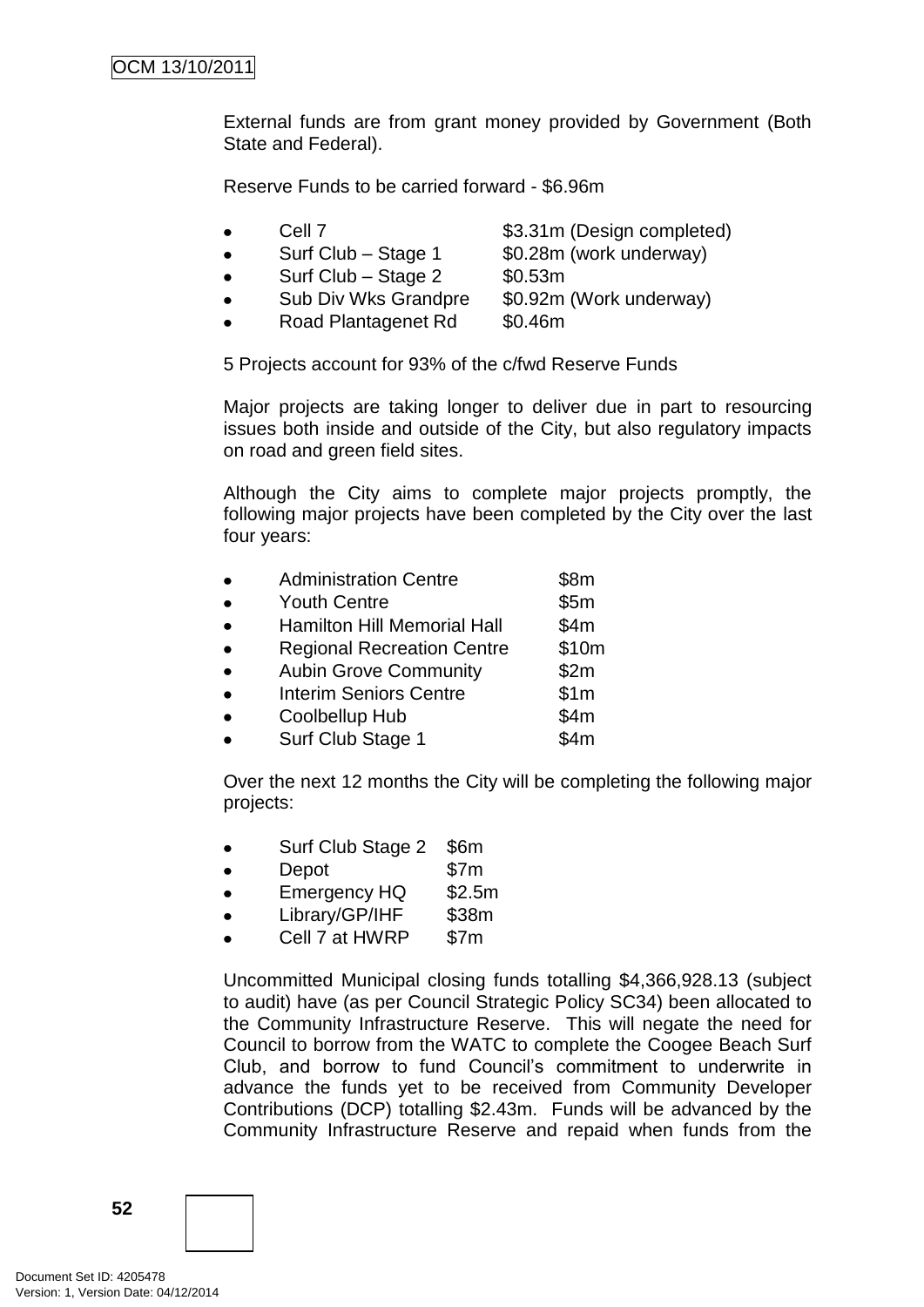External funds are from grant money provided by Government (Both State and Federal).

Reserve Funds to be carried forward - \$6.96m

- - Cell 7  $$3.31m$  (Design completed)
- $\bullet$ 
	- Surf Club Stage 1  $$0.28m$  (work underway)
- Surf Club Stage  $2$   $$0.53m$  $\bullet$ 
	-
- 
- Sub Div Wks Grandpre \$0.92m (Work underway)
	- Road Plantagenet Rd \$0.46m

5 Projects account for 93% of the c/fwd Reserve Funds

Major projects are taking longer to deliver due in part to resourcing issues both inside and outside of the City, but also regulatory impacts on road and green field sites.

Although the City aims to complete major projects promptly, the following major projects have been completed by the City over the last four years:

- Administration Centre **\$8m**
- Youth Centre **\$5m**  $\bullet$
- Hamilton Hill Memorial Hall \$4m
- Regional Recreation Centre \$10m
- Aubin Grove Community 52m
- Interim Seniors Centre **\$1m**
- Coolbellup Hub  $$4m$
- Surf Club Stage 1 \$4m

Over the next 12 months the City will be completing the following major projects:

- Surf Club Stage 2 \$6m  $\bullet$
- Depot \$7m  $\bullet$
- Emergency HQ \$2.5m
- Library/GP/IHF \$38m  $\bullet$
- Cell 7 at HWRP \$7m

Uncommitted Municipal closing funds totalling \$4,366,928.13 (subject to audit) have (as per Council Strategic Policy SC34) been allocated to the Community Infrastructure Reserve. This will negate the need for Council to borrow from the WATC to complete the Coogee Beach Surf Club, and borrow to fund Council"s commitment to underwrite in advance the funds yet to be received from Community Developer Contributions (DCP) totalling \$2.43m. Funds will be advanced by the Community Infrastructure Reserve and repaid when funds from the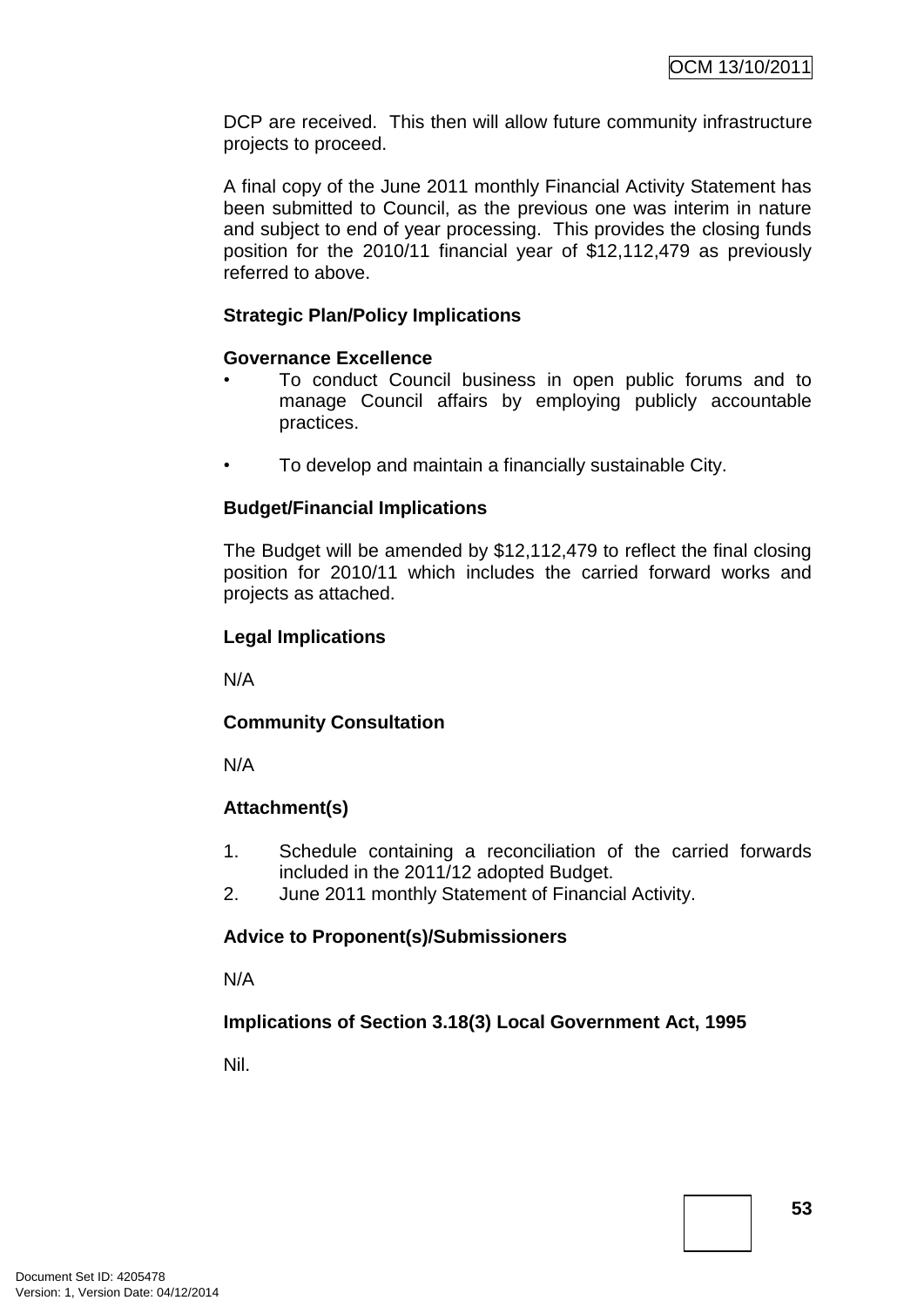DCP are received. This then will allow future community infrastructure projects to proceed.

A final copy of the June 2011 monthly Financial Activity Statement has been submitted to Council, as the previous one was interim in nature and subject to end of year processing. This provides the closing funds position for the 2010/11 financial year of \$12,112,479 as previously referred to above.

# **Strategic Plan/Policy Implications**

#### **Governance Excellence**

- To conduct Council business in open public forums and to manage Council affairs by employing publicly accountable practices.
- To develop and maintain a financially sustainable City.

#### **Budget/Financial Implications**

The Budget will be amended by \$12,112,479 to reflect the final closing position for 2010/11 which includes the carried forward works and projects as attached.

#### **Legal Implications**

N/A

#### **Community Consultation**

N/A

#### **Attachment(s)**

- 1. Schedule containing a reconciliation of the carried forwards included in the 2011/12 adopted Budget.
- 2. June 2011 monthly Statement of Financial Activity.

# **Advice to Proponent(s)/Submissioners**

N/A

# **Implications of Section 3.18(3) Local Government Act, 1995**

Nil.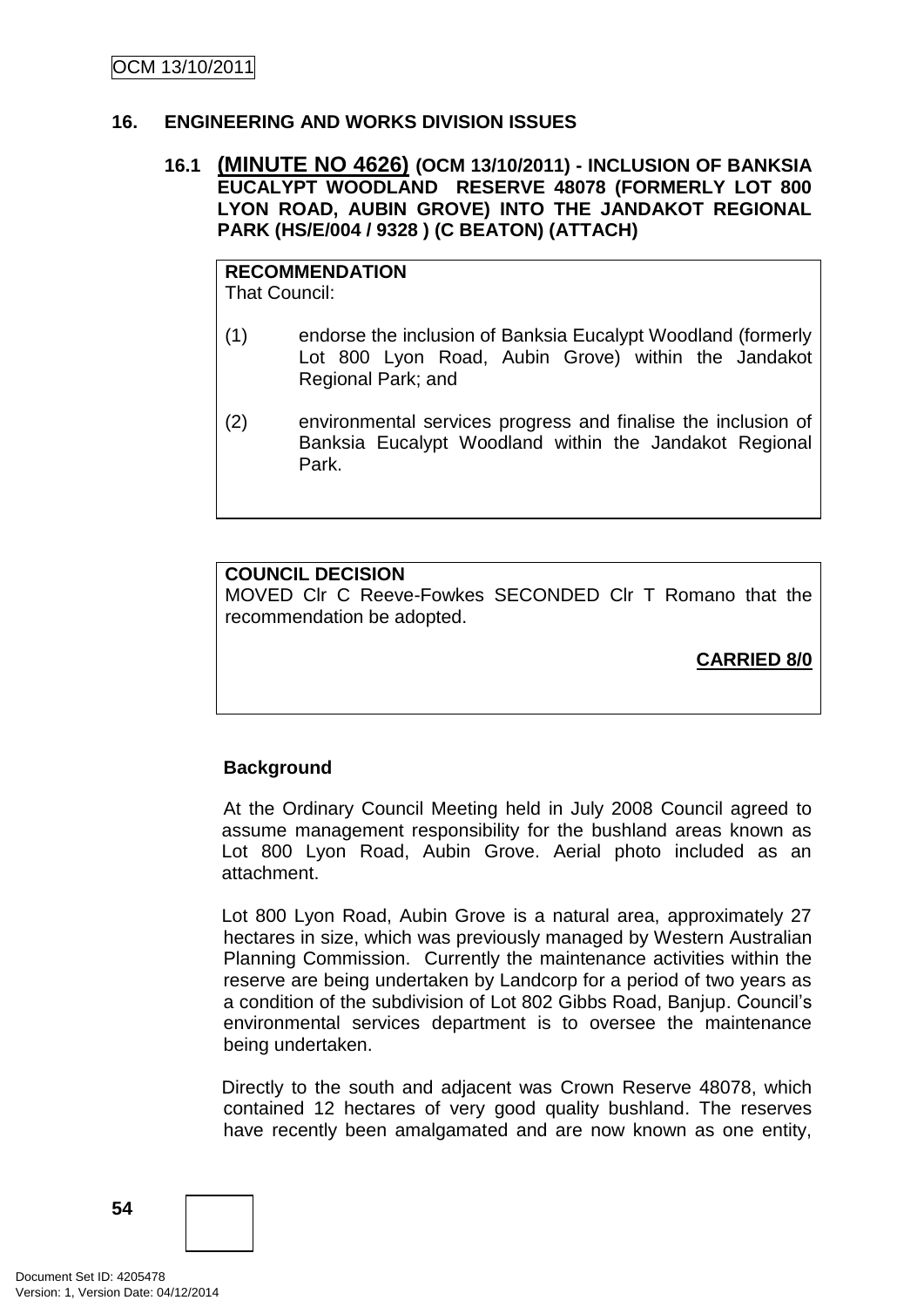#### **16. ENGINEERING AND WORKS DIVISION ISSUES**

#### **16.1 (MINUTE NO 4626) (OCM 13/10/2011) - INCLUSION OF BANKSIA EUCALYPT WOODLAND RESERVE 48078 (FORMERLY LOT 800 LYON ROAD, AUBIN GROVE) INTO THE JANDAKOT REGIONAL PARK (HS/E/004 / 9328 ) (C BEATON) (ATTACH)**

**RECOMMENDATION** That Council:

- (1) endorse the inclusion of Banksia Eucalypt Woodland (formerly Lot 800 Lyon Road, Aubin Grove) within the Jandakot Regional Park; and
- (2) environmental services progress and finalise the inclusion of Banksia Eucalypt Woodland within the Jandakot Regional Park.

#### **COUNCIL DECISION**

MOVED Clr C Reeve-Fowkes SECONDED Clr T Romano that the recommendation be adopted.

**CARRIED 8/0**

#### **Background**

At the Ordinary Council Meeting held in July 2008 Council agreed to assume management responsibility for the bushland areas known as Lot 800 Lyon Road, Aubin Grove. Aerial photo included as an attachment.

Lot 800 Lyon Road, Aubin Grove is a natural area, approximately 27 hectares in size, which was previously managed by Western Australian Planning Commission. Currently the maintenance activities within the reserve are being undertaken by Landcorp for a period of two years as a condition of the subdivision of Lot 802 Gibbs Road, Banjup. Council"s environmental services department is to oversee the maintenance being undertaken.

Directly to the south and adjacent was Crown Reserve 48078, which contained 12 hectares of very good quality bushland. The reserves have recently been amalgamated and are now known as one entity,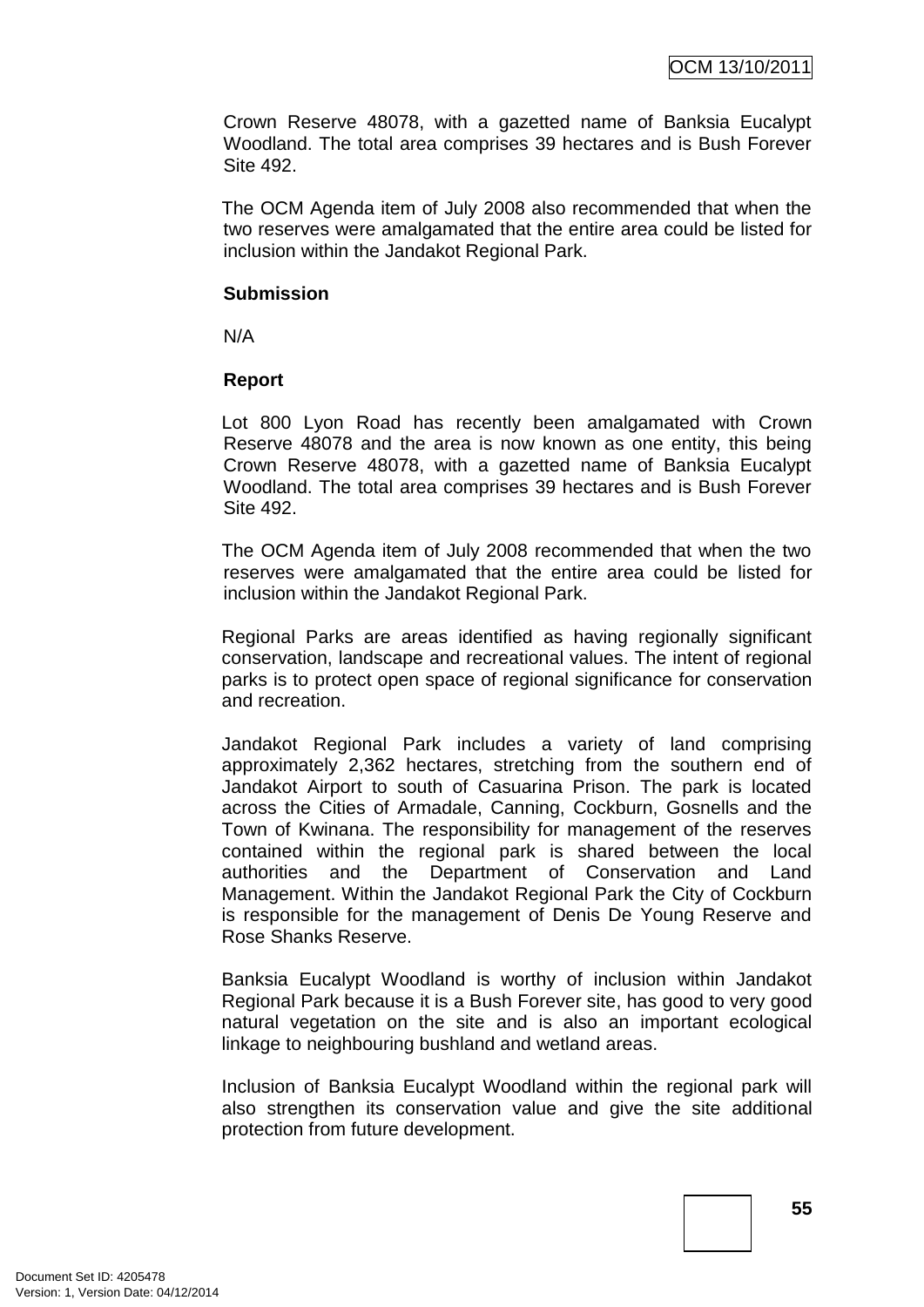Crown Reserve 48078, with a gazetted name of Banksia Eucalypt Woodland. The total area comprises 39 hectares and is Bush Forever Site 492.

The OCM Agenda item of July 2008 also recommended that when the two reserves were amalgamated that the entire area could be listed for inclusion within the Jandakot Regional Park.

#### **Submission**

N/A

#### **Report**

Lot 800 Lyon Road has recently been amalgamated with Crown Reserve 48078 and the area is now known as one entity, this being Crown Reserve 48078, with a gazetted name of Banksia Eucalypt Woodland. The total area comprises 39 hectares and is Bush Forever Site 492.

The OCM Agenda item of July 2008 recommended that when the two reserves were amalgamated that the entire area could be listed for inclusion within the Jandakot Regional Park.

Regional Parks are areas identified as having regionally significant conservation, landscape and recreational values. The intent of regional parks is to protect open space of regional significance for conservation and recreation.

Jandakot Regional Park includes a variety of land comprising approximately 2,362 hectares, stretching from the southern end of Jandakot Airport to south of Casuarina Prison. The park is located across the Cities of Armadale, Canning, Cockburn, Gosnells and the Town of Kwinana. The responsibility for management of the reserves contained within the regional park is shared between the local authorities and the Department of Conservation and Land Management. Within the Jandakot Regional Park the City of Cockburn is responsible for the management of Denis De Young Reserve and Rose Shanks Reserve.

Banksia Eucalypt Woodland is worthy of inclusion within Jandakot Regional Park because it is a Bush Forever site, has good to very good natural vegetation on the site and is also an important ecological linkage to neighbouring bushland and wetland areas.

Inclusion of Banksia Eucalypt Woodland within the regional park will also strengthen its conservation value and give the site additional protection from future development.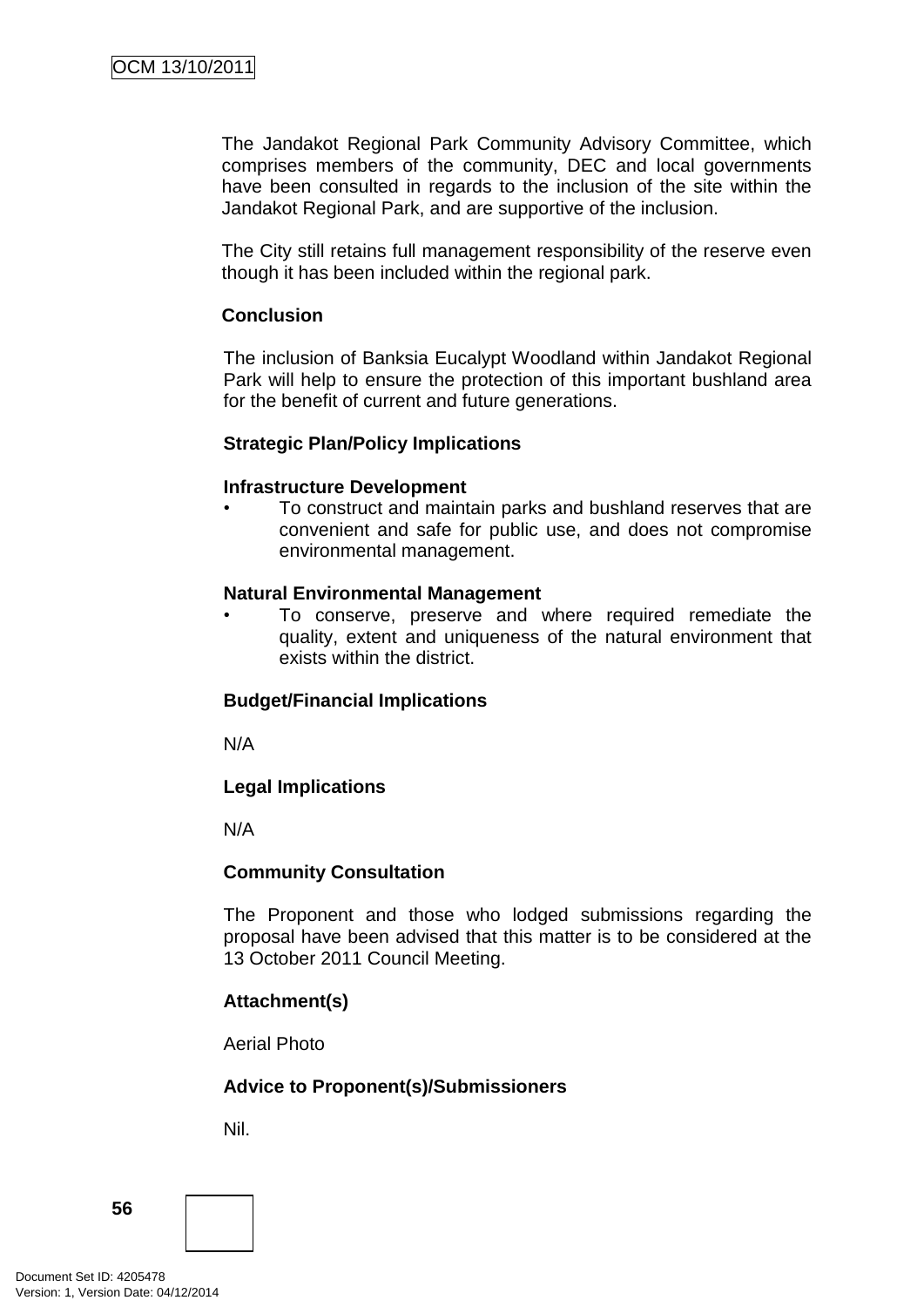The Jandakot Regional Park Community Advisory Committee, which comprises members of the community, DEC and local governments have been consulted in regards to the inclusion of the site within the Jandakot Regional Park, and are supportive of the inclusion.

The City still retains full management responsibility of the reserve even though it has been included within the regional park.

#### **Conclusion**

The inclusion of Banksia Eucalypt Woodland within Jandakot Regional Park will help to ensure the protection of this important bushland area for the benefit of current and future generations.

#### **Strategic Plan/Policy Implications**

#### **Infrastructure Development**

• To construct and maintain parks and bushland reserves that are convenient and safe for public use, and does not compromise environmental management.

#### **Natural Environmental Management**

• To conserve, preserve and where required remediate the quality, extent and uniqueness of the natural environment that exists within the district.

#### **Budget/Financial Implications**

N/A

#### **Legal Implications**

N/A

#### **Community Consultation**

The Proponent and those who lodged submissions regarding the proposal have been advised that this matter is to be considered at the 13 October 2011 Council Meeting.

#### **Attachment(s)**

Aerial Photo

#### **Advice to Proponent(s)/Submissioners**

Nil.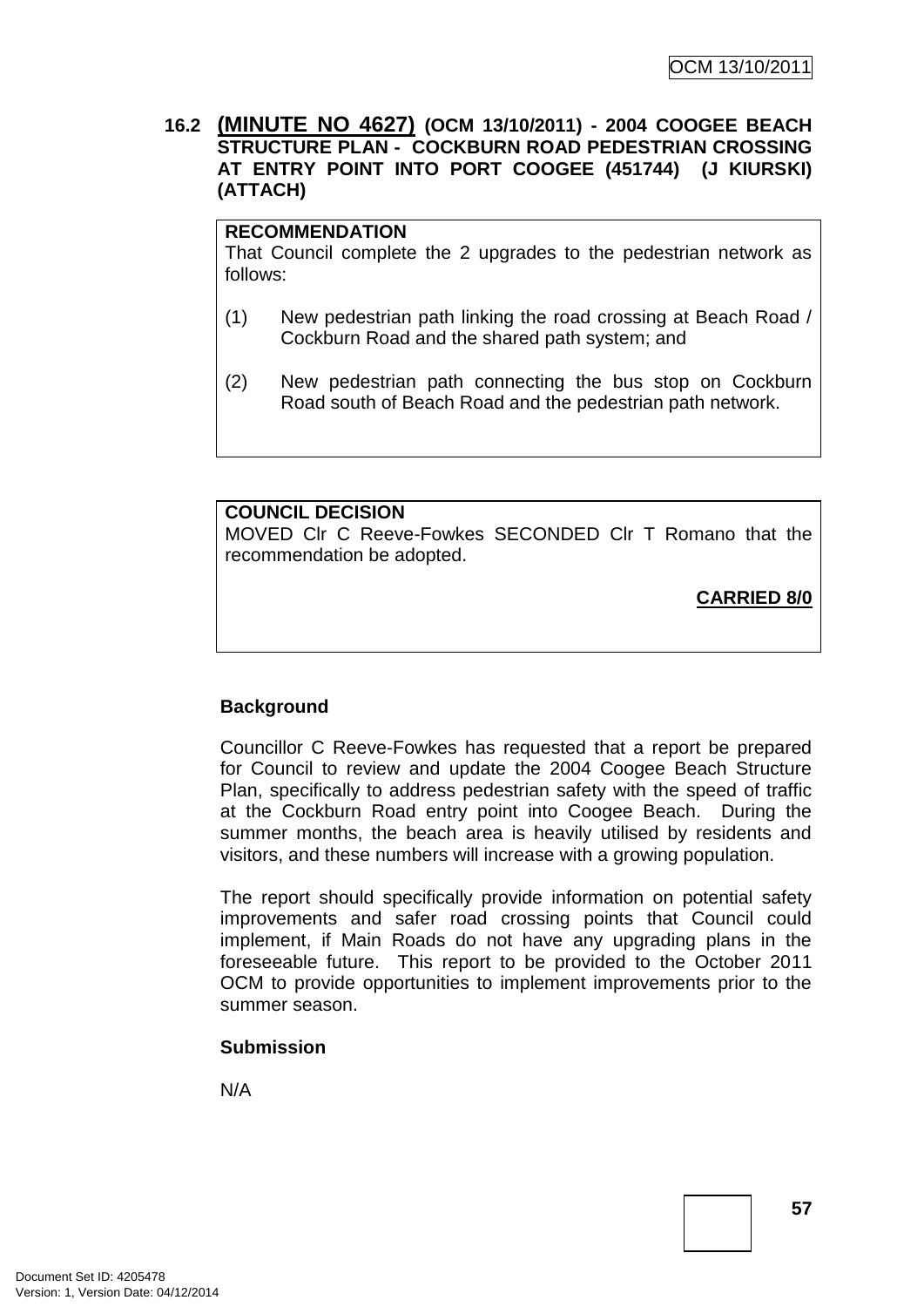### **16.2 (MINUTE NO 4627) (OCM 13/10/2011) - 2004 COOGEE BEACH STRUCTURE PLAN - COCKBURN ROAD PEDESTRIAN CROSSING AT ENTRY POINT INTO PORT COOGEE (451744) (J KIURSKI) (ATTACH)**

#### **RECOMMENDATION**

That Council complete the 2 upgrades to the pedestrian network as follows:

- (1) New pedestrian path linking the road crossing at Beach Road / Cockburn Road and the shared path system; and
- (2) New pedestrian path connecting the bus stop on Cockburn Road south of Beach Road and the pedestrian path network.

### **COUNCIL DECISION**

MOVED Clr C Reeve-Fowkes SECONDED Clr T Romano that the recommendation be adopted.

**CARRIED 8/0**

# **Background**

Councillor C Reeve-Fowkes has requested that a report be prepared for Council to review and update the 2004 Coogee Beach Structure Plan, specifically to address pedestrian safety with the speed of traffic at the Cockburn Road entry point into Coogee Beach. During the summer months, the beach area is heavily utilised by residents and visitors, and these numbers will increase with a growing population.

The report should specifically provide information on potential safety improvements and safer road crossing points that Council could implement, if Main Roads do not have any upgrading plans in the foreseeable future. This report to be provided to the October 2011 OCM to provide opportunities to implement improvements prior to the summer season.

#### **Submission**

N/A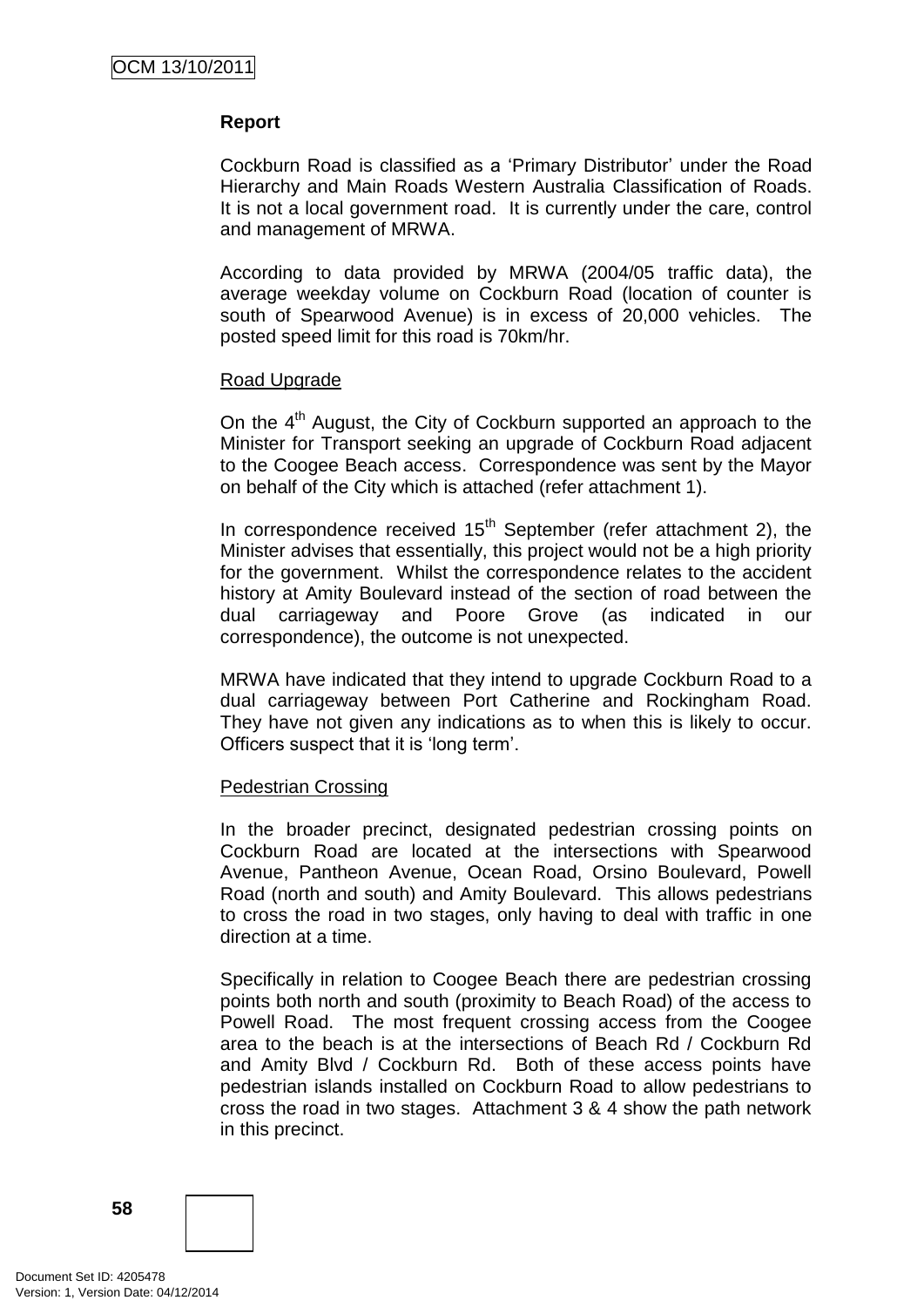### **Report**

Cockburn Road is classified as a "Primary Distributor" under the Road Hierarchy and Main Roads Western Australia Classification of Roads. It is not a local government road. It is currently under the care, control and management of MRWA.

According to data provided by MRWA (2004/05 traffic data), the average weekday volume on Cockburn Road (location of counter is south of Spearwood Avenue) is in excess of 20,000 vehicles. The posted speed limit for this road is 70km/hr.

#### Road Upgrade

On the 4<sup>th</sup> August, the City of Cockburn supported an approach to the Minister for Transport seeking an upgrade of Cockburn Road adjacent to the Coogee Beach access. Correspondence was sent by the Mayor on behalf of the City which is attached (refer attachment 1).

In correspondence received  $15<sup>th</sup>$  September (refer attachment 2), the Minister advises that essentially, this project would not be a high priority for the government. Whilst the correspondence relates to the accident history at Amity Boulevard instead of the section of road between the dual carriageway and Poore Grove (as indicated in our correspondence), the outcome is not unexpected.

MRWA have indicated that they intend to upgrade Cockburn Road to a dual carriageway between Port Catherine and Rockingham Road. They have not given any indications as to when this is likely to occur. Officers suspect that it is "long term".

#### Pedestrian Crossing

In the broader precinct, designated pedestrian crossing points on Cockburn Road are located at the intersections with Spearwood Avenue, Pantheon Avenue, Ocean Road, Orsino Boulevard, Powell Road (north and south) and Amity Boulevard. This allows pedestrians to cross the road in two stages, only having to deal with traffic in one direction at a time.

Specifically in relation to Coogee Beach there are pedestrian crossing points both north and south (proximity to Beach Road) of the access to Powell Road. The most frequent crossing access from the Coogee area to the beach is at the intersections of Beach Rd / Cockburn Rd and Amity Blvd / Cockburn Rd. Both of these access points have pedestrian islands installed on Cockburn Road to allow pedestrians to cross the road in two stages. Attachment 3 & 4 show the path network in this precinct.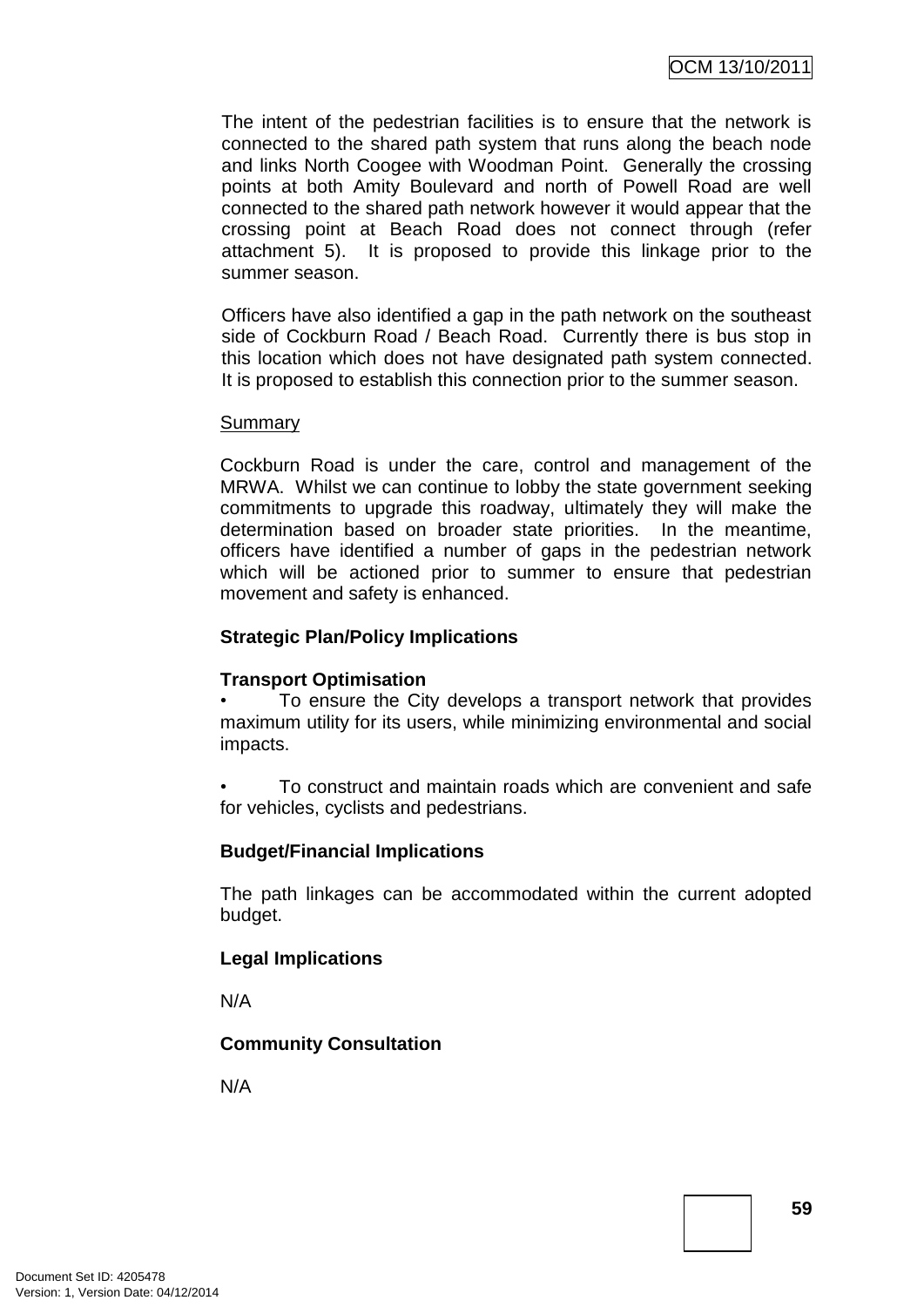The intent of the pedestrian facilities is to ensure that the network is connected to the shared path system that runs along the beach node and links North Coogee with Woodman Point. Generally the crossing points at both Amity Boulevard and north of Powell Road are well connected to the shared path network however it would appear that the crossing point at Beach Road does not connect through (refer attachment 5). It is proposed to provide this linkage prior to the summer season.

Officers have also identified a gap in the path network on the southeast side of Cockburn Road / Beach Road. Currently there is bus stop in this location which does not have designated path system connected. It is proposed to establish this connection prior to the summer season.

#### Summary

Cockburn Road is under the care, control and management of the MRWA. Whilst we can continue to lobby the state government seeking commitments to upgrade this roadway, ultimately they will make the determination based on broader state priorities. In the meantime, officers have identified a number of gaps in the pedestrian network which will be actioned prior to summer to ensure that pedestrian movement and safety is enhanced.

#### **Strategic Plan/Policy Implications**

#### **Transport Optimisation**

To ensure the City develops a transport network that provides maximum utility for its users, while minimizing environmental and social impacts.

• To construct and maintain roads which are convenient and safe for vehicles, cyclists and pedestrians.

#### **Budget/Financial Implications**

The path linkages can be accommodated within the current adopted budget.

#### **Legal Implications**

N/A

#### **Community Consultation**

N/A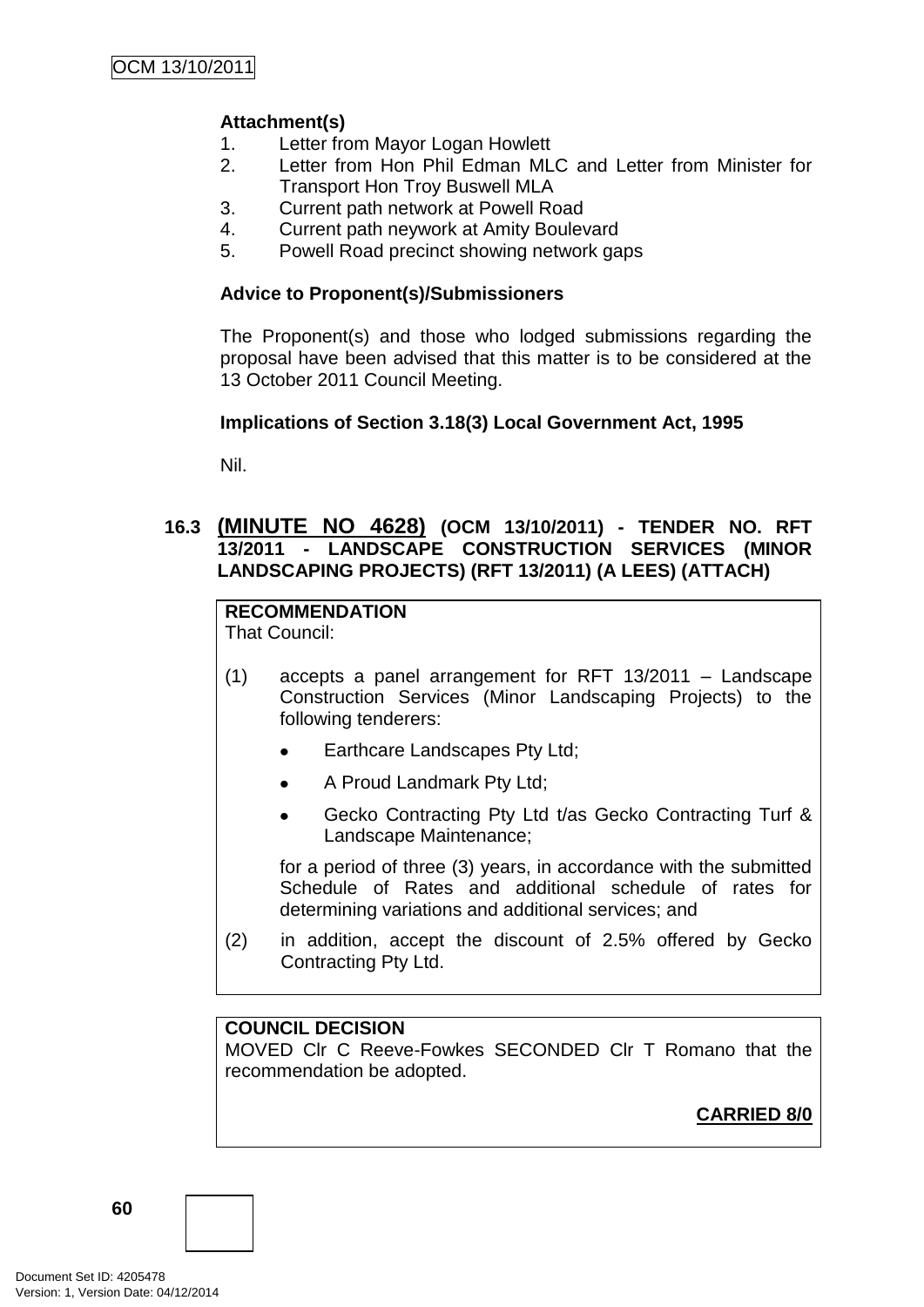# **Attachment(s)**

- 1. Letter from Mayor Logan Howlett
- 2. Letter from Hon Phil Edman MLC and Letter from Minister for Transport Hon Troy Buswell MLA
- 3. Current path network at Powell Road
- 4. Current path neywork at Amity Boulevard
- 5. Powell Road precinct showing network gaps

#### **Advice to Proponent(s)/Submissioners**

The Proponent(s) and those who lodged submissions regarding the proposal have been advised that this matter is to be considered at the 13 October 2011 Council Meeting.

#### **Implications of Section 3.18(3) Local Government Act, 1995**

Nil.

# **16.3 (MINUTE NO 4628) (OCM 13/10/2011) - TENDER NO. RFT 13/2011 - LANDSCAPE CONSTRUCTION SERVICES (MINOR LANDSCAPING PROJECTS) (RFT 13/2011) (A LEES) (ATTACH)**

# **RECOMMENDATION**

That Council:

- (1) accepts a panel arrangement for RFT 13/2011 Landscape Construction Services (Minor Landscaping Projects) to the following tenderers:
	- Earthcare Landscapes Pty Ltd;
	- A Proud Landmark Pty Ltd;
	- Gecko Contracting Pty Ltd t/as Gecko Contracting Turf & Landscape Maintenance;

for a period of three (3) years, in accordance with the submitted Schedule of Rates and additional schedule of rates for determining variations and additional services; and

(2) in addition, accept the discount of 2.5% offered by Gecko Contracting Pty Ltd.

# **COUNCIL DECISION**

MOVED Clr C Reeve-Fowkes SECONDED Clr T Romano that the recommendation be adopted.

**CARRIED 8/0**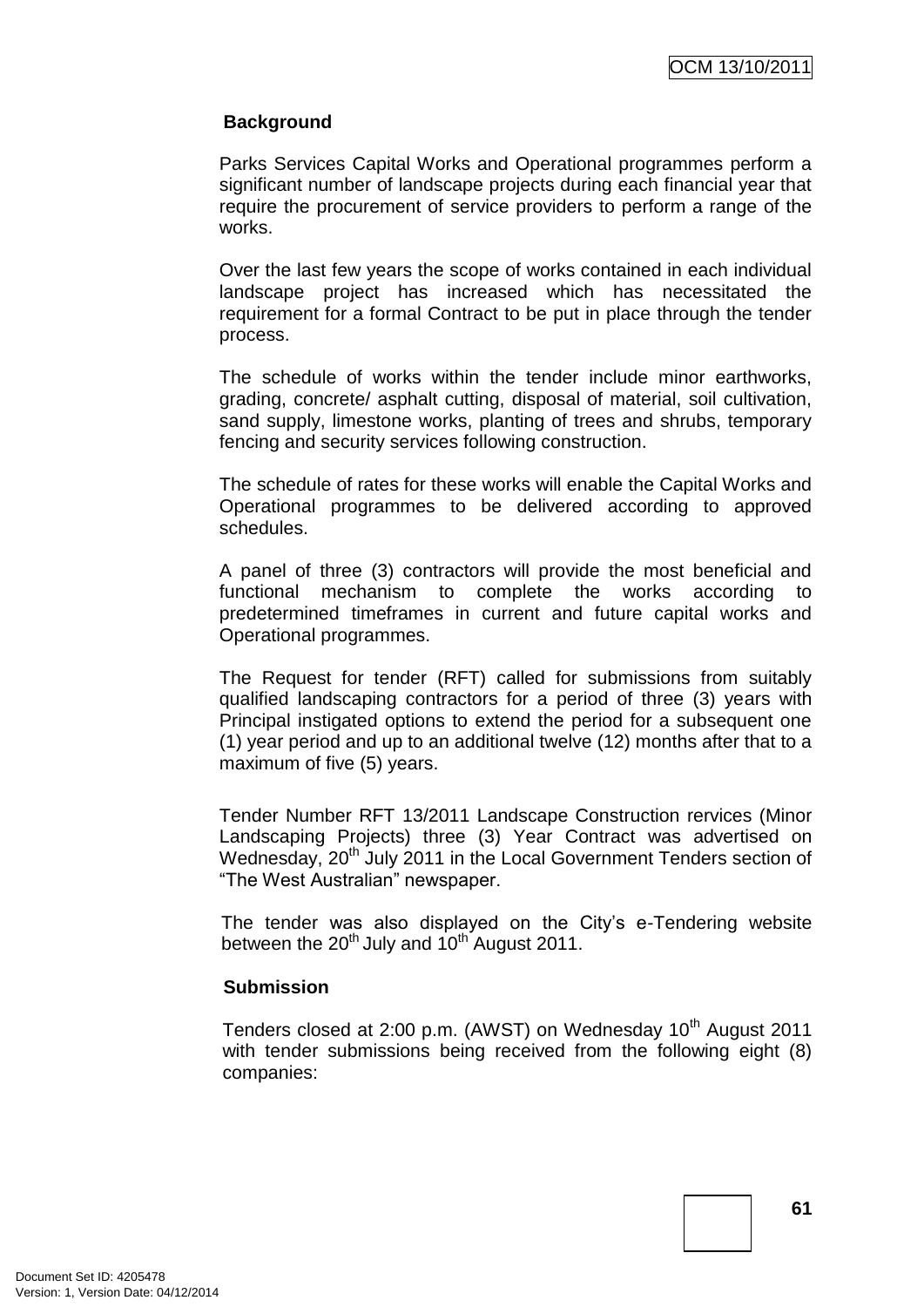# **Background**

Parks Services Capital Works and Operational programmes perform a significant number of landscape projects during each financial year that require the procurement of service providers to perform a range of the works.

Over the last few years the scope of works contained in each individual landscape project has increased which has necessitated the requirement for a formal Contract to be put in place through the tender process.

The schedule of works within the tender include minor earthworks, grading, concrete/ asphalt cutting, disposal of material, soil cultivation, sand supply, limestone works, planting of trees and shrubs, temporary fencing and security services following construction.

The schedule of rates for these works will enable the Capital Works and Operational programmes to be delivered according to approved schedules.

A panel of three (3) contractors will provide the most beneficial and functional mechanism to complete the works according predetermined timeframes in current and future capital works and Operational programmes.

The Request for tender (RFT) called for submissions from suitably qualified landscaping contractors for a period of three (3) years with Principal instigated options to extend the period for a subsequent one (1) year period and up to an additional twelve (12) months after that to a maximum of five (5) years.

Tender Number RFT 13/2011 Landscape Construction rervices (Minor Landscaping Projects) three (3) Year Contract was advertised on Wednesday, 20<sup>th</sup> July 2011 in the Local Government Tenders section of "The West Australian" newspaper.

The tender was also displayed on the City's e-Tendering website between the  $20^{th}$  July and  $10^{th}$  August 2011.

#### **Submission**

Tenders closed at 2:00 p.m. (AWST) on Wednesday 10<sup>th</sup> August 2011 with tender submissions being received from the following eight (8) companies: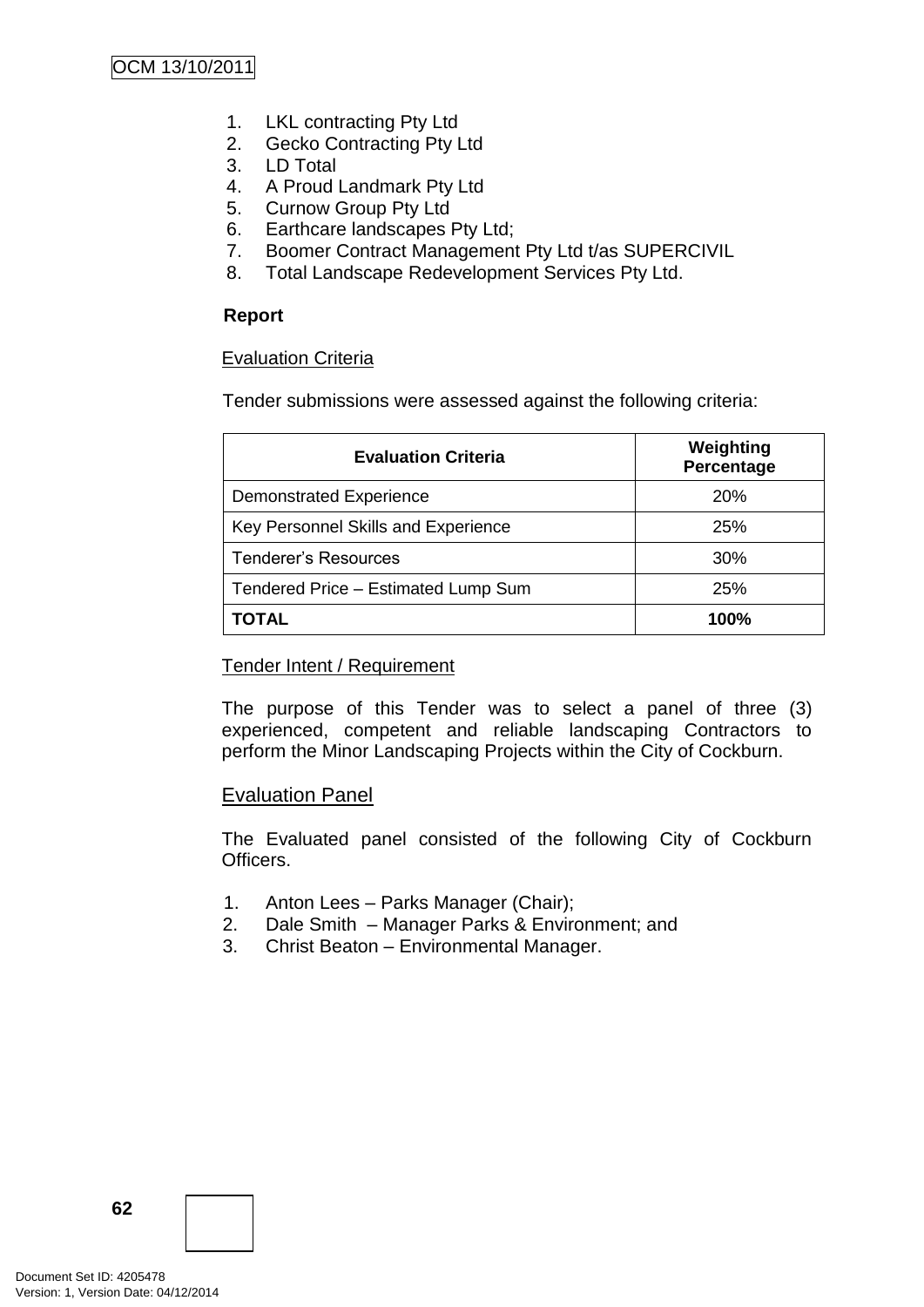- 1. LKL contracting Pty Ltd
- 2. Gecko Contracting Pty Ltd
- 3. LD Total
- 4. A Proud Landmark Pty Ltd
- 5. Curnow Group Pty Ltd
- 6. Earthcare landscapes Pty Ltd;
- 7. Boomer Contract Management Pty Ltd t/as SUPERCIVIL
- 8. Total Landscape Redevelopment Services Pty Ltd.

#### **Report**

#### Evaluation Criteria

Tender submissions were assessed against the following criteria:

| <b>Evaluation Criteria</b>          | Weighting<br>Percentage |
|-------------------------------------|-------------------------|
| <b>Demonstrated Experience</b>      | <b>20%</b>              |
| Key Personnel Skills and Experience | 25%                     |
| <b>Tenderer's Resources</b>         | 30%                     |
| Tendered Price - Estimated Lump Sum | 25%                     |
| TOTAL                               | 100%                    |

#### Tender Intent / Requirement

The purpose of this Tender was to select a panel of three (3) experienced, competent and reliable landscaping Contractors to perform the Minor Landscaping Projects within the City of Cockburn.

#### Evaluation Panel

The Evaluated panel consisted of the following City of Cockburn Officers.

- 1. Anton Lees Parks Manager (Chair);
- 2. Dale Smith Manager Parks & Environment; and
- 3. Christ Beaton Environmental Manager.

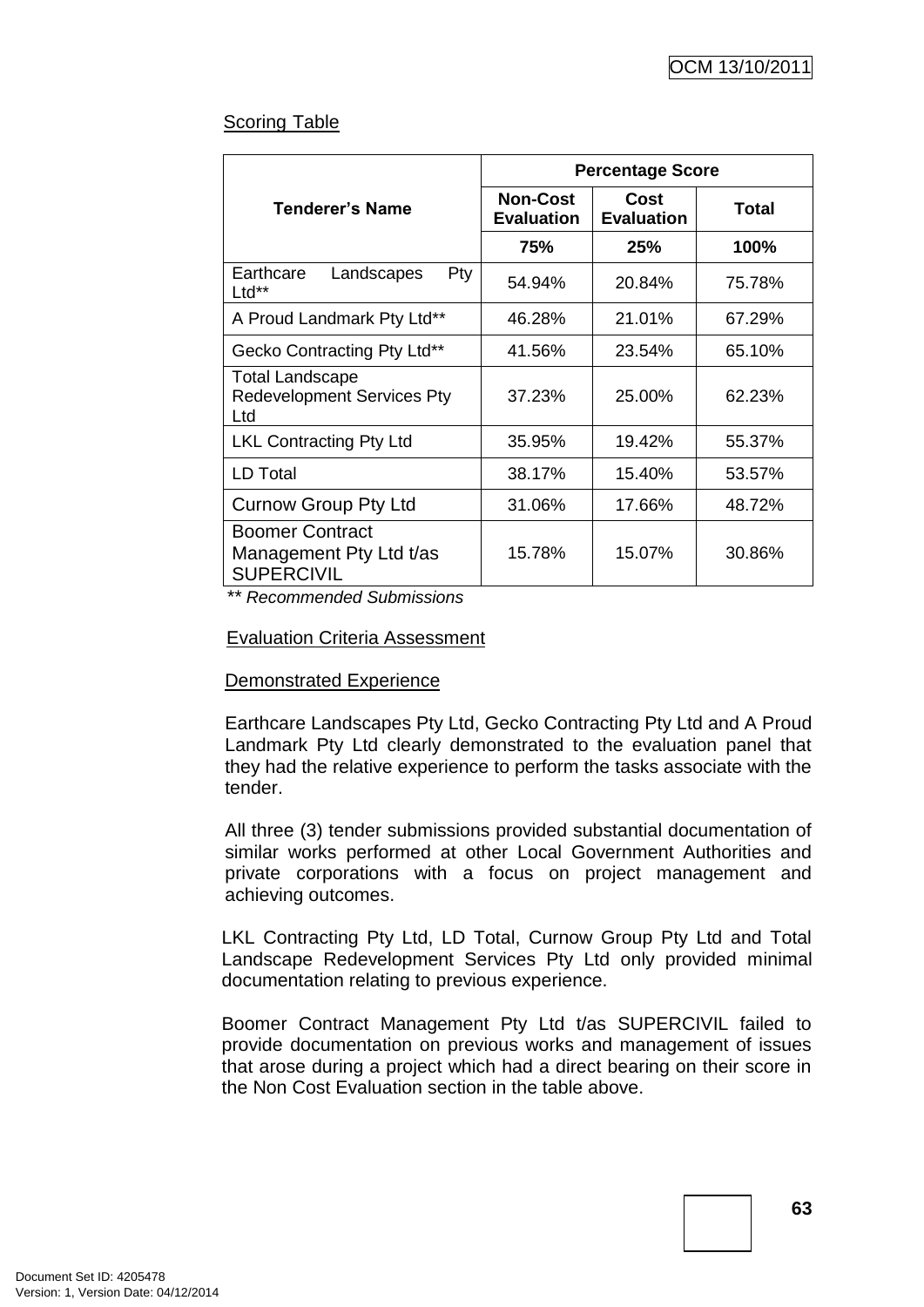# Scoring Table

|                                                                        | <b>Percentage Score</b>              |                           |              |  |
|------------------------------------------------------------------------|--------------------------------------|---------------------------|--------------|--|
| <b>Tenderer's Name</b>                                                 | <b>Non-Cost</b><br><b>Evaluation</b> | Cost<br><b>Evaluation</b> | <b>Total</b> |  |
|                                                                        | 75%                                  | 25%                       | 100%         |  |
| Earthcare<br>Landscapes<br>Pty<br>Ltd**                                | 54.94%                               | 20.84%                    | 75.78%       |  |
| A Proud Landmark Pty Ltd**                                             | 46.28%                               | 21.01%                    | 67.29%       |  |
| Gecko Contracting Pty Ltd**                                            | 41.56%                               | 23.54%                    | 65.10%       |  |
| <b>Total Landscape</b><br><b>Redevelopment Services Pty</b><br>Ltd     | 37.23%                               | 25.00%                    | 62.23%       |  |
| <b>LKL Contracting Pty Ltd</b>                                         | 35.95%                               | 19.42%                    | 55.37%       |  |
| LD Total                                                               | 38.17%                               | 15.40%                    | 53.57%       |  |
| <b>Curnow Group Pty Ltd</b>                                            | 31.06%                               | 17.66%                    | 48.72%       |  |
| <b>Boomer Contract</b><br>Management Pty Ltd t/as<br><b>SUPERCIVIL</b> | 15.78%                               | 15.07%                    | 30.86%       |  |

*\*\* Recommended Submissions*

#### Evaluation Criteria Assessment

#### Demonstrated Experience

Earthcare Landscapes Pty Ltd, Gecko Contracting Pty Ltd and A Proud Landmark Pty Ltd clearly demonstrated to the evaluation panel that they had the relative experience to perform the tasks associate with the tender.

All three (3) tender submissions provided substantial documentation of similar works performed at other Local Government Authorities and private corporations with a focus on project management and achieving outcomes.

LKL Contracting Pty Ltd, LD Total, Curnow Group Pty Ltd and Total Landscape Redevelopment Services Pty Ltd only provided minimal documentation relating to previous experience.

Boomer Contract Management Pty Ltd t/as SUPERCIVIL failed to provide documentation on previous works and management of issues that arose during a project which had a direct bearing on their score in the Non Cost Evaluation section in the table above.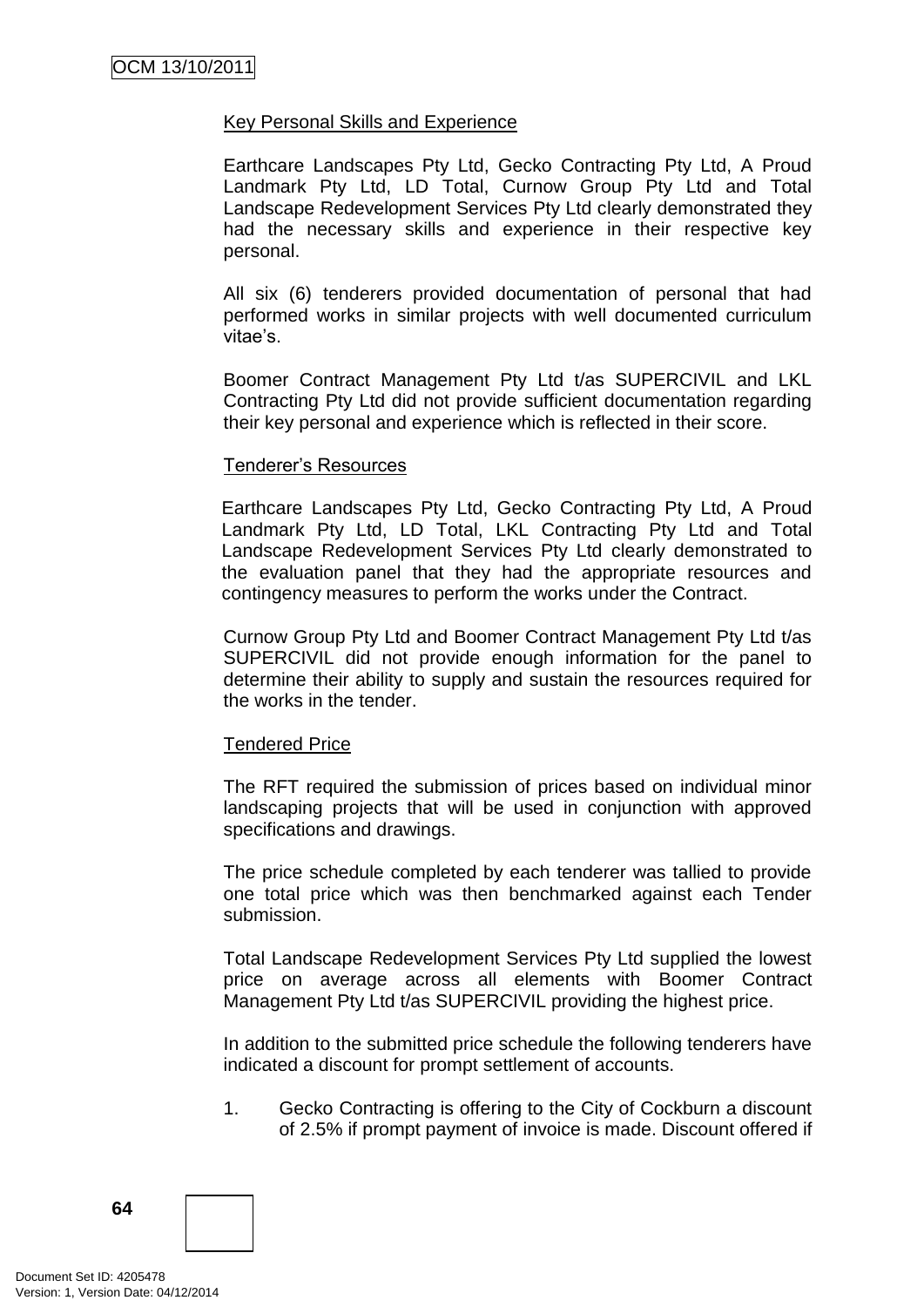#### Key Personal Skills and Experience

Earthcare Landscapes Pty Ltd, Gecko Contracting Pty Ltd, A Proud Landmark Pty Ltd, LD Total, Curnow Group Pty Ltd and Total Landscape Redevelopment Services Pty Ltd clearly demonstrated they had the necessary skills and experience in their respective key personal.

All six (6) tenderers provided documentation of personal that had performed works in similar projects with well documented curriculum vitae"s.

Boomer Contract Management Pty Ltd t/as SUPERCIVIL and LKL Contracting Pty Ltd did not provide sufficient documentation regarding their key personal and experience which is reflected in their score.

#### Tenderer"s Resources

Earthcare Landscapes Pty Ltd, Gecko Contracting Pty Ltd, A Proud Landmark Pty Ltd, LD Total, LKL Contracting Pty Ltd and Total Landscape Redevelopment Services Pty Ltd clearly demonstrated to the evaluation panel that they had the appropriate resources and contingency measures to perform the works under the Contract.

Curnow Group Pty Ltd and Boomer Contract Management Pty Ltd t/as SUPERCIVIL did not provide enough information for the panel to determine their ability to supply and sustain the resources required for the works in the tender.

#### Tendered Price

The RFT required the submission of prices based on individual minor landscaping projects that will be used in conjunction with approved specifications and drawings.

The price schedule completed by each tenderer was tallied to provide one total price which was then benchmarked against each Tender submission.

Total Landscape Redevelopment Services Pty Ltd supplied the lowest price on average across all elements with Boomer Contract Management Pty Ltd t/as SUPERCIVIL providing the highest price.

In addition to the submitted price schedule the following tenderers have indicated a discount for prompt settlement of accounts.

1. Gecko Contracting is offering to the City of Cockburn a discount of 2.5% if prompt payment of invoice is made. Discount offered if

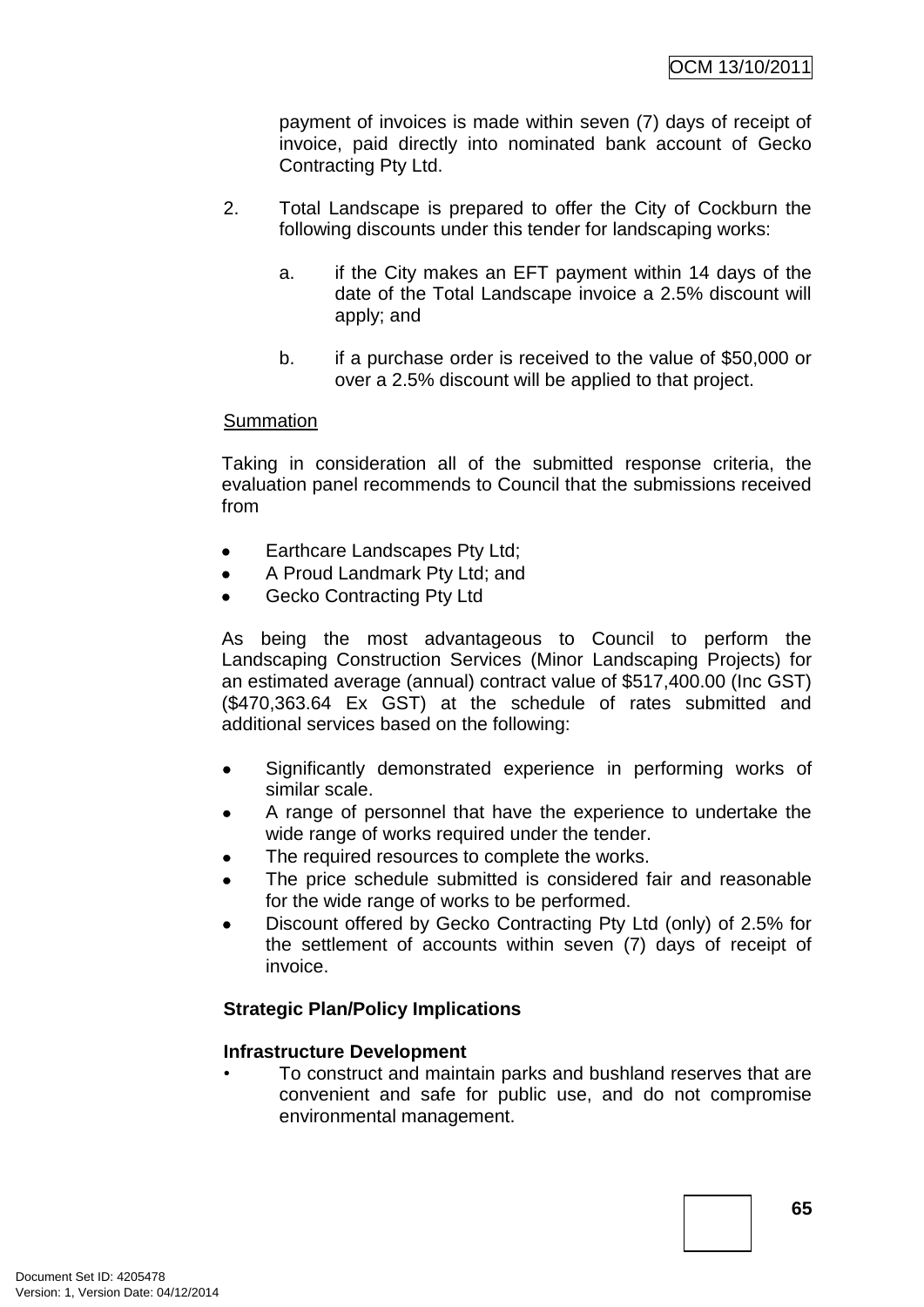payment of invoices is made within seven (7) days of receipt of invoice, paid directly into nominated bank account of Gecko Contracting Pty Ltd.

- 2. Total Landscape is prepared to offer the City of Cockburn the following discounts under this tender for landscaping works:
	- a. if the City makes an EFT payment within 14 days of the date of the Total Landscape invoice a 2.5% discount will apply; and
	- b. if a purchase order is received to the value of \$50,000 or over a 2.5% discount will be applied to that project.

#### **Summation**

Taking in consideration all of the submitted response criteria, the evaluation panel recommends to Council that the submissions received from

- Earthcare Landscapes Pty Ltd;  $\bullet$
- A Proud Landmark Pty Ltd; and  $\bullet$
- Gecko Contracting Pty Ltd

As being the most advantageous to Council to perform the Landscaping Construction Services (Minor Landscaping Projects) for an estimated average (annual) contract value of \$517,400.00 (Inc GST) (\$470,363.64 Ex GST) at the schedule of rates submitted and additional services based on the following:

- Significantly demonstrated experience in performing works of  $\bullet$ similar scale.
- A range of personnel that have the experience to undertake the wide range of works required under the tender.
- The required resources to complete the works.
- The price schedule submitted is considered fair and reasonable for the wide range of works to be performed.
- Discount offered by Gecko Contracting Pty Ltd (only) of 2.5% for the settlement of accounts within seven (7) days of receipt of invoice.

#### **Strategic Plan/Policy Implications**

#### **Infrastructure Development**

• To construct and maintain parks and bushland reserves that are convenient and safe for public use, and do not compromise environmental management.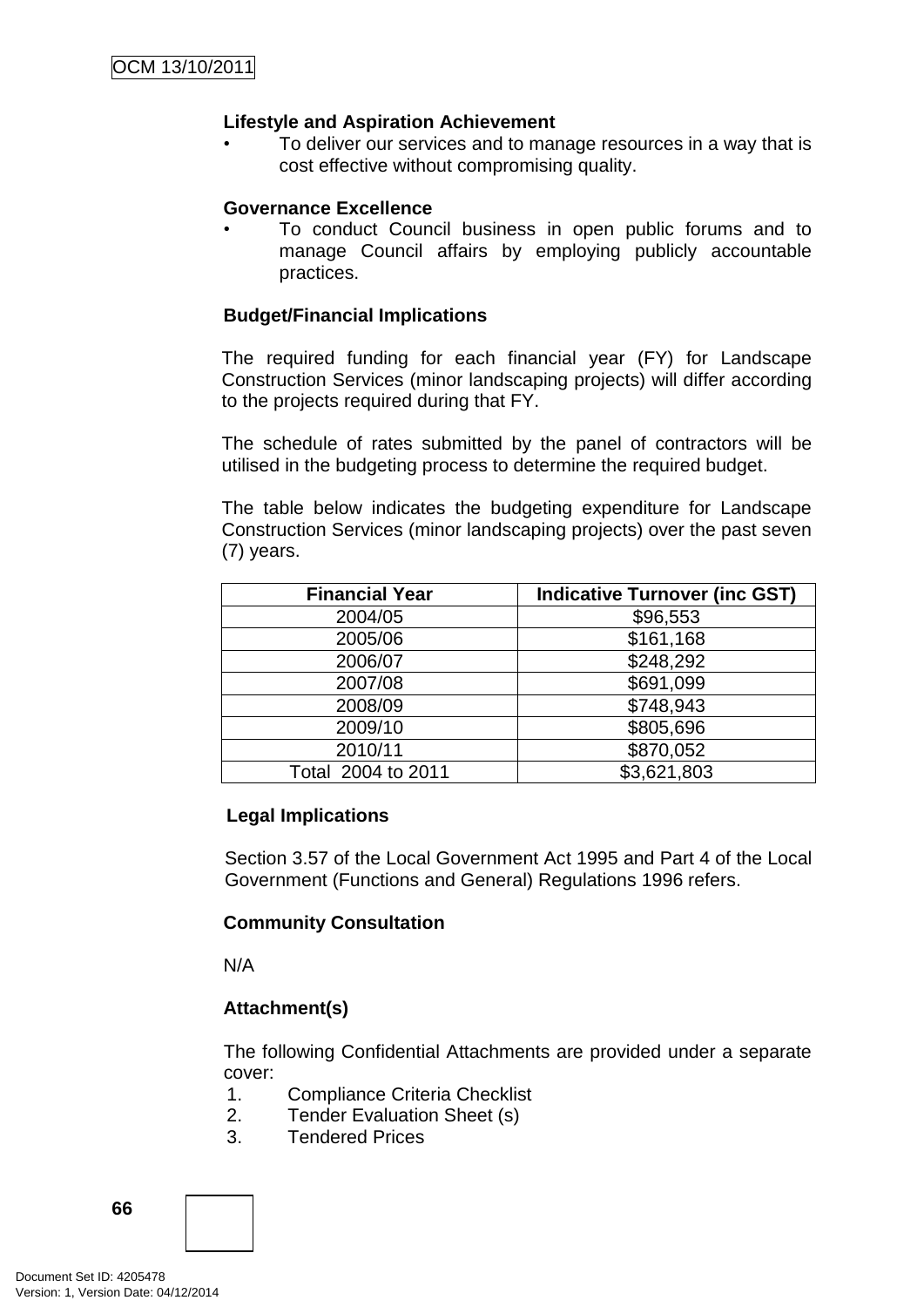### **Lifestyle and Aspiration Achievement**

• To deliver our services and to manage resources in a way that is cost effective without compromising quality.

### **Governance Excellence**

• To conduct Council business in open public forums and to manage Council affairs by employing publicly accountable practices.

### **Budget/Financial Implications**

The required funding for each financial year (FY) for Landscape Construction Services (minor landscaping projects) will differ according to the projects required during that FY.

The schedule of rates submitted by the panel of contractors will be utilised in the budgeting process to determine the required budget.

The table below indicates the budgeting expenditure for Landscape Construction Services (minor landscaping projects) over the past seven (7) years.

| <b>Financial Year</b> | <b>Indicative Turnover (inc GST)</b> |
|-----------------------|--------------------------------------|
| 2004/05               | \$96,553                             |
| 2005/06               | \$161,168                            |
| 2006/07               | \$248,292                            |
| 2007/08               | \$691,099                            |
| 2008/09               | \$748,943                            |
| 2009/10               | \$805,696                            |
| 2010/11               | \$870,052                            |
| Total 2004 to 2011    | \$3,621,803                          |

#### **Legal Implications**

Section 3.57 of the Local Government Act 1995 and Part 4 of the Local Government (Functions and General) Regulations 1996 refers.

#### **Community Consultation**

N/A

# **Attachment(s)**

The following Confidential Attachments are provided under a separate cover:

- 1. Compliance Criteria Checklist
- 2. Tender Evaluation Sheet (s)
- 3. Tendered Prices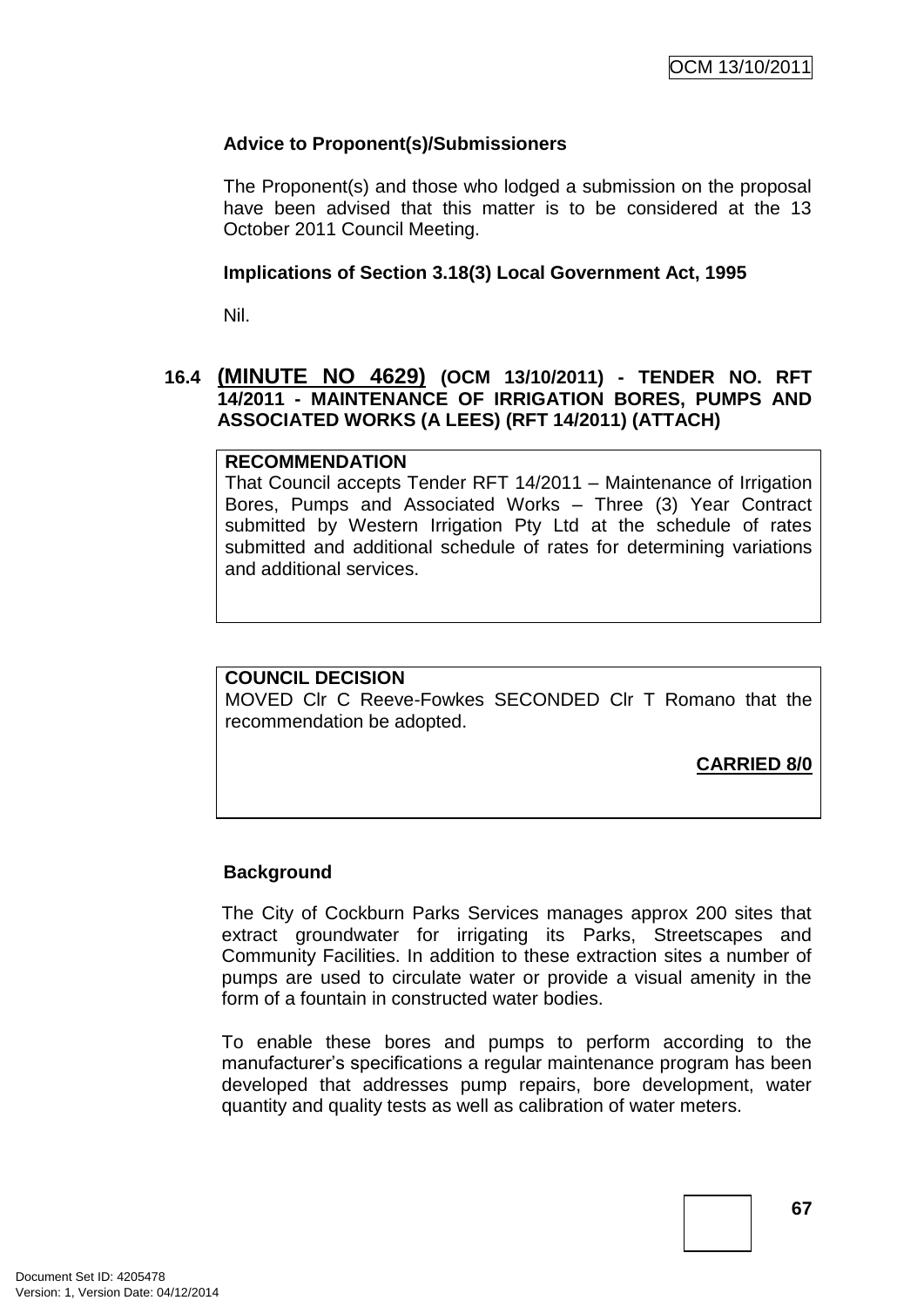# **Advice to Proponent(s)/Submissioners**

The Proponent(s) and those who lodged a submission on the proposal have been advised that this matter is to be considered at the 13 October 2011 Council Meeting.

#### **Implications of Section 3.18(3) Local Government Act, 1995**

Nil.

# **16.4 (MINUTE NO 4629) (OCM 13/10/2011) - TENDER NO. RFT 14/2011 - MAINTENANCE OF IRRIGATION BORES, PUMPS AND ASSOCIATED WORKS (A LEES) (RFT 14/2011) (ATTACH)**

### **RECOMMENDATION**

That Council accepts Tender RFT 14/2011 – Maintenance of Irrigation Bores, Pumps and Associated Works – Three (3) Year Contract submitted by Western Irrigation Pty Ltd at the schedule of rates submitted and additional schedule of rates for determining variations and additional services.

#### **COUNCIL DECISION**

MOVED Clr C Reeve-Fowkes SECONDED Clr T Romano that the recommendation be adopted.

#### **CARRIED 8/0**

#### **Background**

The City of Cockburn Parks Services manages approx 200 sites that extract groundwater for irrigating its Parks, Streetscapes and Community Facilities. In addition to these extraction sites a number of pumps are used to circulate water or provide a visual amenity in the form of a fountain in constructed water bodies.

To enable these bores and pumps to perform according to the manufacturer"s specifications a regular maintenance program has been developed that addresses pump repairs, bore development, water quantity and quality tests as well as calibration of water meters.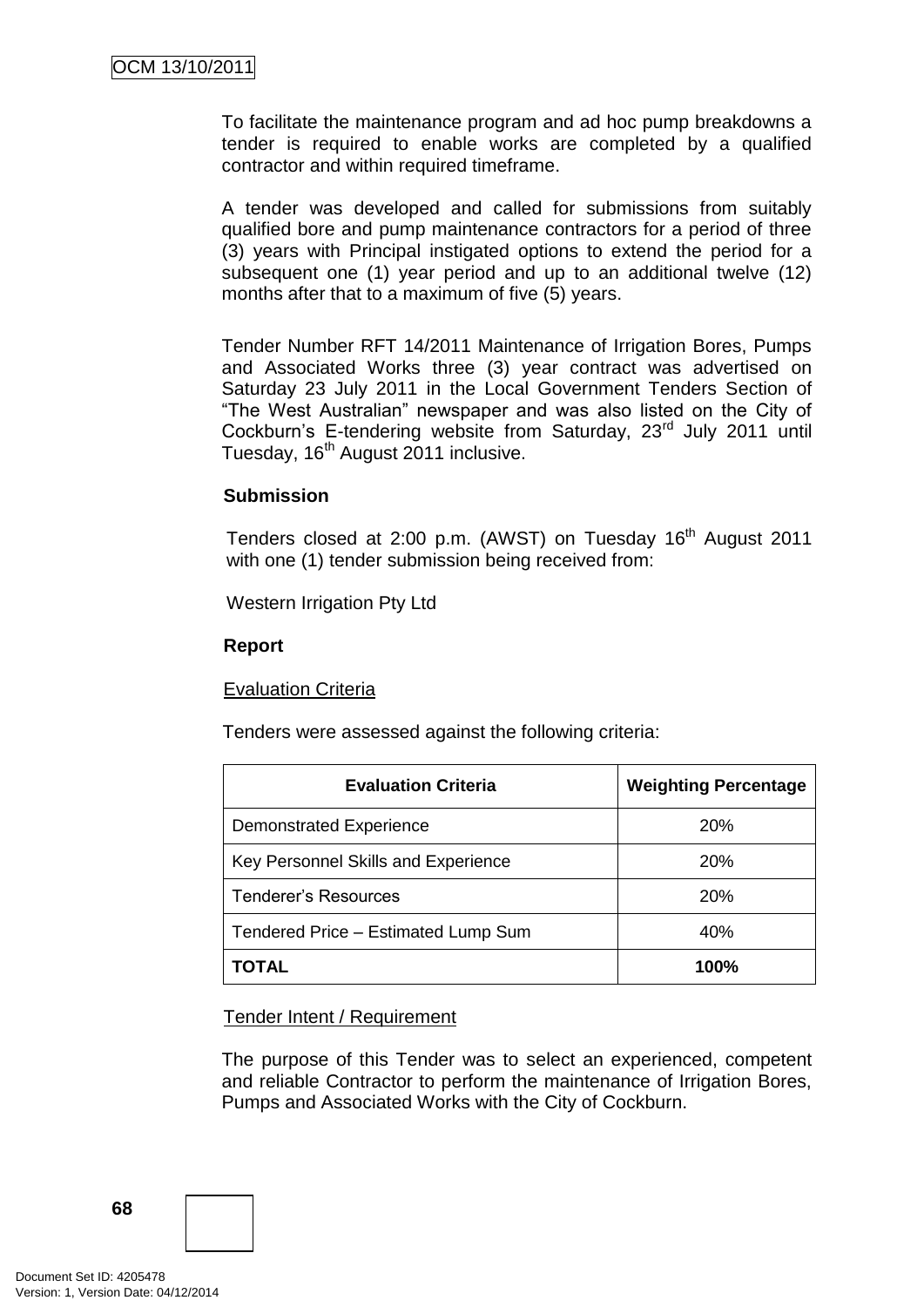To facilitate the maintenance program and ad hoc pump breakdowns a tender is required to enable works are completed by a qualified contractor and within required timeframe.

A tender was developed and called for submissions from suitably qualified bore and pump maintenance contractors for a period of three (3) years with Principal instigated options to extend the period for a subsequent one (1) year period and up to an additional twelve (12) months after that to a maximum of five (5) years.

Tender Number RFT 14/2011 Maintenance of Irrigation Bores, Pumps and Associated Works three (3) year contract was advertised on Saturday 23 July 2011 in the Local Government Tenders Section of "The West Australian" newspaper and was also listed on the City of Cockburn's E-tendering website from Saturday, 23<sup>rd</sup> July 2011 until Tuesday, 16<sup>th</sup> August 2011 inclusive.

#### **Submission**

Tenders closed at 2:00 p.m. (AWST) on Tuesday 16<sup>th</sup> August 2011 with one (1) tender submission being received from:

Western Irrigation Pty Ltd

#### **Report**

#### Evaluation Criteria

Tenders were assessed against the following criteria:

| <b>Evaluation Criteria</b>          | <b>Weighting Percentage</b> |
|-------------------------------------|-----------------------------|
| <b>Demonstrated Experience</b>      | <b>20%</b>                  |
| Key Personnel Skills and Experience | <b>20%</b>                  |
| <b>Tenderer's Resources</b>         | <b>20%</b>                  |
| Tendered Price - Estimated Lump Sum | 40%                         |
| TOTAL                               | 100%                        |

#### Tender Intent / Requirement

The purpose of this Tender was to select an experienced, competent and reliable Contractor to perform the maintenance of Irrigation Bores, Pumps and Associated Works with the City of Cockburn.

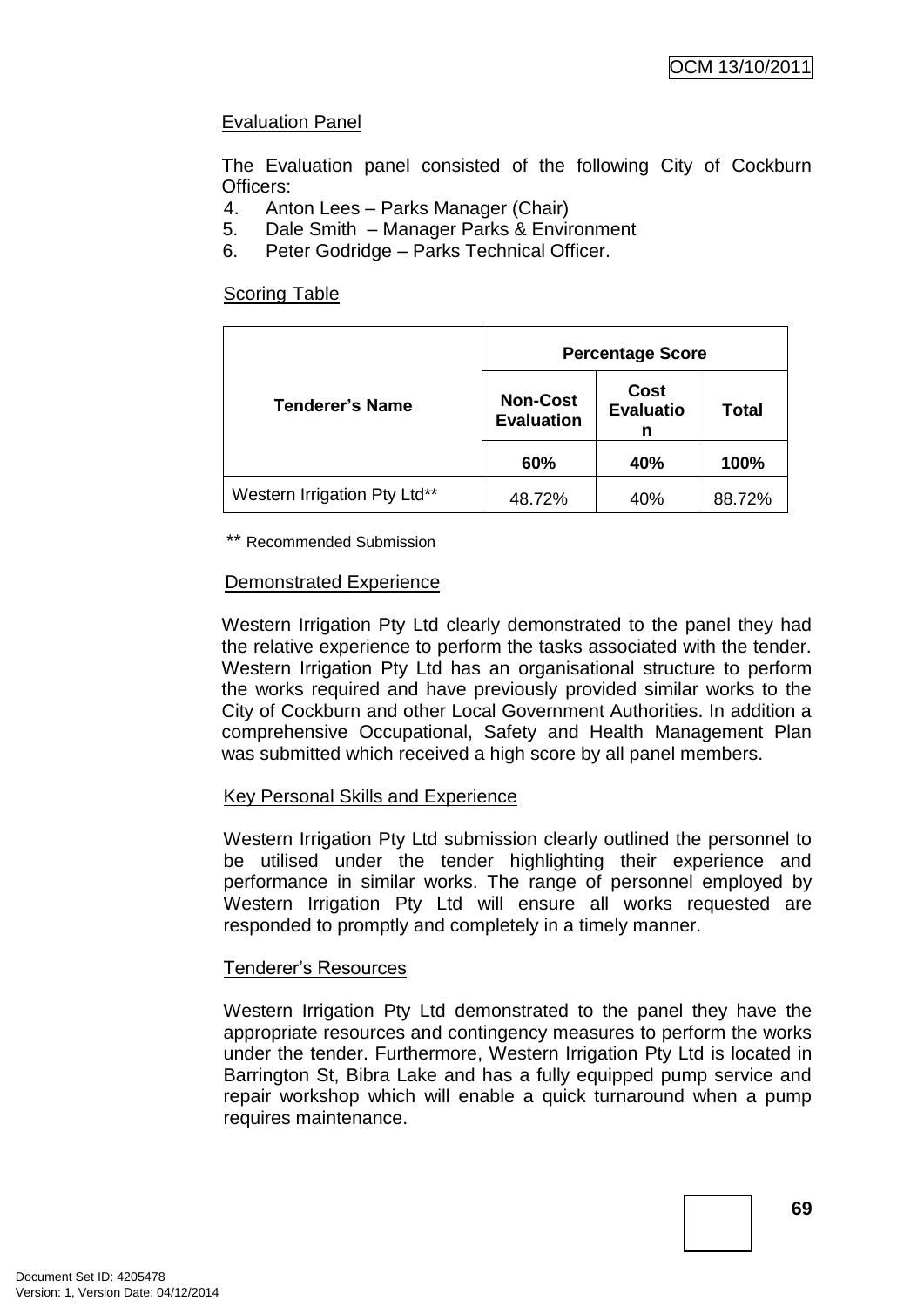# Evaluation Panel

The Evaluation panel consisted of the following City of Cockburn Officers:

- 4. Anton Lees Parks Manager (Chair)
- 5. Dale Smith Manager Parks & Environment
- 6. Peter Godridge Parks Technical Officer.

#### Scoring Table

|                              | <b>Percentage Score</b>              |                               |        |  |
|------------------------------|--------------------------------------|-------------------------------|--------|--|
| <b>Tenderer's Name</b>       | <b>Non-Cost</b><br><b>Evaluation</b> | Cost<br><b>Evaluatio</b><br>n | Total  |  |
|                              | 60%                                  | 40%                           | 100%   |  |
| Western Irrigation Pty Ltd** | 48.72%                               | 40%                           | 88.72% |  |

\*\* Recommended Submission

# Demonstrated Experience

Western Irrigation Pty Ltd clearly demonstrated to the panel they had the relative experience to perform the tasks associated with the tender. Western Irrigation Pty Ltd has an organisational structure to perform the works required and have previously provided similar works to the City of Cockburn and other Local Government Authorities. In addition a comprehensive Occupational, Safety and Health Management Plan was submitted which received a high score by all panel members.

# Key Personal Skills and Experience

Western Irrigation Pty Ltd submission clearly outlined the personnel to be utilised under the tender highlighting their experience and performance in similar works. The range of personnel employed by Western Irrigation Pty Ltd will ensure all works requested are responded to promptly and completely in a timely manner.

#### Tenderer"s Resources

Western Irrigation Pty Ltd demonstrated to the panel they have the appropriate resources and contingency measures to perform the works under the tender. Furthermore, Western Irrigation Pty Ltd is located in Barrington St, Bibra Lake and has a fully equipped pump service and repair workshop which will enable a quick turnaround when a pump requires maintenance.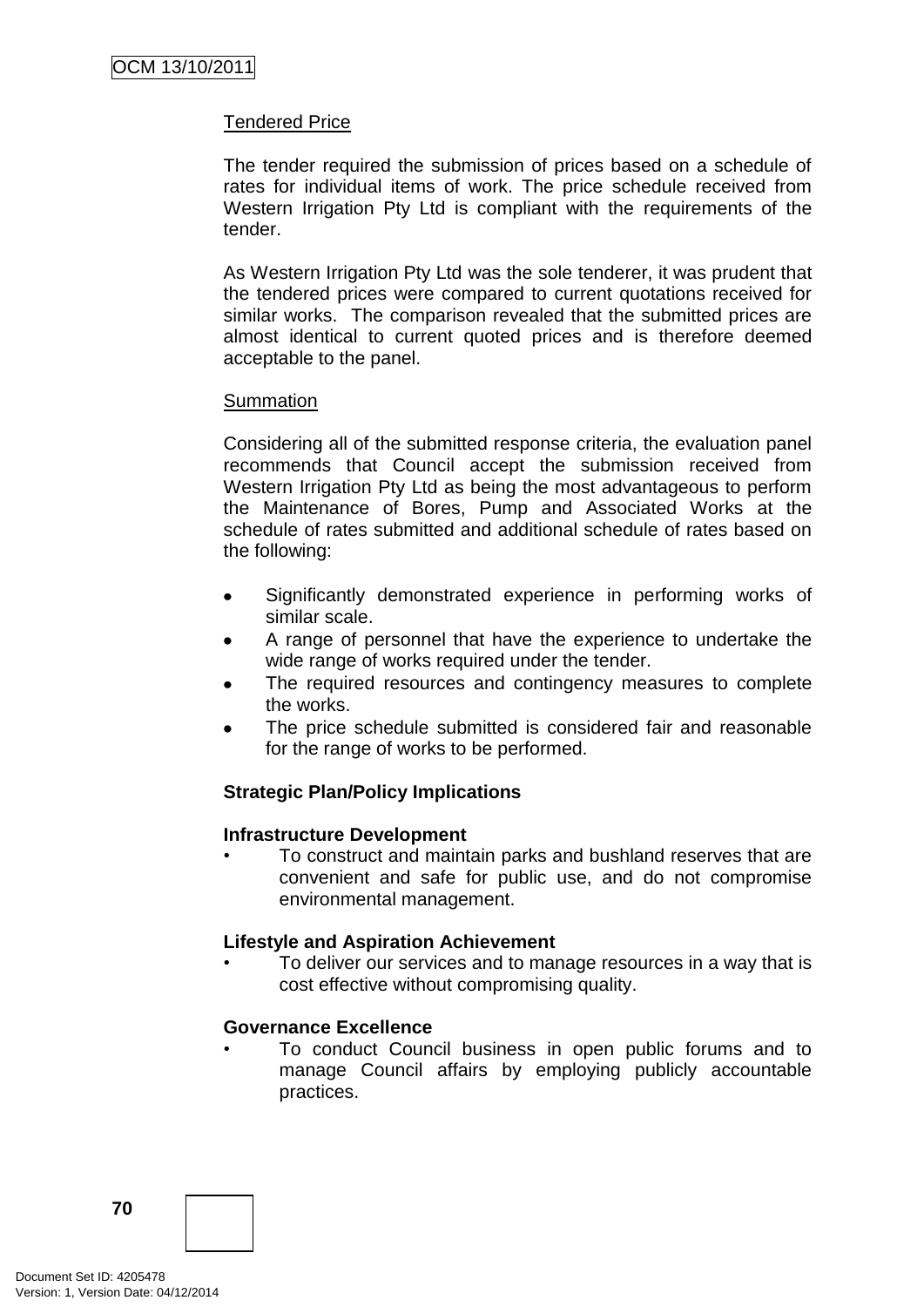#### Tendered Price

The tender required the submission of prices based on a schedule of rates for individual items of work. The price schedule received from Western Irrigation Pty Ltd is compliant with the requirements of the tender.

As Western Irrigation Pty Ltd was the sole tenderer, it was prudent that the tendered prices were compared to current quotations received for similar works. The comparison revealed that the submitted prices are almost identical to current quoted prices and is therefore deemed acceptable to the panel.

#### **Summation**

Considering all of the submitted response criteria, the evaluation panel recommends that Council accept the submission received from Western Irrigation Pty Ltd as being the most advantageous to perform the Maintenance of Bores, Pump and Associated Works at the schedule of rates submitted and additional schedule of rates based on the following:

- Significantly demonstrated experience in performing works of  $\bullet$ similar scale.
- A range of personnel that have the experience to undertake the wide range of works required under the tender.
- The required resources and contingency measures to complete the works.
- The price schedule submitted is considered fair and reasonable for the range of works to be performed.

#### **Strategic Plan/Policy Implications**

#### **Infrastructure Development**

• To construct and maintain parks and bushland reserves that are convenient and safe for public use, and do not compromise environmental management.

#### **Lifestyle and Aspiration Achievement**

• To deliver our services and to manage resources in a way that is cost effective without compromising quality.

#### **Governance Excellence**

• To conduct Council business in open public forums and to manage Council affairs by employing publicly accountable practices.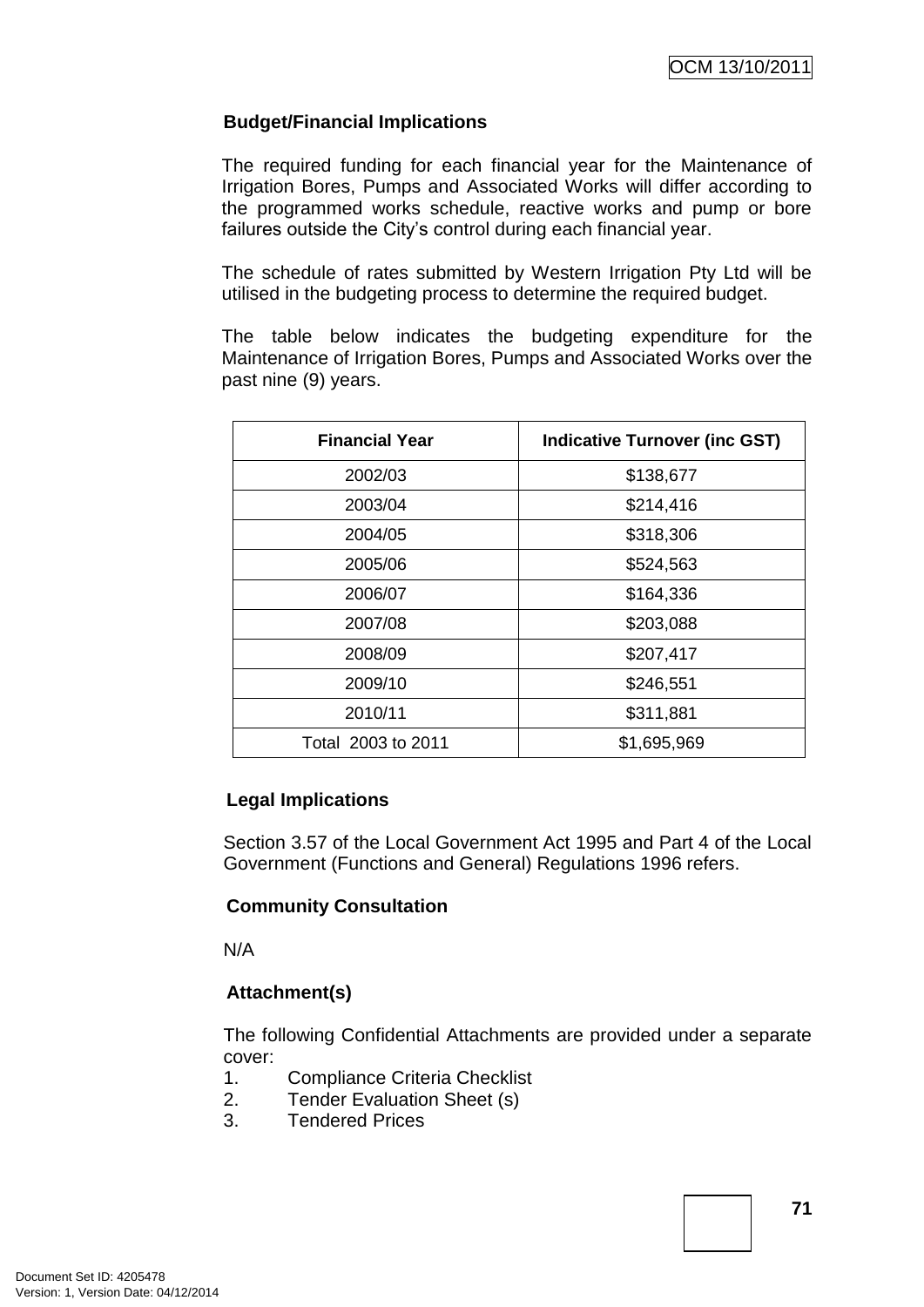## **Budget/Financial Implications**

The required funding for each financial year for the Maintenance of Irrigation Bores, Pumps and Associated Works will differ according to the programmed works schedule, reactive works and pump or bore failures outside the City's control during each financial year.

The schedule of rates submitted by Western Irrigation Pty Ltd will be utilised in the budgeting process to determine the required budget.

The table below indicates the budgeting expenditure for the Maintenance of Irrigation Bores, Pumps and Associated Works over the past nine (9) years.

| <b>Financial Year</b> | <b>Indicative Turnover (inc GST)</b> |  |  |
|-----------------------|--------------------------------------|--|--|
| 2002/03               | \$138,677                            |  |  |
| 2003/04               | \$214,416                            |  |  |
| 2004/05               | \$318,306                            |  |  |
| 2005/06               | \$524,563                            |  |  |
| 2006/07               | \$164,336                            |  |  |
| 2007/08               | \$203,088                            |  |  |
| 2008/09               | \$207,417                            |  |  |
| 2009/10               | \$246,551                            |  |  |
| 2010/11               | \$311,881                            |  |  |
| Total 2003 to 2011    | \$1,695,969                          |  |  |

#### **Legal Implications**

Section 3.57 of the Local Government Act 1995 and Part 4 of the Local Government (Functions and General) Regulations 1996 refers.

#### **Community Consultation**

N/A

#### **Attachment(s)**

The following Confidential Attachments are provided under a separate cover:

- 1. Compliance Criteria Checklist
- 2. Tender Evaluation Sheet (s)
- 3. Tendered Prices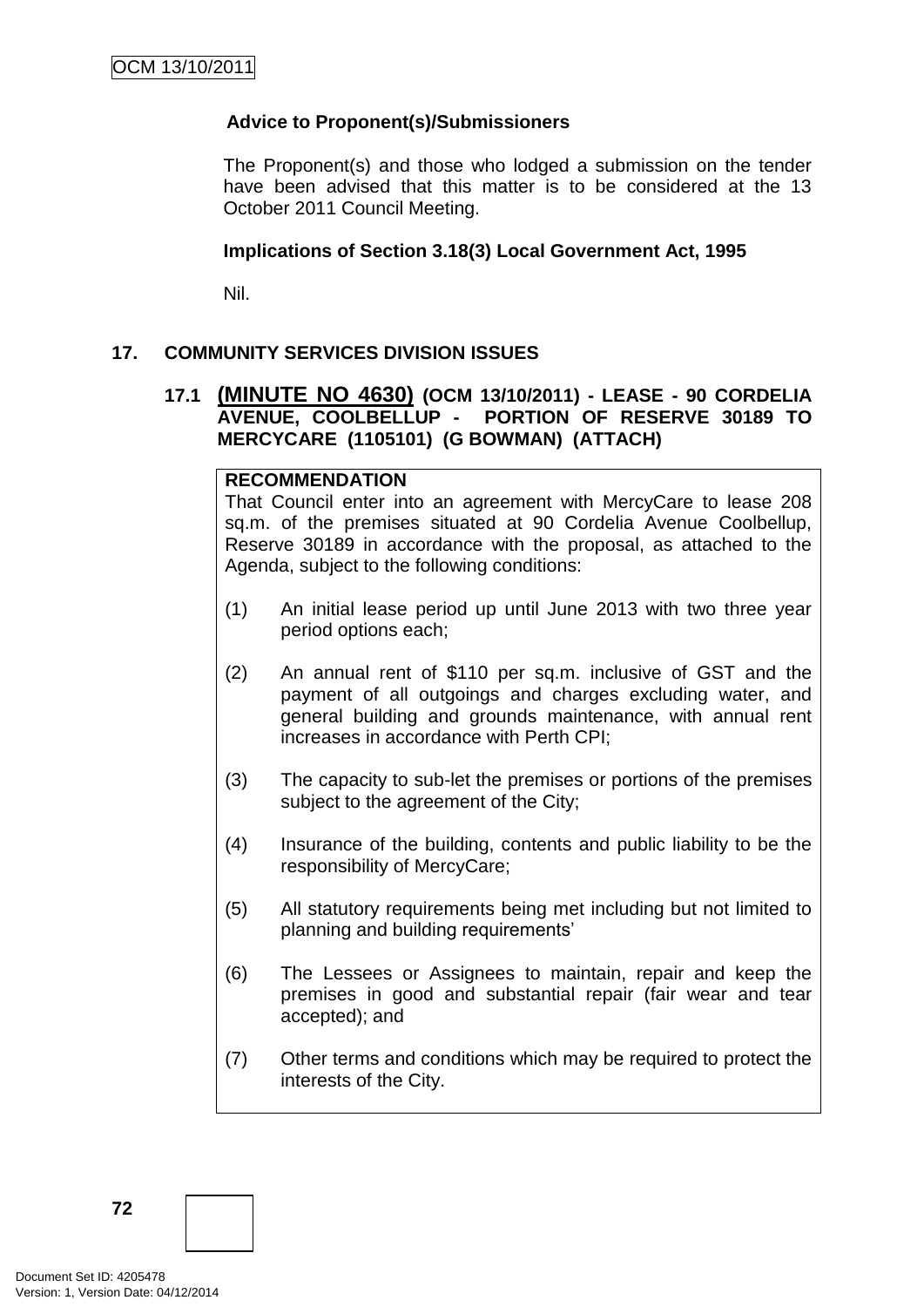## **Advice to Proponent(s)/Submissioners**

The Proponent(s) and those who lodged a submission on the tender have been advised that this matter is to be considered at the 13 October 2011 Council Meeting.

#### **Implications of Section 3.18(3) Local Government Act, 1995**

Nil.

## **17. COMMUNITY SERVICES DIVISION ISSUES**

## **17.1 (MINUTE NO 4630) (OCM 13/10/2011) - LEASE - 90 CORDELIA AVENUE, COOLBELLUP - PORTION OF RESERVE 30189 TO MERCYCARE (1105101) (G BOWMAN) (ATTACH)**

#### **RECOMMENDATION**

That Council enter into an agreement with MercyCare to lease 208 sq.m. of the premises situated at 90 Cordelia Avenue Coolbellup, Reserve 30189 in accordance with the proposal, as attached to the Agenda, subject to the following conditions:

- (1) An initial lease period up until June 2013 with two three year period options each;
- (2) An annual rent of \$110 per sq.m. inclusive of GST and the payment of all outgoings and charges excluding water, and general building and grounds maintenance, with annual rent increases in accordance with Perth CPI;
- (3) The capacity to sub-let the premises or portions of the premises subject to the agreement of the City;
- (4) Insurance of the building, contents and public liability to be the responsibility of MercyCare;
- (5) All statutory requirements being met including but not limited to planning and building requirements"
- (6) The Lessees or Assignees to maintain, repair and keep the premises in good and substantial repair (fair wear and tear accepted); and
- (7) Other terms and conditions which may be required to protect the interests of the City.

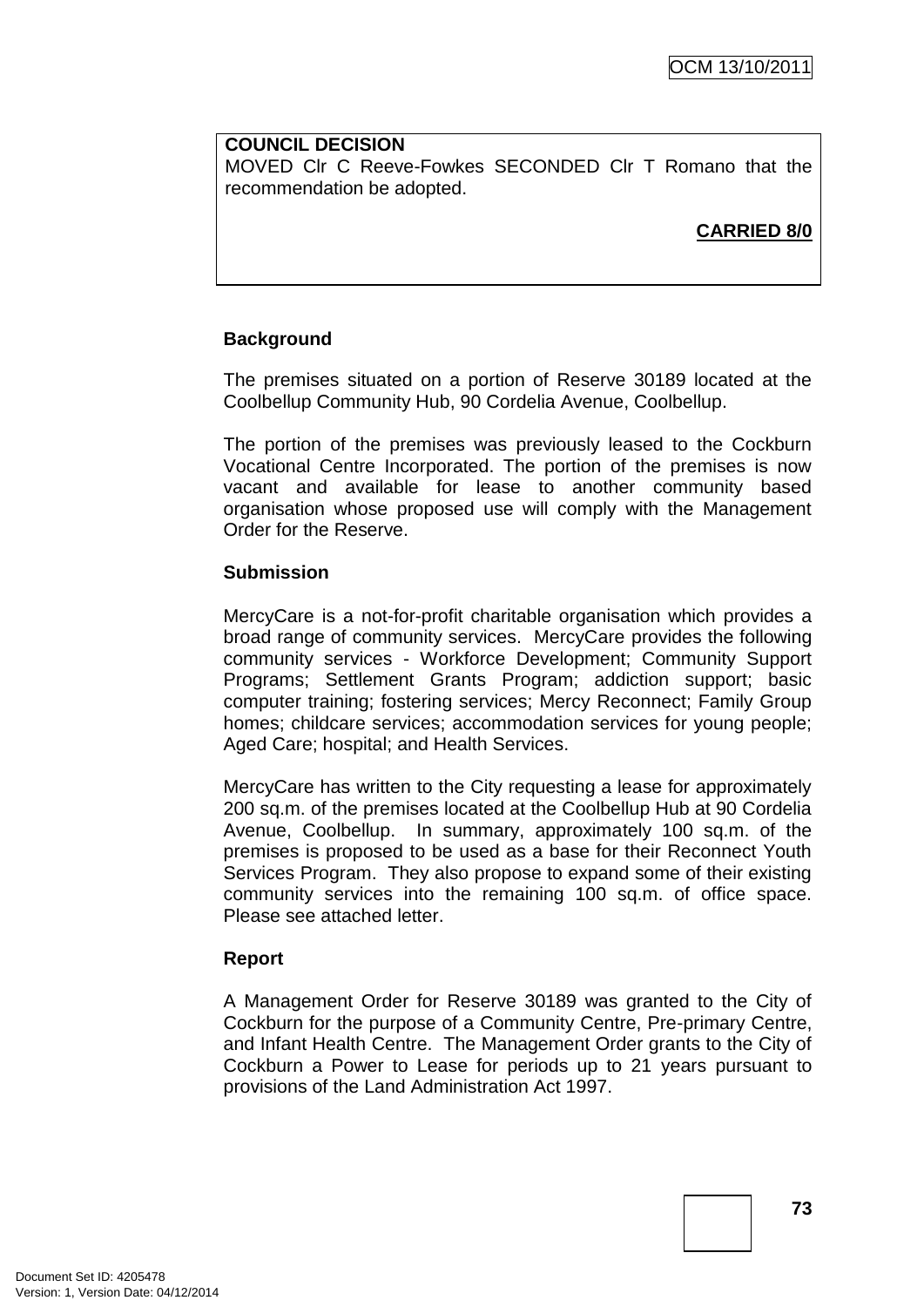## **COUNCIL DECISION** MOVED Clr C Reeve-Fowkes SECONDED Clr T Romano that the recommendation be adopted.

# **CARRIED 8/0**

## **Background**

The premises situated on a portion of Reserve 30189 located at the Coolbellup Community Hub, 90 Cordelia Avenue, Coolbellup.

The portion of the premises was previously leased to the Cockburn Vocational Centre Incorporated. The portion of the premises is now vacant and available for lease to another community based organisation whose proposed use will comply with the Management Order for the Reserve.

#### **Submission**

MercyCare is a not-for-profit charitable organisation which provides a broad range of community services. MercyCare provides the following community services - Workforce Development; Community Support Programs; Settlement Grants Program; addiction support; basic computer training; fostering services; Mercy Reconnect; Family Group homes; childcare services; accommodation services for young people; Aged Care; hospital; and Health Services.

MercyCare has written to the City requesting a lease for approximately 200 sq.m. of the premises located at the Coolbellup Hub at 90 Cordelia Avenue, Coolbellup. In summary, approximately 100 sq.m. of the premises is proposed to be used as a base for their Reconnect Youth Services Program. They also propose to expand some of their existing community services into the remaining 100 sq.m. of office space. Please see attached letter.

#### **Report**

A Management Order for Reserve 30189 was granted to the City of Cockburn for the purpose of a Community Centre, Pre-primary Centre, and Infant Health Centre. The Management Order grants to the City of Cockburn a Power to Lease for periods up to 21 years pursuant to provisions of the Land Administration Act 1997.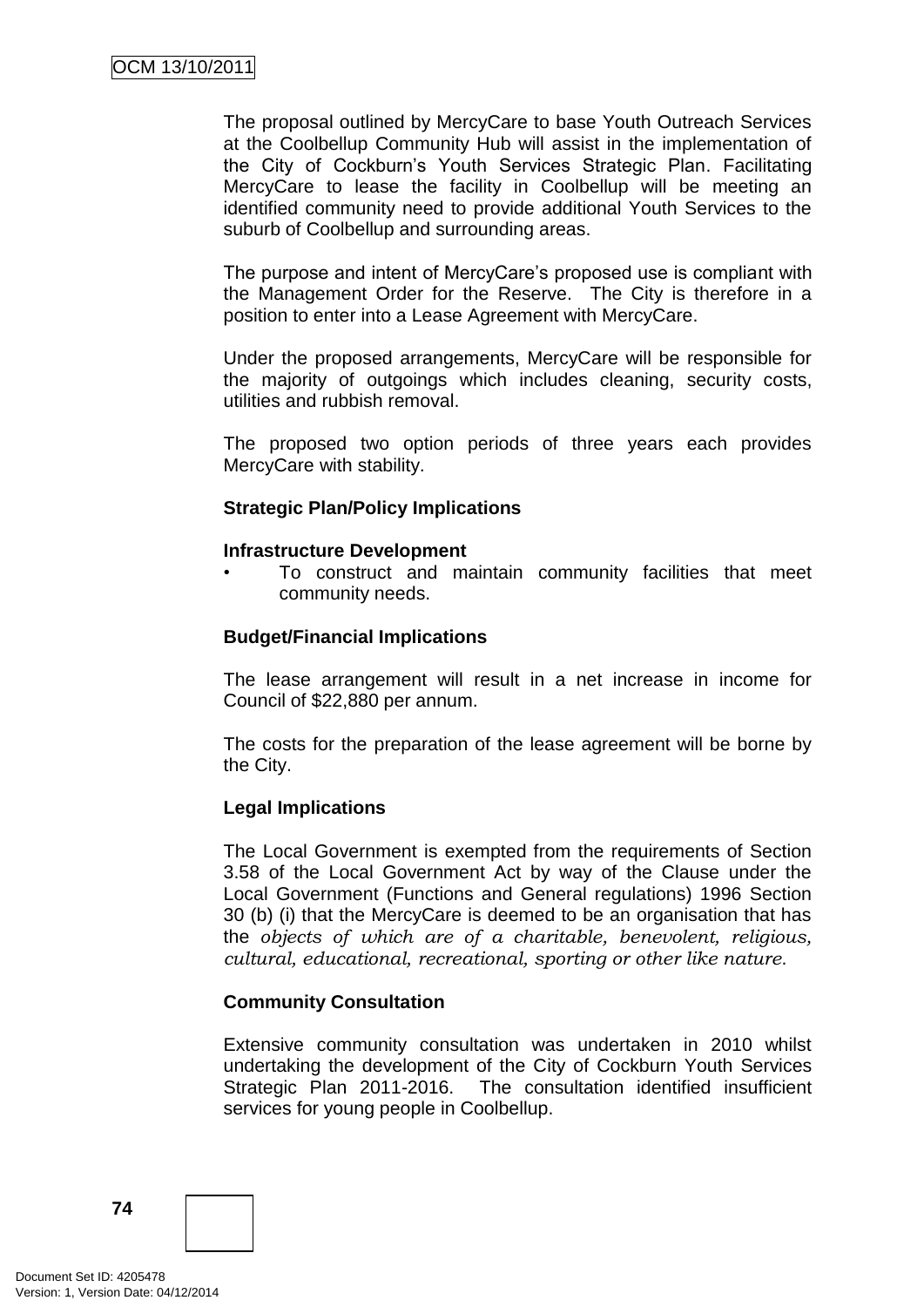The proposal outlined by MercyCare to base Youth Outreach Services at the Coolbellup Community Hub will assist in the implementation of the City of Cockburn"s Youth Services Strategic Plan. Facilitating MercyCare to lease the facility in Coolbellup will be meeting an identified community need to provide additional Youth Services to the suburb of Coolbellup and surrounding areas.

The purpose and intent of MercyCare"s proposed use is compliant with the Management Order for the Reserve. The City is therefore in a position to enter into a Lease Agreement with MercyCare.

Under the proposed arrangements, MercyCare will be responsible for the majority of outgoings which includes cleaning, security costs, utilities and rubbish removal.

The proposed two option periods of three years each provides MercyCare with stability.

#### **Strategic Plan/Policy Implications**

#### **Infrastructure Development**

• To construct and maintain community facilities that meet community needs.

#### **Budget/Financial Implications**

The lease arrangement will result in a net increase in income for Council of \$22,880 per annum.

The costs for the preparation of the lease agreement will be borne by the City.

#### **Legal Implications**

The Local Government is exempted from the requirements of Section 3.58 of the Local Government Act by way of the Clause under the Local Government (Functions and General regulations) 1996 Section 30 (b) (i) that the MercyCare is deemed to be an organisation that has the *objects of which are of a charitable, benevolent, religious, cultural, educational, recreational, sporting or other like nature*.

#### **Community Consultation**

Extensive community consultation was undertaken in 2010 whilst undertaking the development of the City of Cockburn Youth Services Strategic Plan 2011-2016. The consultation identified insufficient services for young people in Coolbellup.

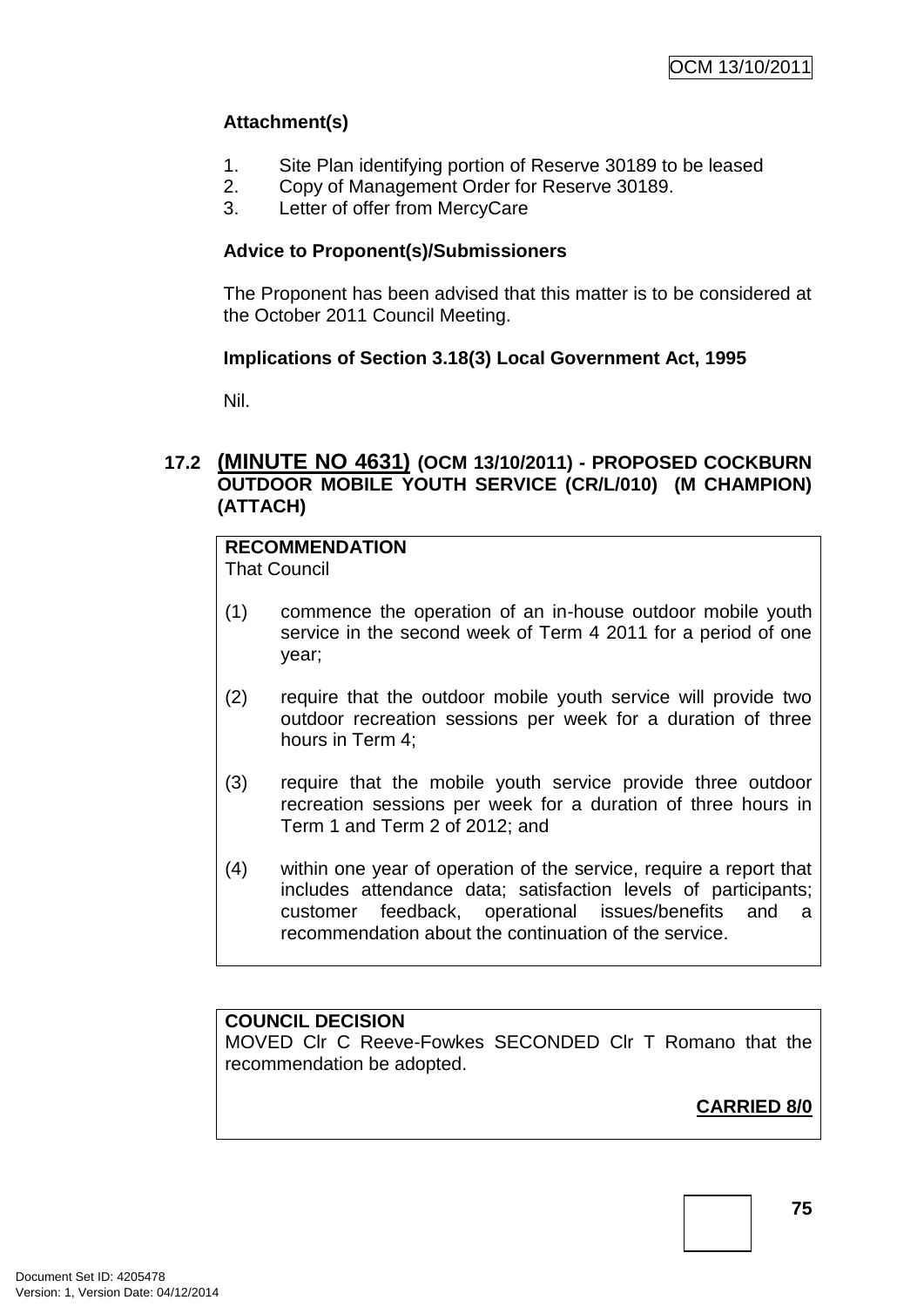# **Attachment(s)**

- 1. Site Plan identifying portion of Reserve 30189 to be leased
- 2. Copy of Management Order for Reserve 30189.
- 3. Letter of offer from MercyCare

# **Advice to Proponent(s)/Submissioners**

The Proponent has been advised that this matter is to be considered at the October 2011 Council Meeting.

# **Implications of Section 3.18(3) Local Government Act, 1995**

Nil.

# **17.2 (MINUTE NO 4631) (OCM 13/10/2011) - PROPOSED COCKBURN OUTDOOR MOBILE YOUTH SERVICE (CR/L/010) (M CHAMPION) (ATTACH)**

# **RECOMMENDATION**

That Council

- (1) commence the operation of an in-house outdoor mobile youth service in the second week of Term 4 2011 for a period of one year;
- (2) require that the outdoor mobile youth service will provide two outdoor recreation sessions per week for a duration of three hours in Term 4;
- (3) require that the mobile youth service provide three outdoor recreation sessions per week for a duration of three hours in Term 1 and Term 2 of 2012; and
- (4) within one year of operation of the service, require a report that includes attendance data; satisfaction levels of participants; customer feedback, operational issues/benefits and a recommendation about the continuation of the service.

# **COUNCIL DECISION**

MOVED Clr C Reeve-Fowkes SECONDED Clr T Romano that the recommendation be adopted.

# **CARRIED 8/0**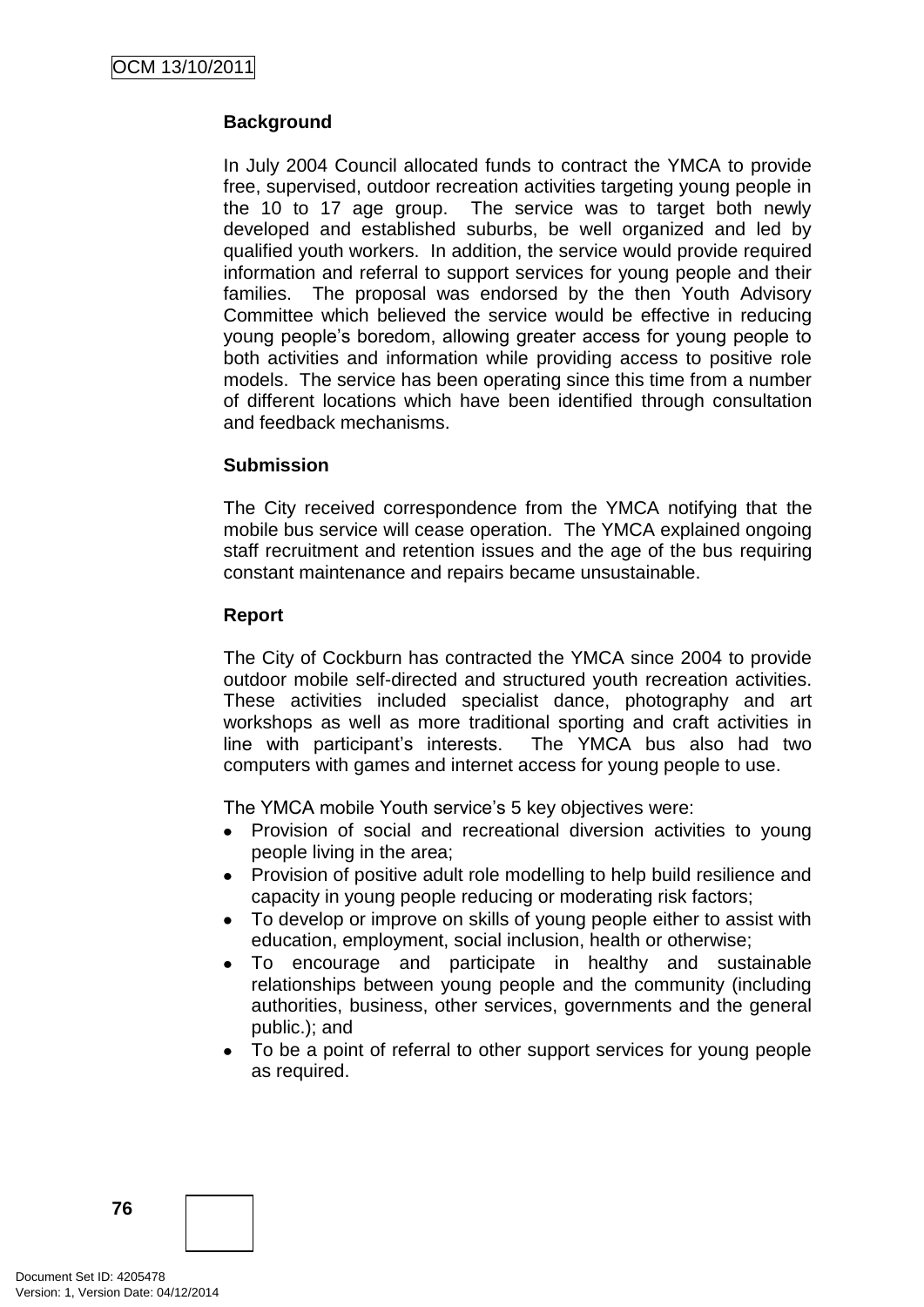# **Background**

In July 2004 Council allocated funds to contract the YMCA to provide free, supervised, outdoor recreation activities targeting young people in the 10 to 17 age group. The service was to target both newly developed and established suburbs, be well organized and led by qualified youth workers. In addition, the service would provide required information and referral to support services for young people and their families. The proposal was endorsed by the then Youth Advisory Committee which believed the service would be effective in reducing young people"s boredom, allowing greater access for young people to both activities and information while providing access to positive role models. The service has been operating since this time from a number of different locations which have been identified through consultation and feedback mechanisms.

## **Submission**

The City received correspondence from the YMCA notifying that the mobile bus service will cease operation. The YMCA explained ongoing staff recruitment and retention issues and the age of the bus requiring constant maintenance and repairs became unsustainable.

#### **Report**

The City of Cockburn has contracted the YMCA since 2004 to provide outdoor mobile self-directed and structured youth recreation activities. These activities included specialist dance, photography and art workshops as well as more traditional sporting and craft activities in line with participant"s interests. The YMCA bus also had two computers with games and internet access for young people to use.

The YMCA mobile Youth service's 5 key objectives were:

- Provision of social and recreational diversion activities to young people living in the area;
- Provision of positive adult role modelling to help build resilience and capacity in young people reducing or moderating risk factors;
- To develop or improve on skills of young people either to assist with education, employment, social inclusion, health or otherwise;
- To encourage and participate in healthy and sustainable  $\bullet$ relationships between young people and the community (including authorities, business, other services, governments and the general public.); and
- To be a point of referral to other support services for young people as required.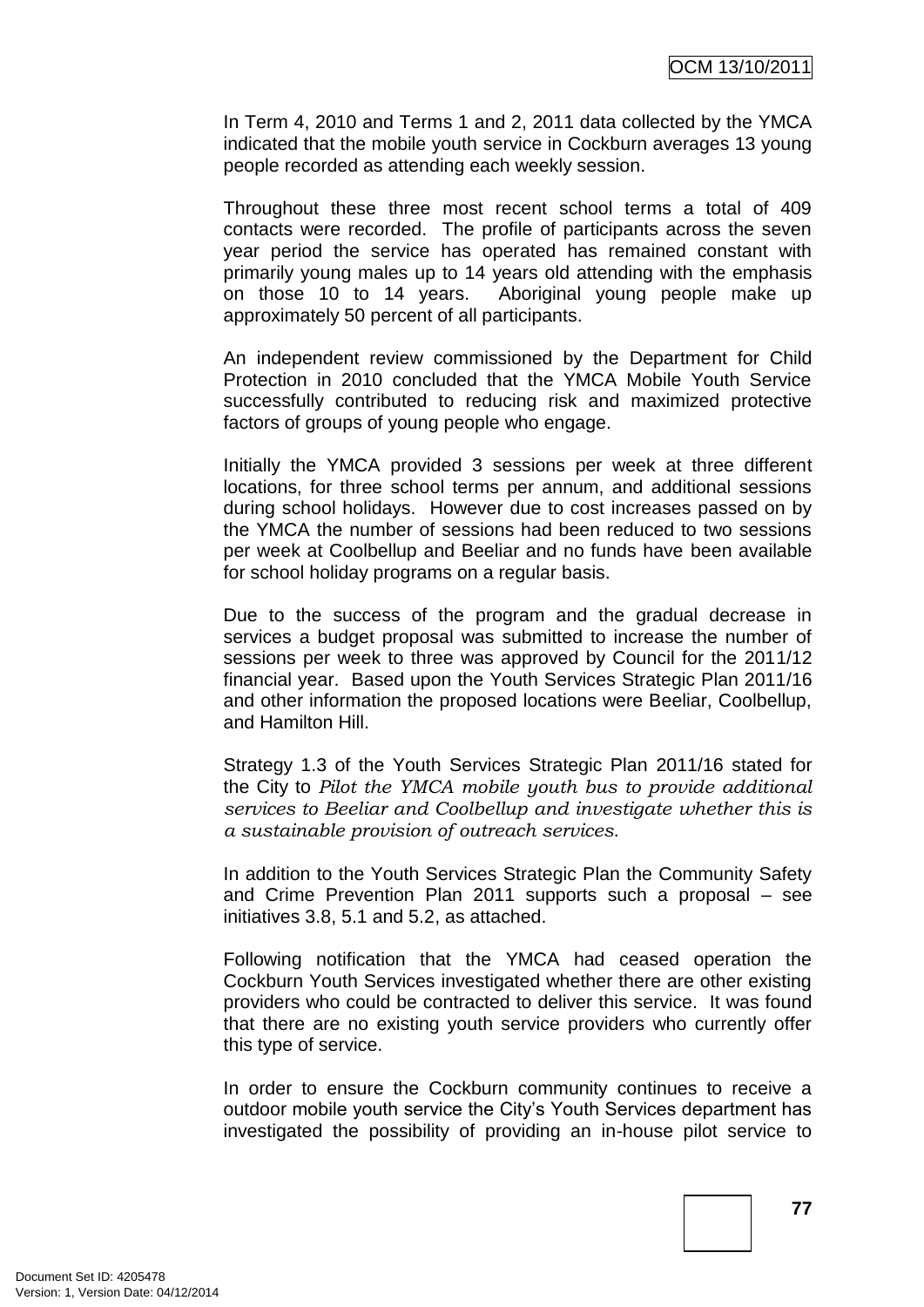In Term 4, 2010 and Terms 1 and 2, 2011 data collected by the YMCA indicated that the mobile youth service in Cockburn averages 13 young people recorded as attending each weekly session.

Throughout these three most recent school terms a total of 409 contacts were recorded. The profile of participants across the seven year period the service has operated has remained constant with primarily young males up to 14 years old attending with the emphasis on those 10 to 14 years. Aboriginal young people make up approximately 50 percent of all participants.

An independent review commissioned by the Department for Child Protection in 2010 concluded that the YMCA Mobile Youth Service successfully contributed to reducing risk and maximized protective factors of groups of young people who engage.

Initially the YMCA provided 3 sessions per week at three different locations, for three school terms per annum, and additional sessions during school holidays. However due to cost increases passed on by the YMCA the number of sessions had been reduced to two sessions per week at Coolbellup and Beeliar and no funds have been available for school holiday programs on a regular basis.

Due to the success of the program and the gradual decrease in services a budget proposal was submitted to increase the number of sessions per week to three was approved by Council for the 2011/12 financial year. Based upon the Youth Services Strategic Plan 2011/16 and other information the proposed locations were Beeliar, Coolbellup, and Hamilton Hill.

Strategy 1.3 of the Youth Services Strategic Plan 2011/16 stated for the City to *Pilot the YMCA mobile youth bus to provide additional services to Beeliar and Coolbellup and investigate whether this is a sustainable provision of outreach services*.

In addition to the Youth Services Strategic Plan the Community Safety and Crime Prevention Plan 2011 supports such a proposal – see initiatives 3.8, 5.1 and 5.2, as attached.

Following notification that the YMCA had ceased operation the Cockburn Youth Services investigated whether there are other existing providers who could be contracted to deliver this service. It was found that there are no existing youth service providers who currently offer this type of service.

In order to ensure the Cockburn community continues to receive a outdoor mobile youth service the City"s Youth Services department has investigated the possibility of providing an in-house pilot service to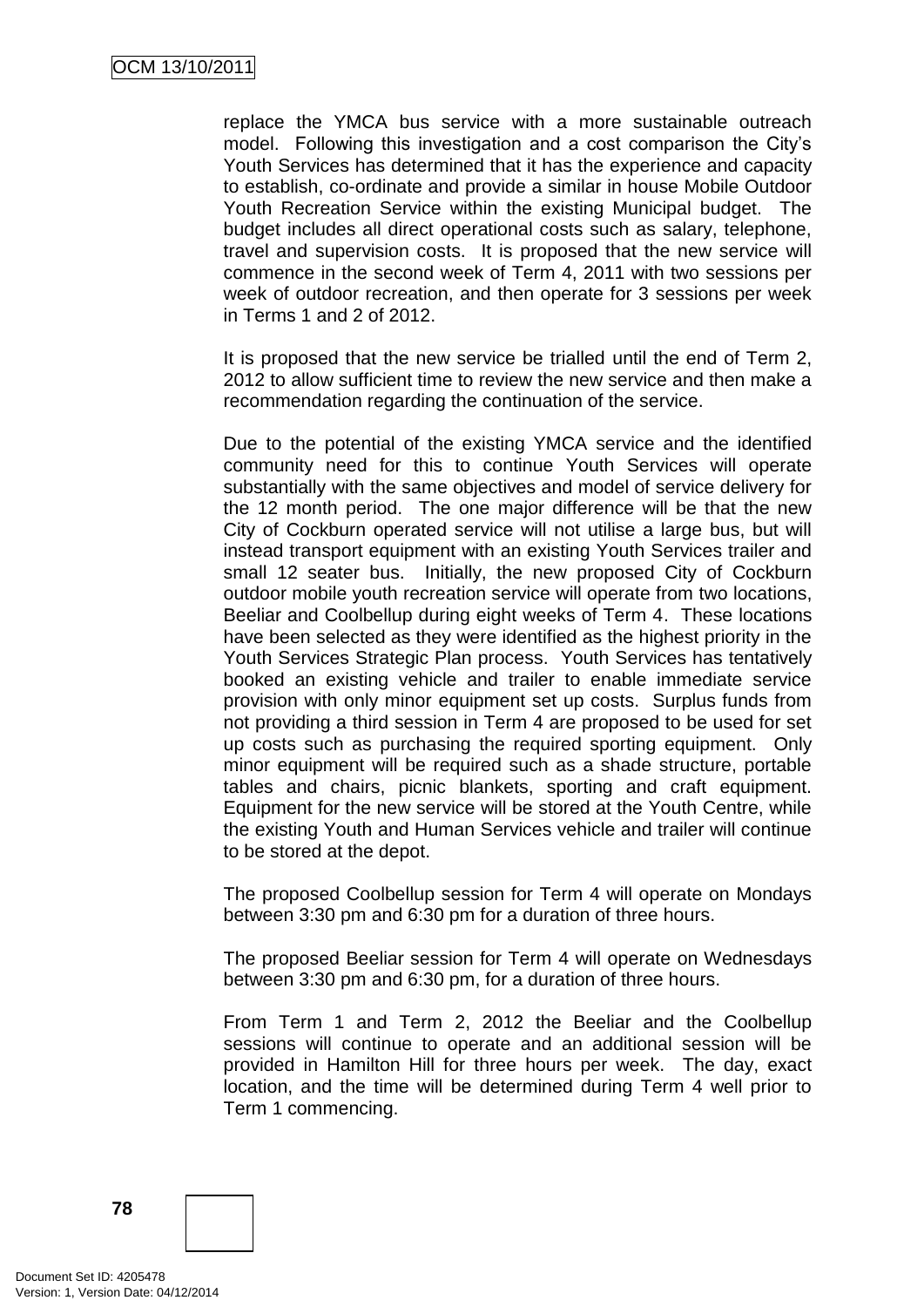replace the YMCA bus service with a more sustainable outreach model. Following this investigation and a cost comparison the City"s Youth Services has determined that it has the experience and capacity to establish, co-ordinate and provide a similar in house Mobile Outdoor Youth Recreation Service within the existing Municipal budget. The budget includes all direct operational costs such as salary, telephone, travel and supervision costs. It is proposed that the new service will commence in the second week of Term 4, 2011 with two sessions per week of outdoor recreation, and then operate for 3 sessions per week in Terms 1 and 2 of 2012.

It is proposed that the new service be trialled until the end of Term 2, 2012 to allow sufficient time to review the new service and then make a recommendation regarding the continuation of the service.

Due to the potential of the existing YMCA service and the identified community need for this to continue Youth Services will operate substantially with the same objectives and model of service delivery for the 12 month period. The one major difference will be that the new City of Cockburn operated service will not utilise a large bus, but will instead transport equipment with an existing Youth Services trailer and small 12 seater bus. Initially, the new proposed City of Cockburn outdoor mobile youth recreation service will operate from two locations, Beeliar and Coolbellup during eight weeks of Term 4. These locations have been selected as they were identified as the highest priority in the Youth Services Strategic Plan process. Youth Services has tentatively booked an existing vehicle and trailer to enable immediate service provision with only minor equipment set up costs. Surplus funds from not providing a third session in Term 4 are proposed to be used for set up costs such as purchasing the required sporting equipment. Only minor equipment will be required such as a shade structure, portable tables and chairs, picnic blankets, sporting and craft equipment. Equipment for the new service will be stored at the Youth Centre, while the existing Youth and Human Services vehicle and trailer will continue to be stored at the depot.

The proposed Coolbellup session for Term 4 will operate on Mondays between 3:30 pm and 6:30 pm for a duration of three hours.

The proposed Beeliar session for Term 4 will operate on Wednesdays between 3:30 pm and 6:30 pm, for a duration of three hours.

From Term 1 and Term 2, 2012 the Beeliar and the Coolbellup sessions will continue to operate and an additional session will be provided in Hamilton Hill for three hours per week. The day, exact location, and the time will be determined during Term 4 well prior to Term 1 commencing.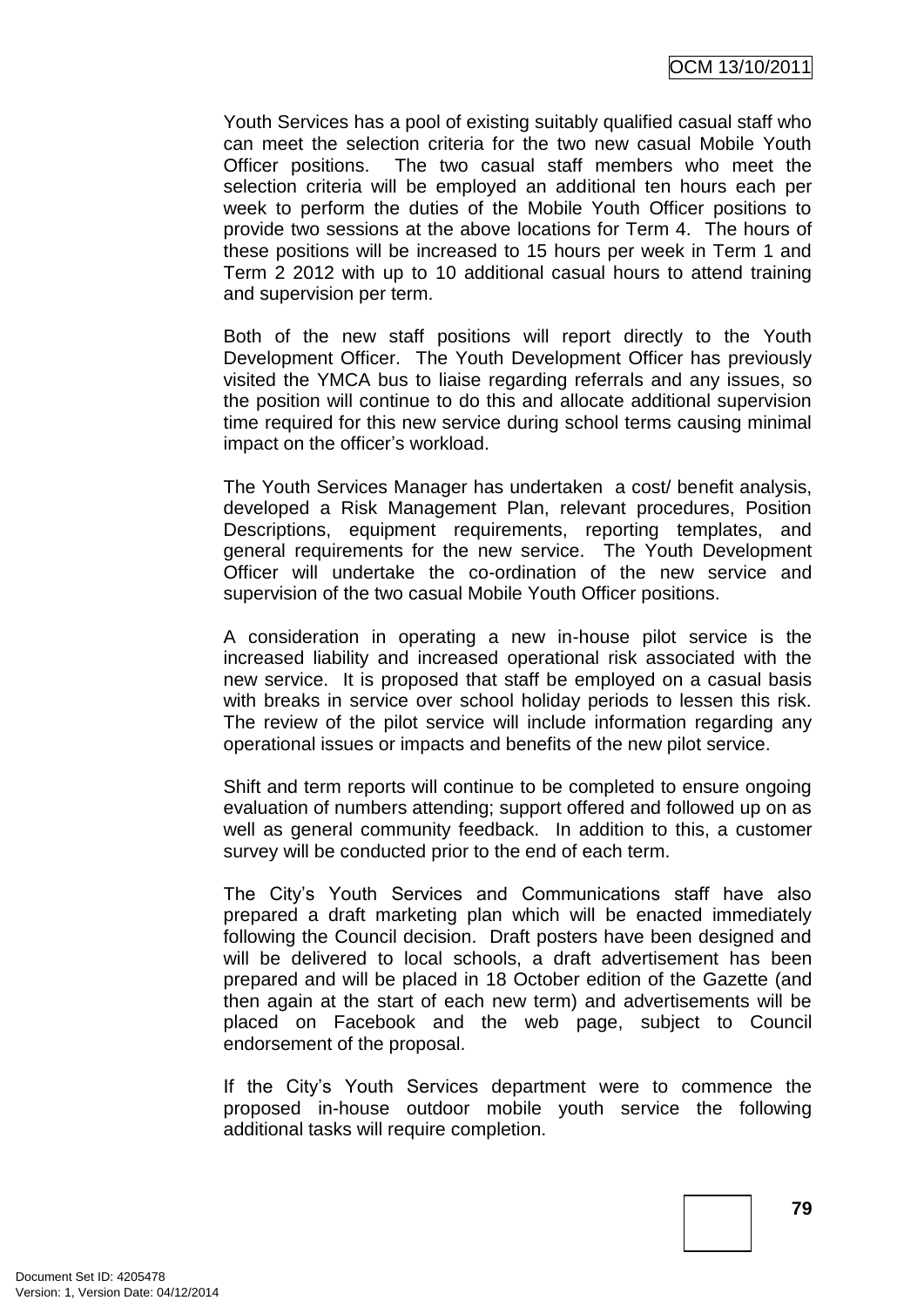Youth Services has a pool of existing suitably qualified casual staff who can meet the selection criteria for the two new casual Mobile Youth Officer positions. The two casual staff members who meet the selection criteria will be employed an additional ten hours each per week to perform the duties of the Mobile Youth Officer positions to provide two sessions at the above locations for Term 4. The hours of these positions will be increased to 15 hours per week in Term 1 and Term 2 2012 with up to 10 additional casual hours to attend training and supervision per term.

Both of the new staff positions will report directly to the Youth Development Officer. The Youth Development Officer has previously visited the YMCA bus to liaise regarding referrals and any issues, so the position will continue to do this and allocate additional supervision time required for this new service during school terms causing minimal impact on the officer"s workload.

The Youth Services Manager has undertaken a cost/ benefit analysis, developed a Risk Management Plan, relevant procedures, Position Descriptions, equipment requirements, reporting templates, and general requirements for the new service. The Youth Development Officer will undertake the co-ordination of the new service and supervision of the two casual Mobile Youth Officer positions.

A consideration in operating a new in-house pilot service is the increased liability and increased operational risk associated with the new service. It is proposed that staff be employed on a casual basis with breaks in service over school holiday periods to lessen this risk. The review of the pilot service will include information regarding any operational issues or impacts and benefits of the new pilot service.

Shift and term reports will continue to be completed to ensure ongoing evaluation of numbers attending; support offered and followed up on as well as general community feedback. In addition to this, a customer survey will be conducted prior to the end of each term.

The City"s Youth Services and Communications staff have also prepared a draft marketing plan which will be enacted immediately following the Council decision. Draft posters have been designed and will be delivered to local schools, a draft advertisement has been prepared and will be placed in 18 October edition of the Gazette (and then again at the start of each new term) and advertisements will be placed on Facebook and the web page, subject to Council endorsement of the proposal.

If the City"s Youth Services department were to commence the proposed in-house outdoor mobile youth service the following additional tasks will require completion.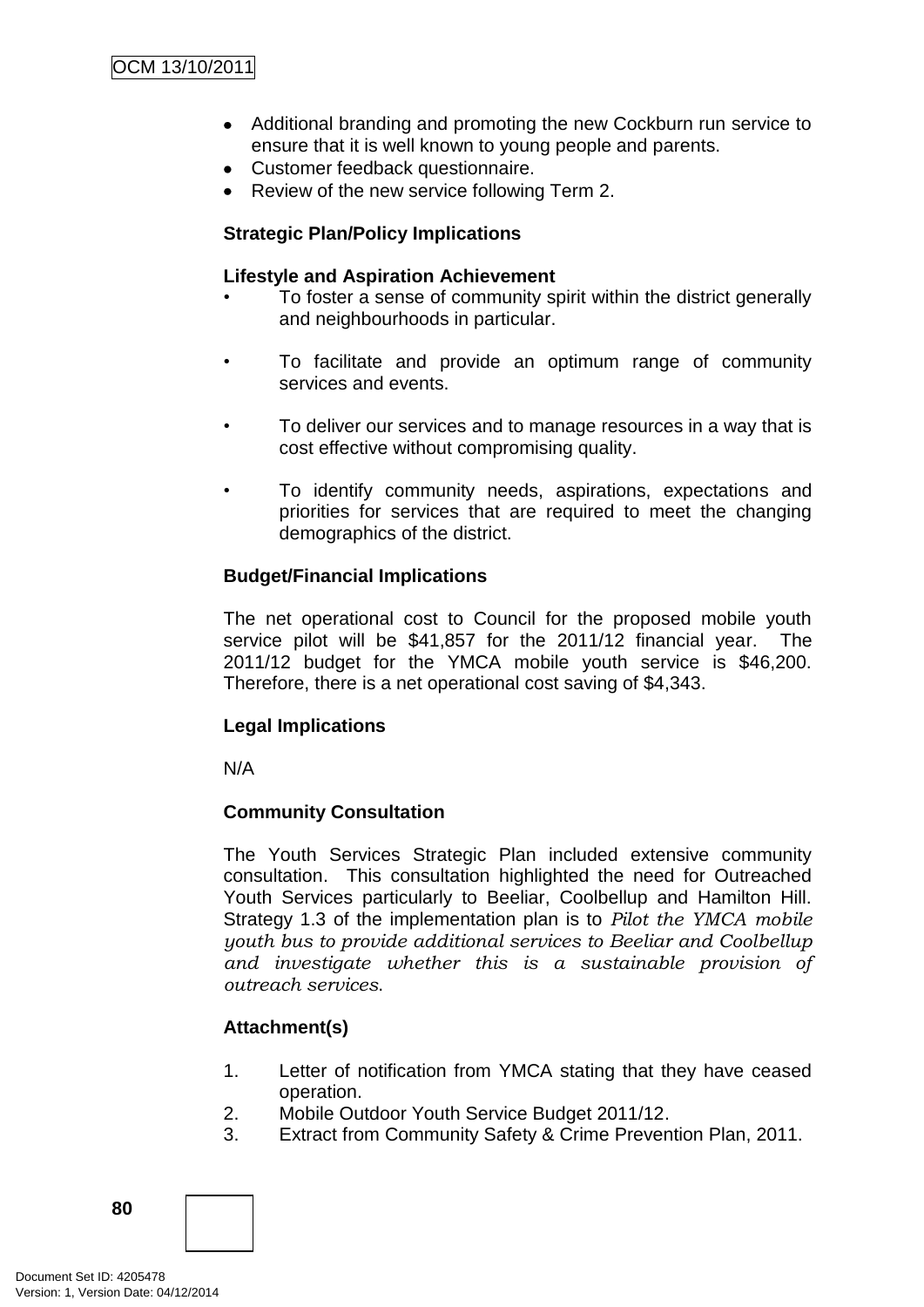- Additional branding and promoting the new Cockburn run service to ensure that it is well known to young people and parents.
- Customer feedback questionnaire.
- Review of the new service following Term 2.

## **Strategic Plan/Policy Implications**

#### **Lifestyle and Aspiration Achievement**

- To foster a sense of community spirit within the district generally and neighbourhoods in particular.
- To facilitate and provide an optimum range of community services and events.
- To deliver our services and to manage resources in a way that is cost effective without compromising quality.
- To identify community needs, aspirations, expectations and priorities for services that are required to meet the changing demographics of the district.

## **Budget/Financial Implications**

The net operational cost to Council for the proposed mobile youth service pilot will be \$41,857 for the 2011/12 financial year. The 2011/12 budget for the YMCA mobile youth service is \$46,200. Therefore, there is a net operational cost saving of \$4,343.

#### **Legal Implications**

N/A

# **Community Consultation**

The Youth Services Strategic Plan included extensive community consultation. This consultation highlighted the need for Outreached Youth Services particularly to Beeliar, Coolbellup and Hamilton Hill. Strategy 1.3 of the implementation plan is to *Pilot the YMCA mobile youth bus to provide additional services to Beeliar and Coolbellup and investigate whether this is a sustainable provision of outreach services*.

# **Attachment(s)**

- 1. Letter of notification from YMCA stating that they have ceased operation.
- 2. Mobile Outdoor Youth Service Budget 2011/12.
- 3. Extract from Community Safety & Crime Prevention Plan, 2011.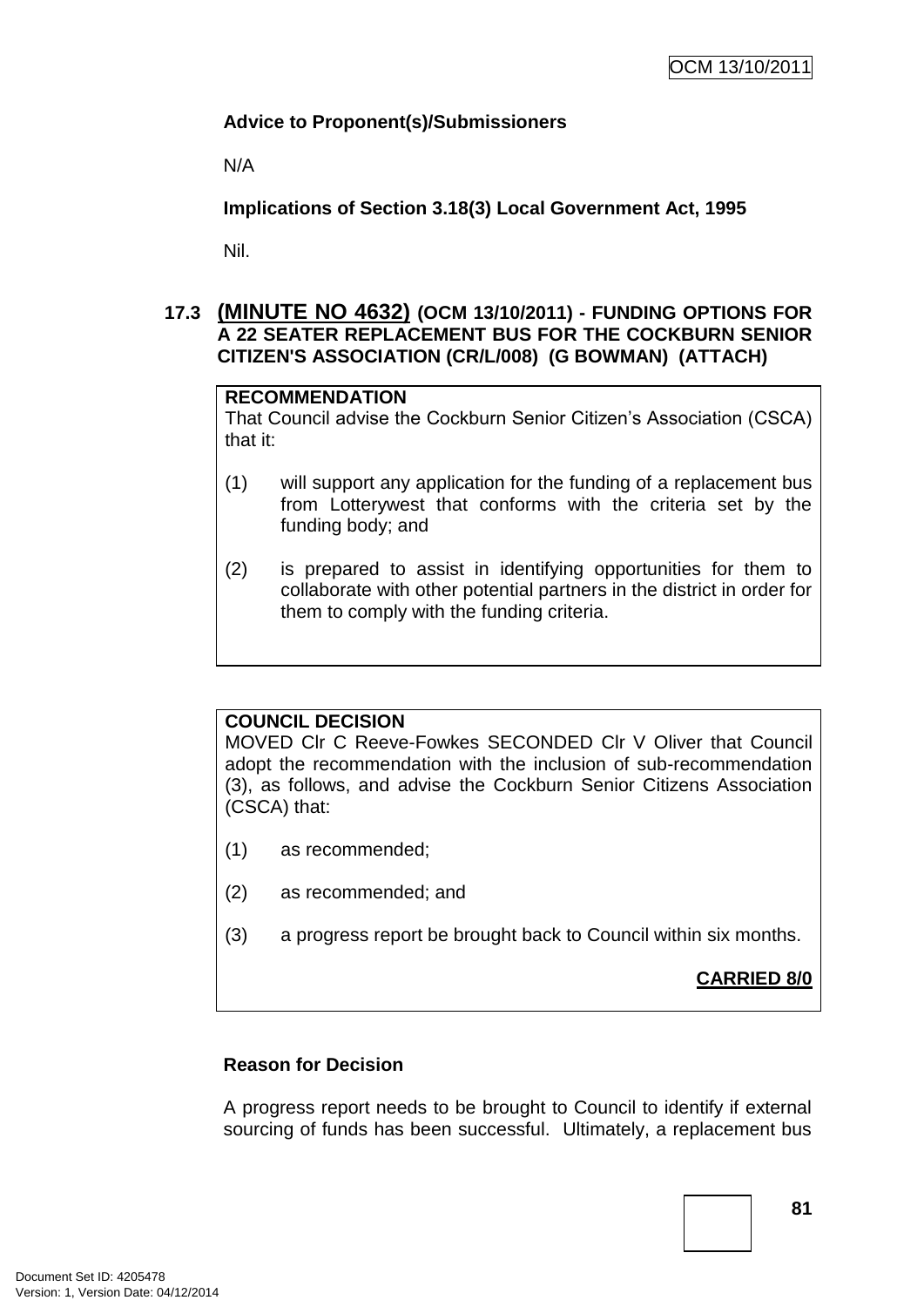# **Advice to Proponent(s)/Submissioners**

N/A

**Implications of Section 3.18(3) Local Government Act, 1995**

Nil.

# **17.3 (MINUTE NO 4632) (OCM 13/10/2011) - FUNDING OPTIONS FOR A 22 SEATER REPLACEMENT BUS FOR THE COCKBURN SENIOR CITIZEN'S ASSOCIATION (CR/L/008) (G BOWMAN) (ATTACH)**

## **RECOMMENDATION**

That Council advise the Cockburn Senior Citizen"s Association (CSCA) that it:

- (1) will support any application for the funding of a replacement bus from Lotterywest that conforms with the criteria set by the funding body; and
- (2) is prepared to assist in identifying opportunities for them to collaborate with other potential partners in the district in order for them to comply with the funding criteria.

# **COUNCIL DECISION**

MOVED Clr C Reeve-Fowkes SECONDED Clr V Oliver that Council adopt the recommendation with the inclusion of sub-recommendation (3), as follows, and advise the Cockburn Senior Citizens Association (CSCA) that:

- (1) as recommended;
- (2) as recommended; and
- (3) a progress report be brought back to Council within six months.

**CARRIED 8/0**

# **Reason for Decision**

A progress report needs to be brought to Council to identify if external sourcing of funds has been successful. Ultimately, a replacement bus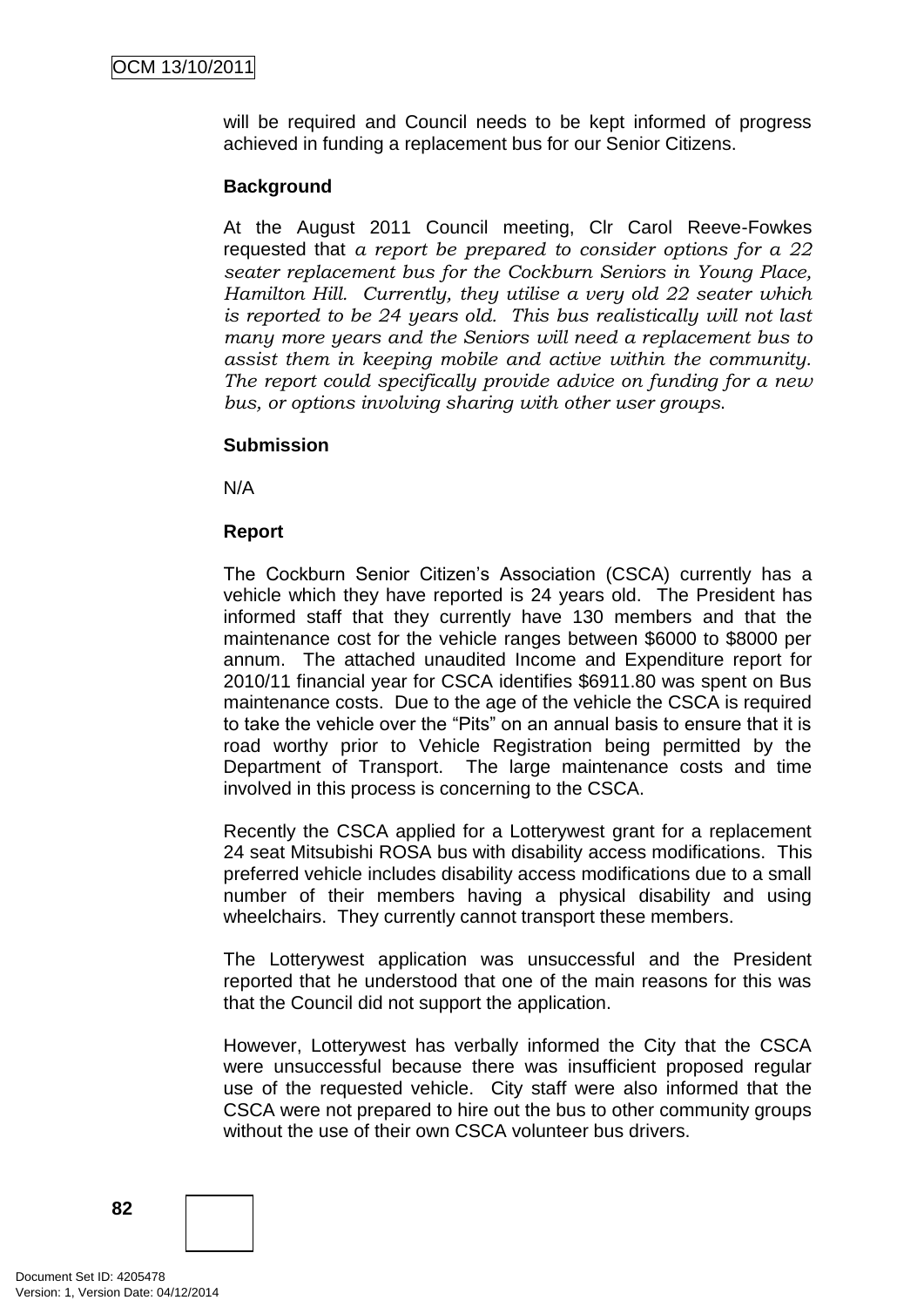will be required and Council needs to be kept informed of progress achieved in funding a replacement bus for our Senior Citizens.

## **Background**

At the August 2011 Council meeting, Clr Carol Reeve-Fowkes requested that *a report be prepared to consider options for a 22 seater replacement bus for the Cockburn Seniors in Young Place, Hamilton Hill. Currently, they utilise a very old 22 seater which is reported to be 24 years old. This bus realistically will not last many more years and the Seniors will need a replacement bus to assist them in keeping mobile and active within the community. The report could specifically provide advice on funding for a new bus, or options involving sharing with other user groups*.

#### **Submission**

N/A

#### **Report**

The Cockburn Senior Citizen"s Association (CSCA) currently has a vehicle which they have reported is 24 years old. The President has informed staff that they currently have 130 members and that the maintenance cost for the vehicle ranges between \$6000 to \$8000 per annum. The attached unaudited Income and Expenditure report for 2010/11 financial year for CSCA identifies \$6911.80 was spent on Bus maintenance costs. Due to the age of the vehicle the CSCA is required to take the vehicle over the "Pits" on an annual basis to ensure that it is road worthy prior to Vehicle Registration being permitted by the Department of Transport. The large maintenance costs and time involved in this process is concerning to the CSCA.

Recently the CSCA applied for a Lotterywest grant for a replacement 24 seat Mitsubishi ROSA bus with disability access modifications. This preferred vehicle includes disability access modifications due to a small number of their members having a physical disability and using wheelchairs. They currently cannot transport these members.

The Lotterywest application was unsuccessful and the President reported that he understood that one of the main reasons for this was that the Council did not support the application.

However, Lotterywest has verbally informed the City that the CSCA were unsuccessful because there was insufficient proposed regular use of the requested vehicle. City staff were also informed that the CSCA were not prepared to hire out the bus to other community groups without the use of their own CSCA volunteer bus drivers.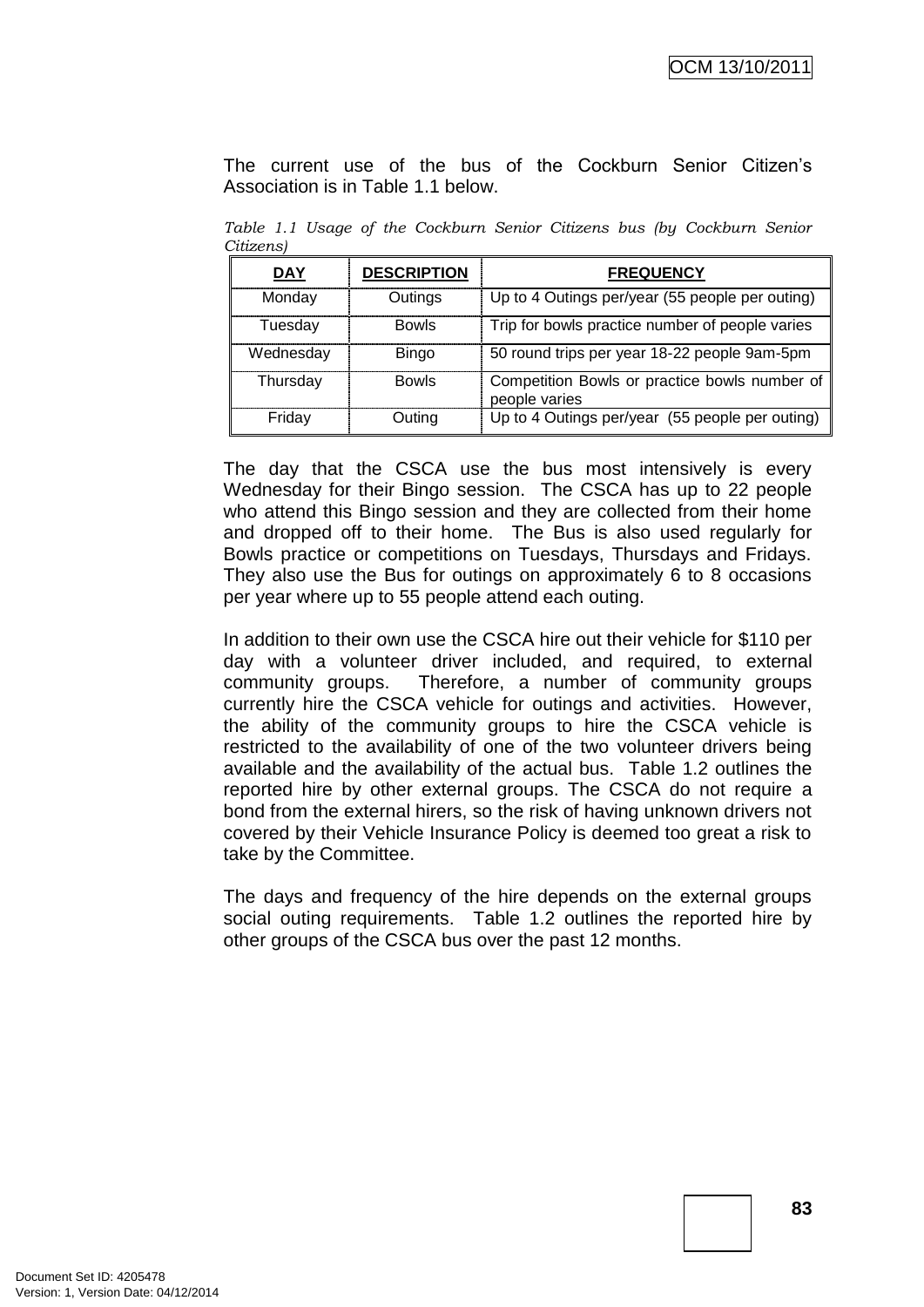The current use of the bus of the Cockburn Senior Citizen"s Association is in Table 1.1 below.

*Table 1.1 Usage of the Cockburn Senior Citizens bus (by Cockburn Senior Citizens)*

| <b>DAY</b> | <b>DESCRIPTION</b> | <b>FREQUENCY</b>                                               |
|------------|--------------------|----------------------------------------------------------------|
| Monday     | Outings            | Up to 4 Outings per/year (55 people per outing)                |
| Tuesdav    | <b>Bowls</b>       | Trip for bowls practice number of people varies                |
| Wednesday  | <b>Bingo</b>       | 50 round trips per year 18-22 people 9am-5pm                   |
| Thursday   | <b>Bowls</b>       | Competition Bowls or practice bowls number of<br>people varies |
| Friday     | Outing             | Up to 4 Outings per/year (55 people per outing)                |

The day that the CSCA use the bus most intensively is every Wednesday for their Bingo session. The CSCA has up to 22 people who attend this Bingo session and they are collected from their home and dropped off to their home. The Bus is also used regularly for Bowls practice or competitions on Tuesdays, Thursdays and Fridays. They also use the Bus for outings on approximately 6 to 8 occasions per year where up to 55 people attend each outing.

In addition to their own use the CSCA hire out their vehicle for \$110 per day with a volunteer driver included, and required, to external community groups. Therefore, a number of community groups currently hire the CSCA vehicle for outings and activities. However, the ability of the community groups to hire the CSCA vehicle is restricted to the availability of one of the two volunteer drivers being available and the availability of the actual bus. Table 1.2 outlines the reported hire by other external groups. The CSCA do not require a bond from the external hirers, so the risk of having unknown drivers not covered by their Vehicle Insurance Policy is deemed too great a risk to take by the Committee.

The days and frequency of the hire depends on the external groups social outing requirements. Table 1.2 outlines the reported hire by other groups of the CSCA bus over the past 12 months.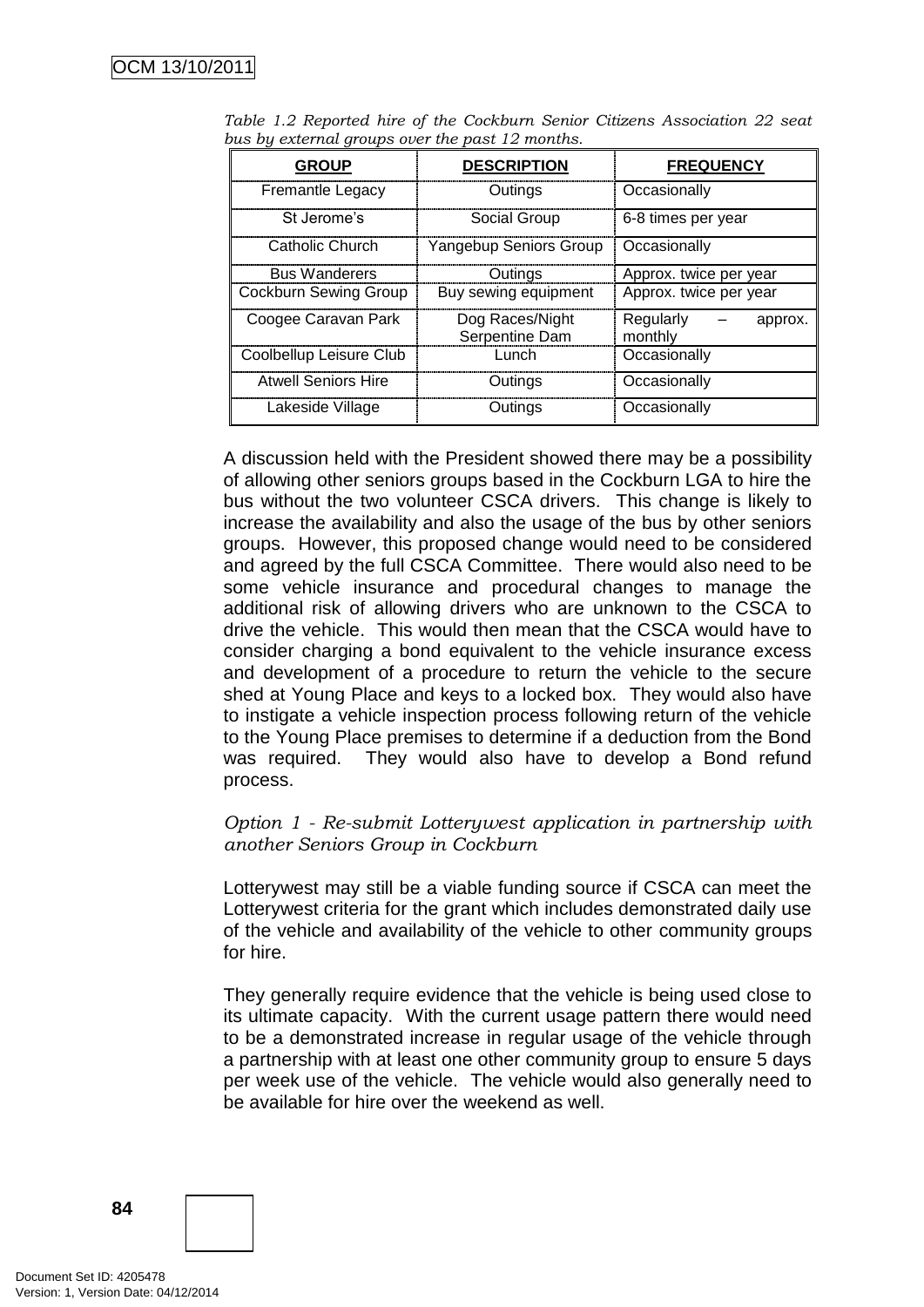| <b>GROUP</b>                 | <b>DESCRIPTION</b>                | <b>FREQUENCY</b>                |  |  |
|------------------------------|-----------------------------------|---------------------------------|--|--|
| Fremantle Legacy             | Outings                           | Occasionally                    |  |  |
| St Jerome's                  | Social Group                      | 6-8 times per year              |  |  |
| Catholic Church              | Yangebup Seniors Group            | Occasionally                    |  |  |
| <b>Bus Wanderers</b>         | Outings                           | Approx. twice per year          |  |  |
| <b>Cockburn Sewing Group</b> | Buy sewing equipment              | Approx. twice per year          |  |  |
| Coogee Caravan Park          | Dog Races/Night<br>Serpentine Dam | Regularly<br>approx.<br>monthly |  |  |
| Coolbellup Leisure Club      | Lunch                             | Occasionally                    |  |  |
| <b>Atwell Seniors Hire</b>   | Outings                           | Occasionally                    |  |  |
| Lakeside Village             | Outings                           | Occasionally                    |  |  |

| Table 1.2 Reported hire of the Cockburn Senior Citizens Association 22 seat |  |  |  |  |
|-----------------------------------------------------------------------------|--|--|--|--|
| bus by external groups over the past 12 months.                             |  |  |  |  |

A discussion held with the President showed there may be a possibility of allowing other seniors groups based in the Cockburn LGA to hire the bus without the two volunteer CSCA drivers. This change is likely to increase the availability and also the usage of the bus by other seniors groups. However, this proposed change would need to be considered and agreed by the full CSCA Committee. There would also need to be some vehicle insurance and procedural changes to manage the additional risk of allowing drivers who are unknown to the CSCA to drive the vehicle. This would then mean that the CSCA would have to consider charging a bond equivalent to the vehicle insurance excess and development of a procedure to return the vehicle to the secure shed at Young Place and keys to a locked box. They would also have to instigate a vehicle inspection process following return of the vehicle to the Young Place premises to determine if a deduction from the Bond was required. They would also have to develop a Bond refund process.

#### *Option 1 - Re-submit Lotterywest application in partnership with another Seniors Group in Cockburn*

Lotterywest may still be a viable funding source if CSCA can meet the Lotterywest criteria for the grant which includes demonstrated daily use of the vehicle and availability of the vehicle to other community groups for hire.

They generally require evidence that the vehicle is being used close to its ultimate capacity. With the current usage pattern there would need to be a demonstrated increase in regular usage of the vehicle through a partnership with at least one other community group to ensure 5 days per week use of the vehicle. The vehicle would also generally need to be available for hire over the weekend as well.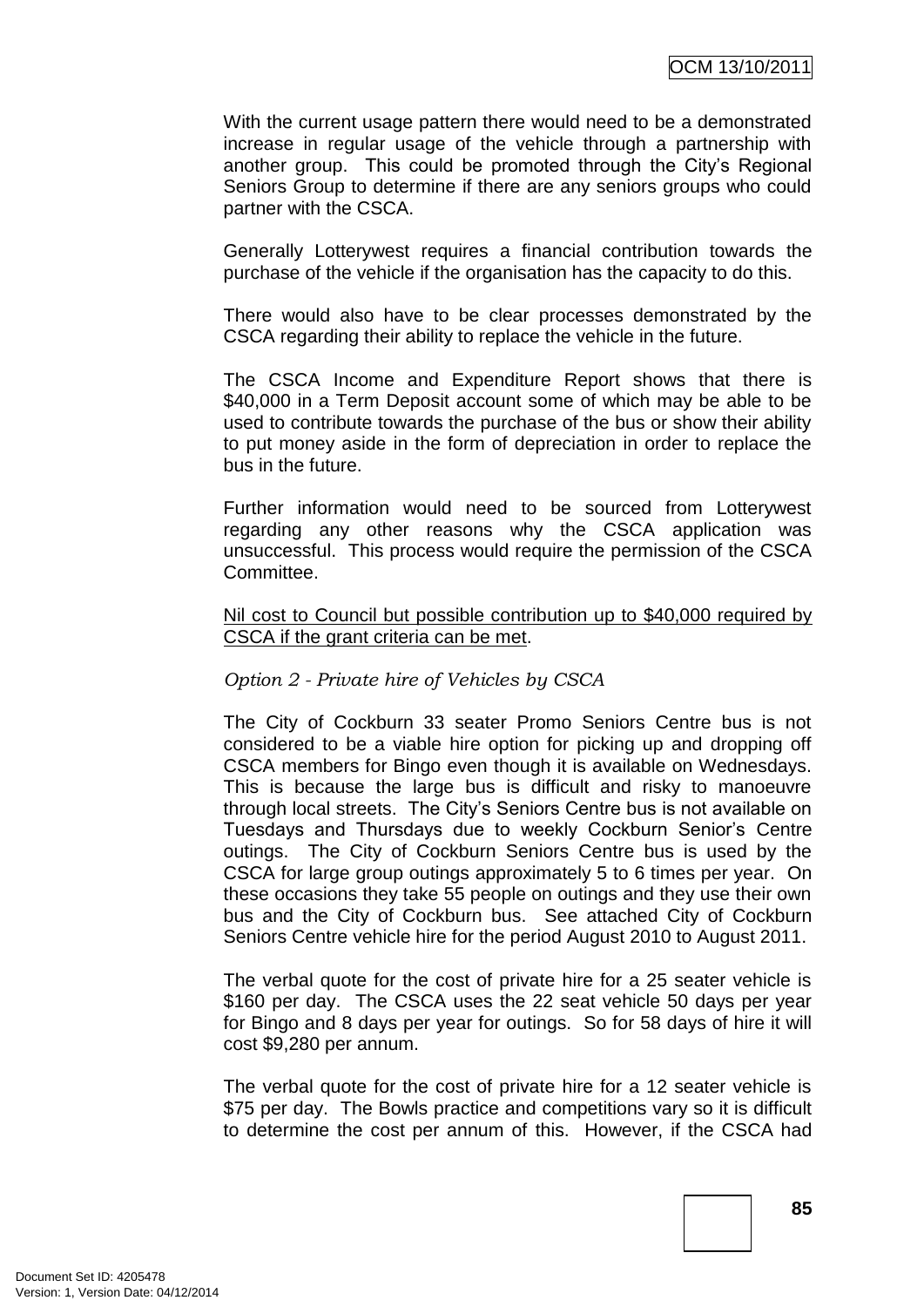With the current usage pattern there would need to be a demonstrated increase in regular usage of the vehicle through a partnership with another group. This could be promoted through the City's Regional Seniors Group to determine if there are any seniors groups who could partner with the CSCA.

Generally Lotterywest requires a financial contribution towards the purchase of the vehicle if the organisation has the capacity to do this.

There would also have to be clear processes demonstrated by the CSCA regarding their ability to replace the vehicle in the future.

The CSCA Income and Expenditure Report shows that there is \$40,000 in a Term Deposit account some of which may be able to be used to contribute towards the purchase of the bus or show their ability to put money aside in the form of depreciation in order to replace the bus in the future.

Further information would need to be sourced from Lotterywest regarding any other reasons why the CSCA application was unsuccessful. This process would require the permission of the CSCA **Committee.** 

#### Nil cost to Council but possible contribution up to \$40,000 required by CSCA if the grant criteria can be met.

#### *Option 2 - Private hire of Vehicles by CSCA*

The City of Cockburn 33 seater Promo Seniors Centre bus is not considered to be a viable hire option for picking up and dropping off CSCA members for Bingo even though it is available on Wednesdays. This is because the large bus is difficult and risky to manoeuvre through local streets. The City"s Seniors Centre bus is not available on Tuesdays and Thursdays due to weekly Cockburn Senior"s Centre outings. The City of Cockburn Seniors Centre bus is used by the CSCA for large group outings approximately 5 to 6 times per year. On these occasions they take 55 people on outings and they use their own bus and the City of Cockburn bus. See attached City of Cockburn Seniors Centre vehicle hire for the period August 2010 to August 2011.

The verbal quote for the cost of private hire for a 25 seater vehicle is \$160 per day. The CSCA uses the 22 seat vehicle 50 days per year for Bingo and 8 days per year for outings. So for 58 days of hire it will cost \$9,280 per annum.

The verbal quote for the cost of private hire for a 12 seater vehicle is \$75 per day. The Bowls practice and competitions vary so it is difficult to determine the cost per annum of this. However, if the CSCA had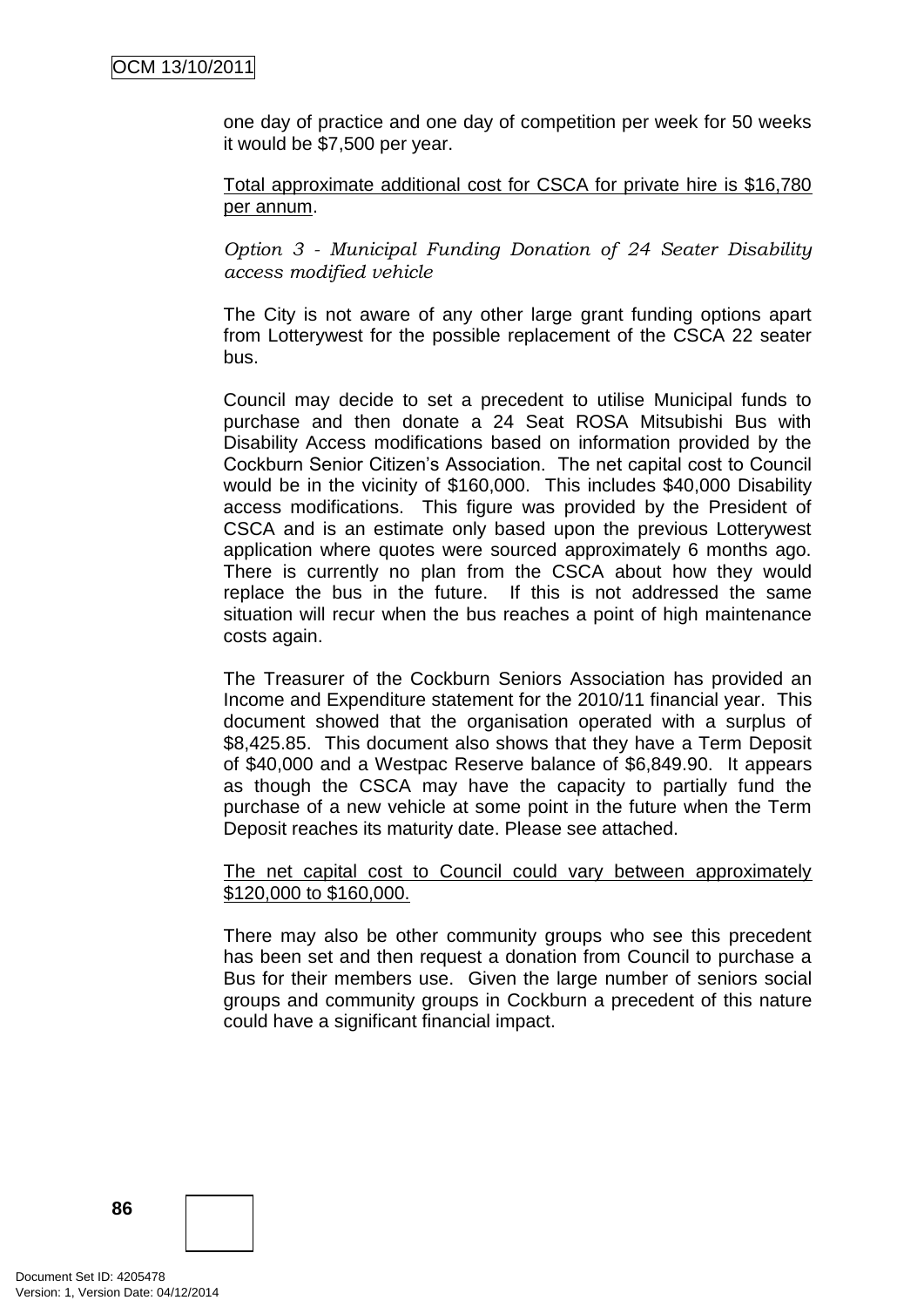one day of practice and one day of competition per week for 50 weeks it would be \$7,500 per year.

Total approximate additional cost for CSCA for private hire is \$16,780 per annum.

*Option 3 - Municipal Funding Donation of 24 Seater Disability access modified vehicle*

The City is not aware of any other large grant funding options apart from Lotterywest for the possible replacement of the CSCA 22 seater bus.

Council may decide to set a precedent to utilise Municipal funds to purchase and then donate a 24 Seat ROSA Mitsubishi Bus with Disability Access modifications based on information provided by the Cockburn Senior Citizen"s Association. The net capital cost to Council would be in the vicinity of \$160,000. This includes \$40,000 Disability access modifications. This figure was provided by the President of CSCA and is an estimate only based upon the previous Lotterywest application where quotes were sourced approximately 6 months ago. There is currently no plan from the CSCA about how they would replace the bus in the future. If this is not addressed the same situation will recur when the bus reaches a point of high maintenance costs again.

The Treasurer of the Cockburn Seniors Association has provided an Income and Expenditure statement for the 2010/11 financial year. This document showed that the organisation operated with a surplus of \$8,425.85. This document also shows that they have a Term Deposit of \$40,000 and a Westpac Reserve balance of \$6,849.90. It appears as though the CSCA may have the capacity to partially fund the purchase of a new vehicle at some point in the future when the Term Deposit reaches its maturity date. Please see attached.

#### The net capital cost to Council could vary between approximately \$120,000 to \$160,000.

There may also be other community groups who see this precedent has been set and then request a donation from Council to purchase a Bus for their members use. Given the large number of seniors social groups and community groups in Cockburn a precedent of this nature could have a significant financial impact.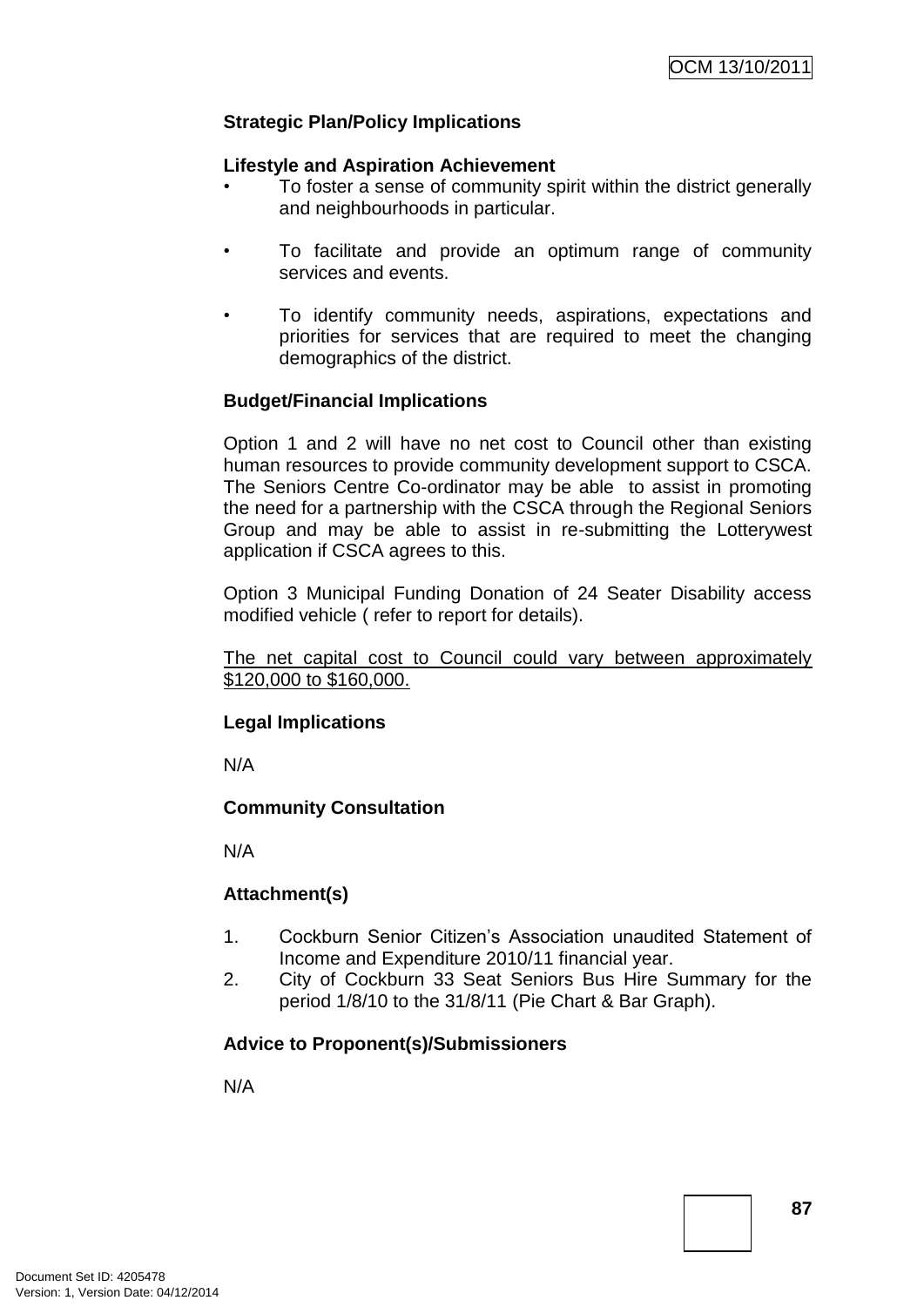# **Strategic Plan/Policy Implications**

### **Lifestyle and Aspiration Achievement**

- To foster a sense of community spirit within the district generally and neighbourhoods in particular.
- To facilitate and provide an optimum range of community services and events.
- To identify community needs, aspirations, expectations and priorities for services that are required to meet the changing demographics of the district.

# **Budget/Financial Implications**

Option 1 and 2 will have no net cost to Council other than existing human resources to provide community development support to CSCA. The Seniors Centre Co-ordinator may be able to assist in promoting the need for a partnership with the CSCA through the Regional Seniors Group and may be able to assist in re-submitting the Lotterywest application if CSCA agrees to this.

Option 3 Municipal Funding Donation of 24 Seater Disability access modified vehicle ( refer to report for details).

The net capital cost to Council could vary between approximately \$120,000 to \$160,000.

# **Legal Implications**

N/A

# **Community Consultation**

N/A

# **Attachment(s)**

- 1. Cockburn Senior Citizen"s Association unaudited Statement of Income and Expenditure 2010/11 financial year.
- 2. City of Cockburn 33 Seat Seniors Bus Hire Summary for the period 1/8/10 to the 31/8/11 (Pie Chart & Bar Graph).

# **Advice to Proponent(s)/Submissioners**

N/A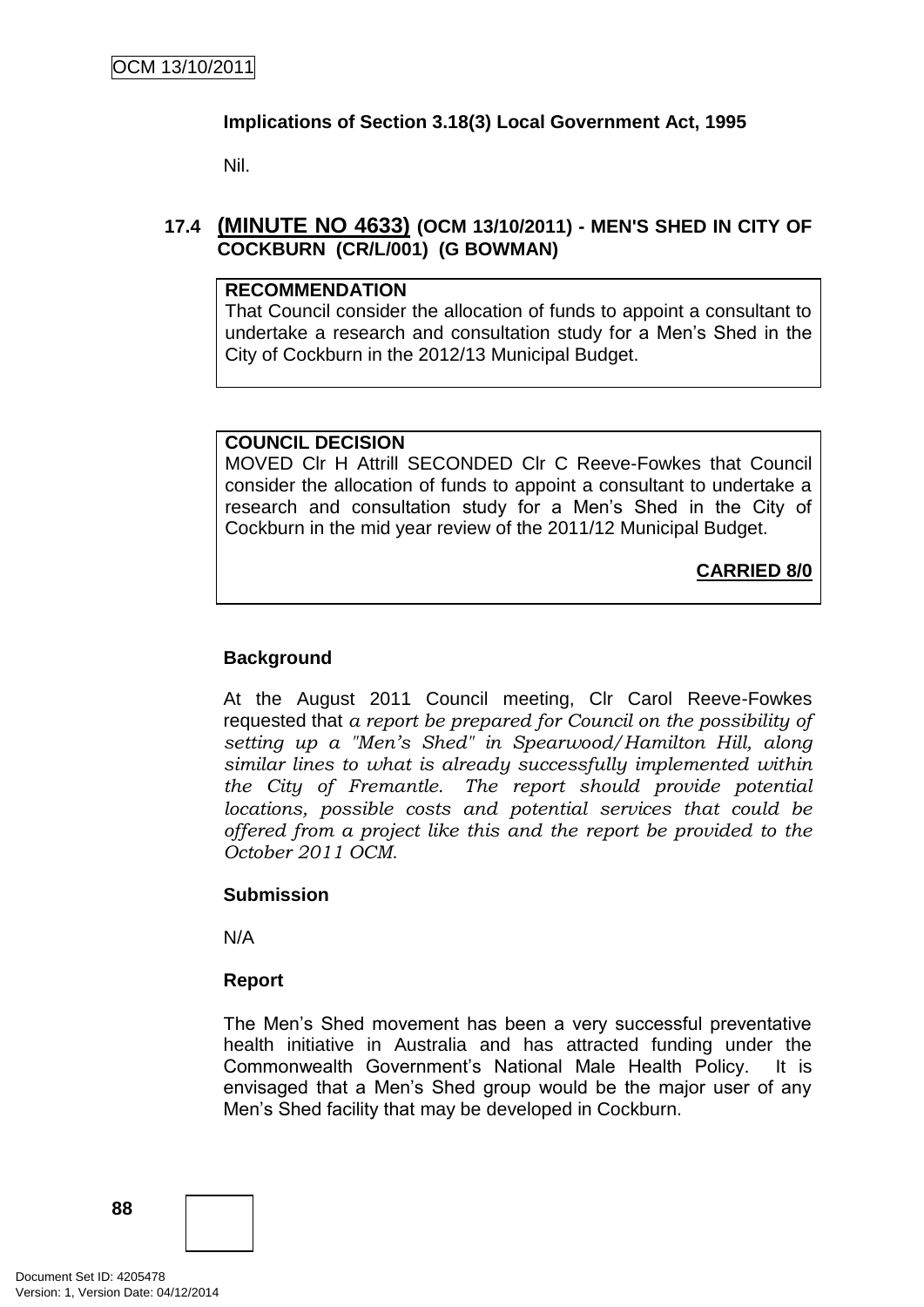#### **Implications of Section 3.18(3) Local Government Act, 1995**

Nil.

### **17.4 (MINUTE NO 4633) (OCM 13/10/2011) - MEN'S SHED IN CITY OF COCKBURN (CR/L/001) (G BOWMAN)**

#### **RECOMMENDATION**

That Council consider the allocation of funds to appoint a consultant to undertake a research and consultation study for a Men"s Shed in the City of Cockburn in the 2012/13 Municipal Budget.

#### **COUNCIL DECISION**

MOVED Clr H Attrill SECONDED Clr C Reeve-Fowkes that Council consider the allocation of funds to appoint a consultant to undertake a research and consultation study for a Men"s Shed in the City of Cockburn in the mid year review of the 2011/12 Municipal Budget.

# **CARRIED 8/0**

# **Background**

At the August 2011 Council meeting, Clr Carol Reeve-Fowkes requested that *a report be prepared for Council on the possibility of setting up a "Men's Shed" in Spearwood/Hamilton Hill, along similar lines to what is already successfully implemented within the City of Fremantle. The report should provide potential locations, possible costs and potential services that could be offered from a project like this and the report be provided to the October 2011 OCM*.

#### **Submission**

N/A

#### **Report**

The Men"s Shed movement has been a very successful preventative health initiative in Australia and has attracted funding under the Commonwealth Government"s National Male Health Policy. It is envisaged that a Men"s Shed group would be the major user of any Men"s Shed facility that may be developed in Cockburn.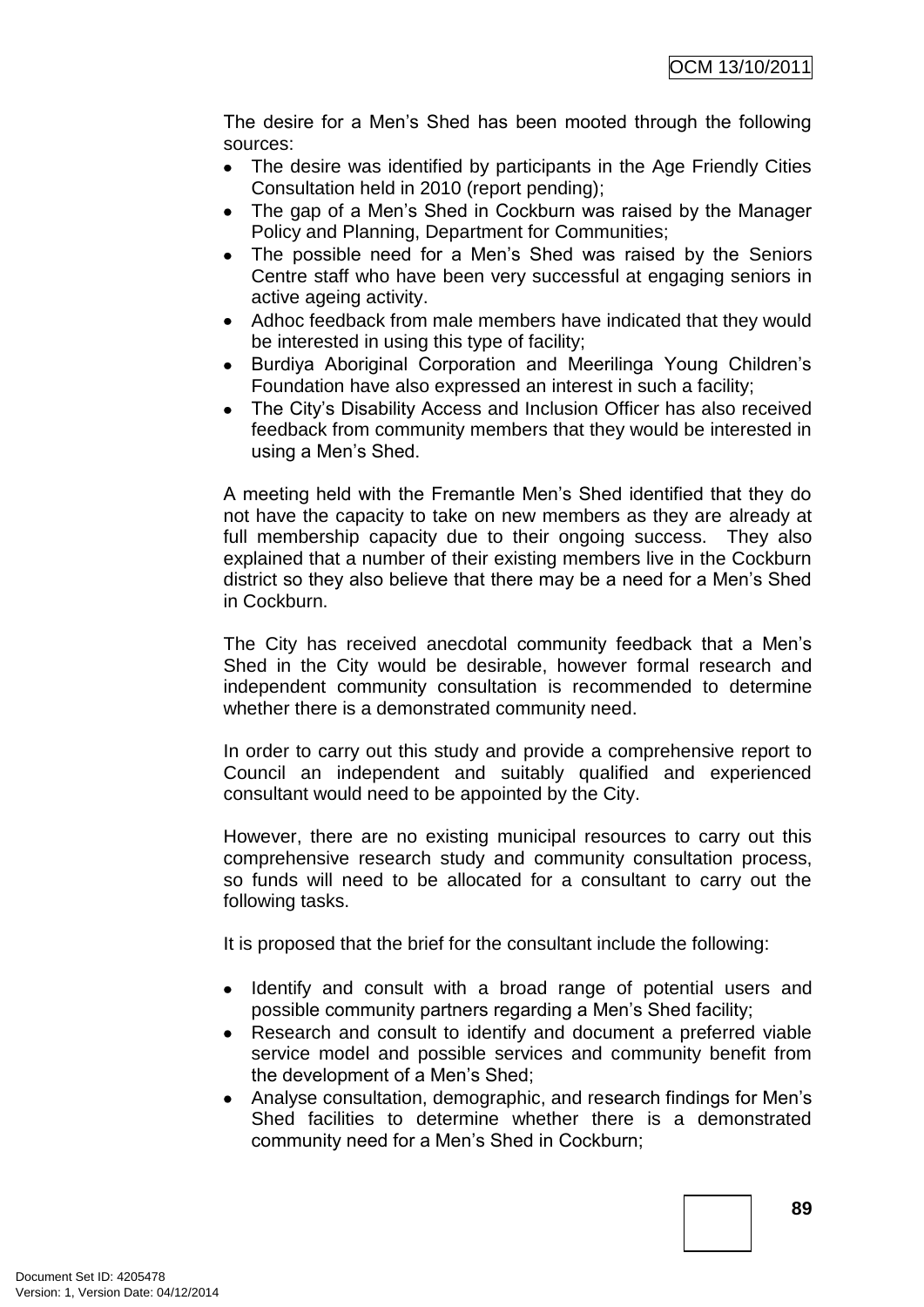The desire for a Men's Shed has been mooted through the following sources:

- The desire was identified by participants in the Age Friendly Cities Consultation held in 2010 (report pending);
- The gap of a Men's Shed in Cockburn was raised by the Manager Policy and Planning, Department for Communities;
- The possible need for a Men's Shed was raised by the Seniors Centre staff who have been very successful at engaging seniors in active ageing activity.
- Adhoc feedback from male members have indicated that they would be interested in using this type of facility;
- Burdiya Aboriginal Corporation and Meerilinga Young Children's  $\bullet$ Foundation have also expressed an interest in such a facility;
- The City's Disability Access and Inclusion Officer has also received feedback from community members that they would be interested in using a Men's Shed.

A meeting held with the Fremantle Men"s Shed identified that they do not have the capacity to take on new members as they are already at full membership capacity due to their ongoing success. They also explained that a number of their existing members live in the Cockburn district so they also believe that there may be a need for a Men"s Shed in Cockburn.

The City has received anecdotal community feedback that a Men"s Shed in the City would be desirable, however formal research and independent community consultation is recommended to determine whether there is a demonstrated community need.

In order to carry out this study and provide a comprehensive report to Council an independent and suitably qualified and experienced consultant would need to be appointed by the City.

However, there are no existing municipal resources to carry out this comprehensive research study and community consultation process, so funds will need to be allocated for a consultant to carry out the following tasks.

It is proposed that the brief for the consultant include the following:

- Identify and consult with a broad range of potential users and  $\bullet$ possible community partners regarding a Men's Shed facility;
- Research and consult to identify and document a preferred viable service model and possible services and community benefit from the development of a Men's Shed;
- Analyse consultation, demographic, and research findings for Men's Shed facilities to determine whether there is a demonstrated community need for a Men's Shed in Cockburn;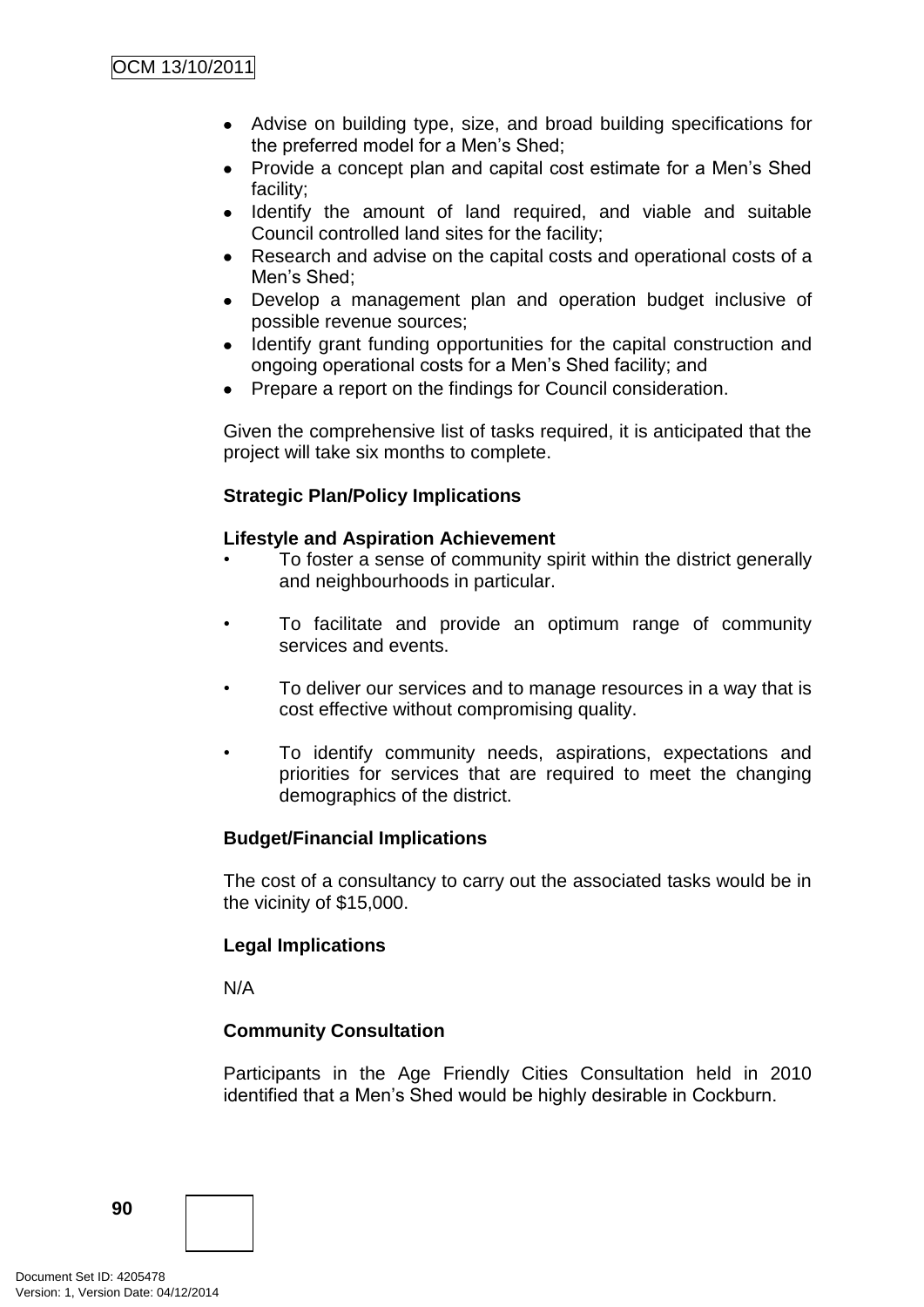- Advise on building type, size, and broad building specifications for the preferred model for a Men's Shed;
- Provide a concept plan and capital cost estimate for a Men's Shed facility;
- Identify the amount of land required, and viable and suitable Council controlled land sites for the facility;
- Research and advise on the capital costs and operational costs of a Men's Shed;
- Develop a management plan and operation budget inclusive of possible revenue sources;
- Identify grant funding opportunities for the capital construction and ongoing operational costs for a Men's Shed facility; and
- Prepare a report on the findings for Council consideration.

Given the comprehensive list of tasks required, it is anticipated that the project will take six months to complete.

# **Strategic Plan/Policy Implications**

## **Lifestyle and Aspiration Achievement**

- To foster a sense of community spirit within the district generally and neighbourhoods in particular.
- To facilitate and provide an optimum range of community services and events.
- To deliver our services and to manage resources in a way that is cost effective without compromising quality.
- To identify community needs, aspirations, expectations and priorities for services that are required to meet the changing demographics of the district.

# **Budget/Financial Implications**

The cost of a consultancy to carry out the associated tasks would be in the vicinity of \$15,000.

# **Legal Implications**

N/A

# **Community Consultation**

Participants in the Age Friendly Cities Consultation held in 2010 identified that a Men's Shed would be highly desirable in Cockburn.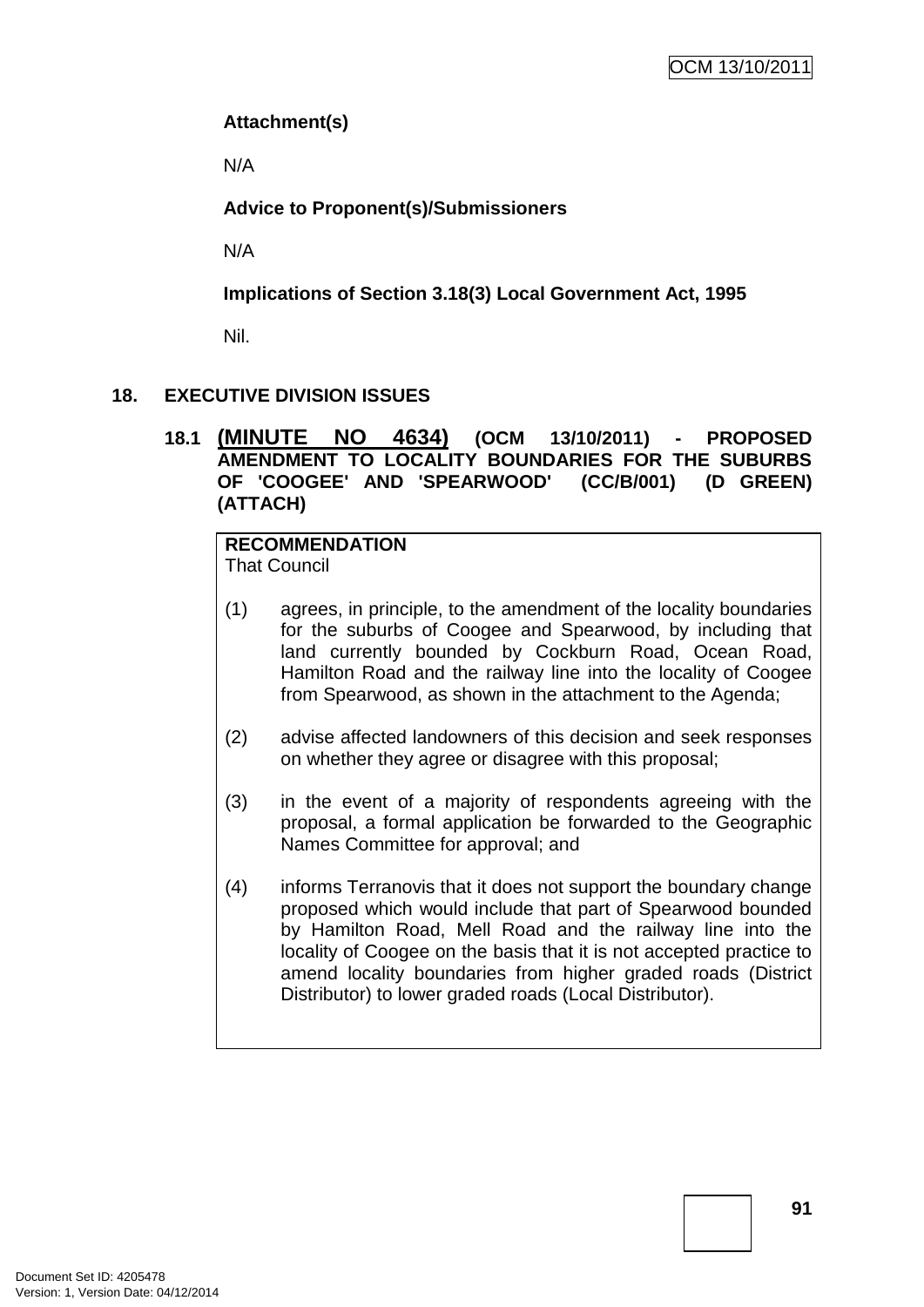# **Attachment(s)**

N/A

# **Advice to Proponent(s)/Submissioners**

N/A

### **Implications of Section 3.18(3) Local Government Act, 1995**

Nil.

# **18. EXECUTIVE DIVISION ISSUES**

#### **18.1 (MINUTE NO 4634) (OCM 13/10/2011) - PROPOSED AMENDMENT TO LOCALITY BOUNDARIES FOR THE SUBURBS OF 'COOGEE' AND 'SPEARWOOD' (CC/B/001) (D GREEN) (ATTACH)**

# **RECOMMENDATION**

That Council

- (1) agrees, in principle, to the amendment of the locality boundaries for the suburbs of Coogee and Spearwood, by including that land currently bounded by Cockburn Road, Ocean Road, Hamilton Road and the railway line into the locality of Coogee from Spearwood, as shown in the attachment to the Agenda;
- (2) advise affected landowners of this decision and seek responses on whether they agree or disagree with this proposal;
- (3) in the event of a majority of respondents agreeing with the proposal, a formal application be forwarded to the Geographic Names Committee for approval; and
- (4) informs Terranovis that it does not support the boundary change proposed which would include that part of Spearwood bounded by Hamilton Road, Mell Road and the railway line into the locality of Coogee on the basis that it is not accepted practice to amend locality boundaries from higher graded roads (District Distributor) to lower graded roads (Local Distributor).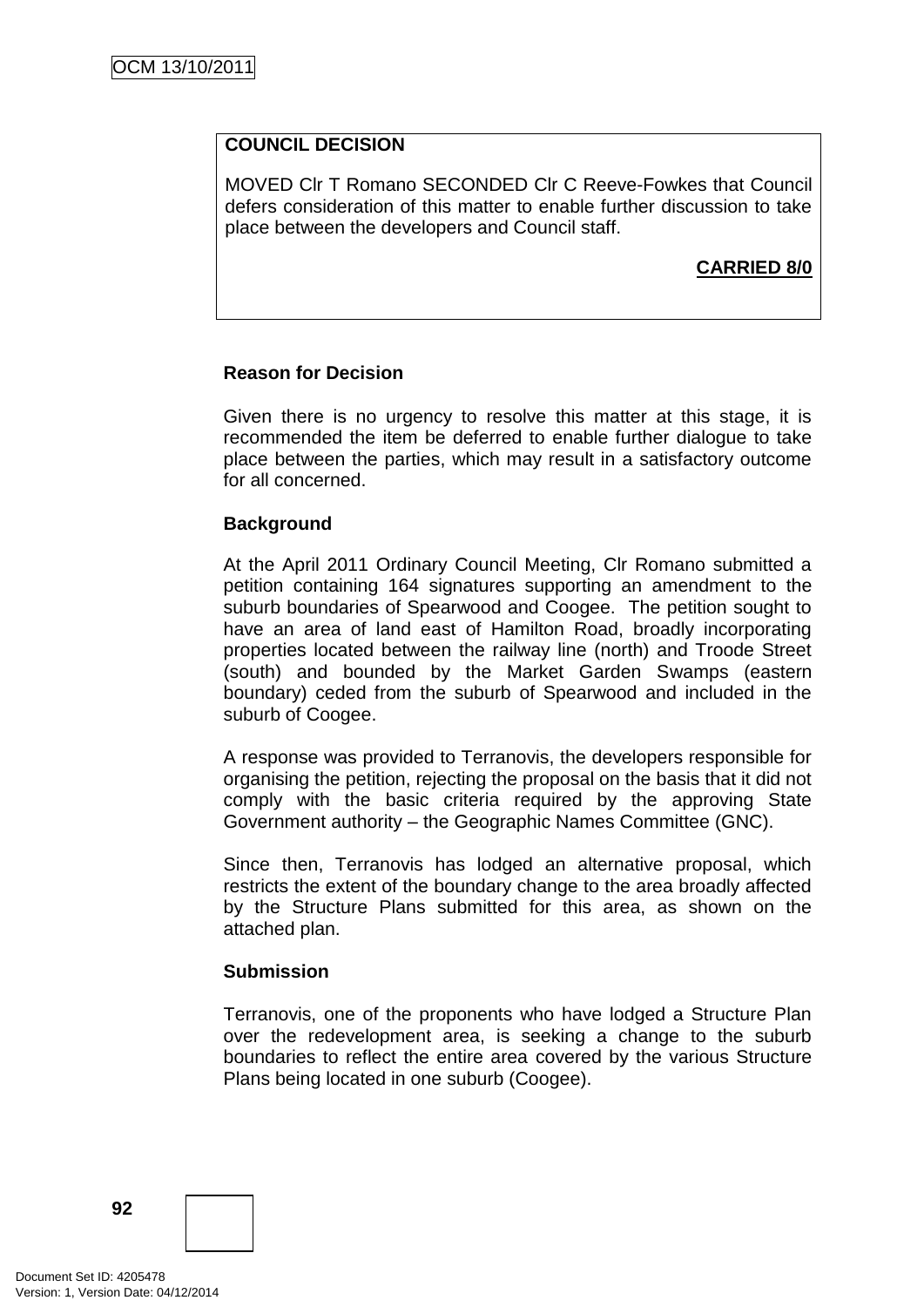# **COUNCIL DECISION**

MOVED Clr T Romano SECONDED Clr C Reeve-Fowkes that Council defers consideration of this matter to enable further discussion to take place between the developers and Council staff.

**CARRIED 8/0**

## **Reason for Decision**

Given there is no urgency to resolve this matter at this stage, it is recommended the item be deferred to enable further dialogue to take place between the parties, which may result in a satisfactory outcome for all concerned.

#### **Background**

At the April 2011 Ordinary Council Meeting, Clr Romano submitted a petition containing 164 signatures supporting an amendment to the suburb boundaries of Spearwood and Coogee. The petition sought to have an area of land east of Hamilton Road, broadly incorporating properties located between the railway line (north) and Troode Street (south) and bounded by the Market Garden Swamps (eastern boundary) ceded from the suburb of Spearwood and included in the suburb of Coogee.

A response was provided to Terranovis, the developers responsible for organising the petition, rejecting the proposal on the basis that it did not comply with the basic criteria required by the approving State Government authority – the Geographic Names Committee (GNC).

Since then, Terranovis has lodged an alternative proposal, which restricts the extent of the boundary change to the area broadly affected by the Structure Plans submitted for this area, as shown on the attached plan.

#### **Submission**

Terranovis, one of the proponents who have lodged a Structure Plan over the redevelopment area, is seeking a change to the suburb boundaries to reflect the entire area covered by the various Structure Plans being located in one suburb (Coogee).

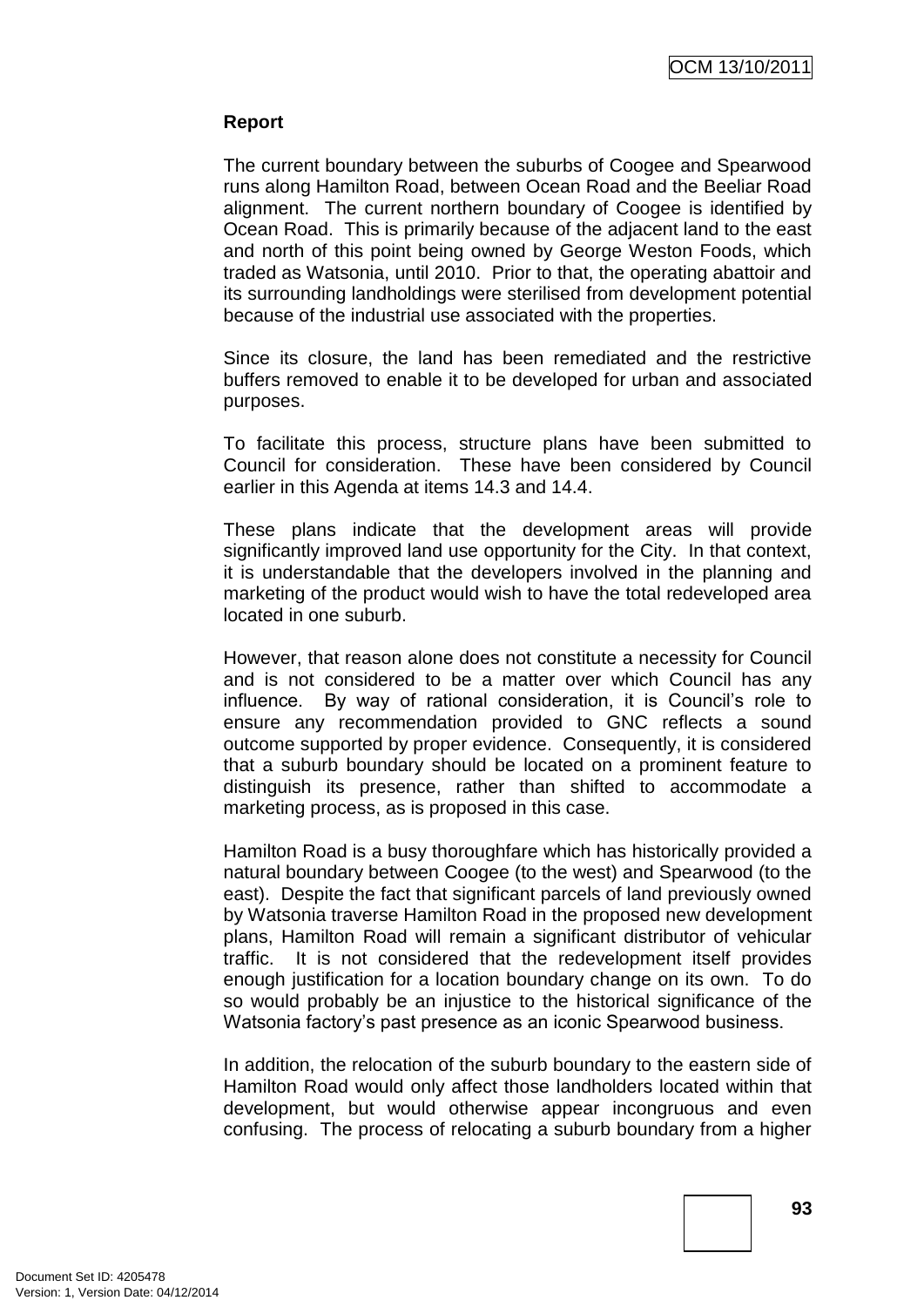## **Report**

The current boundary between the suburbs of Coogee and Spearwood runs along Hamilton Road, between Ocean Road and the Beeliar Road alignment. The current northern boundary of Coogee is identified by Ocean Road. This is primarily because of the adjacent land to the east and north of this point being owned by George Weston Foods, which traded as Watsonia, until 2010. Prior to that, the operating abattoir and its surrounding landholdings were sterilised from development potential because of the industrial use associated with the properties.

Since its closure, the land has been remediated and the restrictive buffers removed to enable it to be developed for urban and associated purposes.

To facilitate this process, structure plans have been submitted to Council for consideration. These have been considered by Council earlier in this Agenda at items 14.3 and 14.4.

These plans indicate that the development areas will provide significantly improved land use opportunity for the City. In that context, it is understandable that the developers involved in the planning and marketing of the product would wish to have the total redeveloped area located in one suburb.

However, that reason alone does not constitute a necessity for Council and is not considered to be a matter over which Council has any influence. By way of rational consideration, it is Council"s role to ensure any recommendation provided to GNC reflects a sound outcome supported by proper evidence. Consequently, it is considered that a suburb boundary should be located on a prominent feature to distinguish its presence, rather than shifted to accommodate a marketing process, as is proposed in this case.

Hamilton Road is a busy thoroughfare which has historically provided a natural boundary between Coogee (to the west) and Spearwood (to the east). Despite the fact that significant parcels of land previously owned by Watsonia traverse Hamilton Road in the proposed new development plans, Hamilton Road will remain a significant distributor of vehicular traffic. It is not considered that the redevelopment itself provides enough justification for a location boundary change on its own. To do so would probably be an injustice to the historical significance of the Watsonia factory"s past presence as an iconic Spearwood business.

In addition, the relocation of the suburb boundary to the eastern side of Hamilton Road would only affect those landholders located within that development, but would otherwise appear incongruous and even confusing. The process of relocating a suburb boundary from a higher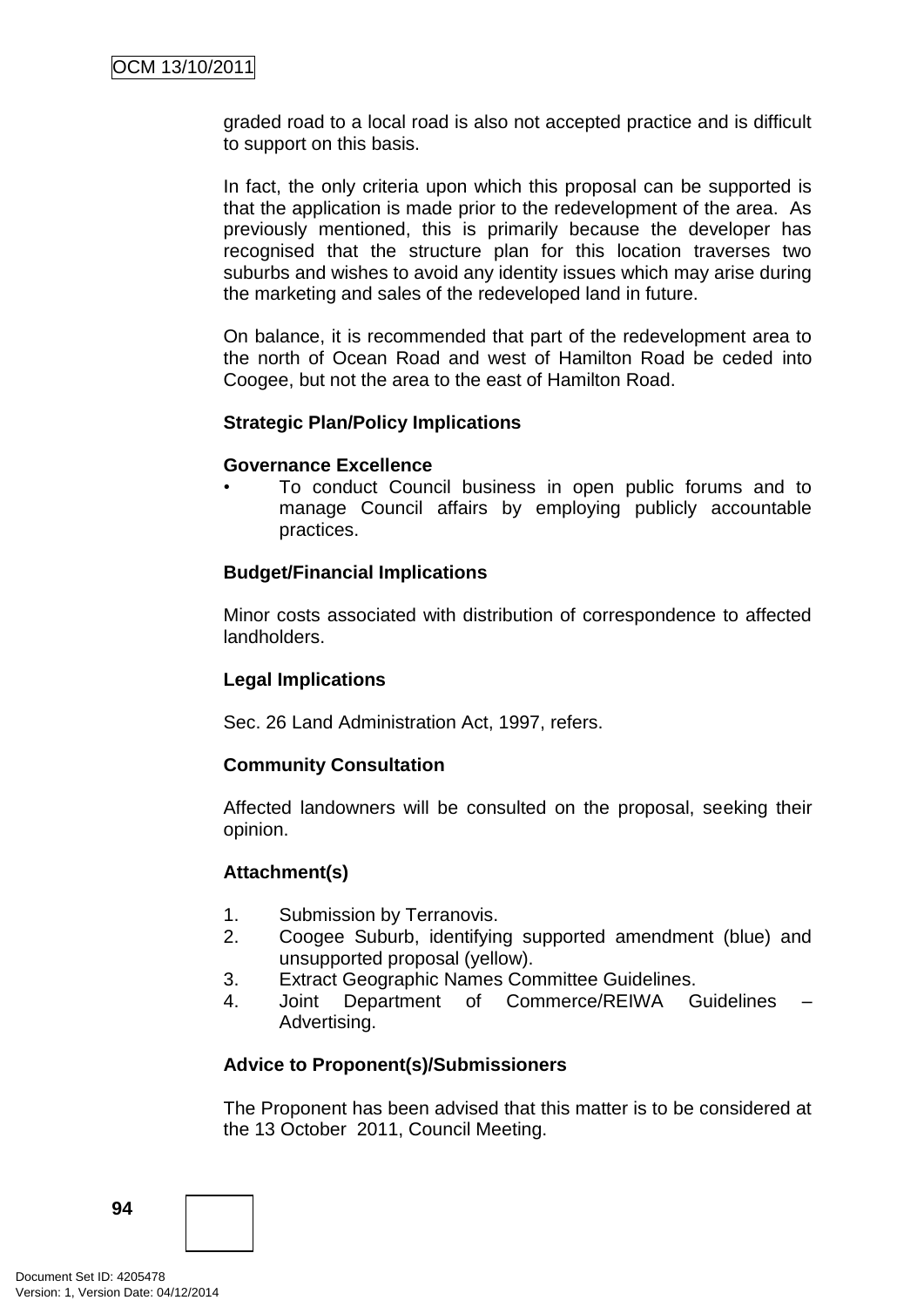graded road to a local road is also not accepted practice and is difficult to support on this basis.

In fact, the only criteria upon which this proposal can be supported is that the application is made prior to the redevelopment of the area. As previously mentioned, this is primarily because the developer has recognised that the structure plan for this location traverses two suburbs and wishes to avoid any identity issues which may arise during the marketing and sales of the redeveloped land in future.

On balance, it is recommended that part of the redevelopment area to the north of Ocean Road and west of Hamilton Road be ceded into Coogee, but not the area to the east of Hamilton Road.

#### **Strategic Plan/Policy Implications**

#### **Governance Excellence**

• To conduct Council business in open public forums and to manage Council affairs by employing publicly accountable practices.

#### **Budget/Financial Implications**

Minor costs associated with distribution of correspondence to affected landholders.

#### **Legal Implications**

Sec. 26 Land Administration Act, 1997, refers.

#### **Community Consultation**

Affected landowners will be consulted on the proposal, seeking their opinion.

#### **Attachment(s)**

- 1. Submission by Terranovis.
- 2. Coogee Suburb, identifying supported amendment (blue) and unsupported proposal (yellow).
- 3. Extract Geographic Names Committee Guidelines.
- 4. Joint Department of Commerce/REIWA Guidelines Advertising.

#### **Advice to Proponent(s)/Submissioners**

The Proponent has been advised that this matter is to be considered at the 13 October 2011, Council Meeting.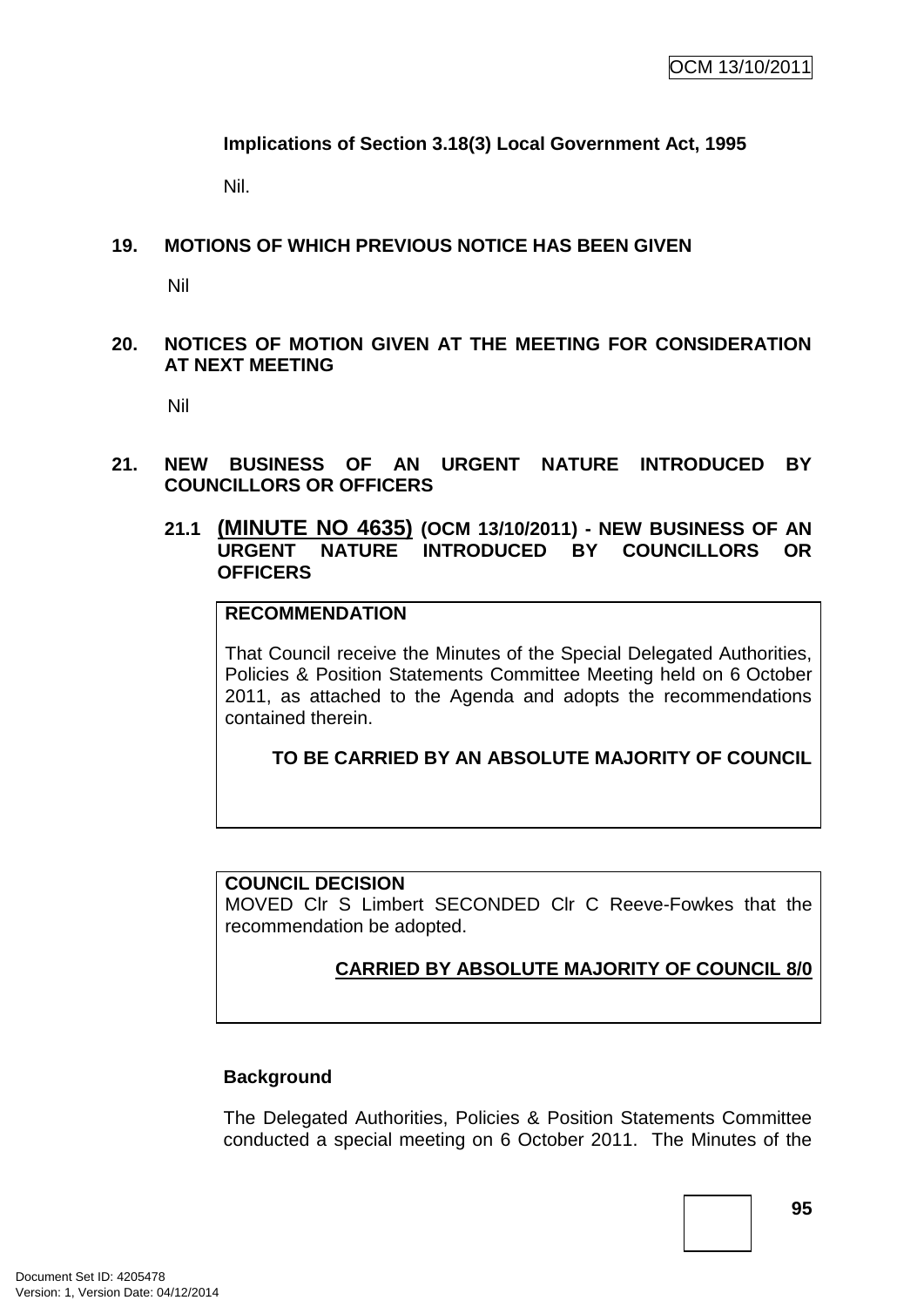**Implications of Section 3.18(3) Local Government Act, 1995**

Nil.

### **19. MOTIONS OF WHICH PREVIOUS NOTICE HAS BEEN GIVEN**

Nil

### **20. NOTICES OF MOTION GIVEN AT THE MEETING FOR CONSIDERATION AT NEXT MEETING**

Nil

**21. NEW BUSINESS OF AN URGENT NATURE INTRODUCED BY COUNCILLORS OR OFFICERS**

#### **21.1 (MINUTE NO 4635) (OCM 13/10/2011) - NEW BUSINESS OF AN URGENT NATURE INTRODUCED BY COUNCILLORS OR OFFICERS**

## **RECOMMENDATION**

That Council receive the Minutes of the Special Delegated Authorities, Policies & Position Statements Committee Meeting held on 6 October 2011, as attached to the Agenda and adopts the recommendations contained therein.

**TO BE CARRIED BY AN ABSOLUTE MAJORITY OF COUNCIL**

#### **COUNCIL DECISION**

MOVED Clr S Limbert SECONDED Clr C Reeve-Fowkes that the recommendation be adopted.

# **CARRIED BY ABSOLUTE MAJORITY OF COUNCIL 8/0**

# **Background**

The Delegated Authorities, Policies & Position Statements Committee conducted a special meeting on 6 October 2011. The Minutes of the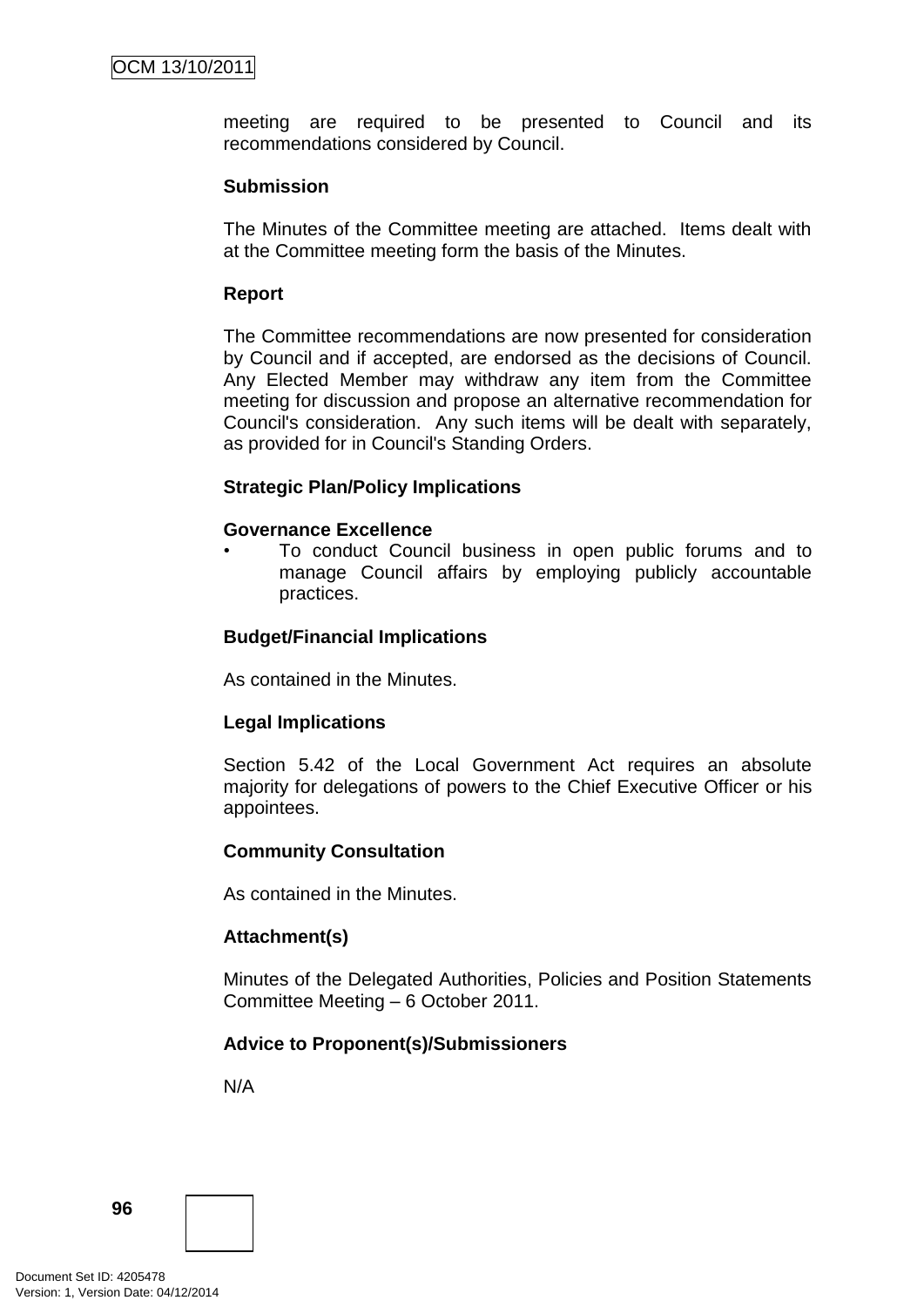meeting are required to be presented to Council and its recommendations considered by Council.

### **Submission**

The Minutes of the Committee meeting are attached. Items dealt with at the Committee meeting form the basis of the Minutes.

## **Report**

The Committee recommendations are now presented for consideration by Council and if accepted, are endorsed as the decisions of Council. Any Elected Member may withdraw any item from the Committee meeting for discussion and propose an alternative recommendation for Council's consideration. Any such items will be dealt with separately, as provided for in Council's Standing Orders.

## **Strategic Plan/Policy Implications**

#### **Governance Excellence**

• To conduct Council business in open public forums and to manage Council affairs by employing publicly accountable practices.

#### **Budget/Financial Implications**

As contained in the Minutes.

#### **Legal Implications**

Section 5.42 of the Local Government Act requires an absolute majority for delegations of powers to the Chief Executive Officer or his appointees.

#### **Community Consultation**

As contained in the Minutes.

#### **Attachment(s)**

Minutes of the Delegated Authorities, Policies and Position Statements Committee Meeting – 6 October 2011.

# **Advice to Proponent(s)/Submissioners**

N/A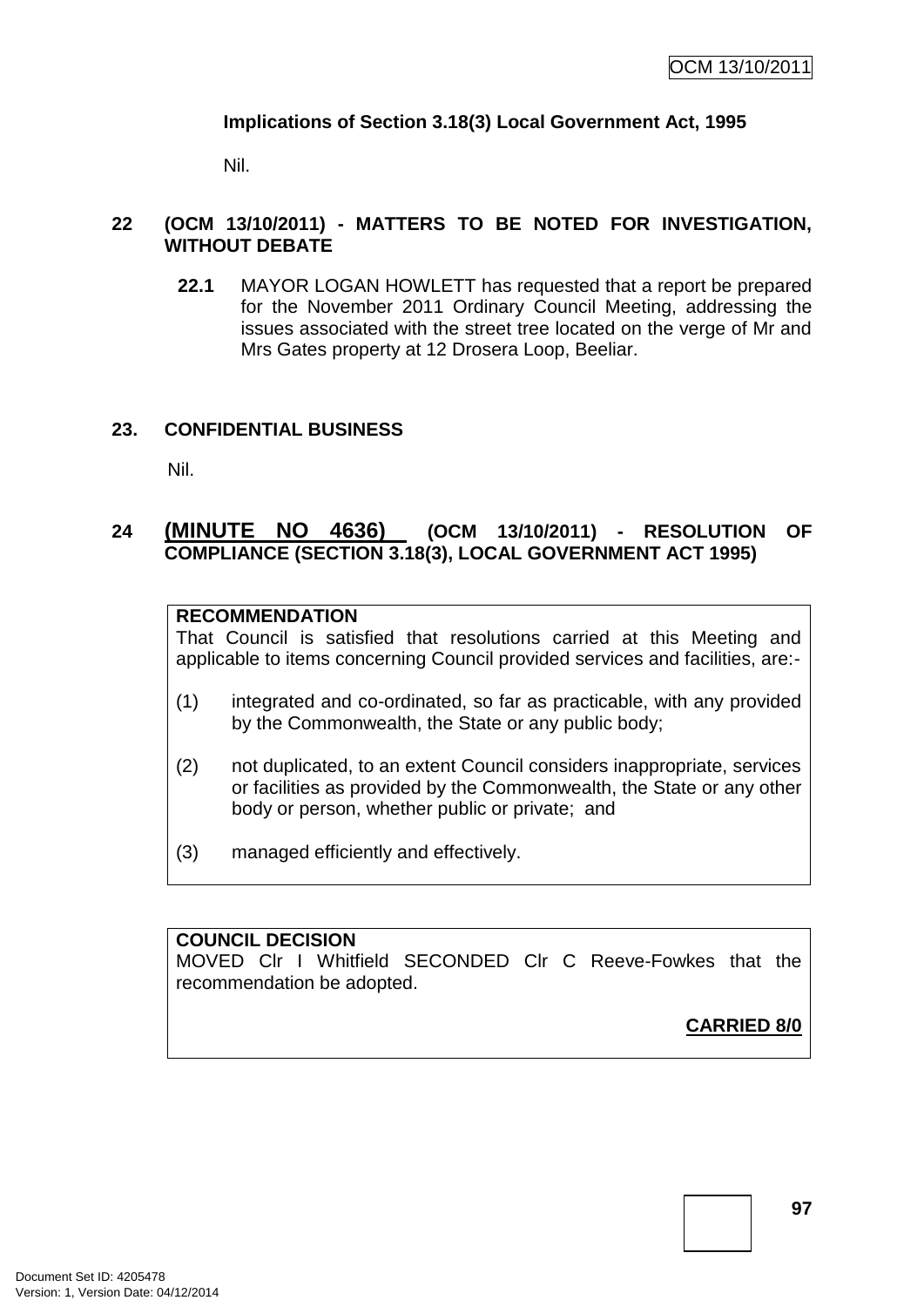## **Implications of Section 3.18(3) Local Government Act, 1995**

Nil.

#### **22 (OCM 13/10/2011) - MATTERS TO BE NOTED FOR INVESTIGATION, WITHOUT DEBATE**

**22.1** MAYOR LOGAN HOWLETT has requested that a report be prepared for the November 2011 Ordinary Council Meeting, addressing the issues associated with the street tree located on the verge of Mr and Mrs Gates property at 12 Drosera Loop, Beeliar.

## **23. CONFIDENTIAL BUSINESS**

Nil.

# **24 (MINUTE NO 4636) (OCM 13/10/2011) - RESOLUTION OF COMPLIANCE (SECTION 3.18(3), LOCAL GOVERNMENT ACT 1995)**

## **RECOMMENDATION**

That Council is satisfied that resolutions carried at this Meeting and applicable to items concerning Council provided services and facilities, are:-

- (1) integrated and co-ordinated, so far as practicable, with any provided by the Commonwealth, the State or any public body;
- (2) not duplicated, to an extent Council considers inappropriate, services or facilities as provided by the Commonwealth, the State or any other body or person, whether public or private; and
- (3) managed efficiently and effectively.

#### **COUNCIL DECISION**

MOVED Clr I Whitfield SECONDED Clr C Reeve-Fowkes that the recommendation be adopted.

**CARRIED 8/0**